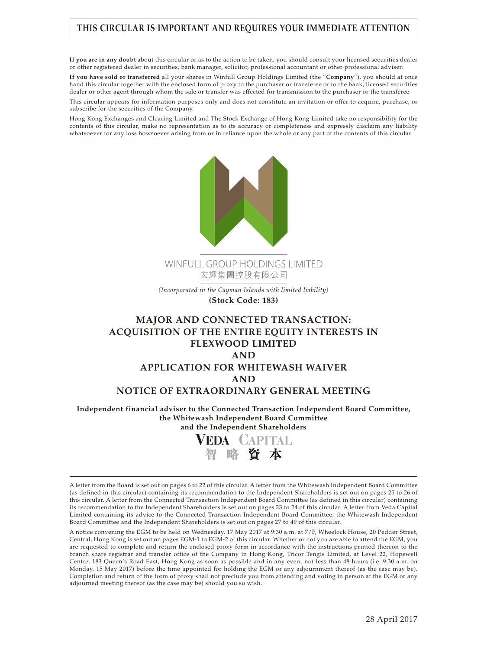## **THIS CIRCULAR IS IMPORTANT AND REQUIRES YOUR IMMEDIATE ATTENTION**

**If you are in any doubt** about this circular or as to the action to be taken, you should consult your licensed securities dealer or other registered dealer in securities, bank manager, solicitor, professional accountant or other professional adviser.

**If you have sold or transferred** all your shares in Winfull Group Holdings Limited (the "**Company**"), you should at once hand this circular together with the enclosed form of proxy to the purchaser or transferee or to the bank, licensed securities dealer or other agent through whom the sale or transfer was effected for transmission to the purchaser or the transferee.

This circular appears for information purposes only and does not constitute an invitation or offer to acquire, purchase, or subscribe for the securities of the Company.

Hong Kong Exchanges and Clearing Limited and The Stock Exchange of Hong Kong Limited take no responsibility for the contents of this circular, make no representation as to its accuracy or completeness and expressly disclaim any liability whatsoever for any loss howsoever arising from or in reliance upon the whole or any part of the contents of this circular.





A letter from the Board is set out on pages 6 to 22 of this circular. A letter from the Whitewash Independent Board Committee (as defined in this circular) containing its recommendation to the Independent Shareholders is set out on pages 25 to 26 of this circular. A letter from the Connected Transaction Independent Board Committee (as defined in this circular) containing its recommendation to the Independent Shareholders is set out on pages 23 to 24 of this circular. A letter from Veda Capital Limited containing its advice to the Connected Transaction Independent Board Committee, the Whitewash Independent Board Committee and the Independent Shareholders is set out on pages 27 to 49 of this circular.

A notice convening the EGM to be held on Wednesday, 17 May 2017 at 9:30 a.m. at 7/F, Wheelock House, 20 Pedder Street, Central, Hong Kong is set out on pages EGM-1 to EGM-2 of this circular. Whether or not you are able to attend the EGM, you are requested to complete and return the enclosed proxy form in accordance with the instructions printed thereon to the branch share registrar and transfer office of the Company in Hong Kong, Tricor Tengis Limited, at Level 22, Hopewell Centre, 183 Queen's Road East, Hong Kong as soon as possible and in any event not less than 48 hours (i.e. 9:30 a.m. on Monday, 15 May 2017) before the time appointed for holding the EGM or any adjournment thereof (as the case may be). Completion and return of the form of proxy shall not preclude you from attending and voting in person at the EGM or any adjourned meeting thereof (as the case may be) should you so wish.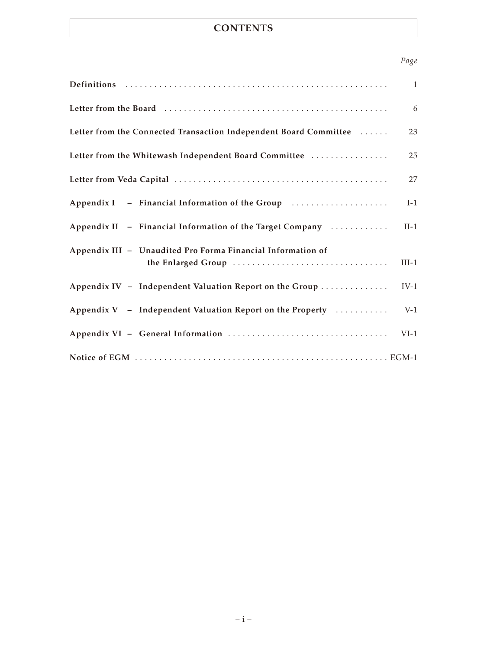# **CONTENTS**

## *Page*

|                                                                                   | $\mathbf{1}$ |
|-----------------------------------------------------------------------------------|--------------|
|                                                                                   | 6            |
| Letter from the Connected Transaction Independent Board Committee                 | 23           |
| Letter from the Whitewash Independent Board Committee                             | 25           |
|                                                                                   | 27           |
| Appendix I - Financial Information of the Group                                   | $I-1$        |
| Appendix II - Financial Information of the Target Company                         | $II-1$       |
| Appendix III - Unaudited Pro Forma Financial Information of<br>the Enlarged Group | $III-1$      |
| Appendix IV - Independent Valuation Report on the Group                           | $IV-1$       |
| Appendix V - Independent Valuation Report on the Property                         | $V-1$        |
|                                                                                   | $VI-1$       |
|                                                                                   |              |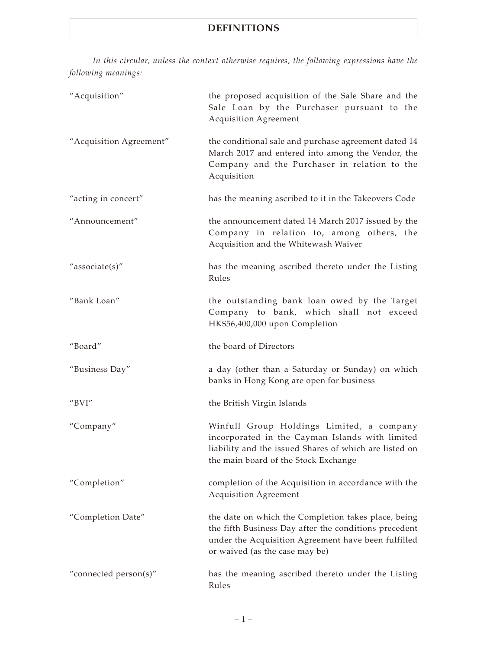*In this circular, unless the context otherwise requires, the following expressions have the following meanings:*

| "Acquisition"           | the proposed acquisition of the Sale Share and the<br>Sale Loan by the Purchaser pursuant to the<br><b>Acquisition Agreement</b>                                                                      |
|-------------------------|-------------------------------------------------------------------------------------------------------------------------------------------------------------------------------------------------------|
| "Acquisition Agreement" | the conditional sale and purchase agreement dated 14<br>March 2017 and entered into among the Vendor, the<br>Company and the Purchaser in relation to the<br>Acquisition                              |
| "acting in concert"     | has the meaning ascribed to it in the Takeovers Code                                                                                                                                                  |
| "Announcement"          | the announcement dated 14 March 2017 issued by the<br>Company in relation to, among others, the<br>Acquisition and the Whitewash Waiver                                                               |
| "associate(s)"          | has the meaning ascribed thereto under the Listing<br>Rules                                                                                                                                           |
| "Bank Loan"             | the outstanding bank loan owed by the Target<br>Company to bank, which shall not exceed<br>HK\$56,400,000 upon Completion                                                                             |
| "Board"                 | the board of Directors                                                                                                                                                                                |
| "Business Day"          | a day (other than a Saturday or Sunday) on which<br>banks in Hong Kong are open for business                                                                                                          |
| "BVI"                   | the British Virgin Islands                                                                                                                                                                            |
| "Company"               | Winfull Group Holdings Limited, a company<br>incorporated in the Cayman Islands with limited<br>liability and the issued Shares of which are listed on<br>the main board of the Stock Exchange        |
| "Completion"            | completion of the Acquisition in accordance with the<br><b>Acquisition Agreement</b>                                                                                                                  |
| "Completion Date"       | the date on which the Completion takes place, being<br>the fifth Business Day after the conditions precedent<br>under the Acquisition Agreement have been fulfilled<br>or waived (as the case may be) |
| "connected person(s)"   | has the meaning ascribed thereto under the Listing<br>Rules                                                                                                                                           |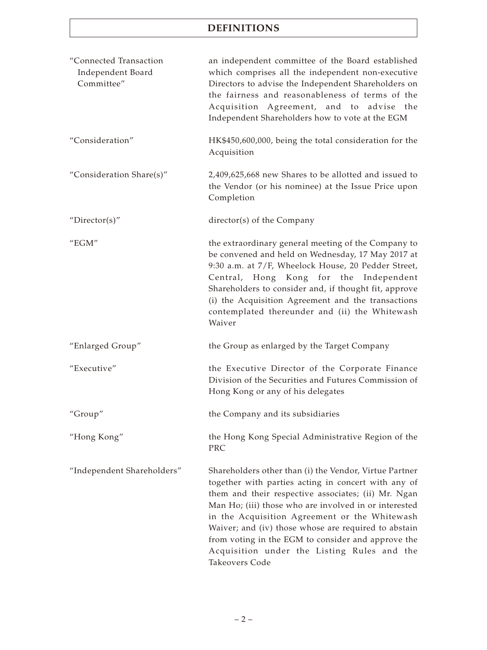| "Connected Transaction<br>Independent Board<br>Committee" | an independent committee of the Board established<br>which comprises all the independent non-executive<br>Directors to advise the Independent Shareholders on<br>the fairness and reasonableness of terms of the<br>Acquisition Agreement, and to advise the<br>Independent Shareholders how to vote at the EGM                                                                                                                                               |
|-----------------------------------------------------------|---------------------------------------------------------------------------------------------------------------------------------------------------------------------------------------------------------------------------------------------------------------------------------------------------------------------------------------------------------------------------------------------------------------------------------------------------------------|
| "Consideration"                                           | HK\$450,600,000, being the total consideration for the<br>Acquisition                                                                                                                                                                                                                                                                                                                                                                                         |
| "Consideration Share(s)"                                  | 2,409,625,668 new Shares to be allotted and issued to<br>the Vendor (or his nominee) at the Issue Price upon<br>Completion                                                                                                                                                                                                                                                                                                                                    |
| "Director(s)"                                             | director(s) of the Company                                                                                                                                                                                                                                                                                                                                                                                                                                    |
| " $EGM"$                                                  | the extraordinary general meeting of the Company to<br>be convened and held on Wednesday, 17 May 2017 at<br>9:30 a.m. at 7/F, Wheelock House, 20 Pedder Street,<br>Central, Hong Kong for the Independent<br>Shareholders to consider and, if thought fit, approve<br>(i) the Acquisition Agreement and the transactions<br>contemplated thereunder and (ii) the Whitewash<br>Waiver                                                                          |
| "Enlarged Group"                                          | the Group as enlarged by the Target Company                                                                                                                                                                                                                                                                                                                                                                                                                   |
| "Executive"                                               | the Executive Director of the Corporate Finance<br>Division of the Securities and Futures Commission of<br>Hong Kong or any of his delegates                                                                                                                                                                                                                                                                                                                  |
| "Group"                                                   | the Company and its subsidiaries                                                                                                                                                                                                                                                                                                                                                                                                                              |
| "Hong Kong"                                               | the Hong Kong Special Administrative Region of the<br>PRC                                                                                                                                                                                                                                                                                                                                                                                                     |
| "Independent Shareholders"                                | Shareholders other than (i) the Vendor, Virtue Partner<br>together with parties acting in concert with any of<br>them and their respective associates; (ii) Mr. Ngan<br>Man Ho; (iii) those who are involved in or interested<br>in the Acquisition Agreement or the Whitewash<br>Waiver; and (iv) those whose are required to abstain<br>from voting in the EGM to consider and approve the<br>Acquisition under the Listing Rules and the<br>Takeovers Code |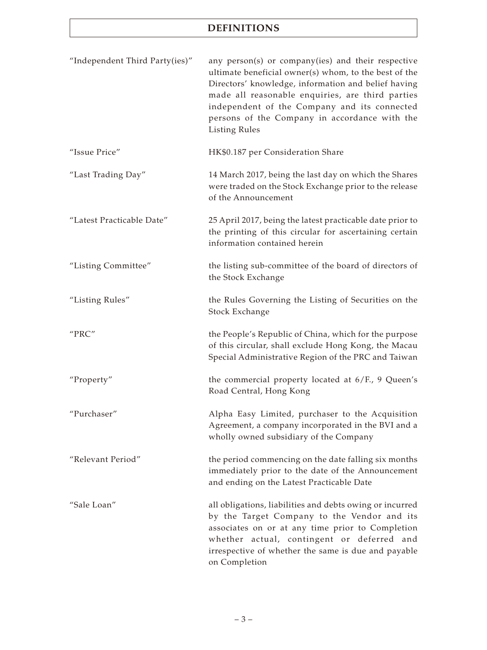| "Independent Third Party(ies)" | any person(s) or company(ies) and their respective<br>ultimate beneficial owner(s) whom, to the best of the<br>Directors' knowledge, information and belief having<br>made all reasonable enquiries, are third parties<br>independent of the Company and its connected<br>persons of the Company in accordance with the<br><b>Listing Rules</b> |
|--------------------------------|-------------------------------------------------------------------------------------------------------------------------------------------------------------------------------------------------------------------------------------------------------------------------------------------------------------------------------------------------|
| "Issue Price"                  | HK\$0.187 per Consideration Share                                                                                                                                                                                                                                                                                                               |
| "Last Trading Day"             | 14 March 2017, being the last day on which the Shares<br>were traded on the Stock Exchange prior to the release<br>of the Announcement                                                                                                                                                                                                          |
| "Latest Practicable Date"      | 25 April 2017, being the latest practicable date prior to<br>the printing of this circular for ascertaining certain<br>information contained herein                                                                                                                                                                                             |
| "Listing Committee"            | the listing sub-committee of the board of directors of<br>the Stock Exchange                                                                                                                                                                                                                                                                    |
| "Listing Rules"                | the Rules Governing the Listing of Securities on the<br>Stock Exchange                                                                                                                                                                                                                                                                          |
| "PRC"                          | the People's Republic of China, which for the purpose<br>of this circular, shall exclude Hong Kong, the Macau<br>Special Administrative Region of the PRC and Taiwan                                                                                                                                                                            |
| "Property"                     | the commercial property located at 6/F., 9 Queen's<br>Road Central, Hong Kong                                                                                                                                                                                                                                                                   |
| "Purchaser"                    | Alpha Easy Limited, purchaser to the Acquisition<br>Agreement, a company incorporated in the BVI and a<br>wholly owned subsidiary of the Company                                                                                                                                                                                                |
| "Relevant Period"              | the period commencing on the date falling six months<br>immediately prior to the date of the Announcement<br>and ending on the Latest Practicable Date                                                                                                                                                                                          |
| "Sale Loan"                    | all obligations, liabilities and debts owing or incurred<br>by the Target Company to the Vendor and its<br>associates on or at any time prior to Completion<br>whether actual, contingent or deferred and<br>irrespective of whether the same is due and payable<br>on Completion                                                               |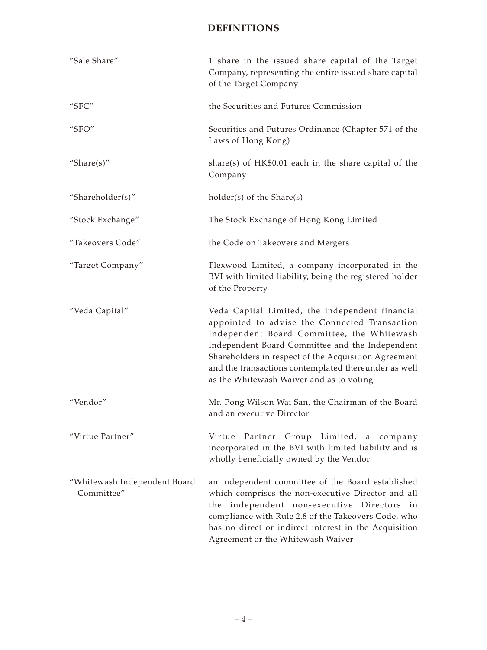| "Sale Share"                               | 1 share in the issued share capital of the Target<br>Company, representing the entire issued share capital<br>of the Target Company                                                                                                                                                                                                                           |
|--------------------------------------------|---------------------------------------------------------------------------------------------------------------------------------------------------------------------------------------------------------------------------------------------------------------------------------------------------------------------------------------------------------------|
| "SFC"                                      | the Securities and Futures Commission                                                                                                                                                                                                                                                                                                                         |
| "SFO"                                      | Securities and Futures Ordinance (Chapter 571 of the<br>Laws of Hong Kong)                                                                                                                                                                                                                                                                                    |
| "Share $(s)$ "                             | share(s) of $HK$0.01$ each in the share capital of the<br>Company                                                                                                                                                                                                                                                                                             |
| "Shareholder(s)"                           | holder(s) of the Share(s)                                                                                                                                                                                                                                                                                                                                     |
| "Stock Exchange"                           | The Stock Exchange of Hong Kong Limited                                                                                                                                                                                                                                                                                                                       |
| "Takeovers Code"                           | the Code on Takeovers and Mergers                                                                                                                                                                                                                                                                                                                             |
| "Target Company"                           | Flexwood Limited, a company incorporated in the<br>BVI with limited liability, being the registered holder<br>of the Property                                                                                                                                                                                                                                 |
| "Veda Capital"                             | Veda Capital Limited, the independent financial<br>appointed to advise the Connected Transaction<br>Independent Board Committee, the Whitewash<br>Independent Board Committee and the Independent<br>Shareholders in respect of the Acquisition Agreement<br>and the transactions contemplated thereunder as well<br>as the Whitewash Waiver and as to voting |
| "Vendor"                                   | Mr. Pong Wilson Wai San, the Chairman of the Board<br>and an executive Director                                                                                                                                                                                                                                                                               |
| "Virtue Partner"                           | Virtue Partner Group Limited, a company<br>incorporated in the BVI with limited liability and is<br>wholly beneficially owned by the Vendor                                                                                                                                                                                                                   |
| "Whitewash Independent Board<br>Committee" | an independent committee of the Board established<br>which comprises the non-executive Director and all<br>the independent non-executive Directors<br>in<br>compliance with Rule 2.8 of the Takeovers Code, who<br>has no direct or indirect interest in the Acquisition<br>Agreement or the Whitewash Waiver                                                 |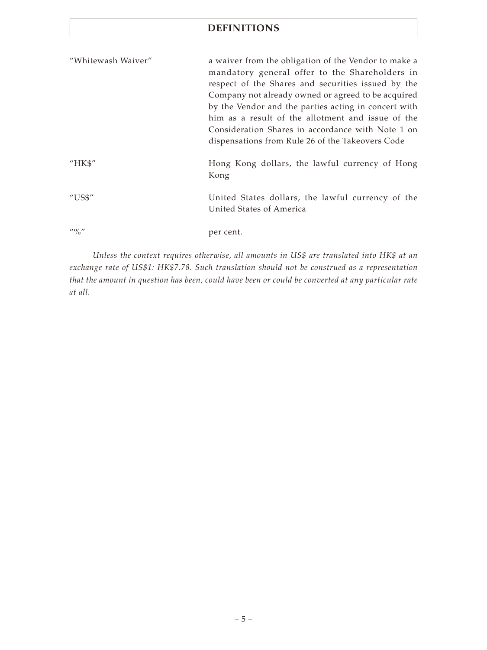| "Whitewash Waiver"                                                                                                                                                                                                                                                                                                  | a waiver from the obligation of the Vendor to make a                          |
|---------------------------------------------------------------------------------------------------------------------------------------------------------------------------------------------------------------------------------------------------------------------------------------------------------------------|-------------------------------------------------------------------------------|
|                                                                                                                                                                                                                                                                                                                     | mandatory general offer to the Shareholders in                                |
|                                                                                                                                                                                                                                                                                                                     | respect of the Shares and securities issued by the                            |
|                                                                                                                                                                                                                                                                                                                     | Company not already owned or agreed to be acquired                            |
|                                                                                                                                                                                                                                                                                                                     | by the Vendor and the parties acting in concert with                          |
|                                                                                                                                                                                                                                                                                                                     | him as a result of the allotment and issue of the                             |
|                                                                                                                                                                                                                                                                                                                     | Consideration Shares in accordance with Note 1 on                             |
|                                                                                                                                                                                                                                                                                                                     | dispensations from Rule 26 of the Takeovers Code                              |
| "HK\$"                                                                                                                                                                                                                                                                                                              | Hong Kong dollars, the lawful currency of Hong<br>Kong                        |
| $^{\prime\prime}$ US\$"                                                                                                                                                                                                                                                                                             | United States dollars, the lawful currency of the<br>United States of America |
| $\frac{1}{2}$ $\frac{1}{2}$ $\frac{1}{2}$ $\frac{1}{2}$ $\frac{1}{2}$ $\frac{1}{2}$ $\frac{1}{2}$ $\frac{1}{2}$ $\frac{1}{2}$ $\frac{1}{2}$ $\frac{1}{2}$ $\frac{1}{2}$ $\frac{1}{2}$ $\frac{1}{2}$ $\frac{1}{2}$ $\frac{1}{2}$ $\frac{1}{2}$ $\frac{1}{2}$ $\frac{1}{2}$ $\frac{1}{2}$ $\frac{1}{2}$ $\frac{1}{2}$ | per cent.                                                                     |

*Unless the context requires otherwise, all amounts in US\$ are translated into HK\$ at an exchange rate of US\$1: HK\$7.78. Such translation should not be construed as a representation that the amount in question has been, could have been or could be converted at any particular rate at all.*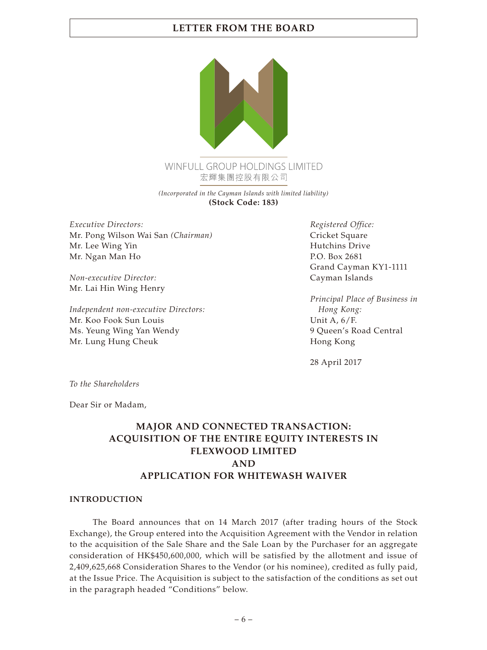

*(Incorporated in the Cayman Islands with limited liability)* **(Stock Code: 183)**

*Executive Directors:* Mr. Pong Wilson Wai San *(Chairman)* Mr. Lee Wing Yin Mr. Ngan Man Ho

*Non-executive Director:* Mr. Lai Hin Wing Henry

*Independent non-executive Directors:* Mr. Koo Fook Sun Louis Ms. Yeung Wing Yan Wendy Mr. Lung Hung Cheuk

*Registered Office:* Cricket Square Hutchins Drive P.O. Box 2681 Grand Cayman KY1-1111 Cayman Islands

*Principal Place of Business in Hong Kong:* Unit A, 6/F. 9 Queen's Road Central Hong Kong

28 April 2017

*To the Shareholders*

Dear Sir or Madam,

# **MAJOR AND CONNECTED TRANSACTION: ACQUISITION OF THE ENTIRE EQUITY INTERESTS IN FLEXWOOD LIMITED AND APPLICATION FOR WHITEWASH WAIVER**

#### **INTRODUCTION**

The Board announces that on 14 March 2017 (after trading hours of the Stock Exchange), the Group entered into the Acquisition Agreement with the Vendor in relation to the acquisition of the Sale Share and the Sale Loan by the Purchaser for an aggregate consideration of HK\$450,600,000, which will be satisfied by the allotment and issue of 2,409,625,668 Consideration Shares to the Vendor (or his nominee), credited as fully paid, at the Issue Price. The Acquisition is subject to the satisfaction of the conditions as set out in the paragraph headed "Conditions" below.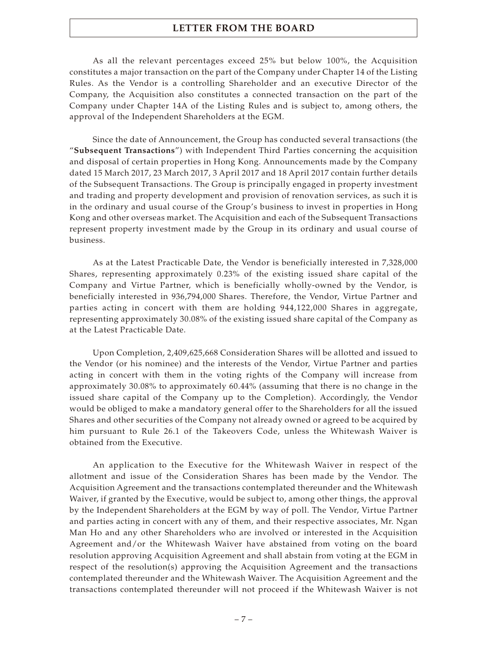As all the relevant percentages exceed 25% but below 100%, the Acquisition constitutes a major transaction on the part of the Company under Chapter 14 of the Listing Rules. As the Vendor is a controlling Shareholder and an executive Director of the Company, the Acquisition also constitutes a connected transaction on the part of the Company under Chapter 14A of the Listing Rules and is subject to, among others, the approval of the Independent Shareholders at the EGM.

Since the date of Announcement, the Group has conducted several transactions (the "**Subsequent Transactions**") with Independent Third Parties concerning the acquisition and disposal of certain properties in Hong Kong. Announcements made by the Company dated 15 March 2017, 23 March 2017, 3 April 2017 and 18 April 2017 contain further details of the Subsequent Transactions. The Group is principally engaged in property investment and trading and property development and provision of renovation services, as such it is in the ordinary and usual course of the Group's business to invest in properties in Hong Kong and other overseas market. The Acquisition and each of the Subsequent Transactions represent property investment made by the Group in its ordinary and usual course of business.

As at the Latest Practicable Date, the Vendor is beneficially interested in 7,328,000 Shares, representing approximately 0.23% of the existing issued share capital of the Company and Virtue Partner, which is beneficially wholly-owned by the Vendor, is beneficially interested in 936,794,000 Shares. Therefore, the Vendor, Virtue Partner and parties acting in concert with them are holding 944,122,000 Shares in aggregate, representing approximately 30.08% of the existing issued share capital of the Company as at the Latest Practicable Date.

Upon Completion, 2,409,625,668 Consideration Shares will be allotted and issued to the Vendor (or his nominee) and the interests of the Vendor, Virtue Partner and parties acting in concert with them in the voting rights of the Company will increase from approximately 30.08% to approximately 60.44% (assuming that there is no change in the issued share capital of the Company up to the Completion). Accordingly, the Vendor would be obliged to make a mandatory general offer to the Shareholders for all the issued Shares and other securities of the Company not already owned or agreed to be acquired by him pursuant to Rule 26.1 of the Takeovers Code, unless the Whitewash Waiver is obtained from the Executive.

An application to the Executive for the Whitewash Waiver in respect of the allotment and issue of the Consideration Shares has been made by the Vendor. The Acquisition Agreement and the transactions contemplated thereunder and the Whitewash Waiver, if granted by the Executive, would be subject to, among other things, the approval by the Independent Shareholders at the EGM by way of poll. The Vendor, Virtue Partner and parties acting in concert with any of them, and their respective associates, Mr. Ngan Man Ho and any other Shareholders who are involved or interested in the Acquisition Agreement and/or the Whitewash Waiver have abstained from voting on the board resolution approving Acquisition Agreement and shall abstain from voting at the EGM in respect of the resolution(s) approving the Acquisition Agreement and the transactions contemplated thereunder and the Whitewash Waiver. The Acquisition Agreement and the transactions contemplated thereunder will not proceed if the Whitewash Waiver is not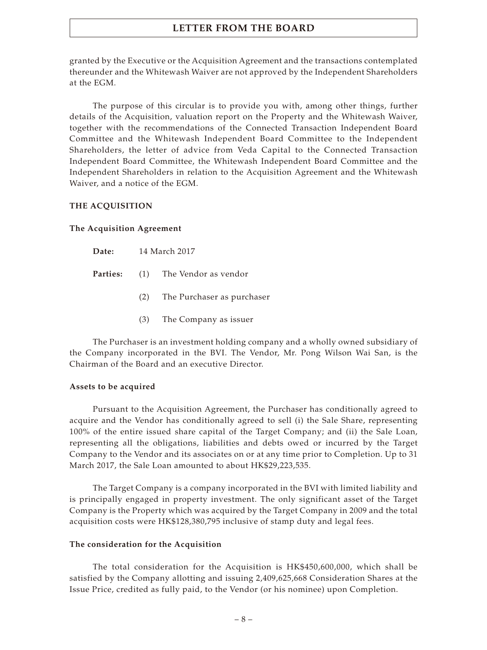granted by the Executive or the Acquisition Agreement and the transactions contemplated thereunder and the Whitewash Waiver are not approved by the Independent Shareholders at the EGM.

The purpose of this circular is to provide you with, among other things, further details of the Acquisition, valuation report on the Property and the Whitewash Waiver, together with the recommendations of the Connected Transaction Independent Board Committee and the Whitewash Independent Board Committee to the Independent Shareholders, the letter of advice from Veda Capital to the Connected Transaction Independent Board Committee, the Whitewash Independent Board Committee and the Independent Shareholders in relation to the Acquisition Agreement and the Whitewash Waiver, and a notice of the EGM.

#### **THE ACQUISITION**

#### **The Acquisition Agreement**

| Parties: | (1) | The Vendor as vendor |  |
|----------|-----|----------------------|--|
|----------|-----|----------------------|--|

- (2) The Purchaser as purchaser
- (3) The Company as issuer

The Purchaser is an investment holding company and a wholly owned subsidiary of the Company incorporated in the BVI. The Vendor, Mr. Pong Wilson Wai San, is the Chairman of the Board and an executive Director.

#### **Assets to be acquired**

Pursuant to the Acquisition Agreement, the Purchaser has conditionally agreed to acquire and the Vendor has conditionally agreed to sell (i) the Sale Share, representing 100% of the entire issued share capital of the Target Company; and (ii) the Sale Loan, representing all the obligations, liabilities and debts owed or incurred by the Target Company to the Vendor and its associates on or at any time prior to Completion. Up to 31 March 2017, the Sale Loan amounted to about HK\$29,223,535.

The Target Company is a company incorporated in the BVI with limited liability and is principally engaged in property investment. The only significant asset of the Target Company is the Property which was acquired by the Target Company in 2009 and the total acquisition costs were HK\$128,380,795 inclusive of stamp duty and legal fees.

#### **The consideration for the Acquisition**

The total consideration for the Acquisition is HK\$450,600,000, which shall be satisfied by the Company allotting and issuing 2,409,625,668 Consideration Shares at the Issue Price, credited as fully paid, to the Vendor (or his nominee) upon Completion.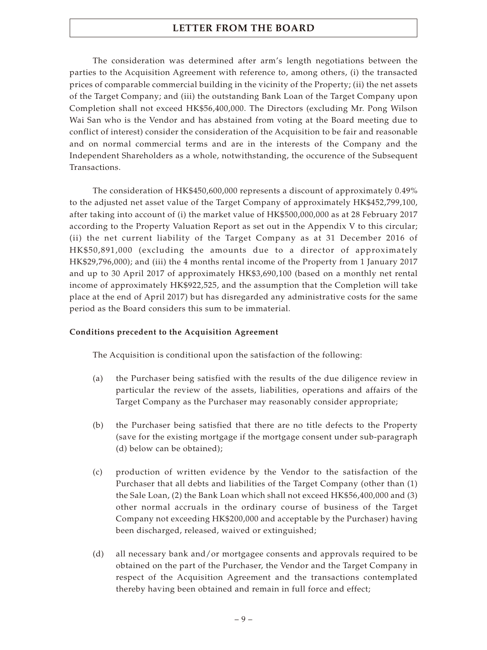The consideration was determined after arm's length negotiations between the parties to the Acquisition Agreement with reference to, among others, (i) the transacted prices of comparable commercial building in the vicinity of the Property; (ii) the net assets of the Target Company; and (iii) the outstanding Bank Loan of the Target Company upon Completion shall not exceed HK\$56,400,000. The Directors (excluding Mr. Pong Wilson Wai San who is the Vendor and has abstained from voting at the Board meeting due to conflict of interest) consider the consideration of the Acquisition to be fair and reasonable and on normal commercial terms and are in the interests of the Company and the Independent Shareholders as a whole, notwithstanding, the occurence of the Subsequent Transactions.

The consideration of HK\$450,600,000 represents a discount of approximately 0.49% to the adjusted net asset value of the Target Company of approximately HK\$452,799,100, after taking into account of (i) the market value of HK\$500,000,000 as at 28 February 2017 according to the Property Valuation Report as set out in the Appendix V to this circular; (ii) the net current liability of the Target Company as at 31 December 2016 of HK\$50,891,000 (excluding the amounts due to a director of approximately HK\$29,796,000); and (iii) the 4 months rental income of the Property from 1 January 2017 and up to 30 April 2017 of approximately HK\$3,690,100 (based on a monthly net rental income of approximately HK\$922,525, and the assumption that the Completion will take place at the end of April 2017) but has disregarded any administrative costs for the same period as the Board considers this sum to be immaterial.

### **Conditions precedent to the Acquisition Agreement**

The Acquisition is conditional upon the satisfaction of the following:

- (a) the Purchaser being satisfied with the results of the due diligence review in particular the review of the assets, liabilities, operations and affairs of the Target Company as the Purchaser may reasonably consider appropriate;
- (b) the Purchaser being satisfied that there are no title defects to the Property (save for the existing mortgage if the mortgage consent under sub-paragraph (d) below can be obtained);
- (c) production of written evidence by the Vendor to the satisfaction of the Purchaser that all debts and liabilities of the Target Company (other than (1) the Sale Loan, (2) the Bank Loan which shall not exceed HK\$56,400,000 and (3) other normal accruals in the ordinary course of business of the Target Company not exceeding HK\$200,000 and acceptable by the Purchaser) having been discharged, released, waived or extinguished;
- (d) all necessary bank and/or mortgagee consents and approvals required to be obtained on the part of the Purchaser, the Vendor and the Target Company in respect of the Acquisition Agreement and the transactions contemplated thereby having been obtained and remain in full force and effect;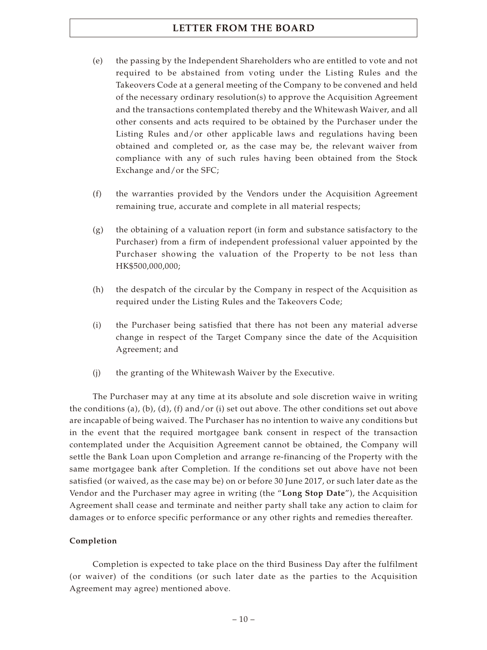- (e) the passing by the Independent Shareholders who are entitled to vote and not required to be abstained from voting under the Listing Rules and the Takeovers Code at a general meeting of the Company to be convened and held of the necessary ordinary resolution(s) to approve the Acquisition Agreement and the transactions contemplated thereby and the Whitewash Waiver, and all other consents and acts required to be obtained by the Purchaser under the Listing Rules and/or other applicable laws and regulations having been obtained and completed or, as the case may be, the relevant waiver from compliance with any of such rules having been obtained from the Stock Exchange and/or the SFC;
- (f) the warranties provided by the Vendors under the Acquisition Agreement remaining true, accurate and complete in all material respects;
- (g) the obtaining of a valuation report (in form and substance satisfactory to the Purchaser) from a firm of independent professional valuer appointed by the Purchaser showing the valuation of the Property to be not less than HK\$500,000,000;
- (h) the despatch of the circular by the Company in respect of the Acquisition as required under the Listing Rules and the Takeovers Code;
- (i) the Purchaser being satisfied that there has not been any material adverse change in respect of the Target Company since the date of the Acquisition Agreement; and
- (j) the granting of the Whitewash Waiver by the Executive.

The Purchaser may at any time at its absolute and sole discretion waive in writing the conditions (a), (b), (d), (f) and/or (i) set out above. The other conditions set out above are incapable of being waived. The Purchaser has no intention to waive any conditions but in the event that the required mortgagee bank consent in respect of the transaction contemplated under the Acquisition Agreement cannot be obtained, the Company will settle the Bank Loan upon Completion and arrange re-financing of the Property with the same mortgagee bank after Completion. If the conditions set out above have not been satisfied (or waived, as the case may be) on or before 30 June 2017, or such later date as the Vendor and the Purchaser may agree in writing (the "**Long Stop Date**"), the Acquisition Agreement shall cease and terminate and neither party shall take any action to claim for damages or to enforce specific performance or any other rights and remedies thereafter.

#### **Completion**

Completion is expected to take place on the third Business Day after the fulfilment (or waiver) of the conditions (or such later date as the parties to the Acquisition Agreement may agree) mentioned above.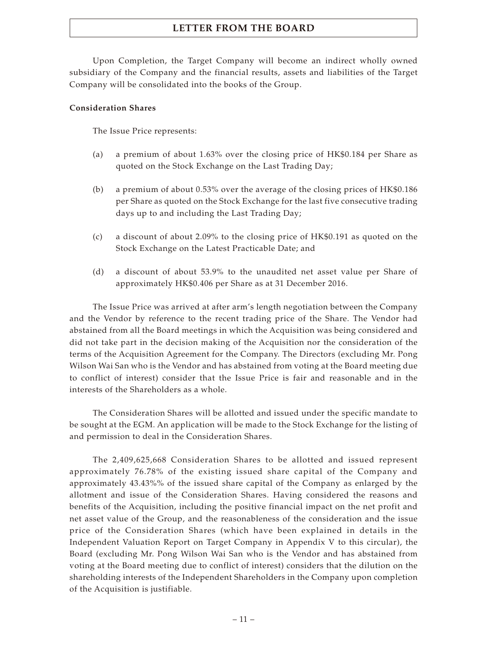Upon Completion, the Target Company will become an indirect wholly owned subsidiary of the Company and the financial results, assets and liabilities of the Target Company will be consolidated into the books of the Group.

### **Consideration Shares**

The Issue Price represents:

- (a) a premium of about 1.63% over the closing price of HK\$0.184 per Share as quoted on the Stock Exchange on the Last Trading Day;
- (b) a premium of about 0.53% over the average of the closing prices of HK\$0.186 per Share as quoted on the Stock Exchange for the last five consecutive trading days up to and including the Last Trading Day;
- (c) a discount of about 2.09% to the closing price of HK\$0.191 as quoted on the Stock Exchange on the Latest Practicable Date; and
- (d) a discount of about 53.9% to the unaudited net asset value per Share of approximately HK\$0.406 per Share as at 31 December 2016.

The Issue Price was arrived at after arm's length negotiation between the Company and the Vendor by reference to the recent trading price of the Share. The Vendor had abstained from all the Board meetings in which the Acquisition was being considered and did not take part in the decision making of the Acquisition nor the consideration of the terms of the Acquisition Agreement for the Company. The Directors (excluding Mr. Pong Wilson Wai San who is the Vendor and has abstained from voting at the Board meeting due to conflict of interest) consider that the Issue Price is fair and reasonable and in the interests of the Shareholders as a whole.

The Consideration Shares will be allotted and issued under the specific mandate to be sought at the EGM. An application will be made to the Stock Exchange for the listing of and permission to deal in the Consideration Shares.

The 2,409,625,668 Consideration Shares to be allotted and issued represent approximately 76.78% of the existing issued share capital of the Company and approximately 43.43%% of the issued share capital of the Company as enlarged by the allotment and issue of the Consideration Shares. Having considered the reasons and benefits of the Acquisition, including the positive financial impact on the net profit and net asset value of the Group, and the reasonableness of the consideration and the issue price of the Consideration Shares (which have been explained in details in the Independent Valuation Report on Target Company in Appendix V to this circular), the Board (excluding Mr. Pong Wilson Wai San who is the Vendor and has abstained from voting at the Board meeting due to conflict of interest) considers that the dilution on the shareholding interests of the Independent Shareholders in the Company upon completion of the Acquisition is justifiable.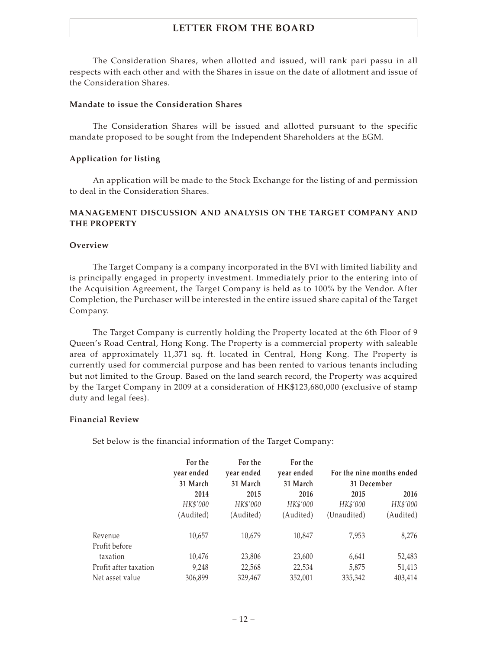The Consideration Shares, when allotted and issued, will rank pari passu in all respects with each other and with the Shares in issue on the date of allotment and issue of the Consideration Shares.

#### **Mandate to issue the Consideration Shares**

The Consideration Shares will be issued and allotted pursuant to the specific mandate proposed to be sought from the Independent Shareholders at the EGM.

### **Application for listing**

An application will be made to the Stock Exchange for the listing of and permission to deal in the Consideration Shares.

### **MANAGEMENT DISCUSSION AND ANALYSIS ON THE TARGET COMPANY AND THE PROPERTY**

#### **Overview**

The Target Company is a company incorporated in the BVI with limited liability and is principally engaged in property investment. Immediately prior to the entering into of the Acquisition Agreement, the Target Company is held as to 100% by the Vendor. After Completion, the Purchaser will be interested in the entire issued share capital of the Target Company.

The Target Company is currently holding the Property located at the 6th Floor of 9 Queen's Road Central, Hong Kong. The Property is a commercial property with saleable area of approximately 11,371 sq. ft. located in Central, Hong Kong. The Property is currently used for commercial purpose and has been rented to various tenants including but not limited to the Group. Based on the land search record, the Property was acquired by the Target Company in 2009 at a consideration of HK\$123,680,000 (exclusive of stamp duty and legal fees).

### **Financial Review**

Set below is the financial information of the Target Company:

|                       | For the    | For the    | For the    |                           |           |
|-----------------------|------------|------------|------------|---------------------------|-----------|
|                       | year ended | year ended | year ended | For the nine months ended |           |
|                       | 31 March   | 31 March   | 31 March   | 31 December               |           |
|                       | 2014       | 2015       | 2016       | 2015                      | 2016      |
|                       | HK\$'000   | HK\$'000   | HK\$'000   | HK\$'000                  | HK\$'000  |
|                       | (Audited)  | (Audited)  | (Audited)  | (Unaudited)               | (Audited) |
| Revenue               | 10,657     | 10,679     | 10,847     | 7,953                     | 8,276     |
| Profit before         |            |            |            |                           |           |
| taxation              | 10,476     | 23,806     | 23,600     | 6,641                     | 52,483    |
| Profit after taxation | 9,248      | 22,568     | 22,534     | 5,875                     | 51,413    |
| Net asset value       | 306,899    | 329,467    | 352,001    | 335,342                   | 403,414   |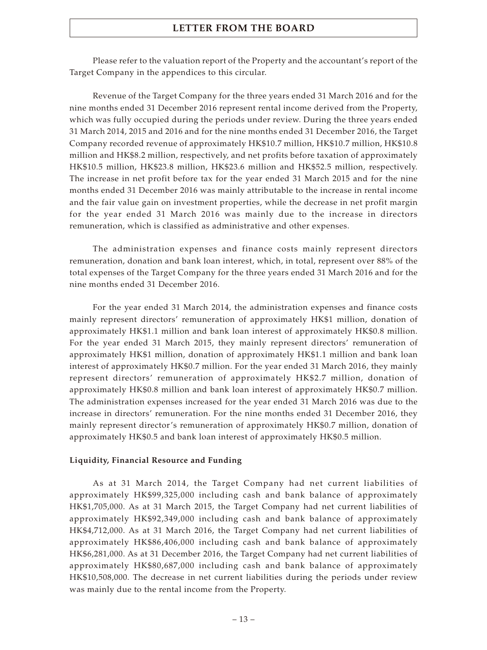Please refer to the valuation report of the Property and the accountant's report of the Target Company in the appendices to this circular.

Revenue of the Target Company for the three years ended 31 March 2016 and for the nine months ended 31 December 2016 represent rental income derived from the Property, which was fully occupied during the periods under review. During the three years ended 31 March 2014, 2015 and 2016 and for the nine months ended 31 December 2016, the Target Company recorded revenue of approximately HK\$10.7 million, HK\$10.7 million, HK\$10.8 million and HK\$8.2 million, respectively, and net profits before taxation of approximately HK\$10.5 million, HK\$23.8 million, HK\$23.6 million and HK\$52.5 million, respectively. The increase in net profit before tax for the year ended 31 March 2015 and for the nine months ended 31 December 2016 was mainly attributable to the increase in rental income and the fair value gain on investment properties, while the decrease in net profit margin for the year ended 31 March 2016 was mainly due to the increase in directors remuneration, which is classified as administrative and other expenses.

The administration expenses and finance costs mainly represent directors remuneration, donation and bank loan interest, which, in total, represent over 88% of the total expenses of the Target Company for the three years ended 31 March 2016 and for the nine months ended 31 December 2016.

For the year ended 31 March 2014, the administration expenses and finance costs mainly represent directors' remuneration of approximately HK\$1 million, donation of approximately HK\$1.1 million and bank loan interest of approximately HK\$0.8 million. For the year ended 31 March 2015, they mainly represent directors' remuneration of approximately HK\$1 million, donation of approximately HK\$1.1 million and bank loan interest of approximately HK\$0.7 million. For the year ended 31 March 2016, they mainly represent directors' remuneration of approximately HK\$2.7 million, donation of approximately HK\$0.8 million and bank loan interest of approximately HK\$0.7 million. The administration expenses increased for the year ended 31 March 2016 was due to the increase in directors' remuneration. For the nine months ended 31 December 2016, they mainly represent director's remuneration of approximately HK\$0.7 million, donation of approximately HK\$0.5 and bank loan interest of approximately HK\$0.5 million.

#### **Liquidity, Financial Resource and Funding**

As at 31 March 2014, the Target Company had net current liabilities of approximately HK\$99,325,000 including cash and bank balance of approximately HK\$1,705,000. As at 31 March 2015, the Target Company had net current liabilities of approximately HK\$92,349,000 including cash and bank balance of approximately HK\$4,712,000. As at 31 March 2016, the Target Company had net current liabilities of approximately HK\$86,406,000 including cash and bank balance of approximately HK\$6,281,000. As at 31 December 2016, the Target Company had net current liabilities of approximately HK\$80,687,000 including cash and bank balance of approximately HK\$10,508,000. The decrease in net current liabilities during the periods under review was mainly due to the rental income from the Property.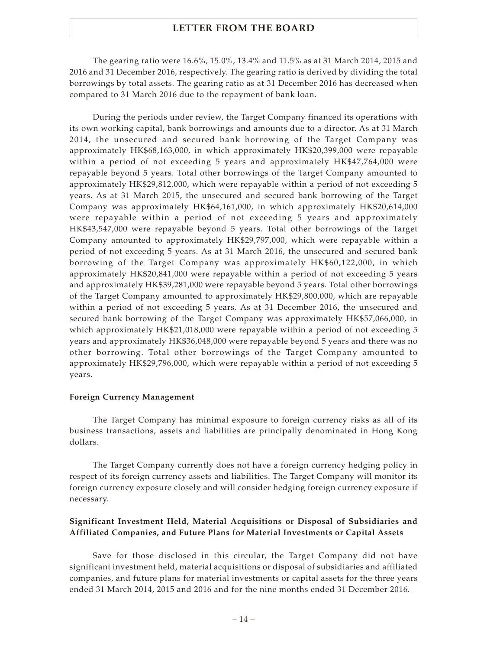The gearing ratio were 16.6%, 15.0%, 13.4% and 11.5% as at 31 March 2014, 2015 and 2016 and 31 December 2016, respectively. The gearing ratio is derived by dividing the total borrowings by total assets. The gearing ratio as at 31 December 2016 has decreased when compared to 31 March 2016 due to the repayment of bank loan.

During the periods under review, the Target Company financed its operations with its own working capital, bank borrowings and amounts due to a director. As at 31 March 2014, the unsecured and secured bank borrowing of the Target Company was approximately HK\$68,163,000, in which approximately HK\$20,399,000 were repayable within a period of not exceeding 5 years and approximately HK\$47,764,000 were repayable beyond 5 years. Total other borrowings of the Target Company amounted to approximately HK\$29,812,000, which were repayable within a period of not exceeding 5 years. As at 31 March 2015, the unsecured and secured bank borrowing of the Target Company was approximately HK\$64,161,000, in which approximately HK\$20,614,000 were repayable within a period of not exceeding 5 years and approximately HK\$43,547,000 were repayable beyond 5 years. Total other borrowings of the Target Company amounted to approximately HK\$29,797,000, which were repayable within a period of not exceeding 5 years. As at 31 March 2016, the unsecured and secured bank borrowing of the Target Company was approximately HK\$60,122,000, in which approximately HK\$20,841,000 were repayable within a period of not exceeding 5 years and approximately HK\$39,281,000 were repayable beyond 5 years. Total other borrowings of the Target Company amounted to approximately HK\$29,800,000, which are repayable within a period of not exceeding 5 years. As at 31 December 2016, the unsecured and secured bank borrowing of the Target Company was approximately HK\$57,066,000, in which approximately HK\$21,018,000 were repayable within a period of not exceeding 5 years and approximately HK\$36,048,000 were repayable beyond 5 years and there was no other borrowing. Total other borrowings of the Target Company amounted to approximately HK\$29,796,000, which were repayable within a period of not exceeding 5 years.

#### **Foreign Currency Management**

The Target Company has minimal exposure to foreign currency risks as all of its business transactions, assets and liabilities are principally denominated in Hong Kong dollars.

The Target Company currently does not have a foreign currency hedging policy in respect of its foreign currency assets and liabilities. The Target Company will monitor its foreign currency exposure closely and will consider hedging foreign currency exposure if necessary.

### **Significant Investment Held, Material Acquisitions or Disposal of Subsidiaries and Affiliated Companies, and Future Plans for Material Investments or Capital Assets**

Save for those disclosed in this circular, the Target Company did not have significant investment held, material acquisitions or disposal of subsidiaries and affiliated companies, and future plans for material investments or capital assets for the three years ended 31 March 2014, 2015 and 2016 and for the nine months ended 31 December 2016.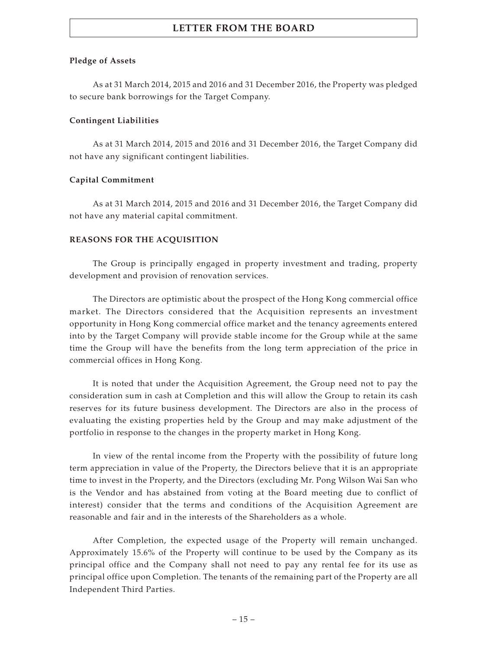### **Pledge of Assets**

As at 31 March 2014, 2015 and 2016 and 31 December 2016, the Property was pledged to secure bank borrowings for the Target Company.

### **Contingent Liabilities**

As at 31 March 2014, 2015 and 2016 and 31 December 2016, the Target Company did not have any significant contingent liabilities.

### **Capital Commitment**

As at 31 March 2014, 2015 and 2016 and 31 December 2016, the Target Company did not have any material capital commitment.

### **REASONS FOR THE ACQUISITION**

The Group is principally engaged in property investment and trading, property development and provision of renovation services.

The Directors are optimistic about the prospect of the Hong Kong commercial office market. The Directors considered that the Acquisition represents an investment opportunity in Hong Kong commercial office market and the tenancy agreements entered into by the Target Company will provide stable income for the Group while at the same time the Group will have the benefits from the long term appreciation of the price in commercial offices in Hong Kong.

It is noted that under the Acquisition Agreement, the Group need not to pay the consideration sum in cash at Completion and this will allow the Group to retain its cash reserves for its future business development. The Directors are also in the process of evaluating the existing properties held by the Group and may make adjustment of the portfolio in response to the changes in the property market in Hong Kong.

In view of the rental income from the Property with the possibility of future long term appreciation in value of the Property, the Directors believe that it is an appropriate time to invest in the Property, and the Directors (excluding Mr. Pong Wilson Wai San who is the Vendor and has abstained from voting at the Board meeting due to conflict of interest) consider that the terms and conditions of the Acquisition Agreement are reasonable and fair and in the interests of the Shareholders as a whole.

After Completion, the expected usage of the Property will remain unchanged. Approximately 15.6% of the Property will continue to be used by the Company as its principal office and the Company shall not need to pay any rental fee for its use as principal office upon Completion. The tenants of the remaining part of the Property are all Independent Third Parties.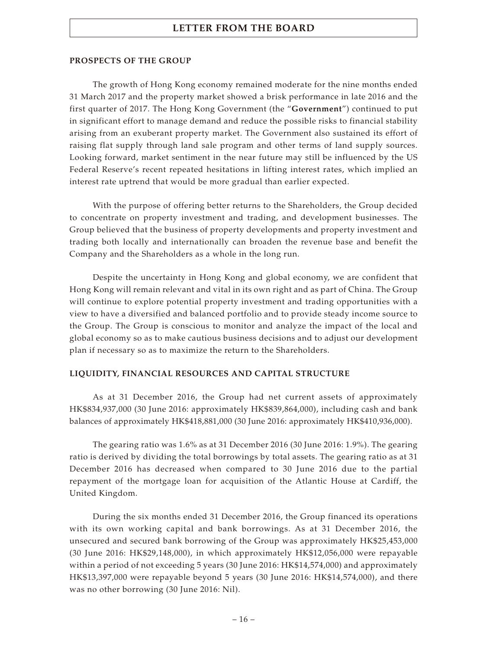#### **PROSPECTS OF THE GROUP**

The growth of Hong Kong economy remained moderate for the nine months ended 31 March 2017 and the property market showed a brisk performance in late 2016 and the first quarter of 2017. The Hong Kong Government (the "**Government**") continued to put in significant effort to manage demand and reduce the possible risks to financial stability arising from an exuberant property market. The Government also sustained its effort of raising flat supply through land sale program and other terms of land supply sources. Looking forward, market sentiment in the near future may still be influenced by the US Federal Reserve's recent repeated hesitations in lifting interest rates, which implied an interest rate uptrend that would be more gradual than earlier expected.

With the purpose of offering better returns to the Shareholders, the Group decided to concentrate on property investment and trading, and development businesses. The Group believed that the business of property developments and property investment and trading both locally and internationally can broaden the revenue base and benefit the Company and the Shareholders as a whole in the long run.

Despite the uncertainty in Hong Kong and global economy, we are confident that Hong Kong will remain relevant and vital in its own right and as part of China. The Group will continue to explore potential property investment and trading opportunities with a view to have a diversified and balanced portfolio and to provide steady income source to the Group. The Group is conscious to monitor and analyze the impact of the local and global economy so as to make cautious business decisions and to adjust our development plan if necessary so as to maximize the return to the Shareholders.

#### **LIQUIDITY, FINANCIAL RESOURCES AND CAPITAL STRUCTURE**

As at 31 December 2016, the Group had net current assets of approximately HK\$834,937,000 (30 June 2016: approximately HK\$839,864,000), including cash and bank balances of approximately HK\$418,881,000 (30 June 2016: approximately HK\$410,936,000).

The gearing ratio was 1.6% as at 31 December 2016 (30 June 2016: 1.9%). The gearing ratio is derived by dividing the total borrowings by total assets. The gearing ratio as at 31 December 2016 has decreased when compared to 30 June 2016 due to the partial repayment of the mortgage loan for acquisition of the Atlantic House at Cardiff, the United Kingdom.

During the six months ended 31 December 2016, the Group financed its operations with its own working capital and bank borrowings. As at 31 December 2016, the unsecured and secured bank borrowing of the Group was approximately HK\$25,453,000 (30 June 2016: HK\$29,148,000), in which approximately HK\$12,056,000 were repayable within a period of not exceeding 5 years (30 June 2016: HK\$14,574,000) and approximately HK\$13,397,000 were repayable beyond 5 years (30 June 2016: HK\$14,574,000), and there was no other borrowing (30 June 2016: Nil).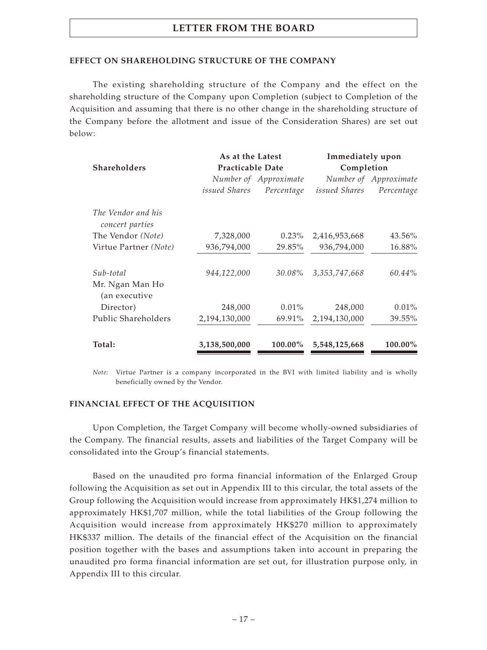#### **EFFECT ON SHAREHOLDING STRUCTURE OF THE COMPANY**

The existing shareholding structure of the Company and the effect on the shareholding structure of the Company upon Completion (subject to Completion of the Acquisition and assuming that there is no other change in the shareholding structure of the Company before the allotment and issue of the Consideration Shares) are set out below:

|                                       | As at the Latest        |                       | Immediately upon |                       |  |
|---------------------------------------|-------------------------|-----------------------|------------------|-----------------------|--|
| <b>Shareholders</b>                   | <b>Practicable Date</b> |                       | Completion       |                       |  |
|                                       |                         | Number of Approximate |                  | Number of Approximate |  |
|                                       | issued Shares           | Percentage            | issued Shares    | Percentage            |  |
| The Vendor and his<br>concert parties |                         |                       |                  |                       |  |
| The Vendor (Note)                     | 7,328,000               | $0.23\%$              | 2,416,953,668    | 43.56%                |  |
| Virtue Partner (Note)                 | 936,794,000             | 29.85%                | 936,794,000      | 16.88%                |  |
| Sub-total                             | 944,122,000             | 30.08%                | 3, 353, 747, 668 | 60.44%                |  |
| Mr. Ngan Man Ho<br>(an executive      |                         |                       |                  |                       |  |
| Director)                             | 248,000                 | $0.01\%$              | 248,000          | $0.01\%$              |  |
| Public Shareholders                   | 2,194,130,000           | 69.91%                | 2,194,130,000    | 39.55%                |  |
| Total:                                | 3,138,500,000           | 100.00%               | 5,548,125,668    | 100.00%               |  |

*Note:* Virtue Partner is a company incorporated in the BVI with limited liability and is wholly beneficially owned by the Vendor.

#### **FINANCIAL EFFECT OF THE ACQUISITION**

Upon Completion, the Target Company will become wholly-owned subsidiaries of the Company. The financial results, assets and liabilities of the Target Company will be consolidated into the Group's financial statements.

Based on the unaudited pro forma financial information of the Enlarged Group following the Acquisition as set out in Appendix III to this circular, the total assets of the Group following the Acquisition would increase from approximately HK\$1,274 million to approximately HK\$1,707 million, while the total liabilities of the Group following the Acquisition would increase from approximately HK\$270 million to approximately HK\$337 million. The details of the financial effect of the Acquisition on the financial position together with the bases and assumptions taken into account in preparing the unaudited pro forma financial information are set out, for illustration purpose only, in Appendix III to this circular.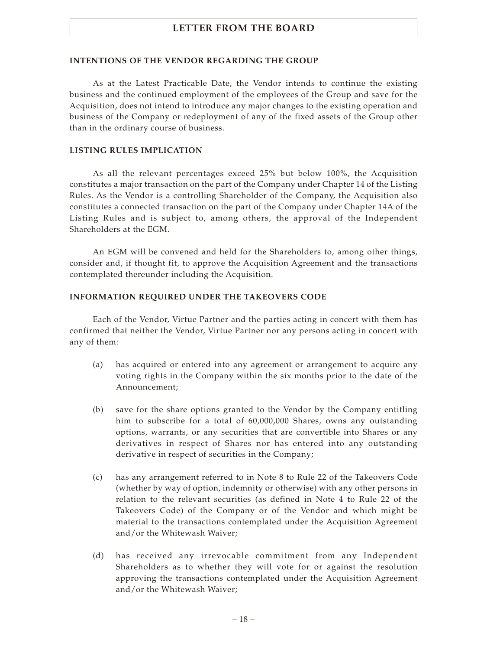### **INTENTIONS OF THE VENDOR REGARDING THE GROUP**

As at the Latest Practicable Date, the Vendor intends to continue the existing business and the continued employment of the employees of the Group and save for the Acquisition, does not intend to introduce any major changes to the existing operation and business of the Company or redeployment of any of the fixed assets of the Group other than in the ordinary course of business.

### **LISTING RULES IMPLICATION**

As all the relevant percentages exceed 25% but below 100%, the Acquisition constitutes a major transaction on the part of the Company under Chapter 14 of the Listing Rules. As the Vendor is a controlling Shareholder of the Company, the Acquisition also constitutes a connected transaction on the part of the Company under Chapter 14A of the Listing Rules and is subject to, among others, the approval of the Independent Shareholders at the EGM.

An EGM will be convened and held for the Shareholders to, among other things, consider and, if thought fit, to approve the Acquisition Agreement and the transactions contemplated thereunder including the Acquisition.

### **INFORMATION REQUIRED UNDER THE TAKEOVERS CODE**

Each of the Vendor, Virtue Partner and the parties acting in concert with them has confirmed that neither the Vendor, Virtue Partner nor any persons acting in concert with any of them:

- (a) has acquired or entered into any agreement or arrangement to acquire any voting rights in the Company within the six months prior to the date of the Announcement;
- (b) save for the share options granted to the Vendor by the Company entitling him to subscribe for a total of 60,000,000 Shares, owns any outstanding options, warrants, or any securities that are convertible into Shares or any derivatives in respect of Shares nor has entered into any outstanding derivative in respect of securities in the Company;
- (c) has any arrangement referred to in Note 8 to Rule 22 of the Takeovers Code (whether by way of option, indemnity or otherwise) with any other persons in relation to the relevant securities (as defined in Note 4 to Rule 22 of the Takeovers Code) of the Company or of the Vendor and which might be material to the transactions contemplated under the Acquisition Agreement and/or the Whitewash Waiver;
- (d) has received any irrevocable commitment from any Independent Shareholders as to whether they will vote for or against the resolution approving the transactions contemplated under the Acquisition Agreement and/or the Whitewash Waiver;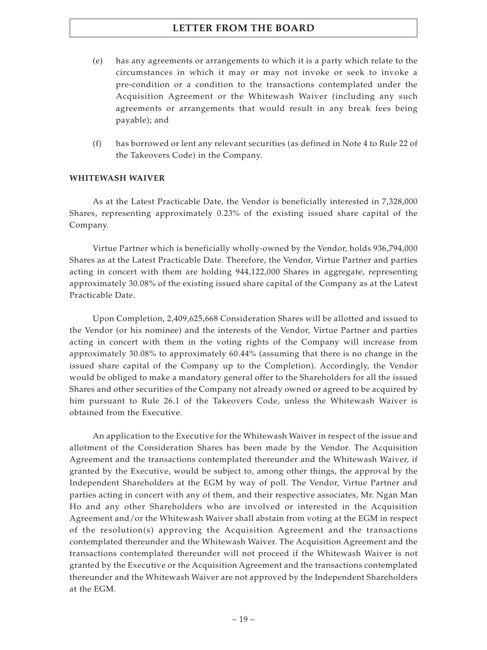- (e) has any agreements or arrangements to which it is a party which relate to the circumstances in which it may or may not invoke or seek to invoke a pre-condition or a condition to the transactions contemplated under the Acquisition Agreement or the Whitewash Waiver (including any such agreements or arrangements that would result in any break fees being payable); and
- (f) has borrowed or lent any relevant securities (as defined in Note 4 to Rule 22 of the Takeovers Code) in the Company.

### **WHITEWASH WAIVER**

As at the Latest Practicable Date, the Vendor is beneficially interested in 7,328,000 Shares, representing approximately 0.23% of the existing issued share capital of the Company.

Virtue Partner which is beneficially wholly-owned by the Vendor, holds 936,794,000 Shares as at the Latest Practicable Date. Therefore, the Vendor, Virtue Partner and parties acting in concert with them are holding 944,122,000 Shares in aggregate, representing approximately 30.08% of the existing issued share capital of the Company as at the Latest Practicable Date.

Upon Completion, 2,409,625,668 Consideration Shares will be allotted and issued to the Vendor (or his nominee) and the interests of the Vendor, Virtue Partner and parties acting in concert with them in the voting rights of the Company will increase from approximately 30.08% to approximately 60.44% (assuming that there is no change in the issued share capital of the Company up to the Completion). Accordingly, the Vendor would be obliged to make a mandatory general offer to the Shareholders for all the issued Shares and other securities of the Company not already owned or agreed to be acquired by him pursuant to Rule 26.1 of the Takeovers Code, unless the Whitewash Waiver is obtained from the Executive.

An application to the Executive for the Whitewash Waiver in respect of the issue and allotment of the Consideration Shares has been made by the Vendor. The Acquisition Agreement and the transactions contemplated thereunder and the Whitewash Waiver, if granted by the Executive, would be subject to, among other things, the approval by the Independent Shareholders at the EGM by way of poll. The Vendor, Virtue Partner and parties acting in concert with any of them, and their respective associates, Mr. Ngan Man Ho and any other Shareholders who are involved or interested in the Acquisition Agreement and/or the Whitewash Waiver shall abstain from voting at the EGM in respect of the resolution(s) approving the Acquisition Agreement and the transactions contemplated thereunder and the Whitewash Waiver. The Acquisition Agreement and the transactions contemplated thereunder will not proceed if the Whitewash Waiver is not granted by the Executive or the Acquisition Agreement and the transactions contemplated thereunder and the Whitewash Waiver are not approved by the Independent Shareholders at the EGM.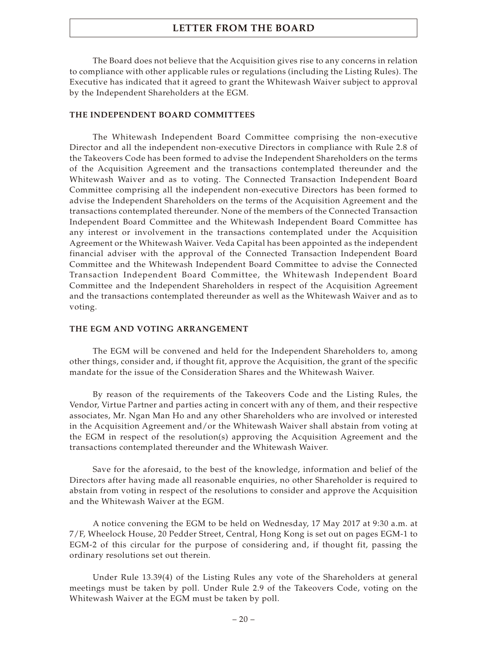The Board does not believe that the Acquisition gives rise to any concerns in relation to compliance with other applicable rules or regulations (including the Listing Rules). The Executive has indicated that it agreed to grant the Whitewash Waiver subject to approval by the Independent Shareholders at the EGM.

#### **THE INDEPENDENT BOARD COMMITTEES**

The Whitewash Independent Board Committee comprising the non-executive Director and all the independent non-executive Directors in compliance with Rule 2.8 of the Takeovers Code has been formed to advise the Independent Shareholders on the terms of the Acquisition Agreement and the transactions contemplated thereunder and the Whitewash Waiver and as to voting. The Connected Transaction Independent Board Committee comprising all the independent non-executive Directors has been formed to advise the Independent Shareholders on the terms of the Acquisition Agreement and the transactions contemplated thereunder. None of the members of the Connected Transaction Independent Board Committee and the Whitewash Independent Board Committee has any interest or involvement in the transactions contemplated under the Acquisition Agreement or the Whitewash Waiver. Veda Capital has been appointed as the independent financial adviser with the approval of the Connected Transaction Independent Board Committee and the Whitewash Independent Board Committee to advise the Connected Transaction Independent Board Committee, the Whitewash Independent Board Committee and the Independent Shareholders in respect of the Acquisition Agreement and the transactions contemplated thereunder as well as the Whitewash Waiver and as to voting.

#### **THE EGM AND VOTING ARRANGEMENT**

The EGM will be convened and held for the Independent Shareholders to, among other things, consider and, if thought fit, approve the Acquisition, the grant of the specific mandate for the issue of the Consideration Shares and the Whitewash Waiver.

By reason of the requirements of the Takeovers Code and the Listing Rules, the Vendor, Virtue Partner and parties acting in concert with any of them, and their respective associates, Mr. Ngan Man Ho and any other Shareholders who are involved or interested in the Acquisition Agreement and/or the Whitewash Waiver shall abstain from voting at the EGM in respect of the resolution(s) approving the Acquisition Agreement and the transactions contemplated thereunder and the Whitewash Waiver.

Save for the aforesaid, to the best of the knowledge, information and belief of the Directors after having made all reasonable enquiries, no other Shareholder is required to abstain from voting in respect of the resolutions to consider and approve the Acquisition and the Whitewash Waiver at the EGM.

A notice convening the EGM to be held on Wednesday, 17 May 2017 at 9:30 a.m. at 7/F, Wheelock House, 20 Pedder Street, Central, Hong Kong is set out on pages EGM-1 to EGM-2 of this circular for the purpose of considering and, if thought fit, passing the ordinary resolutions set out therein.

Under Rule 13.39(4) of the Listing Rules any vote of the Shareholders at general meetings must be taken by poll. Under Rule 2.9 of the Takeovers Code, voting on the Whitewash Waiver at the EGM must be taken by poll.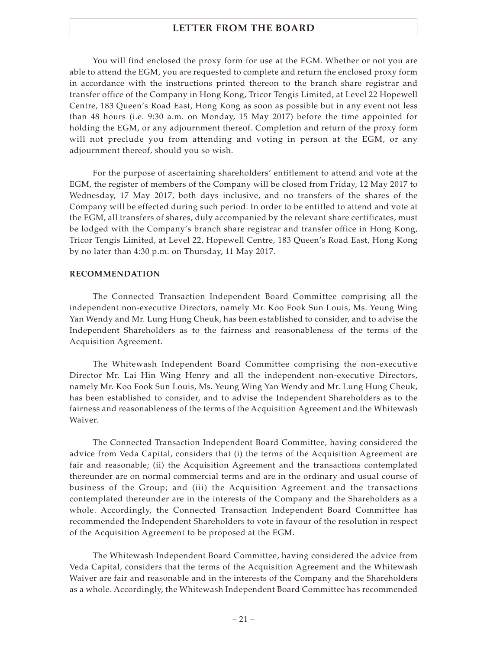You will find enclosed the proxy form for use at the EGM. Whether or not you are able to attend the EGM, you are requested to complete and return the enclosed proxy form in accordance with the instructions printed thereon to the branch share registrar and transfer office of the Company in Hong Kong, Tricor Tengis Limited, at Level 22 Hopewell Centre, 183 Queen's Road East, Hong Kong as soon as possible but in any event not less than 48 hours (i.e. 9:30 a.m. on Monday, 15 May 2017) before the time appointed for holding the EGM, or any adjournment thereof. Completion and return of the proxy form will not preclude you from attending and voting in person at the EGM, or any adjournment thereof, should you so wish.

For the purpose of ascertaining shareholders' entitlement to attend and vote at the EGM, the register of members of the Company will be closed from Friday, 12 May 2017 to Wednesday, 17 May 2017, both days inclusive, and no transfers of the shares of the Company will be effected during such period. In order to be entitled to attend and vote at the EGM, all transfers of shares, duly accompanied by the relevant share certificates, must be lodged with the Company's branch share registrar and transfer office in Hong Kong, Tricor Tengis Limited, at Level 22, Hopewell Centre, 183 Queen's Road East, Hong Kong by no later than 4:30 p.m. on Thursday, 11 May 2017.

#### **RECOMMENDATION**

The Connected Transaction Independent Board Committee comprising all the independent non-executive Directors, namely Mr. Koo Fook Sun Louis, Ms. Yeung Wing Yan Wendy and Mr. Lung Hung Cheuk, has been established to consider, and to advise the Independent Shareholders as to the fairness and reasonableness of the terms of the Acquisition Agreement.

The Whitewash Independent Board Committee comprising the non-executive Director Mr. Lai Hin Wing Henry and all the independent non-executive Directors, namely Mr. Koo Fook Sun Louis, Ms. Yeung Wing Yan Wendy and Mr. Lung Hung Cheuk, has been established to consider, and to advise the Independent Shareholders as to the fairness and reasonableness of the terms of the Acquisition Agreement and the Whitewash Waiver.

The Connected Transaction Independent Board Committee, having considered the advice from Veda Capital, considers that (i) the terms of the Acquisition Agreement are fair and reasonable; (ii) the Acquisition Agreement and the transactions contemplated thereunder are on normal commercial terms and are in the ordinary and usual course of business of the Group; and (iii) the Acquisition Agreement and the transactions contemplated thereunder are in the interests of the Company and the Shareholders as a whole. Accordingly, the Connected Transaction Independent Board Committee has recommended the Independent Shareholders to vote in favour of the resolution in respect of the Acquisition Agreement to be proposed at the EGM.

The Whitewash Independent Board Committee, having considered the advice from Veda Capital, considers that the terms of the Acquisition Agreement and the Whitewash Waiver are fair and reasonable and in the interests of the Company and the Shareholders as a whole. Accordingly, the Whitewash Independent Board Committee has recommended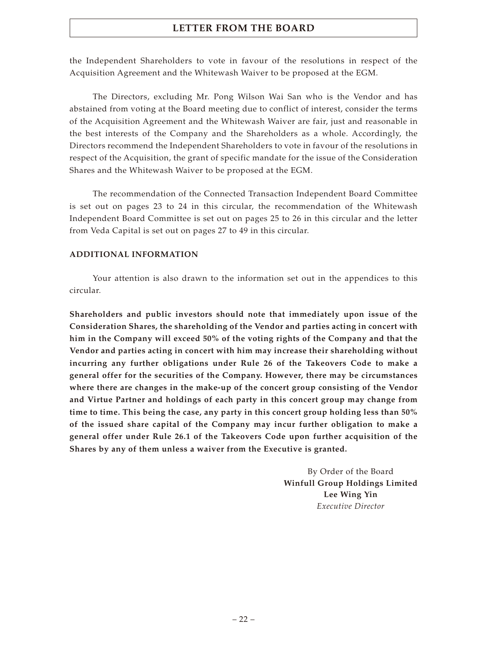the Independent Shareholders to vote in favour of the resolutions in respect of the Acquisition Agreement and the Whitewash Waiver to be proposed at the EGM.

The Directors, excluding Mr. Pong Wilson Wai San who is the Vendor and has abstained from voting at the Board meeting due to conflict of interest, consider the terms of the Acquisition Agreement and the Whitewash Waiver are fair, just and reasonable in the best interests of the Company and the Shareholders as a whole. Accordingly, the Directors recommend the Independent Shareholders to vote in favour of the resolutions in respect of the Acquisition, the grant of specific mandate for the issue of the Consideration Shares and the Whitewash Waiver to be proposed at the EGM.

The recommendation of the Connected Transaction Independent Board Committee is set out on pages 23 to 24 in this circular, the recommendation of the Whitewash Independent Board Committee is set out on pages 25 to 26 in this circular and the letter from Veda Capital is set out on pages 27 to 49 in this circular.

### **ADDITIONAL INFORMATION**

Your attention is also drawn to the information set out in the appendices to this circular.

**Shareholders and public investors should note that immediately upon issue of the Consideration Shares, the shareholding of the Vendor and parties acting in concert with him in the Company will exceed 50% of the voting rights of the Company and that the Vendor and parties acting in concert with him may increase their shareholding without incurring any further obligations under Rule 26 of the Takeovers Code to make a general offer for the securities of the Company. However, there may be circumstances where there are changes in the make-up of the concert group consisting of the Vendor and Virtue Partner and holdings of each party in this concert group may change from time to time. This being the case, any party in this concert group holding less than 50% of the issued share capital of the Company may incur further obligation to make a general offer under Rule 26.1 of the Takeovers Code upon further acquisition of the Shares by any of them unless a waiver from the Executive is granted.**

> By Order of the Board **Winfull Group Holdings Limited Lee Wing Yin** *Executive Director*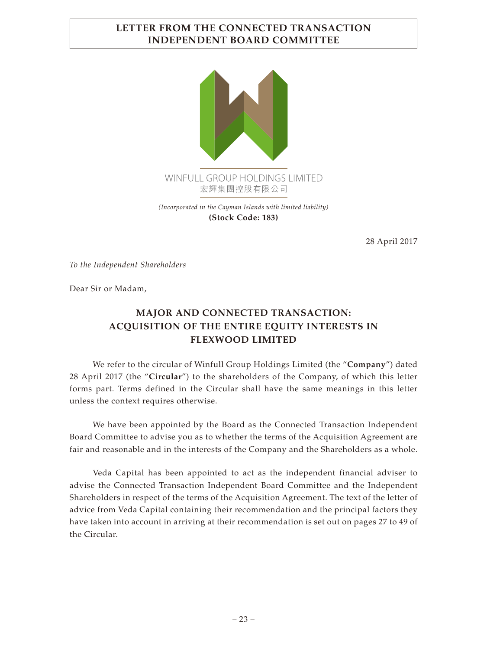# **LETTER FROM THE CONNECTED TRANSACTION INDEPENDENT BOARD COMMITTEE**



28 April 2017

*To the Independent Shareholders*

Dear Sir or Madam,

# **MAJOR AND CONNECTED TRANSACTION: ACQUISITION OF THE ENTIRE EQUITY INTERESTS IN FLEXWOOD LIMITED**

We refer to the circular of Winfull Group Holdings Limited (the "**Company**") dated 28 April 2017 (the "**Circular**") to the shareholders of the Company, of which this letter forms part. Terms defined in the Circular shall have the same meanings in this letter unless the context requires otherwise.

We have been appointed by the Board as the Connected Transaction Independent Board Committee to advise you as to whether the terms of the Acquisition Agreement are fair and reasonable and in the interests of the Company and the Shareholders as a whole.

Veda Capital has been appointed to act as the independent financial adviser to advise the Connected Transaction Independent Board Committee and the Independent Shareholders in respect of the terms of the Acquisition Agreement. The text of the letter of advice from Veda Capital containing their recommendation and the principal factors they have taken into account in arriving at their recommendation is set out on pages 27 to 49 of the Circular.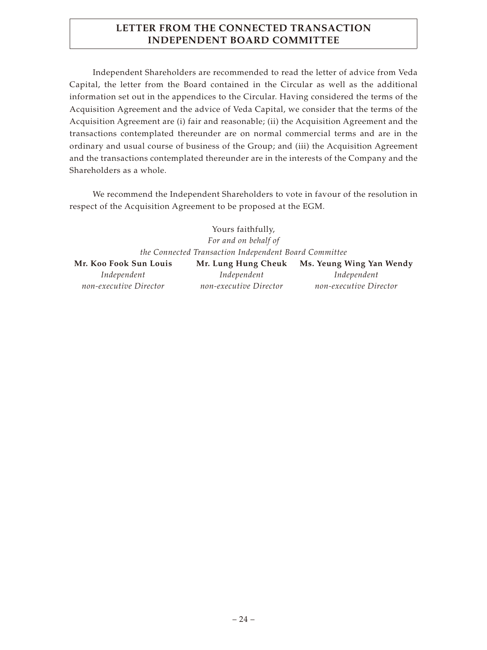# **LETTER FROM THE CONNECTED TRANSACTION INDEPENDENT BOARD COMMITTEE**

Independent Shareholders are recommended to read the letter of advice from Veda Capital, the letter from the Board contained in the Circular as well as the additional information set out in the appendices to the Circular. Having considered the terms of the Acquisition Agreement and the advice of Veda Capital, we consider that the terms of the Acquisition Agreement are (i) fair and reasonable; (ii) the Acquisition Agreement and the transactions contemplated thereunder are on normal commercial terms and are in the ordinary and usual course of business of the Group; and (iii) the Acquisition Agreement and the transactions contemplated thereunder are in the interests of the Company and the Shareholders as a whole.

We recommend the Independent Shareholders to vote in favour of the resolution in respect of the Acquisition Agreement to be proposed at the EGM.

> Yours faithfully, *For and on behalf of the Connected Transaction Independent Board Committee*

| Mr. Koo Fook Sun Louis | Mr. Lung Hung Cheuk    | Ms. Yeung Wing Yan Wendy |
|------------------------|------------------------|--------------------------|
| Independent            | Independent            | Independent              |
| non-executive Director | non-executive Director | non-executive Director   |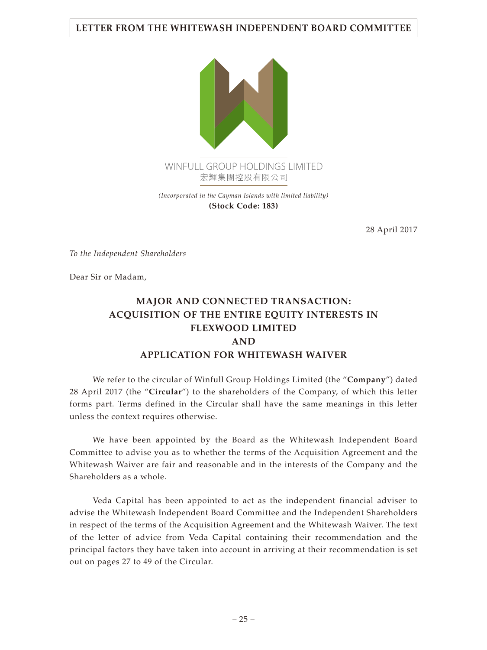## **LETTER FROM THE WHITEWASH INDEPENDENT BOARD COMMITTEE**



*(Incorporated in the Cayman Islands with limited liability)* **(Stock Code: 183)**

28 April 2017

*To the Independent Shareholders*

Dear Sir or Madam,

# **MAJOR AND CONNECTED TRANSACTION: ACQUISITION OF THE ENTIRE EQUITY INTERESTS IN FLEXWOOD LIMITED AND APPLICATION FOR WHITEWASH WAIVER**

We refer to the circular of Winfull Group Holdings Limited (the "**Company**") dated 28 April 2017 (the "**Circular**") to the shareholders of the Company, of which this letter forms part. Terms defined in the Circular shall have the same meanings in this letter unless the context requires otherwise.

We have been appointed by the Board as the Whitewash Independent Board Committee to advise you as to whether the terms of the Acquisition Agreement and the Whitewash Waiver are fair and reasonable and in the interests of the Company and the Shareholders as a whole.

Veda Capital has been appointed to act as the independent financial adviser to advise the Whitewash Independent Board Committee and the Independent Shareholders in respect of the terms of the Acquisition Agreement and the Whitewash Waiver. The text of the letter of advice from Veda Capital containing their recommendation and the principal factors they have taken into account in arriving at their recommendation is set out on pages 27 to 49 of the Circular.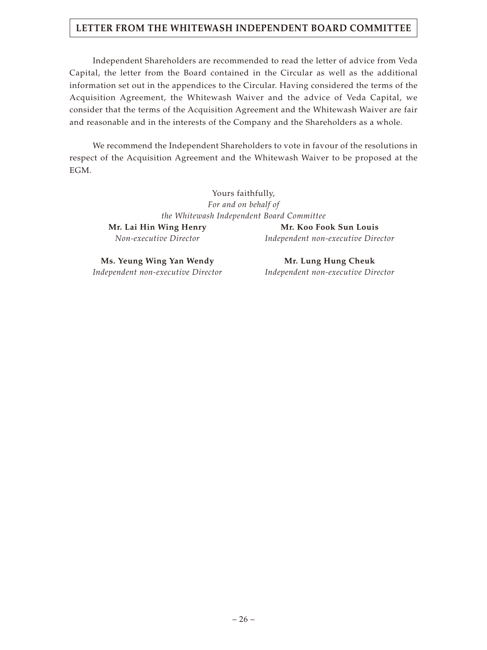## **LETTER FROM THE WHITEWASH INDEPENDENT BOARD COMMITTEE**

Independent Shareholders are recommended to read the letter of advice from Veda Capital, the letter from the Board contained in the Circular as well as the additional information set out in the appendices to the Circular. Having considered the terms of the Acquisition Agreement, the Whitewash Waiver and the advice of Veda Capital, we consider that the terms of the Acquisition Agreement and the Whitewash Waiver are fair and reasonable and in the interests of the Company and the Shareholders as a whole.

We recommend the Independent Shareholders to vote in favour of the resolutions in respect of the Acquisition Agreement and the Whitewash Waiver to be proposed at the EGM.

> Yours faithfully, *For and on behalf of the Whitewash Independent Board Committee* Mr. Lai Hin Wing Henry Mr. Koo Fook Sun Louis

*Non-executive Director Independent non-executive Director*

**Ms. Yeung Wing Yan Wendy Mr. Lung Hung Cheuk** 

*Independent non-executive Director Independent non-executive Director*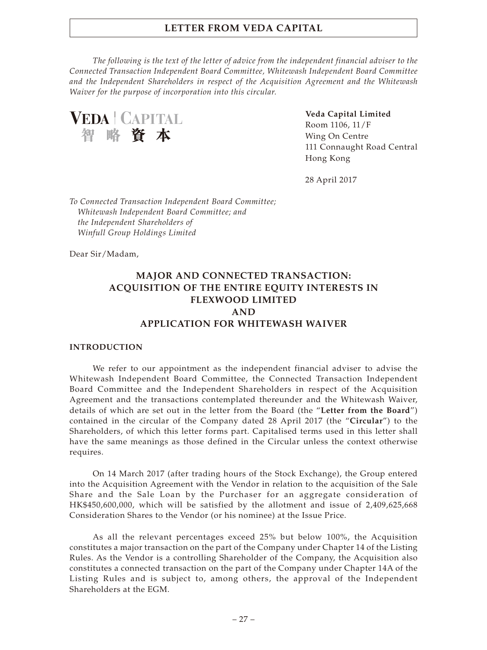*The following is the text of the letter of advice from the independent financial adviser to the Connected Transaction Independent Board Committee, Whitewash Independent Board Committee and the Independent Shareholders in respect of the Acquisition Agreement and the Whitewash Waiver for the purpose of incorporation into this circular.*

**VEDA | CAPITAL** 智略資本

**Veda Capital Limited** Room 1106, 11/F Wing On Centre 111 Connaught Road Central Hong Kong

28 April 2017

*To Connected Transaction Independent Board Committee; Whitewash Independent Board Committee; and the Independent Shareholders of Winfull Group Holdings Limited*

Dear Sir/Madam,

# **MAJOR AND CONNECTED TRANSACTION: ACQUISITION OF THE ENTIRE EQUITY INTERESTS IN FLEXWOOD LIMITED AND APPLICATION FOR WHITEWASH WAIVER**

#### **INTRODUCTION**

We refer to our appointment as the independent financial adviser to advise the Whitewash Independent Board Committee, the Connected Transaction Independent Board Committee and the Independent Shareholders in respect of the Acquisition Agreement and the transactions contemplated thereunder and the Whitewash Waiver, details of which are set out in the letter from the Board (the "**Letter from the Board**") contained in the circular of the Company dated 28 April 2017 (the "**Circular**") to the Shareholders, of which this letter forms part. Capitalised terms used in this letter shall have the same meanings as those defined in the Circular unless the context otherwise requires.

On 14 March 2017 (after trading hours of the Stock Exchange), the Group entered into the Acquisition Agreement with the Vendor in relation to the acquisition of the Sale Share and the Sale Loan by the Purchaser for an aggregate consideration of HK\$450,600,000, which will be satisfied by the allotment and issue of 2,409,625,668 Consideration Shares to the Vendor (or his nominee) at the Issue Price.

As all the relevant percentages exceed 25% but below 100%, the Acquisition constitutes a major transaction on the part of the Company under Chapter 14 of the Listing Rules. As the Vendor is a controlling Shareholder of the Company, the Acquisition also constitutes a connected transaction on the part of the Company under Chapter 14A of the Listing Rules and is subject to, among others, the approval of the Independent Shareholders at the EGM.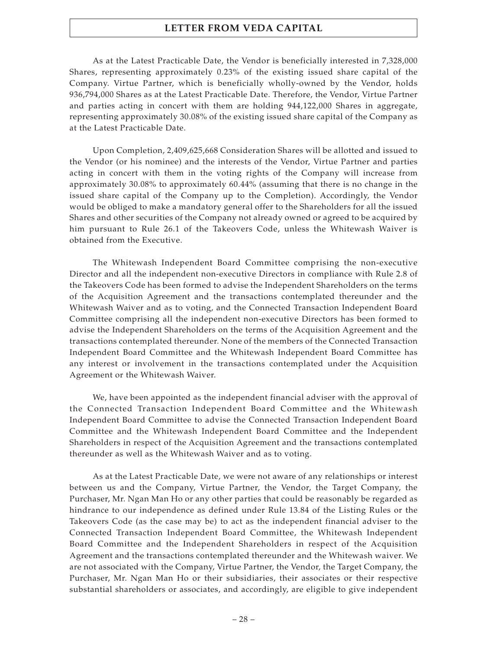As at the Latest Practicable Date, the Vendor is beneficially interested in 7,328,000 Shares, representing approximately 0.23% of the existing issued share capital of the Company. Virtue Partner, which is beneficially wholly-owned by the Vendor, holds 936,794,000 Shares as at the Latest Practicable Date. Therefore, the Vendor, Virtue Partner and parties acting in concert with them are holding 944,122,000 Shares in aggregate, representing approximately 30.08% of the existing issued share capital of the Company as at the Latest Practicable Date.

Upon Completion, 2,409,625,668 Consideration Shares will be allotted and issued to the Vendor (or his nominee) and the interests of the Vendor, Virtue Partner and parties acting in concert with them in the voting rights of the Company will increase from approximately 30.08% to approximately 60.44% (assuming that there is no change in the issued share capital of the Company up to the Completion). Accordingly, the Vendor would be obliged to make a mandatory general offer to the Shareholders for all the issued Shares and other securities of the Company not already owned or agreed to be acquired by him pursuant to Rule 26.1 of the Takeovers Code, unless the Whitewash Waiver is obtained from the Executive.

The Whitewash Independent Board Committee comprising the non-executive Director and all the independent non-executive Directors in compliance with Rule 2.8 of the Takeovers Code has been formed to advise the Independent Shareholders on the terms of the Acquisition Agreement and the transactions contemplated thereunder and the Whitewash Waiver and as to voting, and the Connected Transaction Independent Board Committee comprising all the independent non-executive Directors has been formed to advise the Independent Shareholders on the terms of the Acquisition Agreement and the transactions contemplated thereunder. None of the members of the Connected Transaction Independent Board Committee and the Whitewash Independent Board Committee has any interest or involvement in the transactions contemplated under the Acquisition Agreement or the Whitewash Waiver.

We, have been appointed as the independent financial adviser with the approval of the Connected Transaction Independent Board Committee and the Whitewash Independent Board Committee to advise the Connected Transaction Independent Board Committee and the Whitewash Independent Board Committee and the Independent Shareholders in respect of the Acquisition Agreement and the transactions contemplated thereunder as well as the Whitewash Waiver and as to voting.

As at the Latest Practicable Date, we were not aware of any relationships or interest between us and the Company, Virtue Partner, the Vendor, the Target Company, the Purchaser, Mr. Ngan Man Ho or any other parties that could be reasonably be regarded as hindrance to our independence as defined under Rule 13.84 of the Listing Rules or the Takeovers Code (as the case may be) to act as the independent financial adviser to the Connected Transaction Independent Board Committee, the Whitewash Independent Board Committee and the Independent Shareholders in respect of the Acquisition Agreement and the transactions contemplated thereunder and the Whitewash waiver. We are not associated with the Company, Virtue Partner, the Vendor, the Target Company, the Purchaser, Mr. Ngan Man Ho or their subsidiaries, their associates or their respective substantial shareholders or associates, and accordingly, are eligible to give independent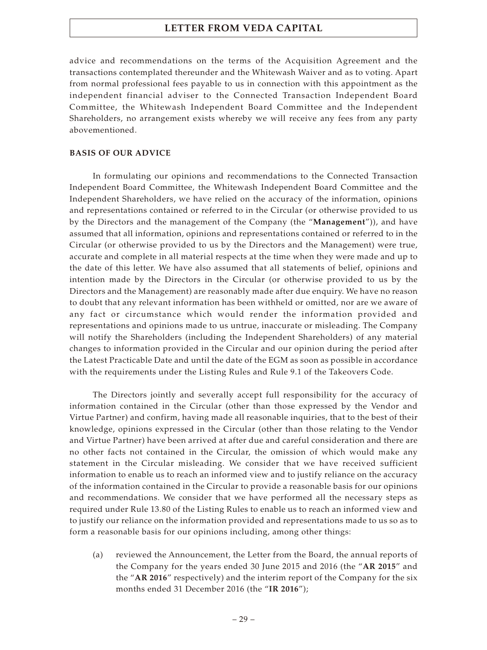advice and recommendations on the terms of the Acquisition Agreement and the transactions contemplated thereunder and the Whitewash Waiver and as to voting. Apart from normal professional fees payable to us in connection with this appointment as the independent financial adviser to the Connected Transaction Independent Board Committee, the Whitewash Independent Board Committee and the Independent Shareholders, no arrangement exists whereby we will receive any fees from any party abovementioned.

#### **BASIS OF OUR ADVICE**

In formulating our opinions and recommendations to the Connected Transaction Independent Board Committee, the Whitewash Independent Board Committee and the Independent Shareholders, we have relied on the accuracy of the information, opinions and representations contained or referred to in the Circular (or otherwise provided to us by the Directors and the management of the Company (the "**Management**")), and have assumed that all information, opinions and representations contained or referred to in the Circular (or otherwise provided to us by the Directors and the Management) were true, accurate and complete in all material respects at the time when they were made and up to the date of this letter. We have also assumed that all statements of belief, opinions and intention made by the Directors in the Circular (or otherwise provided to us by the Directors and the Management) are reasonably made after due enquiry. We have no reason to doubt that any relevant information has been withheld or omitted, nor are we aware of any fact or circumstance which would render the information provided and representations and opinions made to us untrue, inaccurate or misleading. The Company will notify the Shareholders (including the Independent Shareholders) of any material changes to information provided in the Circular and our opinion during the period after the Latest Practicable Date and until the date of the EGM as soon as possible in accordance with the requirements under the Listing Rules and Rule 9.1 of the Takeovers Code.

The Directors jointly and severally accept full responsibility for the accuracy of information contained in the Circular (other than those expressed by the Vendor and Virtue Partner) and confirm, having made all reasonable inquiries, that to the best of their knowledge, opinions expressed in the Circular (other than those relating to the Vendor and Virtue Partner) have been arrived at after due and careful consideration and there are no other facts not contained in the Circular, the omission of which would make any statement in the Circular misleading. We consider that we have received sufficient information to enable us to reach an informed view and to justify reliance on the accuracy of the information contained in the Circular to provide a reasonable basis for our opinions and recommendations. We consider that we have performed all the necessary steps as required under Rule 13.80 of the Listing Rules to enable us to reach an informed view and to justify our reliance on the information provided and representations made to us so as to form a reasonable basis for our opinions including, among other things:

(a) reviewed the Announcement, the Letter from the Board, the annual reports of the Company for the years ended 30 June 2015 and 2016 (the "**AR 2015**" and the "**AR 2016**" respectively) and the interim report of the Company for the six months ended 31 December 2016 (the "**IR 2016**");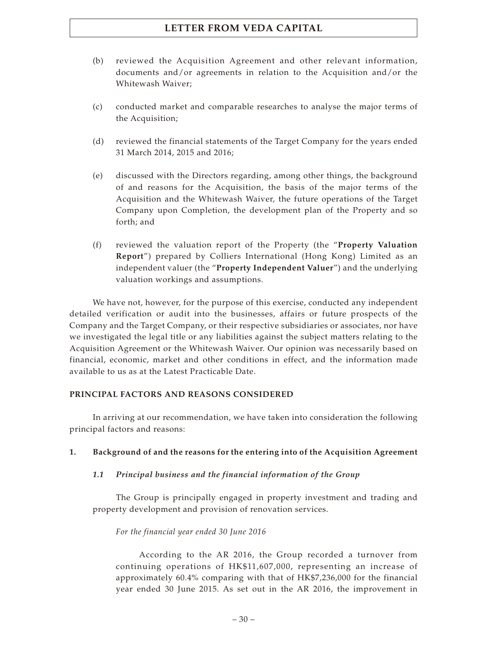- (b) reviewed the Acquisition Agreement and other relevant information, documents and/or agreements in relation to the Acquisition and/or the Whitewash Waiver;
- (c) conducted market and comparable researches to analyse the major terms of the Acquisition;
- (d) reviewed the financial statements of the Target Company for the years ended 31 March 2014, 2015 and 2016;
- (e) discussed with the Directors regarding, among other things, the background of and reasons for the Acquisition, the basis of the major terms of the Acquisition and the Whitewash Waiver, the future operations of the Target Company upon Completion, the development plan of the Property and so forth; and
- (f) reviewed the valuation report of the Property (the "**Property Valuation Report**") prepared by Colliers International (Hong Kong) Limited as an independent valuer (the "**Property Independent Valuer**") and the underlying valuation workings and assumptions.

We have not, however, for the purpose of this exercise, conducted any independent detailed verification or audit into the businesses, affairs or future prospects of the Company and the Target Company, or their respective subsidiaries or associates, nor have we investigated the legal title or any liabilities against the subject matters relating to the Acquisition Agreement or the Whitewash Waiver. Our opinion was necessarily based on financial, economic, market and other conditions in effect, and the information made available to us as at the Latest Practicable Date.

### **PRINCIPAL FACTORS AND REASONS CONSIDERED**

In arriving at our recommendation, we have taken into consideration the following principal factors and reasons:

### **1. Background of and the reasons for the entering into of the Acquisition Agreement**

### *1.1 Principal business and the financial information of the Group*

The Group is principally engaged in property investment and trading and property development and provision of renovation services.

### *For the financial year ended 30 June 2016*

According to the AR 2016, the Group recorded a turnover from continuing operations of HK\$11,607,000, representing an increase of approximately 60.4% comparing with that of HK\$7,236,000 for the financial year ended 30 June 2015. As set out in the AR 2016, the improvement in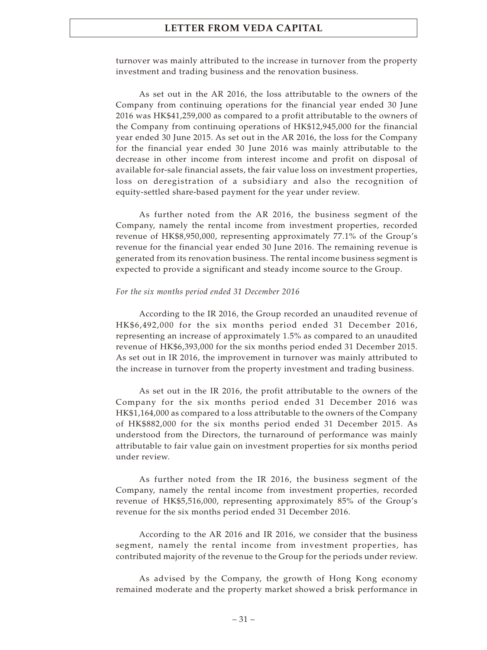turnover was mainly attributed to the increase in turnover from the property investment and trading business and the renovation business.

As set out in the AR 2016, the loss attributable to the owners of the Company from continuing operations for the financial year ended 30 June 2016 was HK\$41,259,000 as compared to a profit attributable to the owners of the Company from continuing operations of HK\$12,945,000 for the financial year ended 30 June 2015. As set out in the AR 2016, the loss for the Company for the financial year ended 30 June 2016 was mainly attributable to the decrease in other income from interest income and profit on disposal of available for-sale financial assets, the fair value loss on investment properties, loss on deregistration of a subsidiary and also the recognition of equity-settled share-based payment for the year under review.

As further noted from the AR 2016, the business segment of the Company, namely the rental income from investment properties, recorded revenue of HK\$8,950,000, representing approximately 77.1% of the Group's revenue for the financial year ended 30 June 2016. The remaining revenue is generated from its renovation business. The rental income business segment is expected to provide a significant and steady income source to the Group.

#### *For the six months period ended 31 December 2016*

According to the IR 2016, the Group recorded an unaudited revenue of HK\$6,492,000 for the six months period ended 31 December 2016, representing an increase of approximately 1.5% as compared to an unaudited revenue of HK\$6,393,000 for the six months period ended 31 December 2015. As set out in IR 2016, the improvement in turnover was mainly attributed to the increase in turnover from the property investment and trading business.

As set out in the IR 2016, the profit attributable to the owners of the Company for the six months period ended 31 December 2016 was HK\$1,164,000 as compared to a loss attributable to the owners of the Company of HK\$882,000 for the six months period ended 31 December 2015. As understood from the Directors, the turnaround of performance was mainly attributable to fair value gain on investment properties for six months period under review.

As further noted from the IR 2016, the business segment of the Company, namely the rental income from investment properties, recorded revenue of HK\$5,516,000, representing approximately 85% of the Group's revenue for the six months period ended 31 December 2016.

According to the AR 2016 and IR 2016, we consider that the business segment, namely the rental income from investment properties, has contributed majority of the revenue to the Group for the periods under review.

As advised by the Company, the growth of Hong Kong economy remained moderate and the property market showed a brisk performance in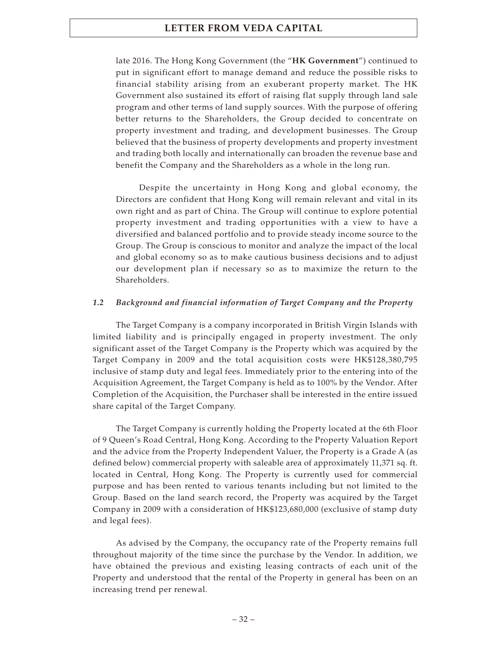late 2016. The Hong Kong Government (the "**HK Government**") continued to put in significant effort to manage demand and reduce the possible risks to financial stability arising from an exuberant property market. The HK Government also sustained its effort of raising flat supply through land sale program and other terms of land supply sources. With the purpose of offering better returns to the Shareholders, the Group decided to concentrate on property investment and trading, and development businesses. The Group believed that the business of property developments and property investment and trading both locally and internationally can broaden the revenue base and benefit the Company and the Shareholders as a whole in the long run.

Despite the uncertainty in Hong Kong and global economy, the Directors are confident that Hong Kong will remain relevant and vital in its own right and as part of China. The Group will continue to explore potential property investment and trading opportunities with a view to have a diversified and balanced portfolio and to provide steady income source to the Group. The Group is conscious to monitor and analyze the impact of the local and global economy so as to make cautious business decisions and to adjust our development plan if necessary so as to maximize the return to the Shareholders.

#### *1.2 Background and financial information of Target Company and the Property*

The Target Company is a company incorporated in British Virgin Islands with limited liability and is principally engaged in property investment. The only significant asset of the Target Company is the Property which was acquired by the Target Company in 2009 and the total acquisition costs were HK\$128,380,795 inclusive of stamp duty and legal fees. Immediately prior to the entering into of the Acquisition Agreement, the Target Company is held as to 100% by the Vendor. After Completion of the Acquisition, the Purchaser shall be interested in the entire issued share capital of the Target Company.

The Target Company is currently holding the Property located at the 6th Floor of 9 Queen's Road Central, Hong Kong. According to the Property Valuation Report and the advice from the Property Independent Valuer, the Property is a Grade A (as defined below) commercial property with saleable area of approximately 11,371 sq. ft. located in Central, Hong Kong. The Property is currently used for commercial purpose and has been rented to various tenants including but not limited to the Group. Based on the land search record, the Property was acquired by the Target Company in 2009 with a consideration of HK\$123,680,000 (exclusive of stamp duty and legal fees).

As advised by the Company, the occupancy rate of the Property remains full throughout majority of the time since the purchase by the Vendor. In addition, we have obtained the previous and existing leasing contracts of each unit of the Property and understood that the rental of the Property in general has been on an increasing trend per renewal.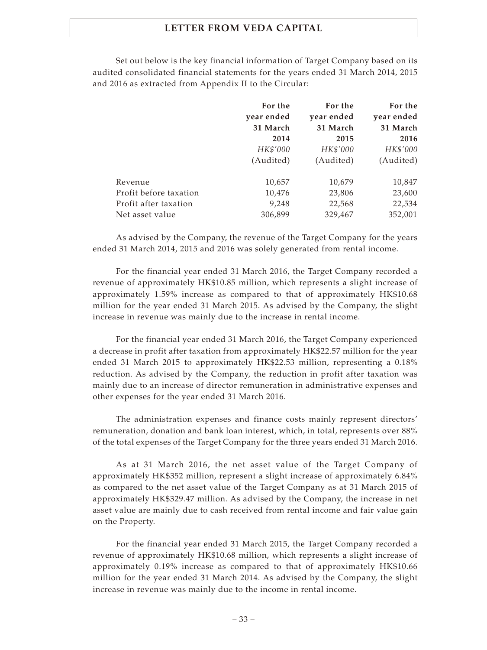Set out below is the key financial information of Target Company based on its audited consolidated financial statements for the years ended 31 March 2014, 2015 and 2016 as extracted from Appendix II to the Circular:

|                        | For the<br>year ended | For the<br>year ended | For the<br>year ended |
|------------------------|-----------------------|-----------------------|-----------------------|
|                        | 31 March              | 31 March              | 31 March              |
|                        | 2014                  | 2015                  | 2016                  |
|                        |                       |                       |                       |
|                        | HK\$'000              | HK\$'000              | HK\$'000              |
|                        | (Audited)             | (Audited)             | (Audited)             |
| Revenue                | 10,657                | 10,679                | 10,847                |
| Profit before taxation | 10,476                | 23,806                | 23,600                |
| Profit after taxation  | 9,248                 | 22,568                | 22,534                |
| Net asset value        | 306,899               | 329,467               | 352,001               |

As advised by the Company, the revenue of the Target Company for the years ended 31 March 2014, 2015 and 2016 was solely generated from rental income.

For the financial year ended 31 March 2016, the Target Company recorded a revenue of approximately HK\$10.85 million, which represents a slight increase of approximately 1.59% increase as compared to that of approximately HK\$10.68 million for the year ended 31 March 2015. As advised by the Company, the slight increase in revenue was mainly due to the increase in rental income.

For the financial year ended 31 March 2016, the Target Company experienced a decrease in profit after taxation from approximately HK\$22.57 million for the year ended 31 March 2015 to approximately HK\$22.53 million, representing a 0.18% reduction. As advised by the Company, the reduction in profit after taxation was mainly due to an increase of director remuneration in administrative expenses and other expenses for the year ended 31 March 2016.

The administration expenses and finance costs mainly represent directors' remuneration, donation and bank loan interest, which, in total, represents over 88% of the total expenses of the Target Company for the three years ended 31 March 2016.

As at 31 March 2016, the net asset value of the Target Company of approximately HK\$352 million, represent a slight increase of approximately 6.84% as compared to the net asset value of the Target Company as at 31 March 2015 of approximately HK\$329.47 million. As advised by the Company, the increase in net asset value are mainly due to cash received from rental income and fair value gain on the Property.

For the financial year ended 31 March 2015, the Target Company recorded a revenue of approximately HK\$10.68 million, which represents a slight increase of approximately 0.19% increase as compared to that of approximately HK\$10.66 million for the year ended 31 March 2014. As advised by the Company, the slight increase in revenue was mainly due to the income in rental income.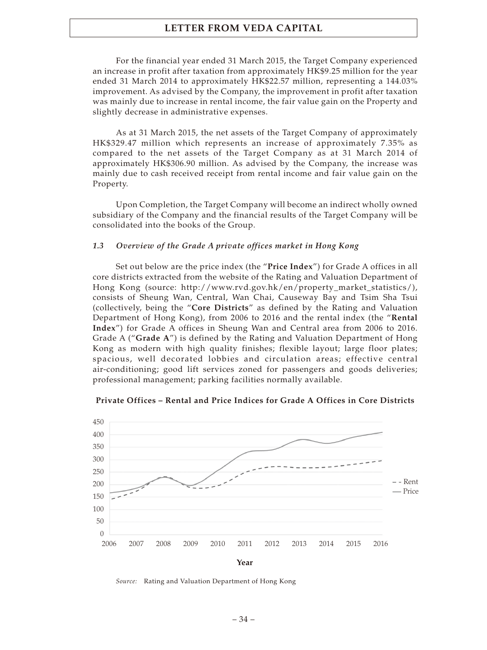For the financial year ended 31 March 2015, the Target Company experienced an increase in profit after taxation from approximately HK\$9.25 million for the year ended 31 March 2014 to approximately HK\$22.57 million, representing a 144.03% improvement. As advised by the Company, the improvement in profit after taxation was mainly due to increase in rental income, the fair value gain on the Property and slightly decrease in administrative expenses.

As at 31 March 2015, the net assets of the Target Company of approximately HK\$329.47 million which represents an increase of approximately 7.35% as compared to the net assets of the Target Company as at 31 March 2014 of approximately HK\$306.90 million. As advised by the Company, the increase was mainly due to cash received receipt from rental income and fair value gain on the Property.

Upon Completion, the Target Company will become an indirect wholly owned subsidiary of the Company and the financial results of the Target Company will be consolidated into the books of the Group.

#### *1.3 Overview of the Grade A private offices market in Hong Kong*

Set out below are the price index (the "**Price Index**") for Grade A offices in all core districts extracted from the website of the Rating and Valuation Department of Hong Kong (source: [http://www.rvd.gov.hk/en/property\\_market\\_statistics/](http://www.rvd.gov.hk/en/property_market_statistics/)), consists of Sheung Wan, Central, Wan Chai, Causeway Bay and Tsim Sha Tsui (collectively, being the "**Core Districts**" as defined by the Rating and Valuation Department of Hong Kong), from 2006 to 2016 and the rental index (the "**Rental Index**") for Grade A offices in Sheung Wan and Central area from 2006 to 2016. Grade A ("**Grade A**") is defined by the Rating and Valuation Department of Hong Kong as modern with high quality finishes; flexible layout; large floor plates; spacious, well decorated lobbies and circulation areas; effective central air-conditioning; good lift services zoned for passengers and goods deliveries; professional management; parking facilities normally available.



**Private Offices – Rental and Price Indices for Grade A Offices in Core Districts**

*Source:* Rating and Valuation Department of Hong Kong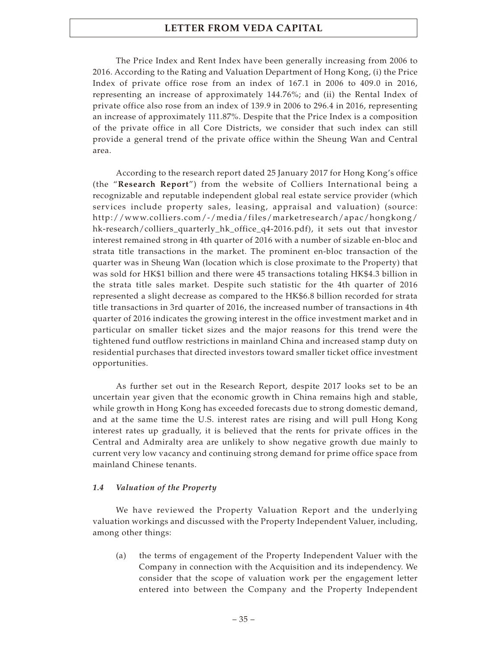The Price Index and Rent Index have been generally increasing from 2006 to 2016. According to the Rating and Valuation Department of Hong Kong, (i) the Price Index of private office rose from an index of 167.1 in 2006 to 409.0 in 2016, representing an increase of approximately 144.76%; and (ii) the Rental Index of private office also rose from an index of 139.9 in 2006 to 296.4 in 2016, representing an increase of approximately 111.87%. Despite that the Price Index is a composition of the private office in all Core Districts, we consider that such index can still provide a general trend of the private office within the Sheung Wan and Central area.

According to the research report dated 25 January 2017 for Hong Kong's office (the "**Research Report**") from the website of Colliers International being a recognizable and reputable independent global real estate service provider (which services include property sales, leasing, appraisal and valuation) (source: http://www.colliers.com/-/media/files/marketresearch/apac/hongkong/ [hk-research/colliers\\_quarterly\\_hk\\_office\\_q4-2016.pdf\), it sets out that investor](http://www.colliers.com/-/media/files/marketresearch/apac/hongkong/hk-research/colliers_quarterly_hk_office_q4-2016.pdf) interest remained strong in 4th quarter of 2016 with a number of sizable en-bloc and strata title transactions in the market. The prominent en-bloc transaction of the quarter was in Sheung Wan (location which is close proximate to the Property) that was sold for HK\$1 billion and there were 45 transactions totaling HK\$4.3 billion in the strata title sales market. Despite such statistic for the 4th quarter of 2016 represented a slight decrease as compared to the HK\$6.8 billion recorded for strata title transactions in 3rd quarter of 2016, the increased number of transactions in 4th quarter of 2016 indicates the growing interest in the office investment market and in particular on smaller ticket sizes and the major reasons for this trend were the tightened fund outflow restrictions in mainland China and increased stamp duty on residential purchases that directed investors toward smaller ticket office investment opportunities.

As further set out in the Research Report, despite 2017 looks set to be an uncertain year given that the economic growth in China remains high and stable, while growth in Hong Kong has exceeded forecasts due to strong domestic demand, and at the same time the U.S. interest rates are rising and will pull Hong Kong interest rates up gradually, it is believed that the rents for private offices in the Central and Admiralty area are unlikely to show negative growth due mainly to current very low vacancy and continuing strong demand for prime office space from mainland Chinese tenants.

#### *1.4 Valuation of the Property*

We have reviewed the Property Valuation Report and the underlying valuation workings and discussed with the Property Independent Valuer, including, among other things:

(a) the terms of engagement of the Property Independent Valuer with the Company in connection with the Acquisition and its independency. We consider that the scope of valuation work per the engagement letter entered into between the Company and the Property Independent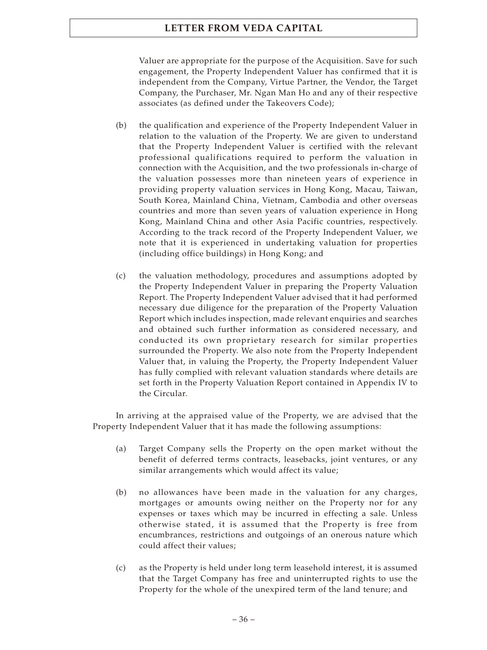Valuer are appropriate for the purpose of the Acquisition. Save for such engagement, the Property Independent Valuer has confirmed that it is independent from the Company, Virtue Partner, the Vendor, the Target Company, the Purchaser, Mr. Ngan Man Ho and any of their respective associates (as defined under the Takeovers Code);

- (b) the qualification and experience of the Property Independent Valuer in relation to the valuation of the Property. We are given to understand that the Property Independent Valuer is certified with the relevant professional qualifications required to perform the valuation in connection with the Acquisition, and the two professionals in-charge of the valuation possesses more than nineteen years of experience in providing property valuation services in Hong Kong, Macau, Taiwan, South Korea, Mainland China, Vietnam, Cambodia and other overseas countries and more than seven years of valuation experience in Hong Kong, Mainland China and other Asia Pacific countries, respectively. According to the track record of the Property Independent Valuer, we note that it is experienced in undertaking valuation for properties (including office buildings) in Hong Kong; and
- (c) the valuation methodology, procedures and assumptions adopted by the Property Independent Valuer in preparing the Property Valuation Report. The Property Independent Valuer advised that it had performed necessary due diligence for the preparation of the Property Valuation Report which includes inspection, made relevant enquiries and searches and obtained such further information as considered necessary, and conducted its own proprietary research for similar properties surrounded the Property. We also note from the Property Independent Valuer that, in valuing the Property, the Property Independent Valuer has fully complied with relevant valuation standards where details are set forth in the Property Valuation Report contained in Appendix IV to the Circular.

In arriving at the appraised value of the Property, we are advised that the Property Independent Valuer that it has made the following assumptions:

- (a) Target Company sells the Property on the open market without the benefit of deferred terms contracts, leasebacks, joint ventures, or any similar arrangements which would affect its value;
- (b) no allowances have been made in the valuation for any charges, mortgages or amounts owing neither on the Property nor for any expenses or taxes which may be incurred in effecting a sale. Unless otherwise stated, it is assumed that the Property is free from encumbrances, restrictions and outgoings of an onerous nature which could affect their values;
- (c) as the Property is held under long term leasehold interest, it is assumed that the Target Company has free and uninterrupted rights to use the Property for the whole of the unexpired term of the land tenure; and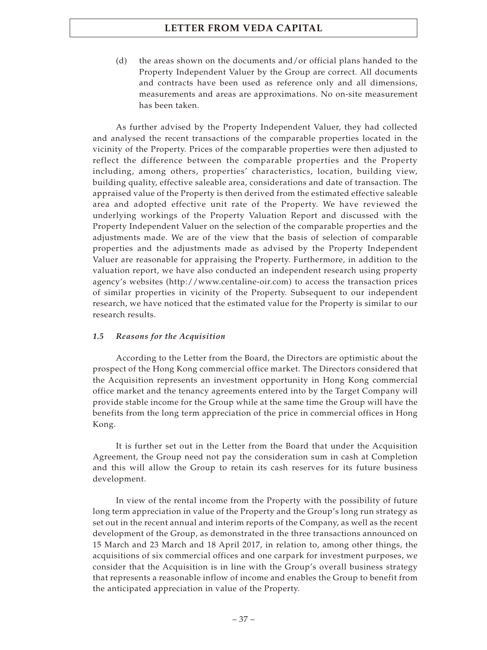(d) the areas shown on the documents and/or official plans handed to the Property Independent Valuer by the Group are correct. All documents and contracts have been used as reference only and all dimensions, measurements and areas are approximations. No on-site measurement has been taken.

As further advised by the Property Independent Valuer, they had collected and analysed the recent transactions of the comparable properties located in the vicinity of the Property. Prices of the comparable properties were then adjusted to reflect the difference between the comparable properties and the Property including, among others, properties' characteristics, location, building view, building quality, effective saleable area, considerations and date of transaction. The appraised value of the Property is then derived from the estimated effective saleable area and adopted effective unit rate of the Property. We have reviewed the underlying workings of the Property Valuation Report and discussed with the Property Independent Valuer on the selection of the comparable properties and the adjustments made. We are of the view that the basis of selection of comparable properties and the adjustments made as advised by the Property Independent Valuer are reasonable for appraising the Property. Furthermore, in addition to the valuation report, we have also conducted an independent research using property agency's websites (<http://www.centaline-oir.com>) to access the transaction prices of similar properties in vicinity of the Property. Subsequent to our independent research, we have noticed that the estimated value for the Property is similar to our research results.

### *1.5 Reasons for the Acquisition*

According to the Letter from the Board, the Directors are optimistic about the prospect of the Hong Kong commercial office market. The Directors considered that the Acquisition represents an investment opportunity in Hong Kong commercial office market and the tenancy agreements entered into by the Target Company will provide stable income for the Group while at the same time the Group will have the benefits from the long term appreciation of the price in commercial offices in Hong Kong.

It is further set out in the Letter from the Board that under the Acquisition Agreement, the Group need not pay the consideration sum in cash at Completion and this will allow the Group to retain its cash reserves for its future business development.

In view of the rental income from the Property with the possibility of future long term appreciation in value of the Property and the Group's long run strategy as set out in the recent annual and interim reports of the Company, as well as the recent development of the Group, as demonstrated in the three transactions announced on 15 March and 23 March and 18 April 2017, in relation to, among other things, the acquisitions of six commercial offices and one carpark for investment purposes, we consider that the Acquisition is in line with the Group's overall business strategy that represents a reasonable inflow of income and enables the Group to benefit from the anticipated appreciation in value of the Property.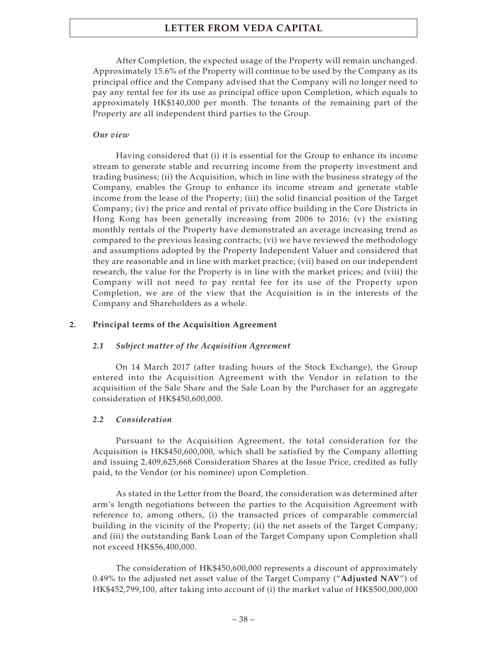After Completion, the expected usage of the Property will remain unchanged. Approximately 15.6% of the Property will continue to be used by the Company as its principal office and the Company advised that the Company will no longer need to pay any rental fee for its use as principal office upon Completion, which equals to approximately HK\$140,000 per month. The tenants of the remaining part of the Property are all independent third parties to the Group.

### *Our view*

Having considered that (i) it is essential for the Group to enhance its income stream to generate stable and recurring income from the property investment and trading business; (ii) the Acquisition, which in line with the business strategy of the Company, enables the Group to enhance its income stream and generate stable income from the lease of the Property; (iii) the solid financial position of the Target Company; (iv) the price and rental of private office building in the Core Districts in Hong Kong has been generally increasing from 2006 to 2016; (v) the existing monthly rentals of the Property have demonstrated an average increasing trend as compared to the previous leasing contracts; (vi) we have reviewed the methodology and assumptions adopted by the Property Independent Valuer and considered that they are reasonable and in line with market practice; (vii) based on our independent research, the value for the Property is in line with the market prices; and (viii) the Company will not need to pay rental fee for its use of the Property upon Completion, we are of the view that the Acquisition is in the interests of the Company and Shareholders as a whole.

### **2. Principal terms of the Acquisition Agreement**

#### *2.1 Subject matter of the Acquisition Agreement*

On 14 March 2017 (after trading hours of the Stock Exchange), the Group entered into the Acquisition Agreement with the Vendor in relation to the acquisition of the Sale Share and the Sale Loan by the Purchaser for an aggregate consideration of HK\$450,600,000.

#### *2.2 Consideration*

Pursuant to the Acquisition Agreement, the total consideration for the Acquisition is HK\$450,600,000, which shall be satisfied by the Company allotting and issuing 2,409,625,668 Consideration Shares at the Issue Price, credited as fully paid, to the Vendor (or his nominee) upon Completion.

As stated in the Letter from the Board, the consideration was determined after arm's length negotiations between the parties to the Acquisition Agreement with reference to, among others, (i) the transacted prices of comparable commercial building in the vicinity of the Property; (ii) the net assets of the Target Company; and (iii) the outstanding Bank Loan of the Target Company upon Completion shall not exceed HK\$56,400,000.

The consideration of HK\$450,600,000 represents a discount of approximately 0.49% to the adjusted net asset value of the Target Company ("**Adjusted NAV**") of HK\$452,799,100, after taking into account of (i) the market value of HK\$500,000,000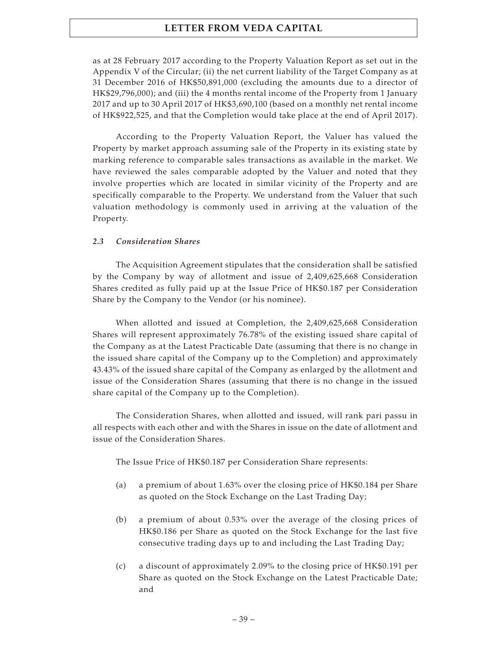as at 28 February 2017 according to the Property Valuation Report as set out in the Appendix V of the Circular; (ii) the net current liability of the Target Company as at 31 December 2016 of HK\$50,891,000 (excluding the amounts due to a director of HK\$29,796,000); and (iii) the 4 months rental income of the Property from 1 January 2017 and up to 30 April 2017 of HK\$3,690,100 (based on a monthly net rental income of HK\$922,525, and that the Completion would take place at the end of April 2017).

According to the Property Valuation Report, the Valuer has valued the Property by market approach assuming sale of the Property in its existing state by marking reference to comparable sales transactions as available in the market. We have reviewed the sales comparable adopted by the Valuer and noted that they involve properties which are located in similar vicinity of the Property and are specifically comparable to the Property. We understand from the Valuer that such valuation methodology is commonly used in arriving at the valuation of the Property.

### *2.3 Consideration Shares*

The Acquisition Agreement stipulates that the consideration shall be satisfied by the Company by way of allotment and issue of 2,409,625,668 Consideration Shares credited as fully paid up at the Issue Price of HK\$0.187 per Consideration Share by the Company to the Vendor (or his nominee).

When allotted and issued at Completion, the 2,409,625,668 Consideration Shares will represent approximately 76.78% of the existing issued share capital of the Company as at the Latest Practicable Date (assuming that there is no change in the issued share capital of the Company up to the Completion) and approximately 43.43% of the issued share capital of the Company as enlarged by the allotment and issue of the Consideration Shares (assuming that there is no change in the issued share capital of the Company up to the Completion).

The Consideration Shares, when allotted and issued, will rank pari passu in all respects with each other and with the Shares in issue on the date of allotment and issue of the Consideration Shares.

The Issue Price of HK\$0.187 per Consideration Share represents:

- (a) a premium of about 1.63% over the closing price of HK\$0.184 per Share as quoted on the Stock Exchange on the Last Trading Day;
- (b) a premium of about 0.53% over the average of the closing prices of HK\$0.186 per Share as quoted on the Stock Exchange for the last five consecutive trading days up to and including the Last Trading Day;
- (c) a discount of approximately 2.09% to the closing price of HK\$0.191 per Share as quoted on the Stock Exchange on the Latest Practicable Date; and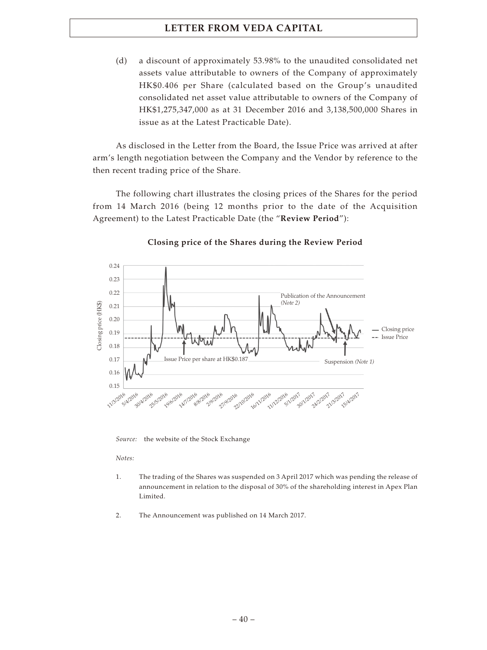(d) a discount of approximately 53.98% to the unaudited consolidated net assets value attributable to owners of the Company of approximately HK\$0.406 per Share (calculated based on the Group's unaudited consolidated net asset value attributable to owners of the Company of HK\$1,275,347,000 as at 31 December 2016 and 3,138,500,000 Shares in issue as at the Latest Practicable Date).

As disclosed in the Letter from the Board, the Issue Price was arrived at after arm's length negotiation between the Company and the Vendor by reference to the then recent trading price of the Share.

The following chart illustrates the closing prices of the Shares for the period from 14 March 2016 (being 12 months prior to the date of the Acquisition Agreement) to the Latest Practicable Date (the "**Review Period**"):



### **Closing price of the Shares during the Review Period**

*Source:* the website of the Stock Exchange

*Notes:*

- 1. The trading of the Shares was suspended on 3 April 2017 which was pending the release of announcement in relation to the disposal of 30% of the shareholding interest in Apex Plan Limited.
- 2. The Announcement was published on 14 March 2017.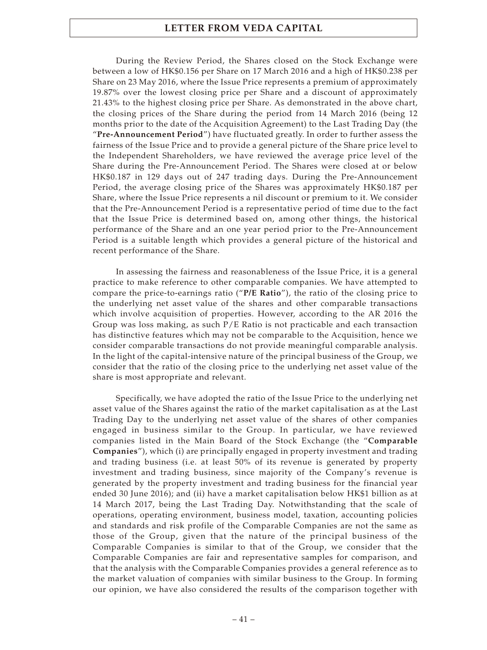During the Review Period, the Shares closed on the Stock Exchange were between a low of HK\$0.156 per Share on 17 March 2016 and a high of HK\$0.238 per Share on 23 May 2016, where the Issue Price represents a premium of approximately 19.87% over the lowest closing price per Share and a discount of approximately 21.43% to the highest closing price per Share. As demonstrated in the above chart, the closing prices of the Share during the period from 14 March 2016 (being 12 months prior to the date of the Acquisition Agreement) to the Last Trading Day (the "**Pre-Announcement Period**") have fluctuated greatly. In order to further assess the fairness of the Issue Price and to provide a general picture of the Share price level to the Independent Shareholders, we have reviewed the average price level of the Share during the Pre-Announcement Period. The Shares were closed at or below HK\$0.187 in 129 days out of 247 trading days. During the Pre-Announcement Period, the average closing price of the Shares was approximately HK\$0.187 per Share, where the Issue Price represents a nil discount or premium to it. We consider that the Pre-Announcement Period is a representative period of time due to the fact that the Issue Price is determined based on, among other things, the historical performance of the Share and an one year period prior to the Pre-Announcement Period is a suitable length which provides a general picture of the historical and recent performance of the Share.

In assessing the fairness and reasonableness of the Issue Price, it is a general practice to make reference to other comparable companies. We have attempted to compare the price-to-earnings ratio ("**P/E Ratio**"), the ratio of the closing price to the underlying net asset value of the shares and other comparable transactions which involve acquisition of properties. However, according to the AR 2016 the Group was loss making, as such  $P/E$  Ratio is not practicable and each transaction has distinctive features which may not be comparable to the Acquisition, hence we consider comparable transactions do not provide meaningful comparable analysis. In the light of the capital-intensive nature of the principal business of the Group, we consider that the ratio of the closing price to the underlying net asset value of the share is most appropriate and relevant.

Specifically, we have adopted the ratio of the Issue Price to the underlying net asset value of the Shares against the ratio of the market capitalisation as at the Last Trading Day to the underlying net asset value of the shares of other companies engaged in business similar to the Group. In particular, we have reviewed companies listed in the Main Board of the Stock Exchange (the "**Comparable Companies**"), which (i) are principally engaged in property investment and trading and trading business (i.e. at least 50% of its revenue is generated by property investment and trading business, since majority of the Company's revenue is generated by the property investment and trading business for the financial year ended 30 June 2016); and (ii) have a market capitalisation below HK\$1 billion as at 14 March 2017, being the Last Trading Day. Notwithstanding that the scale of operations, operating environment, business model, taxation, accounting policies and standards and risk profile of the Comparable Companies are not the same as those of the Group, given that the nature of the principal business of the Comparable Companies is similar to that of the Group, we consider that the Comparable Companies are fair and representative samples for comparison, and that the analysis with the Comparable Companies provides a general reference as to the market valuation of companies with similar business to the Group. In forming our opinion, we have also considered the results of the comparison together with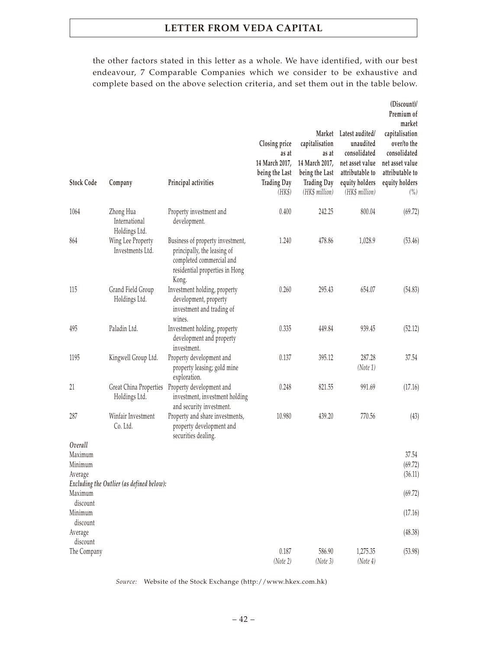the other factors stated in this letter as a whole. We have identified, with our best endeavour, 7 Comparable Companies which we consider to be exhaustive and complete based on the above selection criteria, and set them out in the table below.

| <b>Stock Code</b>   | Company                                     | Principal activities                                                                                                                   | Closing price<br>as at<br>14 March 2017,<br>being the Last<br><b>Trading Day</b><br>(HK\$) | capitalisation<br>as at<br>14 March 2017,<br>being the Last<br><b>Trading Day</b><br>(HK\$ million) | Market Latest audited/<br>unaudited<br>consolidated<br>net asset value<br>attributable to<br>equity holders<br>(HK\$ million) | (Discount)/<br>Premium of<br>market<br>capitalisation<br>over/to the<br>consolidated<br>net asset value<br>attributable to<br>equity holders<br>$\binom{0}{0}$ |
|---------------------|---------------------------------------------|----------------------------------------------------------------------------------------------------------------------------------------|--------------------------------------------------------------------------------------------|-----------------------------------------------------------------------------------------------------|-------------------------------------------------------------------------------------------------------------------------------|----------------------------------------------------------------------------------------------------------------------------------------------------------------|
| 1064                | Zhong Hua<br>International<br>Holdings Ltd. | Property investment and<br>development.                                                                                                | 0.400                                                                                      | 242.25                                                                                              | 800.04                                                                                                                        | (69.72)                                                                                                                                                        |
| 864                 | Wing Lee Property<br>Investments Ltd.       | Business of property investment,<br>principally, the leasing of<br>completed commercial and<br>residential properties in Hong<br>Kong. | 1.240                                                                                      | 478.86                                                                                              | 1,028.9                                                                                                                       | (53.46)                                                                                                                                                        |
| 115                 | Grand Field Group<br>Holdings Ltd.          | Investment holding, property<br>development, property<br>investment and trading of<br>wines.                                           | 0.260                                                                                      | 295.43                                                                                              | 654.07                                                                                                                        | (54.83)                                                                                                                                                        |
| 495                 | Paladin Ltd.                                | Investment holding, property<br>development and property<br>investment.                                                                | 0.335                                                                                      | 449.84                                                                                              | 939.45                                                                                                                        | (52.12)                                                                                                                                                        |
| 1195                | Kingwell Group Ltd.                         | Property development and<br>property leasing; gold mine<br>exploration.                                                                | 0.137                                                                                      | 395.12                                                                                              | 287.28<br>(Note 1)                                                                                                            | 37.54                                                                                                                                                          |
| 21                  | Great China Properties<br>Holdings Ltd.     | Property development and<br>investment, investment holding<br>and security investment.                                                 | 0.248                                                                                      | 821.55                                                                                              | 991.69                                                                                                                        | (17.16)                                                                                                                                                        |
| 287                 | Winfair Investment<br>Co. Ltd.              | Property and share investments,<br>property development and<br>securities dealing.                                                     | 10.980                                                                                     | 439.20                                                                                              | 770.56                                                                                                                        | (43)                                                                                                                                                           |
| Overall             |                                             |                                                                                                                                        |                                                                                            |                                                                                                     |                                                                                                                               |                                                                                                                                                                |
| Maximum             |                                             |                                                                                                                                        |                                                                                            |                                                                                                     |                                                                                                                               | 37.54                                                                                                                                                          |
| Minimum<br>Average  |                                             |                                                                                                                                        |                                                                                            |                                                                                                     |                                                                                                                               | (69.72)<br>(36.11)                                                                                                                                             |
|                     | Excluding the Outlier (as defined below):   |                                                                                                                                        |                                                                                            |                                                                                                     |                                                                                                                               |                                                                                                                                                                |
| Maximum<br>discount |                                             |                                                                                                                                        |                                                                                            |                                                                                                     |                                                                                                                               | (69.72)                                                                                                                                                        |
| Minimum<br>discount |                                             |                                                                                                                                        |                                                                                            |                                                                                                     |                                                                                                                               | (17.16)                                                                                                                                                        |
| Average<br>discount |                                             |                                                                                                                                        |                                                                                            |                                                                                                     |                                                                                                                               | (48.38)                                                                                                                                                        |
| The Company         |                                             |                                                                                                                                        | 0.187<br>(Note 2)                                                                          | 586.90<br>(Note 3)                                                                                  | 1,275.35<br>(Note 4)                                                                                                          | (53.98)                                                                                                                                                        |

*Source:* Website of the Stock Exchange (<http://www.hkex.com.hk>)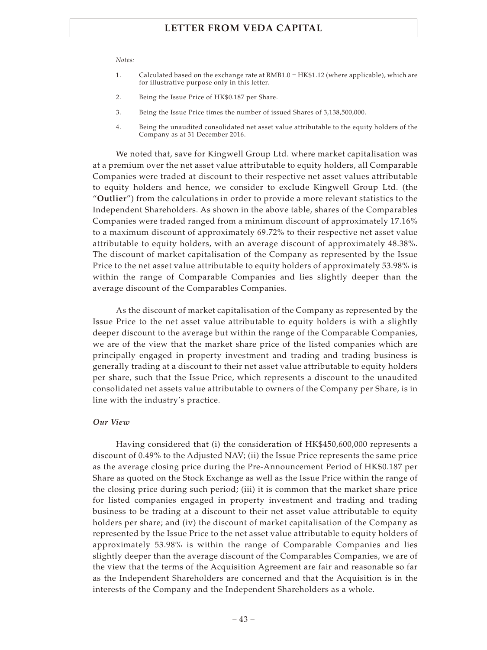#### *Notes:*

- 1. Calculated based on the exchange rate at RMB1.0 = HK\$1.12 (where applicable), which are for illustrative purpose only in this letter.
- 2. Being the Issue Price of HK\$0.187 per Share.
- 3. Being the Issue Price times the number of issued Shares of 3,138,500,000.
- 4. Being the unaudited consolidated net asset value attributable to the equity holders of the Company as at 31 December 2016.

We noted that, save for Kingwell Group Ltd. where market capitalisation was at a premium over the net asset value attributable to equity holders, all Comparable Companies were traded at discount to their respective net asset values attributable to equity holders and hence, we consider to exclude Kingwell Group Ltd. (the "**Outlier**") from the calculations in order to provide a more relevant statistics to the Independent Shareholders. As shown in the above table, shares of the Comparables Companies were traded ranged from a minimum discount of approximately 17.16% to a maximum discount of approximately 69.72% to their respective net asset value attributable to equity holders, with an average discount of approximately 48.38%. The discount of market capitalisation of the Company as represented by the Issue Price to the net asset value attributable to equity holders of approximately 53.98% is within the range of Comparable Companies and lies slightly deeper than the average discount of the Comparables Companies.

As the discount of market capitalisation of the Company as represented by the Issue Price to the net asset value attributable to equity holders is with a slightly deeper discount to the average but within the range of the Comparable Companies, we are of the view that the market share price of the listed companies which are principally engaged in property investment and trading and trading business is generally trading at a discount to their net asset value attributable to equity holders per share, such that the Issue Price, which represents a discount to the unaudited consolidated net assets value attributable to owners of the Company per Share, is in line with the industry's practice.

#### *Our View*

Having considered that (i) the consideration of HK\$450,600,000 represents a discount of 0.49% to the Adjusted NAV; (ii) the Issue Price represents the same price as the average closing price during the Pre-Announcement Period of HK\$0.187 per Share as quoted on the Stock Exchange as well as the Issue Price within the range of the closing price during such period; (iii) it is common that the market share price for listed companies engaged in property investment and trading and trading business to be trading at a discount to their net asset value attributable to equity holders per share; and (iv) the discount of market capitalisation of the Company as represented by the Issue Price to the net asset value attributable to equity holders of approximately 53.98% is within the range of Comparable Companies and lies slightly deeper than the average discount of the Comparables Companies, we are of the view that the terms of the Acquisition Agreement are fair and reasonable so far as the Independent Shareholders are concerned and that the Acquisition is in the interests of the Company and the Independent Shareholders as a whole.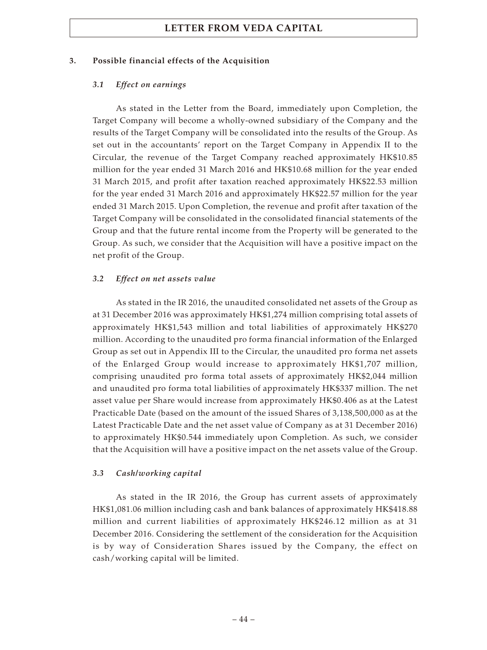### **3. Possible financial effects of the Acquisition**

### *3.1 Effect on earnings*

As stated in the Letter from the Board, immediately upon Completion, the Target Company will become a wholly-owned subsidiary of the Company and the results of the Target Company will be consolidated into the results of the Group. As set out in the accountants' report on the Target Company in Appendix II to the Circular, the revenue of the Target Company reached approximately HK\$10.85 million for the year ended 31 March 2016 and HK\$10.68 million for the year ended 31 March 2015, and profit after taxation reached approximately HK\$22.53 million for the year ended 31 March 2016 and approximately HK\$22.57 million for the year ended 31 March 2015. Upon Completion, the revenue and profit after taxation of the Target Company will be consolidated in the consolidated financial statements of the Group and that the future rental income from the Property will be generated to the Group. As such, we consider that the Acquisition will have a positive impact on the net profit of the Group.

### *3.2 Effect on net assets value*

As stated in the IR 2016, the unaudited consolidated net assets of the Group as at 31 December 2016 was approximately HK\$1,274 million comprising total assets of approximately HK\$1,543 million and total liabilities of approximately HK\$270 million. According to the unaudited pro forma financial information of the Enlarged Group as set out in Appendix III to the Circular, the unaudited pro forma net assets of the Enlarged Group would increase to approximately HK\$1,707 million, comprising unaudited pro forma total assets of approximately HK\$2,044 million and unaudited pro forma total liabilities of approximately HK\$337 million. The net asset value per Share would increase from approximately HK\$0.406 as at the Latest Practicable Date (based on the amount of the issued Shares of 3,138,500,000 as at the Latest Practicable Date and the net asset value of Company as at 31 December 2016) to approximately HK\$0.544 immediately upon Completion. As such, we consider that the Acquisition will have a positive impact on the net assets value of the Group.

### *3.3 Cash/working capital*

As stated in the IR 2016, the Group has current assets of approximately HK\$1,081.06 million including cash and bank balances of approximately HK\$418.88 million and current liabilities of approximately HK\$246.12 million as at 31 December 2016. Considering the settlement of the consideration for the Acquisition is by way of Consideration Shares issued by the Company, the effect on cash/working capital will be limited.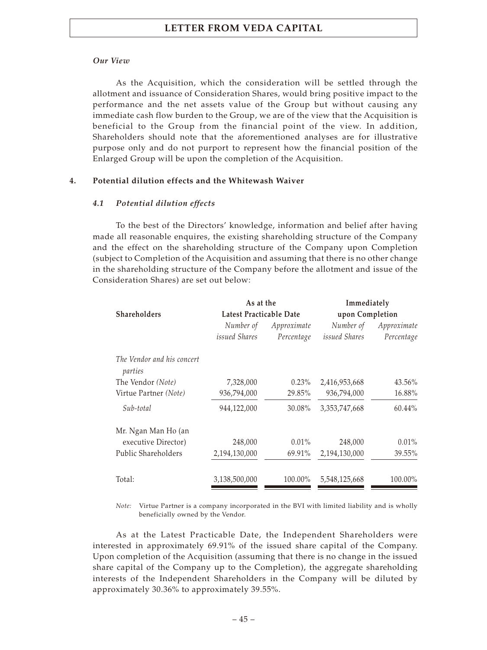### *Our View*

As the Acquisition, which the consideration will be settled through the allotment and issuance of Consideration Shares, would bring positive impact to the performance and the net assets value of the Group but without causing any immediate cash flow burden to the Group, we are of the view that the Acquisition is beneficial to the Group from the financial point of the view. In addition, Shareholders should note that the aforementioned analyses are for illustrative purpose only and do not purport to represent how the financial position of the Enlarged Group will be upon the completion of the Acquisition.

### **4. Potential dilution effects and the Whitewash Waiver**

### *4.1 Potential dilution effects*

To the best of the Directors' knowledge, information and belief after having made all reasonable enquires, the existing shareholding structure of the Company and the effect on the shareholding structure of the Company upon Completion (subject to Completion of the Acquisition and assuming that there is no other change in the shareholding structure of the Company before the allotment and issue of the Consideration Shares) are set out below:

|                                       |                         | Immediately<br>As at the |                  |             |  |  |
|---------------------------------------|-------------------------|--------------------------|------------------|-------------|--|--|
| <b>Shareholders</b>                   | Latest Practicable Date |                          | upon Completion  |             |  |  |
|                                       | Number of               | Approximate              | Number of        | Approximate |  |  |
|                                       | <i>issued Shares</i>    | Percentage               | issued Shares    | Percentage  |  |  |
| The Vendor and his concert<br>parties |                         |                          |                  |             |  |  |
| The Vendor (Note)                     | 7,328,000               | $0.23\%$                 | 2,416,953,668    | 43.56%      |  |  |
| Virtue Partner (Note)                 | 936,794,000             | 29.85%                   | 936,794,000      | 16.88%      |  |  |
| Sub-total                             | 944,122,000             | 30.08%                   | 3, 353, 747, 668 | 60.44%      |  |  |
| Mr. Ngan Man Ho (an                   |                         |                          |                  |             |  |  |
| executive Director)                   | 248,000                 | $0.01\%$                 | 248,000          | $0.01\%$    |  |  |
| Public Shareholders                   | 2,194,130,000           | 69.91%                   | 2,194,130,000    | 39.55%      |  |  |
| Total:                                | 3,138,500,000           | 100.00%                  | 5,548,125,668    | 100.00%     |  |  |

*Note:* Virtue Partner is a company incorporated in the BVI with limited liability and is wholly beneficially owned by the Vendor.

As at the Latest Practicable Date, the Independent Shareholders were interested in approximately 69.91% of the issued share capital of the Company. Upon completion of the Acquisition (assuming that there is no change in the issued share capital of the Company up to the Completion), the aggregate shareholding interests of the Independent Shareholders in the Company will be diluted by approximately 30.36% to approximately 39.55%.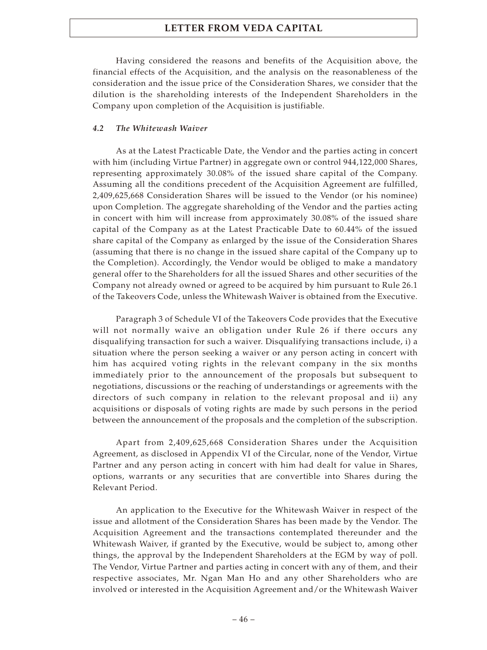Having considered the reasons and benefits of the Acquisition above, the financial effects of the Acquisition, and the analysis on the reasonableness of the consideration and the issue price of the Consideration Shares, we consider that the dilution is the shareholding interests of the Independent Shareholders in the Company upon completion of the Acquisition is justifiable.

### *4.2 The Whitewash Waiver*

As at the Latest Practicable Date, the Vendor and the parties acting in concert with him (including Virtue Partner) in aggregate own or control 944,122,000 Shares, representing approximately 30.08% of the issued share capital of the Company. Assuming all the conditions precedent of the Acquisition Agreement are fulfilled, 2,409,625,668 Consideration Shares will be issued to the Vendor (or his nominee) upon Completion. The aggregate shareholding of the Vendor and the parties acting in concert with him will increase from approximately 30.08% of the issued share capital of the Company as at the Latest Practicable Date to 60.44% of the issued share capital of the Company as enlarged by the issue of the Consideration Shares (assuming that there is no change in the issued share capital of the Company up to the Completion). Accordingly, the Vendor would be obliged to make a mandatory general offer to the Shareholders for all the issued Shares and other securities of the Company not already owned or agreed to be acquired by him pursuant to Rule 26.1 of the Takeovers Code, unless the Whitewash Waiver is obtained from the Executive.

Paragraph 3 of Schedule VI of the Takeovers Code provides that the Executive will not normally waive an obligation under Rule 26 if there occurs any disqualifying transaction for such a waiver. Disqualifying transactions include, i) a situation where the person seeking a waiver or any person acting in concert with him has acquired voting rights in the relevant company in the six months immediately prior to the announcement of the proposals but subsequent to negotiations, discussions or the reaching of understandings or agreements with the directors of such company in relation to the relevant proposal and ii) any acquisitions or disposals of voting rights are made by such persons in the period between the announcement of the proposals and the completion of the subscription.

Apart from 2,409,625,668 Consideration Shares under the Acquisition Agreement, as disclosed in Appendix VI of the Circular, none of the Vendor, Virtue Partner and any person acting in concert with him had dealt for value in Shares, options, warrants or any securities that are convertible into Shares during the Relevant Period.

An application to the Executive for the Whitewash Waiver in respect of the issue and allotment of the Consideration Shares has been made by the Vendor. The Acquisition Agreement and the transactions contemplated thereunder and the Whitewash Waiver, if granted by the Executive, would be subject to, among other things, the approval by the Independent Shareholders at the EGM by way of poll. The Vendor, Virtue Partner and parties acting in concert with any of them, and their respective associates, Mr. Ngan Man Ho and any other Shareholders who are involved or interested in the Acquisition Agreement and/or the Whitewash Waiver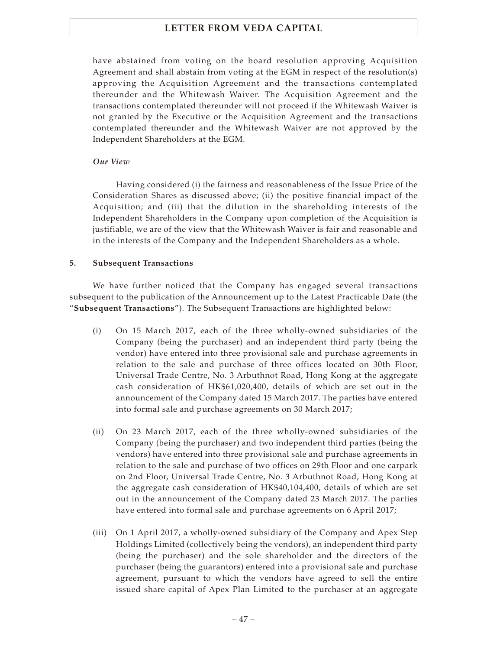have abstained from voting on the board resolution approving Acquisition Agreement and shall abstain from voting at the EGM in respect of the resolution(s) approving the Acquisition Agreement and the transactions contemplated thereunder and the Whitewash Waiver. The Acquisition Agreement and the transactions contemplated thereunder will not proceed if the Whitewash Waiver is not granted by the Executive or the Acquisition Agreement and the transactions contemplated thereunder and the Whitewash Waiver are not approved by the Independent Shareholders at the EGM.

### *Our View*

Having considered (i) the fairness and reasonableness of the Issue Price of the Consideration Shares as discussed above; (ii) the positive financial impact of the Acquisition; and (iii) that the dilution in the shareholding interests of the Independent Shareholders in the Company upon completion of the Acquisition is justifiable, we are of the view that the Whitewash Waiver is fair and reasonable and in the interests of the Company and the Independent Shareholders as a whole.

### **5. Subsequent Transactions**

We have further noticed that the Company has engaged several transactions subsequent to the publication of the Announcement up to the Latest Practicable Date (the "**Subsequent Transactions**"). The Subsequent Transactions are highlighted below:

- (i) On 15 March 2017, each of the three wholly-owned subsidiaries of the Company (being the purchaser) and an independent third party (being the vendor) have entered into three provisional sale and purchase agreements in relation to the sale and purchase of three offices located on 30th Floor, Universal Trade Centre, No. 3 Arbuthnot Road, Hong Kong at the aggregate cash consideration of HK\$61,020,400, details of which are set out in the announcement of the Company dated 15 March 2017. The parties have entered into formal sale and purchase agreements on 30 March 2017;
- (ii) On 23 March 2017, each of the three wholly-owned subsidiaries of the Company (being the purchaser) and two independent third parties (being the vendors) have entered into three provisional sale and purchase agreements in relation to the sale and purchase of two offices on 29th Floor and one carpark on 2nd Floor, Universal Trade Centre, No. 3 Arbuthnot Road, Hong Kong at the aggregate cash consideration of HK\$40,104,400, details of which are set out in the announcement of the Company dated 23 March 2017. The parties have entered into formal sale and purchase agreements on 6 April 2017;
- (iii) On 1 April 2017, a wholly-owned subsidiary of the Company and Apex Step Holdings Limited (collectively being the vendors), an independent third party (being the purchaser) and the sole shareholder and the directors of the purchaser (being the guarantors) entered into a provisional sale and purchase agreement, pursuant to which the vendors have agreed to sell the entire issued share capital of Apex Plan Limited to the purchaser at an aggregate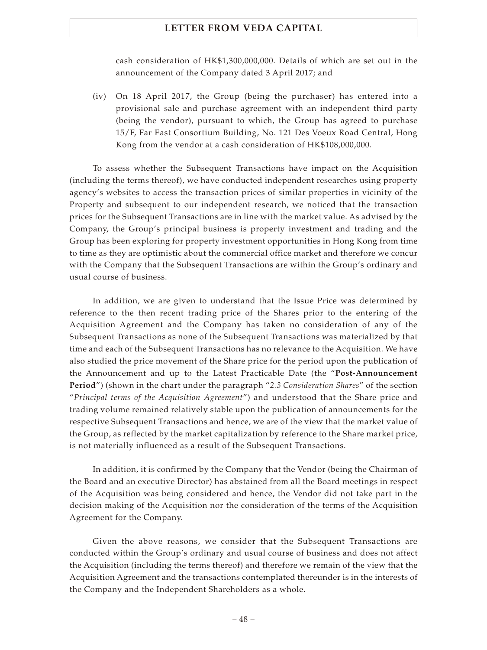cash consideration of HK\$1,300,000,000. Details of which are set out in the announcement of the Company dated 3 April 2017; and

(iv) On 18 April 2017, the Group (being the purchaser) has entered into a provisional sale and purchase agreement with an independent third party (being the vendor), pursuant to which, the Group has agreed to purchase 15/F, Far East Consortium Building, No. 121 Des Voeux Road Central, Hong Kong from the vendor at a cash consideration of HK\$108,000,000.

To assess whether the Subsequent Transactions have impact on the Acquisition (including the terms thereof), we have conducted independent researches using property agency's websites to access the transaction prices of similar properties in vicinity of the Property and subsequent to our independent research, we noticed that the transaction prices for the Subsequent Transactions are in line with the market value. As advised by the Company, the Group's principal business is property investment and trading and the Group has been exploring for property investment opportunities in Hong Kong from time to time as they are optimistic about the commercial office market and therefore we concur with the Company that the Subsequent Transactions are within the Group's ordinary and usual course of business.

In addition, we are given to understand that the Issue Price was determined by reference to the then recent trading price of the Shares prior to the entering of the Acquisition Agreement and the Company has taken no consideration of any of the Subsequent Transactions as none of the Subsequent Transactions was materialized by that time and each of the Subsequent Transactions has no relevance to the Acquisition. We have also studied the price movement of the Share price for the period upon the publication of the Announcement and up to the Latest Practicable Date (the "**Post-Announcement Period**") (shown in the chart under the paragraph "*2.3 Consideration Shares*" of the section "*Principal terms of the Acquisition Agreement*") and understood that the Share price and trading volume remained relatively stable upon the publication of announcements for the respective Subsequent Transactions and hence, we are of the view that the market value of the Group, as reflected by the market capitalization by reference to the Share market price, is not materially influenced as a result of the Subsequent Transactions.

In addition, it is confirmed by the Company that the Vendor (being the Chairman of the Board and an executive Director) has abstained from all the Board meetings in respect of the Acquisition was being considered and hence, the Vendor did not take part in the decision making of the Acquisition nor the consideration of the terms of the Acquisition Agreement for the Company.

Given the above reasons, we consider that the Subsequent Transactions are conducted within the Group's ordinary and usual course of business and does not affect the Acquisition (including the terms thereof) and therefore we remain of the view that the Acquisition Agreement and the transactions contemplated thereunder is in the interests of the Company and the Independent Shareholders as a whole.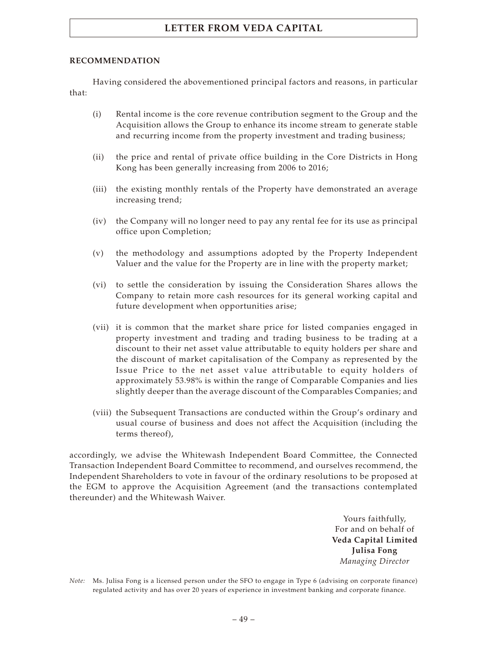### **RECOMMENDATION**

Having considered the abovementioned principal factors and reasons, in particular that:

- (i) Rental income is the core revenue contribution segment to the Group and the Acquisition allows the Group to enhance its income stream to generate stable and recurring income from the property investment and trading business;
- (ii) the price and rental of private office building in the Core Districts in Hong Kong has been generally increasing from 2006 to 2016;
- (iii) the existing monthly rentals of the Property have demonstrated an average increasing trend;
- (iv) the Company will no longer need to pay any rental fee for its use as principal office upon Completion;
- (v) the methodology and assumptions adopted by the Property Independent Valuer and the value for the Property are in line with the property market;
- (vi) to settle the consideration by issuing the Consideration Shares allows the Company to retain more cash resources for its general working capital and future development when opportunities arise;
- (vii) it is common that the market share price for listed companies engaged in property investment and trading and trading business to be trading at a discount to their net asset value attributable to equity holders per share and the discount of market capitalisation of the Company as represented by the Issue Price to the net asset value attributable to equity holders of approximately 53.98% is within the range of Comparable Companies and lies slightly deeper than the average discount of the Comparables Companies; and
- (viii) the Subsequent Transactions are conducted within the Group's ordinary and usual course of business and does not affect the Acquisition (including the terms thereof),

accordingly, we advise the Whitewash Independent Board Committee, the Connected Transaction Independent Board Committee to recommend, and ourselves recommend, the Independent Shareholders to vote in favour of the ordinary resolutions to be proposed at the EGM to approve the Acquisition Agreement (and the transactions contemplated thereunder) and the Whitewash Waiver.

> Yours faithfully, For and on behalf of **Veda Capital Limited Julisa Fong** *Managing Director*

*Note:* Ms. Julisa Fong is a licensed person under the SFO to engage in Type 6 (advising on corporate finance) regulated activity and has over 20 years of experience in investment banking and corporate finance.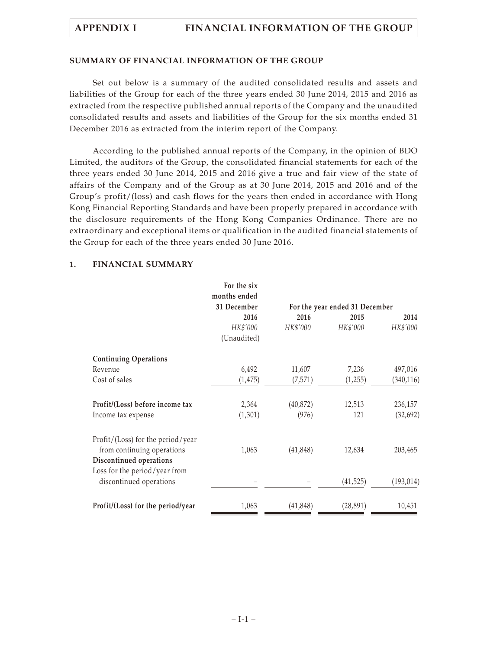### **SUMMARY OF FINANCIAL INFORMATION OF THE GROUP**

Set out below is a summary of the audited consolidated results and assets and liabilities of the Group for each of the three years ended 30 June 2014, 2015 and 2016 as extracted from the respective published annual reports of the Company and the unaudited consolidated results and assets and liabilities of the Group for the six months ended 31 December 2016 as extracted from the interim report of the Company.

According to the published annual reports of the Company, in the opinion of BDO Limited, the auditors of the Group, the consolidated financial statements for each of the three years ended 30 June 2014, 2015 and 2016 give a true and fair view of the state of affairs of the Company and of the Group as at 30 June 2014, 2015 and 2016 and of the Group's profit/(loss) and cash flows for the years then ended in accordance with Hong Kong Financial Reporting Standards and have been properly prepared in accordance with the disclosure requirements of the Hong Kong Companies Ordinance. There are no extraordinary and exceptional items or qualification in the audited financial statements of the Group for each of the three years ended 30 June 2016.

|                                                                                     | For the six<br>months ended |           |                                |            |  |  |
|-------------------------------------------------------------------------------------|-----------------------------|-----------|--------------------------------|------------|--|--|
|                                                                                     | 31 December                 |           | For the year ended 31 December |            |  |  |
|                                                                                     | 2016                        | 2016      | 2015                           | 2014       |  |  |
|                                                                                     | HK\$'000                    | HK\$'000  | HK\$'000                       | HK\$'000   |  |  |
|                                                                                     | (Unaudited)                 |           |                                |            |  |  |
| <b>Continuing Operations</b>                                                        |                             |           |                                |            |  |  |
| Revenue                                                                             | 6,492                       | 11,607    | 7,236                          | 497,016    |  |  |
| Cost of sales                                                                       | (1, 475)                    | (7,571)   | (1,255)                        | (340, 116) |  |  |
| Profit/(Loss) before income tax                                                     | 2,364                       | (40, 872) | 12,513                         | 236,157    |  |  |
| Income tax expense                                                                  | (1,301)                     | (976)     | 121                            | (32, 692)  |  |  |
| Profit/(Loss) for the period/year<br>from continuing operations                     | 1,063                       | (41, 848) | 12,634                         | 203,465    |  |  |
| Discontinued operations<br>Loss for the period/year from<br>discontinued operations |                             |           | (41, 525)                      | (193, 014) |  |  |
|                                                                                     |                             |           |                                |            |  |  |
| Profit/(Loss) for the period/year                                                   | 1,063                       | (41, 848) | (28, 891)                      | 10,451     |  |  |

### **1. FINANCIAL SUMMARY**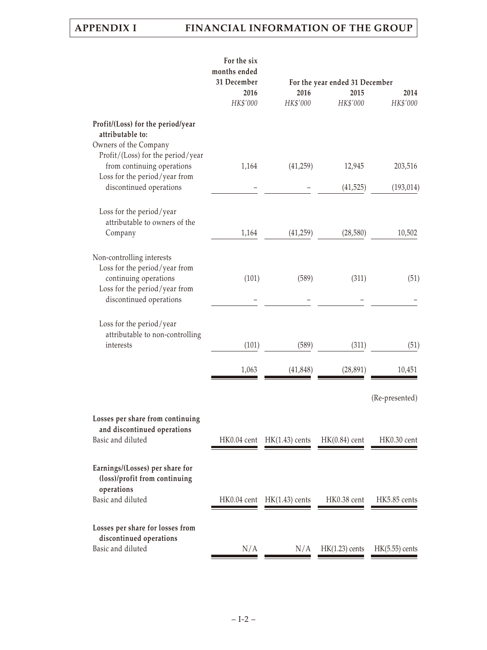|                                                                                                  | For the six<br>months ended |                                |                                |                  |  |  |
|--------------------------------------------------------------------------------------------------|-----------------------------|--------------------------------|--------------------------------|------------------|--|--|
|                                                                                                  | 31 December                 |                                | For the year ended 31 December |                  |  |  |
|                                                                                                  | 2016                        | 2016                           | 2015                           | 2014             |  |  |
|                                                                                                  | HK\$'000                    | HK\$'000                       | HK\$'000                       | HK\$'000         |  |  |
| Profit/(Loss) for the period/year<br>attributable to:<br>Owners of the Company                   |                             |                                |                                |                  |  |  |
| Profit/(Loss) for the period/year<br>from continuing operations<br>Loss for the period/year from | 1,164                       | (41,259)                       | 12,945                         | 203,516          |  |  |
| discontinued operations                                                                          |                             |                                | (41, 525)                      | (193, 014)       |  |  |
| Loss for the period/year<br>attributable to owners of the                                        |                             |                                |                                |                  |  |  |
| Company                                                                                          | 1,164                       | (41,259)                       | (28, 580)                      | 10,502           |  |  |
| Non-controlling interests<br>Loss for the period/year from<br>continuing operations              | (101)                       | (589)                          | (311)                          | (51)             |  |  |
| Loss for the period/year from<br>discontinued operations                                         |                             |                                |                                |                  |  |  |
| Loss for the period/year<br>attributable to non-controlling                                      |                             |                                |                                |                  |  |  |
| interests                                                                                        | (101)                       | (589)                          | (311)                          | (51)             |  |  |
|                                                                                                  | 1,063                       | (41, 848)                      | (28, 891)                      | 10,451           |  |  |
|                                                                                                  |                             |                                |                                | (Re-presented)   |  |  |
| Losses per share from continuing<br>and discontinued operations                                  |                             |                                |                                |                  |  |  |
| Basic and diluted                                                                                | HK0.04 cent                 | $HK(1.43)$ cents               | $HK(0.84)$ cent                | HK0.30 cent      |  |  |
| Earnings/(Losses) per share for<br>(loss)/profit from continuing<br>operations                   |                             |                                |                                |                  |  |  |
| Basic and diluted                                                                                |                             | $HK0.04$ cent $HK(1.43)$ cents | HK0.38 cent                    | HK5.85 cents     |  |  |
| Losses per share for losses from<br>discontinued operations                                      |                             |                                |                                |                  |  |  |
| Basic and diluted                                                                                | N/A                         | N/A                            | $HK(1.23)$ cents               | $HK(5.55)$ cents |  |  |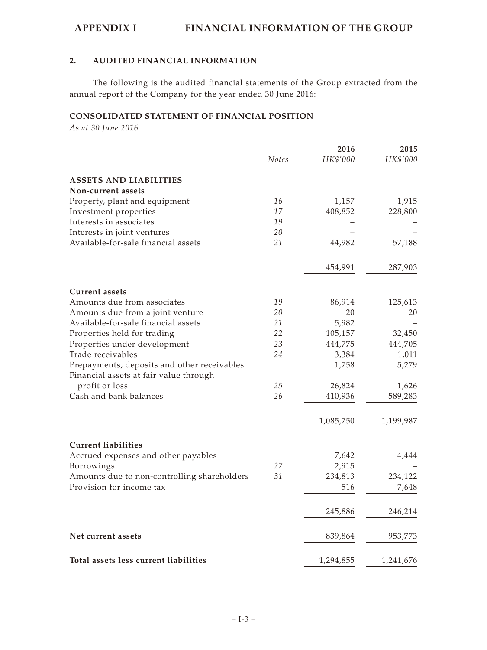### **2. AUDITED FINANCIAL INFORMATION**

The following is the audited financial statements of the Group extracted from the annual report of the Company for the year ended 30 June 2016:

## **CONSOLIDATED STATEMENT OF FINANCIAL POSITION**

*As at 30 June 2016*

|                                             |              | 2016      | 2015      |
|---------------------------------------------|--------------|-----------|-----------|
|                                             | <b>Notes</b> | HK\$'000  | HK\$'000  |
| <b>ASSETS AND LIABILITIES</b>               |              |           |           |
| Non-current assets                          |              |           |           |
| Property, plant and equipment               | 16           | 1,157     | 1,915     |
| Investment properties                       | 17           | 408,852   | 228,800   |
| Interests in associates                     | 19           |           |           |
| Interests in joint ventures                 | 20           |           |           |
| Available-for-sale financial assets         | 21           | 44,982    | 57,188    |
|                                             |              | 454,991   | 287,903   |
| <b>Current assets</b>                       |              |           |           |
| Amounts due from associates                 | 19           | 86,914    | 125,613   |
| Amounts due from a joint venture            | 20           | 20        | 20        |
| Available-for-sale financial assets         | 21           | 5,982     |           |
| Properties held for trading                 | 22           | 105,157   | 32,450    |
| Properties under development                | 23           | 444,775   | 444,705   |
| Trade receivables                           | 24           | 3,384     | 1,011     |
| Prepayments, deposits and other receivables |              | 1,758     | 5,279     |
| Financial assets at fair value through      |              |           |           |
| profit or loss                              | 25           | 26,824    | 1,626     |
| Cash and bank balances                      | 26           | 410,936   | 589,283   |
|                                             |              | 1,085,750 | 1,199,987 |
| <b>Current liabilities</b>                  |              |           |           |
| Accrued expenses and other payables         |              | 7,642     | 4,444     |
| Borrowings                                  | 27           | 2,915     |           |
| Amounts due to non-controlling shareholders | 31           | 234,813   | 234,122   |
| Provision for income tax                    |              | 516       | 7,648     |
|                                             |              | 245,886   | 246,214   |
|                                             |              |           |           |
| Net current assets                          |              | 839,864   | 953,773   |
| Total assets less current liabilities       |              | 1,294,855 | 1,241,676 |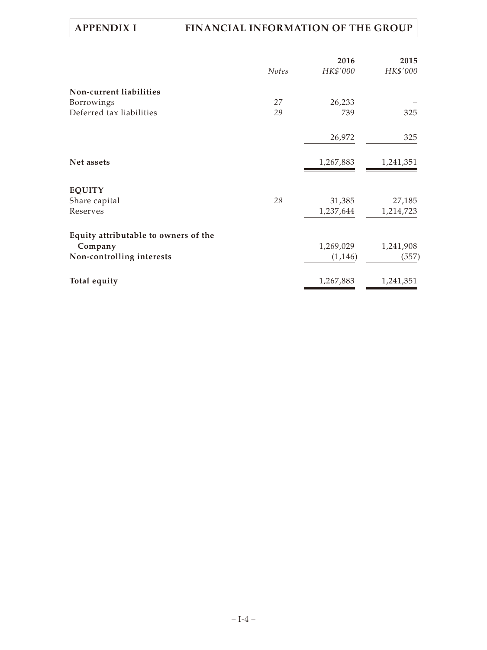|                                      |       | 2016      | 2015      |
|--------------------------------------|-------|-----------|-----------|
|                                      | Notes | HK\$'000  | HK\$'000  |
| Non-current liabilities              |       |           |           |
| Borrowings                           | 27    | 26,233    |           |
| Deferred tax liabilities             | 29    | 739       | 325       |
|                                      |       | 26,972    | 325       |
| Net assets                           |       | 1,267,883 | 1,241,351 |
| <b>EQUITY</b>                        |       |           |           |
| Share capital                        | 28    | 31,385    | 27,185    |
| Reserves                             |       | 1,237,644 | 1,214,723 |
| Equity attributable to owners of the |       |           |           |
| Company                              |       | 1,269,029 | 1,241,908 |
| Non-controlling interests            |       | (1,146)   | (557)     |
| Total equity                         |       | 1,267,883 | 1,241,351 |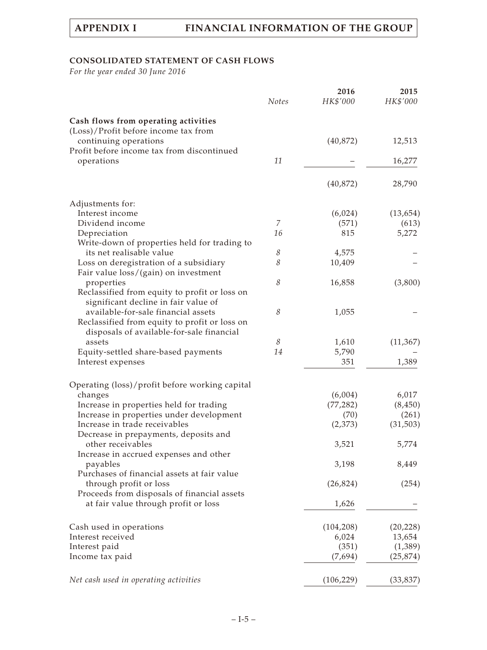# **CONSOLIDATED STATEMENT OF CASH FLOWS**

*For the year ended 30 June 2016*

|                                                                                            | <b>Notes</b> | 2016<br>HK\$'000 | 2015<br>HK\$'000 |
|--------------------------------------------------------------------------------------------|--------------|------------------|------------------|
| Cash flows from operating activities<br>(Loss)/Profit before income tax from               |              |                  |                  |
| continuing operations<br>Profit before income tax from discontinued                        |              | (40, 872)        | 12,513           |
| operations                                                                                 | 11           |                  | 16,277           |
|                                                                                            |              | (40, 872)        | 28,790           |
| Adjustments for:                                                                           |              |                  |                  |
| Interest income                                                                            |              | (6,024)          | (13, 654)        |
| Dividend income                                                                            | 7            | (571)            | (613)            |
| Depreciation                                                                               | 16           | 815              | 5,272            |
| Write-down of properties held for trading to                                               |              |                  |                  |
| its net realisable value                                                                   | 8            | 4,575            |                  |
| Loss on deregistration of a subsidiary<br>Fair value loss/(gain) on investment             | 8            | 10,409           |                  |
| properties                                                                                 | 8            | 16,858           | (3,800)          |
| Reclassified from equity to profit or loss on<br>significant decline in fair value of      |              |                  |                  |
| available-for-sale financial assets                                                        | 8            | 1,055            |                  |
| Reclassified from equity to profit or loss on<br>disposals of available-for-sale financial |              |                  |                  |
| assets                                                                                     | 8            | 1,610            | (11, 367)        |
| Equity-settled share-based payments                                                        | 14           | 5,790            |                  |
| Interest expenses                                                                          |              | 351              | 1,389            |
| Operating (loss)/profit before working capital                                             |              |                  |                  |
| changes                                                                                    |              | (6,004)          | 6,017            |
| Increase in properties held for trading                                                    |              | (77, 282)        | (8, 450)         |
| Increase in properties under development                                                   |              | (70)             | (261)            |
| Increase in trade receivables<br>Decrease in prepayments, deposits and                     |              | (2,373)          | (31,503)         |
| other receivables<br>Increase in accrued expenses and other                                |              | 3,521            | 5,774            |
| payables                                                                                   |              | 3,198            | 8,449            |
| Purchases of financial assets at fair value                                                |              |                  |                  |
| through profit or loss                                                                     |              | (26, 824)        | (254)            |
| Proceeds from disposals of financial assets<br>at fair value through profit or loss        |              | 1,626            |                  |
|                                                                                            |              |                  |                  |
| Cash used in operations                                                                    |              | (104, 208)       | (20, 228)        |
| Interest received                                                                          |              | 6,024            | 13,654           |
| Interest paid                                                                              |              | (351)            | (1,389)          |
| Income tax paid                                                                            |              | (7,694)          | (25, 874)        |
| Net cash used in operating activities                                                      |              | (106, 229)       | (33, 837)        |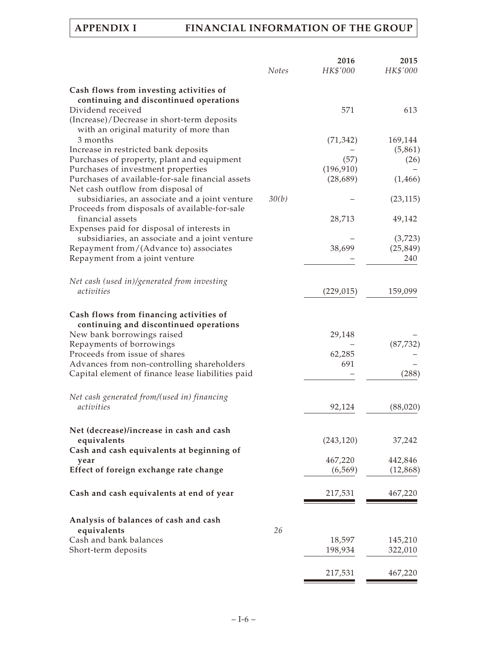|                                                   | <b>Notes</b> | 2016<br>HK\$'000 | 2015<br>HK\$'000 |
|---------------------------------------------------|--------------|------------------|------------------|
| Cash flows from investing activities of           |              |                  |                  |
| continuing and discontinued operations            |              |                  |                  |
| Dividend received                                 |              | 571              | 613              |
| (Increase)/Decrease in short-term deposits        |              |                  |                  |
| with an original maturity of more than            |              |                  |                  |
| 3 months                                          |              | (71, 342)        | 169,144          |
| Increase in restricted bank deposits              |              |                  | (5,861)          |
| Purchases of property, plant and equipment        |              | (57)             | (26)             |
| Purchases of investment properties                |              | (196, 910)       |                  |
| Purchases of available-for-sale financial assets  |              | (28, 689)        | (1,466)          |
| Net cash outflow from disposal of                 |              |                  |                  |
| subsidiaries, an associate and a joint venture    | 30(b)        |                  | (23, 115)        |
| Proceeds from disposals of available-for-sale     |              |                  |                  |
| financial assets                                  |              | 28,713           | 49,142           |
| Expenses paid for disposal of interests in        |              |                  |                  |
| subsidiaries, an associate and a joint venture    |              |                  | (3,723)          |
| Repayment from/(Advance to) associates            |              | 38,699           | (25, 849)        |
| Repayment from a joint venture                    |              |                  | 240              |
|                                                   |              |                  |                  |
| Net cash (used in)/generated from investing       |              |                  |                  |
| activities                                        |              | (229, 015)       | 159,099          |
|                                                   |              |                  |                  |
| Cash flows from financing activities of           |              |                  |                  |
| continuing and discontinued operations            |              |                  |                  |
| New bank borrowings raised                        |              | 29,148           |                  |
| Repayments of borrowings                          |              |                  | (87, 732)        |
| Proceeds from issue of shares                     |              | 62,285           |                  |
| Advances from non-controlling shareholders        |              | 691              |                  |
| Capital element of finance lease liabilities paid |              |                  | (288)            |
| Net cash generated from/(used in) financing       |              |                  |                  |
| activities                                        |              | 92,124           | (88,020)         |
|                                                   |              |                  |                  |
| Net (decrease)/increase in cash and cash          |              |                  |                  |
| equivalents                                       |              | (243, 120)       | 37,242           |
| Cash and cash equivalents at beginning of         |              |                  |                  |
| year                                              |              | 467,220          | 442,846          |
| Effect of foreign exchange rate change            |              | (6, 569)         | (12, 868)        |
|                                                   |              |                  |                  |
| Cash and cash equivalents at end of year          |              | 217,531          | 467,220          |
|                                                   |              |                  |                  |
| Analysis of balances of cash and cash             |              |                  |                  |
| equivalents                                       | 26           |                  |                  |
| Cash and bank balances                            |              | 18,597           | 145,210          |
| Short-term deposits                               |              | 198,934          | 322,010          |
|                                                   |              | 217,531          | 467,220          |
|                                                   |              |                  |                  |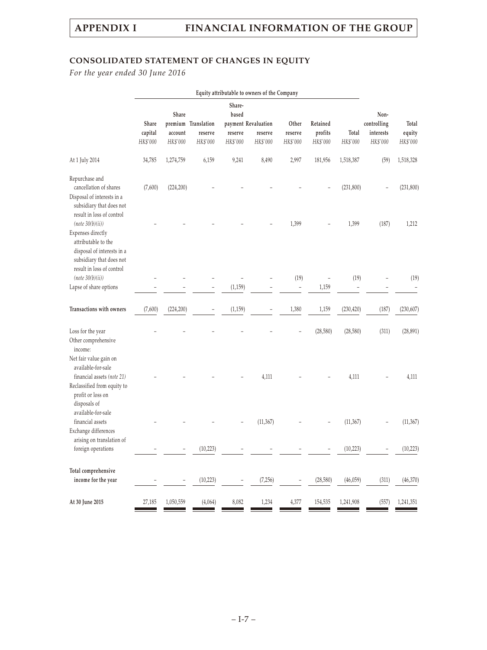# **CONSOLIDATED STATEMENT OF CHANGES IN EQUITY**

*For the year ended 30 June 2016*

|                                                                                                                                                     | Equity attributable to owners of the Company |                  |                                |                            |                                |                  |                     |            |                                  |                 |
|-----------------------------------------------------------------------------------------------------------------------------------------------------|----------------------------------------------|------------------|--------------------------------|----------------------------|--------------------------------|------------------|---------------------|------------|----------------------------------|-----------------|
|                                                                                                                                                     | Share<br>capital                             | Share<br>account | premium Translation<br>reserve | Share-<br>based<br>reserve | payment Revaluation<br>reserve | Other<br>reserve | Retained<br>profits | Total      | Non-<br>controlling<br>interests | Total<br>equity |
|                                                                                                                                                     | HK\$'000                                     | HK\$'000         | HK\$'000                       | HK\$'000                   | HK\$'000                       | HK\$'000         | HK\$'000            | HK\$'000   | HK\$'000                         | HK\$'000        |
| At 1 July 2014                                                                                                                                      | 34,785                                       | 1,274,759        | 6,159                          | 9,241                      | 8,490                          | 2,997            | 181,956             | 1,518,387  | (59)                             | 1,518,328       |
| Repurchase and<br>cancellation of shares<br>Disposal of interests in a<br>subsidiary that does not<br>result in loss of control                     | (7,600)                                      | (224, 200)       |                                |                            |                                |                  |                     | (231, 800) |                                  | (231, 800)      |
| (note 30(b)(ii))<br>Expenses directly<br>attributable to the<br>disposal of interests in a<br>subsidiary that does not<br>result in loss of control |                                              |                  |                                |                            |                                | 1,399            |                     | 1,399      | (187)                            | 1,212           |
| (note 30(b)(ii))                                                                                                                                    |                                              |                  |                                |                            |                                | (19)             | $\qquad \qquad -$   | (19)       |                                  | (19)            |
| Lapse of share options                                                                                                                              |                                              |                  |                                | (1, 159)                   |                                |                  | 1,159               |            |                                  |                 |
| Transactions with owners                                                                                                                            | (7,600)                                      | (224, 200)       |                                | (1, 159)                   |                                | 1,380            | 1,159               | (230, 420) | (187)                            | (230, 607)      |
| Loss for the year<br>Other comprehensive<br>income:                                                                                                 |                                              |                  |                                |                            |                                |                  | (28, 580)           | (28, 580)  | (311)                            | (28, 891)       |
| Net fair value gain on<br>available-for-sale<br>financial assets (note 21)<br>Reclassified from equity to<br>profit or loss on<br>disposals of      |                                              |                  |                                |                            | 4,111                          |                  |                     | 4,111      |                                  | 4,111           |
| available-for-sale<br>financial assets<br>Exchange differences                                                                                      |                                              |                  |                                |                            | (11, 367)                      |                  |                     | (11, 367)  |                                  | (11, 367)       |
| arising on translation of<br>foreign operations                                                                                                     |                                              |                  | (10, 223)                      |                            |                                |                  |                     | (10, 223)  |                                  | (10, 223)       |
| Total comprehensive<br>income for the year                                                                                                          |                                              |                  | (10, 223)                      |                            | (7,256)                        |                  | (28, 580)           | (46,059)   | (311)                            | (46,370)        |
| At 30 June 2015                                                                                                                                     | 27,185                                       | 1,050,559        | (4,064)                        | 8,082                      | 1,234                          | 4,377            | 154,535             | 1,241,908  | (557)                            | 1,241,351       |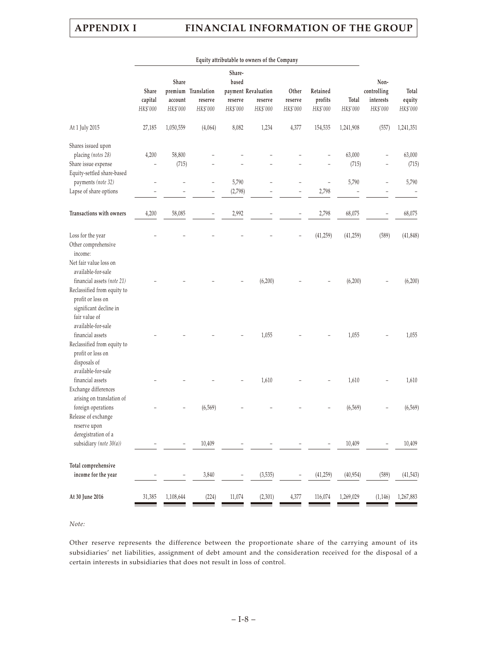| Equity attributable to owners of the Company |                                        |                     |                                                               |                     |                              |                                 |                                   |                                              |                             |
|----------------------------------------------|----------------------------------------|---------------------|---------------------------------------------------------------|---------------------|------------------------------|---------------------------------|-----------------------------------|----------------------------------------------|-----------------------------|
| Share<br>capital<br>HK\$'000                 | Share<br>account<br>HK\$'000           | reserve<br>HK\$'000 | Share-<br>based<br>reserve<br>HK\$'000                        | reserve<br>HK\$'000 | Other<br>reserve<br>HK\$'000 | Retained<br>profits<br>HK\$'000 | Total<br>HK\$'000                 | Non-<br>controlling<br>interests<br>HK\$'000 | Total<br>equity<br>HK\$'000 |
| 27,185                                       | 1,050,559                              | (4,064)             | 8,082                                                         | 1,234               | 4,377                        | 154,535                         | 1,241,908                         | (557)                                        | 1,241,351                   |
|                                              |                                        |                     |                                                               |                     |                              |                                 |                                   |                                              |                             |
|                                              |                                        |                     |                                                               |                     |                              |                                 |                                   |                                              | 63,000                      |
|                                              |                                        |                     |                                                               |                     |                              |                                 |                                   |                                              | (715)                       |
|                                              |                                        |                     |                                                               |                     |                              |                                 |                                   |                                              |                             |
|                                              |                                        |                     |                                                               |                     |                              |                                 |                                   |                                              | 5,790                       |
|                                              |                                        |                     |                                                               |                     |                              |                                 |                                   |                                              |                             |
| 4,200                                        | 58,085                                 |                     | 2,992                                                         |                     |                              | 2,798                           | 68,075                            |                                              | 68,075                      |
|                                              |                                        |                     |                                                               |                     |                              | (41,259)                        | (41, 259)                         | (589)                                        | (41, 848)                   |
|                                              |                                        |                     |                                                               | (6,200)             |                              |                                 | (6,200)                           |                                              | (6,200)                     |
|                                              |                                        |                     |                                                               | 1,055               |                              |                                 | 1,055                             |                                              | 1,055                       |
|                                              |                                        |                     |                                                               | 1,610               |                              |                                 | 1,610                             |                                              | 1,610                       |
|                                              |                                        | (6, 569)            |                                                               |                     |                              |                                 | (6, 569)                          |                                              | (6, 569)                    |
|                                              |                                        | 10,409              |                                                               |                     |                              |                                 | 10,409                            |                                              | 10,409                      |
|                                              |                                        | 3,840               |                                                               | (3, 535)            |                              | (41,259)                        | (40, 954)                         | (589)                                        | (41, 543)                   |
| 31,385                                       | 1,108,644                              | (224)               | 11,074                                                        | (2,301)             | 4,377                        | 116,074                         | 1,269,029                         | (1, 146)                                     | 1,267,883                   |
|                                              | 4,200<br>$\overline{\phantom{a}}$<br>٠ | 58,800              | premium Translation<br>(715)<br>$\overline{\phantom{a}}$<br>- | 5,790<br>(2,798)    | payment Revaluation          |                                 | $\overline{\phantom{0}}$<br>2,798 | 63,000<br>(715)<br>5,790                     |                             |

#### *Note:*

Other reserve represents the difference between the proportionate share of the carrying amount of its subsidiaries' net liabilities, assignment of debt amount and the consideration received for the disposal of a certain interests in subsidiaries that does not result in loss of control.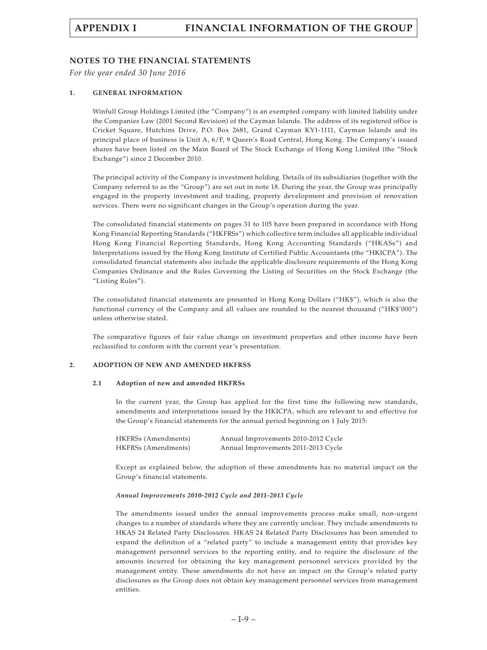### **NOTES TO THE FINANCIAL STATEMENTS**

*For the year ended 30 June 2016*

#### **1. GENERAL INFORMATION**

Winfull Group Holdings Limited (the "Company") is an exempted company with limited liability under the Companies Law (2001 Second Revision) of the Cayman Islands. The address of its registered office is Cricket Square, Hutchins Drive, P.O. Box 2681, Grand Cayman KY1-1111, Cayman Islands and its principal place of business is Unit A, 6/F, 9 Queen's Road Central, Hong Kong. The Company's issued shares have been listed on the Main Board of The Stock Exchange of Hong Kong Limited (the "Stock Exchange") since 2 December 2010.

The principal activity of the Company is investment holding. Details of its subsidiaries (together with the Company referred to as the "Group") are set out in note 18. During the year, the Group was principally engaged in the property investment and trading, property development and provision of renovation services. There were no significant changes in the Group's operation during the year.

The consolidated financial statements on pages 31 to 105 have been prepared in accordance with Hong Kong Financial Reporting Standards ("HKFRSs") which collective term includes all applicable individual Hong Kong Financial Reporting Standards, Hong Kong Accounting Standards ("HKASs") and Interpretations issued by the Hong Kong Institute of Certified Public Accountants (the "HKICPA"). The consolidated financial statements also include the applicable disclosure requirements of the Hong Kong Companies Ordinance and the Rules Governing the Listing of Securities on the Stock Exchange (the "Listing Rules").

The consolidated financial statements are presented in Hong Kong Dollars ("HK\$"), which is also the functional currency of the Company and all values are rounded to the nearest thousand ("HK\$'000") unless otherwise stated.

The comparative figures of fair value change on investment properties and other income have been reclassified to conform with the current year's presentation.

#### **2. ADOPTION OF NEW AND AMENDED HKFRSS**

#### **2.1 Adoption of new and amended HKFRSs**

In the current year, the Group has applied for the first time the following new standards, amendments and interpretations issued by the HKICPA, which are relevant to and effective for the Group's financial statements for the annual period beginning on 1 July 2015:

| HKFRSs (Amendments) | Annual Improvements 2010-2012 Cycle |
|---------------------|-------------------------------------|
| HKFRSs (Amendments) | Annual Improvements 2011-2013 Cycle |

Except as explained below, the adoption of these amendments has no material impact on the Group's financial statements.

#### *Annual Improvements 2010-2012 Cycle and 2011-2013 Cycle*

The amendments issued under the annual improvements process make small, non-urgent changes to a number of standards where they are currently unclear. They include amendments to HKAS 24 Related Party Disclosures. HKAS 24 Related Party Disclosures has been amended to expand the definition of a "related party" to include a management entity that provides key management personnel services to the reporting entity, and to require the disclosure of the amounts incurred for obtaining the key management personnel services provided by the management entity. These amendments do not have an impact on the Group's related party disclosures as the Group does not obtain key management personnel services from management entities.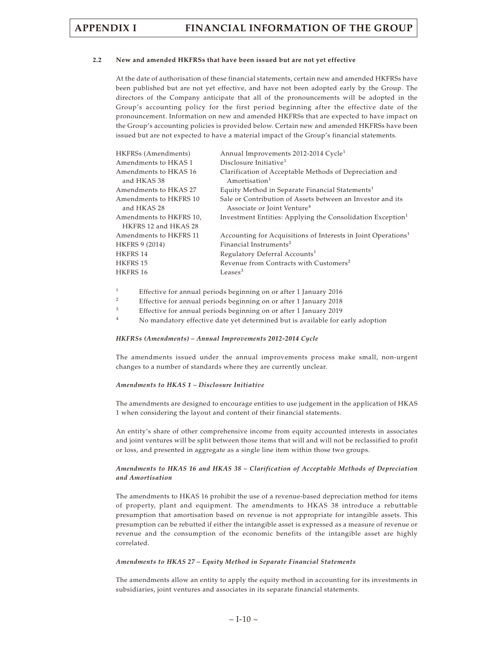#### **2.2 New and amended HKFRSs that have been issued but are not yet effective**

At the date of authorisation of these financial statements, certain new and amended HKFRSs have been published but are not yet effective, and have not been adopted early by the Group. The directors of the Company anticipate that all of the pronouncements will be adopted in the Group's accounting policy for the first period beginning after the effective date of the pronouncement. Information on new and amended HKFRSs that are expected to have impact on the Group's accounting policies is provided below. Certain new and amended HKFRSs have been issued but are not expected to have a material impact of the Group's financial statements.

| HKFRSs (Amendments)                             | Annual Improvements 2012-2014 Cycle <sup>1</sup>                                                      |
|-------------------------------------------------|-------------------------------------------------------------------------------------------------------|
| Amendments to HKAS 1                            | Disclosure Initiative <sup>1</sup>                                                                    |
| Amendments to HKAS 16<br>and HKAS 38            | Clarification of Acceptable Methods of Depreciation and<br>$A$ mortisation <sup>1</sup>               |
| Amendments to HKAS 27                           | Equity Method in Separate Financial Statements <sup>1</sup>                                           |
| Amendments to HKFRS 10<br>and HKAS 28           | Sale or Contribution of Assets between an Investor and its<br>Associate or Joint Venture <sup>4</sup> |
| Amendments to HKFRS 10,<br>HKFRS 12 and HKAS 28 | Investment Entities: Applying the Consolidation Exception <sup>1</sup>                                |
| Amendments to HKFRS 11                          | Accounting for Acquisitions of Interests in Joint Operations <sup>1</sup>                             |
| <b>HKFRS 9 (2014)</b>                           | Financial Instruments <sup>2</sup>                                                                    |
| HKFRS 14                                        | Regulatory Deferral Accounts <sup>1</sup>                                                             |
| HKFRS 15                                        | Revenue from Contracts with Customers <sup>2</sup>                                                    |
| HKFRS 16                                        | Leases $3$                                                                                            |

- <sup>1</sup> Effective for annual periods beginning on or after 1 January 2016
- <sup>2</sup> Effective for annual periods beginning on or after 1 January 2018
- <sup>3</sup> Effective for annual periods beginning on or after 1 January 2019
- <sup>4</sup> No mandatory effective date yet determined but is available for early adoption

#### *HKFRSs (Amendments) – Annual Improvements 2012-2014 Cycle*

The amendments issued under the annual improvements process make small, non-urgent changes to a number of standards where they are currently unclear.

#### *Amendments to HKAS 1 – Disclosure Initiative*

The amendments are designed to encourage entities to use judgement in the application of HKAS 1 when considering the layout and content of their financial statements.

An entity's share of other comprehensive income from equity accounted interests in associates and joint ventures will be split between those items that will and will not be reclassified to profit or loss, and presented in aggregate as a single line item within those two groups.

#### *Amendments to HKAS 16 and HKAS 38 – Clarification of Acceptable Methods of Depreciation and Amortisation*

The amendments to HKAS 16 prohibit the use of a revenue-based depreciation method for items of property, plant and equipment. The amendments to HKAS 38 introduce a rebuttable presumption that amortisation based on revenue is not appropriate for intangible assets. This presumption can be rebutted if either the intangible asset is expressed as a measure of revenue or revenue and the consumption of the economic benefits of the intangible asset are highly correlated.

#### *Amendments to HKAS 27 – Equity Method in Separate Financial Statements*

The amendments allow an entity to apply the equity method in accounting for its investments in subsidiaries, joint ventures and associates in its separate financial statements.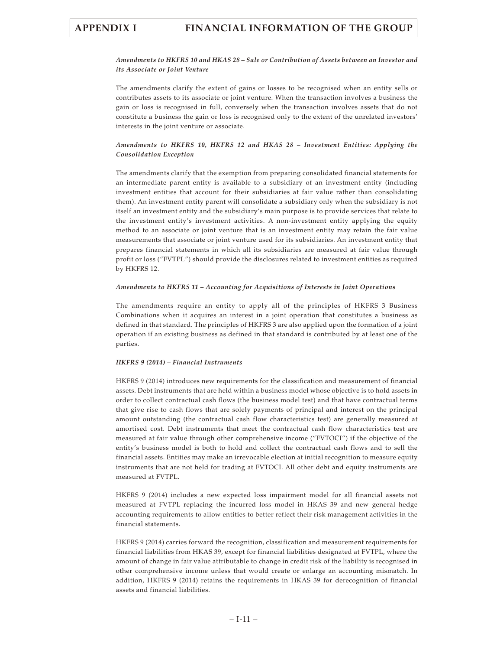#### *Amendments to HKFRS 10 and HKAS 28 – Sale or Contribution of Assets between an Investor and its Associate or Joint Venture*

The amendments clarify the extent of gains or losses to be recognised when an entity sells or contributes assets to its associate or joint venture. When the transaction involves a business the gain or loss is recognised in full, conversely when the transaction involves assets that do not constitute a business the gain or loss is recognised only to the extent of the unrelated investors' interests in the joint venture or associate.

#### *Amendments to HKFRS 10, HKFRS 12 and HKAS 28 – Investment Entities: Applying the Consolidation Exception*

The amendments clarify that the exemption from preparing consolidated financial statements for an intermediate parent entity is available to a subsidiary of an investment entity (including investment entities that account for their subsidiaries at fair value rather than consolidating them). An investment entity parent will consolidate a subsidiary only when the subsidiary is not itself an investment entity and the subsidiary's main purpose is to provide services that relate to the investment entity's investment activities. A non-investment entity applying the equity method to an associate or joint venture that is an investment entity may retain the fair value measurements that associate or joint venture used for its subsidiaries. An investment entity that prepares financial statements in which all its subsidiaries are measured at fair value through profit or loss ("FVTPL") should provide the disclosures related to investment entities as required by HKFRS 12.

#### *Amendments to HKFRS 11 – Accounting for Acquisitions of Interests in Joint Operations*

The amendments require an entity to apply all of the principles of HKFRS 3 Business Combinations when it acquires an interest in a joint operation that constitutes a business as defined in that standard. The principles of HKFRS 3 are also applied upon the formation of a joint operation if an existing business as defined in that standard is contributed by at least one of the parties.

#### *HKFRS 9 (2014) – Financial Instruments*

HKFRS 9 (2014) introduces new requirements for the classification and measurement of financial assets. Debt instruments that are held within a business model whose objective is to hold assets in order to collect contractual cash flows (the business model test) and that have contractual terms that give rise to cash flows that are solely payments of principal and interest on the principal amount outstanding (the contractual cash flow characteristics test) are generally measured at amortised cost. Debt instruments that meet the contractual cash flow characteristics test are measured at fair value through other comprehensive income ("FVTOCI") if the objective of the entity's business model is both to hold and collect the contractual cash flows and to sell the financial assets. Entities may make an irrevocable election at initial recognition to measure equity instruments that are not held for trading at FVTOCI. All other debt and equity instruments are measured at FVTPL.

HKFRS 9 (2014) includes a new expected loss impairment model for all financial assets not measured at FVTPL replacing the incurred loss model in HKAS 39 and new general hedge accounting requirements to allow entities to better reflect their risk management activities in the financial statements.

HKFRS 9 (2014) carries forward the recognition, classification and measurement requirements for financial liabilities from HKAS 39, except for financial liabilities designated at FVTPL, where the amount of change in fair value attributable to change in credit risk of the liability is recognised in other comprehensive income unless that would create or enlarge an accounting mismatch. In addition, HKFRS 9 (2014) retains the requirements in HKAS 39 for derecognition of financial assets and financial liabilities.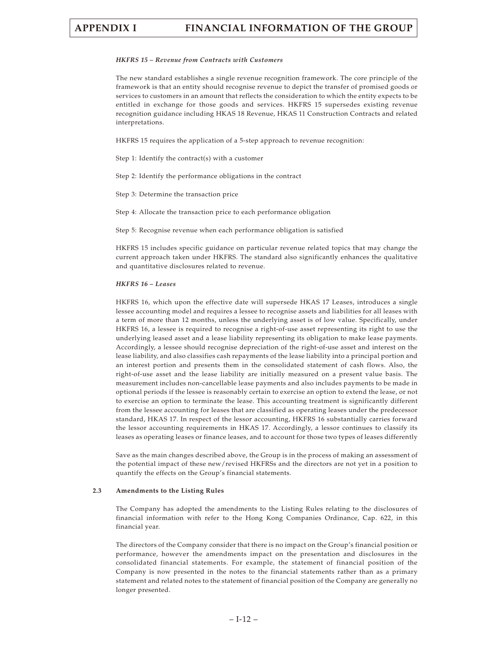#### *HKFRS 15 – Revenue from Contracts with Customers*

The new standard establishes a single revenue recognition framework. The core principle of the framework is that an entity should recognise revenue to depict the transfer of promised goods or services to customers in an amount that reflects the consideration to which the entity expects to be entitled in exchange for those goods and services. HKFRS 15 supersedes existing revenue recognition guidance including HKAS 18 Revenue, HKAS 11 Construction Contracts and related interpretations.

HKFRS 15 requires the application of a 5-step approach to revenue recognition:

Step 1: Identify the contract(s) with a customer

Step 2: Identify the performance obligations in the contract

Step 3: Determine the transaction price

Step 4: Allocate the transaction price to each performance obligation

Step 5: Recognise revenue when each performance obligation is satisfied

HKFRS 15 includes specific guidance on particular revenue related topics that may change the current approach taken under HKFRS. The standard also significantly enhances the qualitative and quantitative disclosures related to revenue.

#### *HKFRS 16 – Leases*

HKFRS 16, which upon the effective date will supersede HKAS 17 Leases, introduces a single lessee accounting model and requires a lessee to recognise assets and liabilities for all leases with a term of more than 12 months, unless the underlying asset is of low value. Specifically, under HKFRS 16, a lessee is required to recognise a right-of-use asset representing its right to use the underlying leased asset and a lease liability representing its obligation to make lease payments. Accordingly, a lessee should recognise depreciation of the right-of-use asset and interest on the lease liability, and also classifies cash repayments of the lease liability into a principal portion and an interest portion and presents them in the consolidated statement of cash flows. Also, the right-of-use asset and the lease liability are initially measured on a present value basis. The measurement includes non-cancellable lease payments and also includes payments to be made in optional periods if the lessee is reasonably certain to exercise an option to extend the lease, or not to exercise an option to terminate the lease. This accounting treatment is significantly different from the lessee accounting for leases that are classified as operating leases under the predecessor standard, HKAS 17. In respect of the lessor accounting, HKFRS 16 substantially carries forward the lessor accounting requirements in HKAS 17. Accordingly, a lessor continues to classify its leases as operating leases or finance leases, and to account for those two types of leases differently

Save as the main changes described above, the Group is in the process of making an assessment of the potential impact of these new/revised HKFRSs and the directors are not yet in a position to quantify the effects on the Group's financial statements.

#### **2.3 Amendments to the Listing Rules**

The Company has adopted the amendments to the Listing Rules relating to the disclosures of financial information with refer to the Hong Kong Companies Ordinance, Cap. 622, in this financial year.

The directors of the Company consider that there is no impact on the Group's financial position or performance, however the amendments impact on the presentation and disclosures in the consolidated financial statements. For example, the statement of financial position of the Company is now presented in the notes to the financial statements rather than as a primary statement and related notes to the statement of financial position of the Company are generally no longer presented.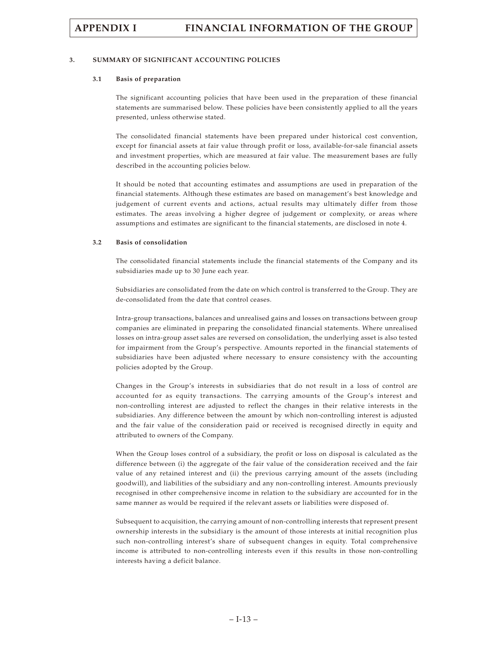#### **3. SUMMARY OF SIGNIFICANT ACCOUNTING POLICIES**

#### **3.1 Basis of preparation**

The significant accounting policies that have been used in the preparation of these financial statements are summarised below. These policies have been consistently applied to all the years presented, unless otherwise stated.

The consolidated financial statements have been prepared under historical cost convention, except for financial assets at fair value through profit or loss, available-for-sale financial assets and investment properties, which are measured at fair value. The measurement bases are fully described in the accounting policies below.

It should be noted that accounting estimates and assumptions are used in preparation of the financial statements. Although these estimates are based on management's best knowledge and judgement of current events and actions, actual results may ultimately differ from those estimates. The areas involving a higher degree of judgement or complexity, or areas where assumptions and estimates are significant to the financial statements, are disclosed in note 4.

#### **3.2 Basis of consolidation**

The consolidated financial statements include the financial statements of the Company and its subsidiaries made up to 30 June each year.

Subsidiaries are consolidated from the date on which control is transferred to the Group. They are de-consolidated from the date that control ceases.

Intra-group transactions, balances and unrealised gains and losses on transactions between group companies are eliminated in preparing the consolidated financial statements. Where unrealised losses on intra-group asset sales are reversed on consolidation, the underlying asset is also tested for impairment from the Group's perspective. Amounts reported in the financial statements of subsidiaries have been adjusted where necessary to ensure consistency with the accounting policies adopted by the Group.

Changes in the Group's interests in subsidiaries that do not result in a loss of control are accounted for as equity transactions. The carrying amounts of the Group's interest and non-controlling interest are adjusted to reflect the changes in their relative interests in the subsidiaries. Any difference between the amount by which non-controlling interest is adjusted and the fair value of the consideration paid or received is recognised directly in equity and attributed to owners of the Company.

When the Group loses control of a subsidiary, the profit or loss on disposal is calculated as the difference between (i) the aggregate of the fair value of the consideration received and the fair value of any retained interest and (ii) the previous carrying amount of the assets (including goodwill), and liabilities of the subsidiary and any non-controlling interest. Amounts previously recognised in other comprehensive income in relation to the subsidiary are accounted for in the same manner as would be required if the relevant assets or liabilities were disposed of.

Subsequent to acquisition, the carrying amount of non-controlling interests that represent present ownership interests in the subsidiary is the amount of those interests at initial recognition plus such non-controlling interest's share of subsequent changes in equity. Total comprehensive income is attributed to non-controlling interests even if this results in those non-controlling interests having a deficit balance.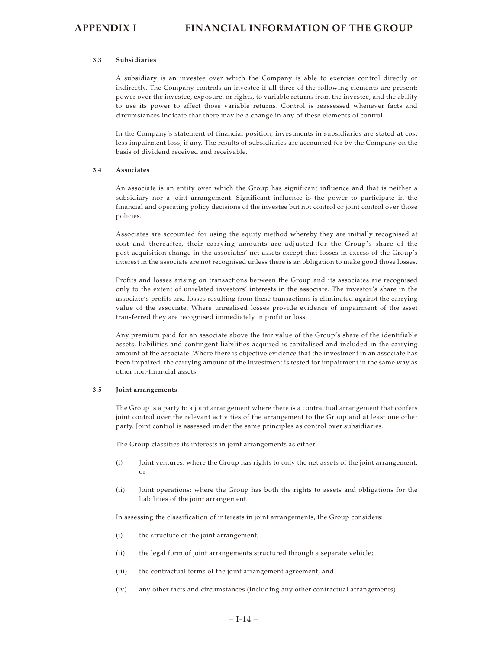#### **3.3 Subsidiaries**

A subsidiary is an investee over which the Company is able to exercise control directly or indirectly. The Company controls an investee if all three of the following elements are present: power over the investee, exposure, or rights, to variable returns from the investee, and the ability to use its power to affect those variable returns. Control is reassessed whenever facts and circumstances indicate that there may be a change in any of these elements of control.

In the Company's statement of financial position, investments in subsidiaries are stated at cost less impairment loss, if any. The results of subsidiaries are accounted for by the Company on the basis of dividend received and receivable.

#### **3.4 Associates**

An associate is an entity over which the Group has significant influence and that is neither a subsidiary nor a joint arrangement. Significant influence is the power to participate in the financial and operating policy decisions of the investee but not control or joint control over those policies.

Associates are accounted for using the equity method whereby they are initially recognised at cost and thereafter, their carrying amounts are adjusted for the Group's share of the post-acquisition change in the associates' net assets except that losses in excess of the Group's interest in the associate are not recognised unless there is an obligation to make good those losses.

Profits and losses arising on transactions between the Group and its associates are recognised only to the extent of unrelated investors' interests in the associate. The investor's share in the associate's profits and losses resulting from these transactions is eliminated against the carrying value of the associate. Where unrealised losses provide evidence of impairment of the asset transferred they are recognised immediately in profit or loss.

Any premium paid for an associate above the fair value of the Group's share of the identifiable assets, liabilities and contingent liabilities acquired is capitalised and included in the carrying amount of the associate. Where there is objective evidence that the investment in an associate has been impaired, the carrying amount of the investment is tested for impairment in the same way as other non-financial assets.

#### **3.5 Joint arrangements**

The Group is a party to a joint arrangement where there is a contractual arrangement that confers joint control over the relevant activities of the arrangement to the Group and at least one other party. Joint control is assessed under the same principles as control over subsidiaries.

The Group classifies its interests in joint arrangements as either:

- (i) Joint ventures: where the Group has rights to only the net assets of the joint arrangement; or
- (ii) Joint operations: where the Group has both the rights to assets and obligations for the liabilities of the joint arrangement.

In assessing the classification of interests in joint arrangements, the Group considers:

- (i) the structure of the joint arrangement;
- (ii) the legal form of joint arrangements structured through a separate vehicle;
- (iii) the contractual terms of the joint arrangement agreement; and
- (iv) any other facts and circumstances (including any other contractual arrangements).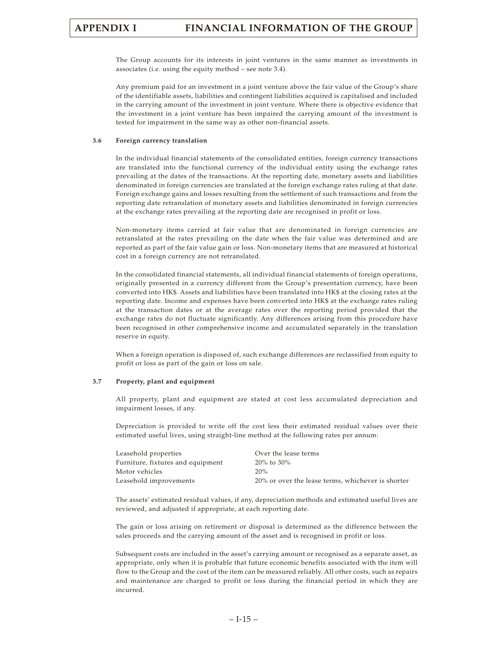The Group accounts for its interests in joint ventures in the same manner as investments in associates (i.e. using the equity method – see note 3.4).

Any premium paid for an investment in a joint venture above the fair value of the Group's share of the identifiable assets, liabilities and contingent liabilities acquired is capitalised and included in the carrying amount of the investment in joint venture. Where there is objective evidence that the investment in a joint venture has been impaired the carrying amount of the investment is tested for impairment in the same way as other non-financial assets.

#### **3.6 Foreign currency translation**

In the individual financial statements of the consolidated entities, foreign currency transactions are translated into the functional currency of the individual entity using the exchange rates prevailing at the dates of the transactions. At the reporting date, monetary assets and liabilities denominated in foreign currencies are translated at the foreign exchange rates ruling at that date. Foreign exchange gains and losses resulting from the settlement of such transactions and from the reporting date retranslation of monetary assets and liabilities denominated in foreign currencies at the exchange rates prevailing at the reporting date are recognised in profit or loss.

Non-monetary items carried at fair value that are denominated in foreign currencies are retranslated at the rates prevailing on the date when the fair value was determined and are reported as part of the fair value gain or loss. Non-monetary items that are measured at historical cost in a foreign currency are not retranslated.

In the consolidated financial statements, all individual financial statements of foreign operations, originally presented in a currency different from the Group's presentation currency, have been converted into HK\$. Assets and liabilities have been translated into HK\$ at the closing rates at the reporting date. Income and expenses have been converted into HK\$ at the exchange rates ruling at the transaction dates or at the average rates over the reporting period provided that the exchange rates do not fluctuate significantly. Any differences arising from this procedure have been recognised in other comprehensive income and accumulated separately in the translation reserve in equity.

When a foreign operation is disposed of, such exchange differences are reclassified from equity to profit or loss as part of the gain or loss on sale.

#### **3.7 Property, plant and equipment**

All property, plant and equipment are stated at cost less accumulated depreciation and impairment losses, if any.

Depreciation is provided to write off the cost less their estimated residual values over their estimated useful lives, using straight-line method at the following rates per annum:

| Over the lease terms                              |
|---------------------------------------------------|
| $20\%$ to $30\%$                                  |
| 20%                                               |
| 20% or over the lease terms, whichever is shorter |
|                                                   |

The assets' estimated residual values, if any, depreciation methods and estimated useful lives are reviewed, and adjusted if appropriate, at each reporting date.

The gain or loss arising on retirement or disposal is determined as the difference between the sales proceeds and the carrying amount of the asset and is recognised in profit or loss.

Subsequent costs are included in the asset's carrying amount or recognised as a separate asset, as appropriate, only when it is probable that future economic benefits associated with the item will flow to the Group and the cost of the item can be measured reliably. All other costs, such as repairs and maintenance are charged to profit or loss during the financial period in which they are incurred.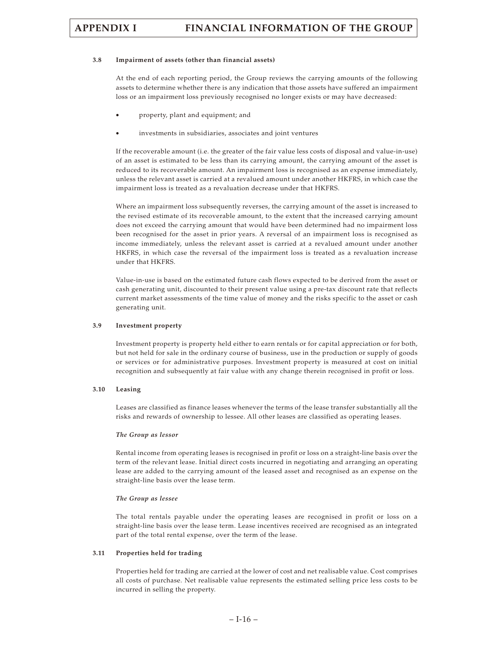#### **3.8 Impairment of assets (other than financial assets)**

At the end of each reporting period, the Group reviews the carrying amounts of the following assets to determine whether there is any indication that those assets have suffered an impairment loss or an impairment loss previously recognised no longer exists or may have decreased:

- property, plant and equipment; and
- investments in subsidiaries, associates and joint ventures

If the recoverable amount (i.e. the greater of the fair value less costs of disposal and value-in-use) of an asset is estimated to be less than its carrying amount, the carrying amount of the asset is reduced to its recoverable amount. An impairment loss is recognised as an expense immediately, unless the relevant asset is carried at a revalued amount under another HKFRS, in which case the impairment loss is treated as a revaluation decrease under that HKFRS.

Where an impairment loss subsequently reverses, the carrying amount of the asset is increased to the revised estimate of its recoverable amount, to the extent that the increased carrying amount does not exceed the carrying amount that would have been determined had no impairment loss been recognised for the asset in prior years. A reversal of an impairment loss is recognised as income immediately, unless the relevant asset is carried at a revalued amount under another HKFRS, in which case the reversal of the impairment loss is treated as a revaluation increase under that HKFRS.

Value-in-use is based on the estimated future cash flows expected to be derived from the asset or cash generating unit, discounted to their present value using a pre-tax discount rate that reflects current market assessments of the time value of money and the risks specific to the asset or cash generating unit.

#### **3.9 Investment property**

Investment property is property held either to earn rentals or for capital appreciation or for both, but not held for sale in the ordinary course of business, use in the production or supply of goods or services or for administrative purposes. Investment property is measured at cost on initial recognition and subsequently at fair value with any change therein recognised in profit or loss.

#### **3.10 Leasing**

Leases are classified as finance leases whenever the terms of the lease transfer substantially all the risks and rewards of ownership to lessee. All other leases are classified as operating leases.

#### *The Group as lessor*

Rental income from operating leases is recognised in profit or loss on a straight-line basis over the term of the relevant lease. Initial direct costs incurred in negotiating and arranging an operating lease are added to the carrying amount of the leased asset and recognised as an expense on the straight-line basis over the lease term.

#### *The Group as lessee*

The total rentals payable under the operating leases are recognised in profit or loss on a straight-line basis over the lease term. Lease incentives received are recognised as an integrated part of the total rental expense, over the term of the lease.

#### **3.11 Properties held for trading**

Properties held for trading are carried at the lower of cost and net realisable value. Cost comprises all costs of purchase. Net realisable value represents the estimated selling price less costs to be incurred in selling the property.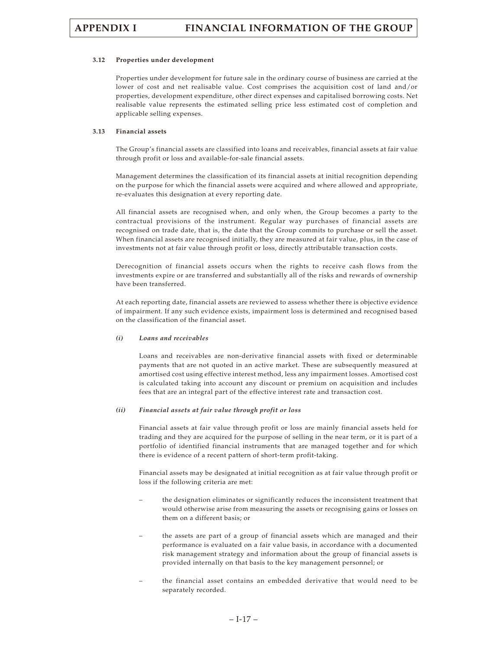#### **3.12 Properties under development**

Properties under development for future sale in the ordinary course of business are carried at the lower of cost and net realisable value. Cost comprises the acquisition cost of land and/or properties, development expenditure, other direct expenses and capitalised borrowing costs. Net realisable value represents the estimated selling price less estimated cost of completion and applicable selling expenses.

#### **3.13 Financial assets**

The Group's financial assets are classified into loans and receivables, financial assets at fair value through profit or loss and available-for-sale financial assets.

Management determines the classification of its financial assets at initial recognition depending on the purpose for which the financial assets were acquired and where allowed and appropriate, re-evaluates this designation at every reporting date.

All financial assets are recognised when, and only when, the Group becomes a party to the contractual provisions of the instrument. Regular way purchases of financial assets are recognised on trade date, that is, the date that the Group commits to purchase or sell the asset. When financial assets are recognised initially, they are measured at fair value, plus, in the case of investments not at fair value through profit or loss, directly attributable transaction costs.

Derecognition of financial assets occurs when the rights to receive cash flows from the investments expire or are transferred and substantially all of the risks and rewards of ownership have been transferred.

At each reporting date, financial assets are reviewed to assess whether there is objective evidence of impairment. If any such evidence exists, impairment loss is determined and recognised based on the classification of the financial asset.

#### *(i) Loans and receivables*

Loans and receivables are non-derivative financial assets with fixed or determinable payments that are not quoted in an active market. These are subsequently measured at amortised cost using effective interest method, less any impairment losses. Amortised cost is calculated taking into account any discount or premium on acquisition and includes fees that are an integral part of the effective interest rate and transaction cost.

#### *(ii) Financial assets at fair value through profit or loss*

Financial assets at fair value through profit or loss are mainly financial assets held for trading and they are acquired for the purpose of selling in the near term, or it is part of a portfolio of identified financial instruments that are managed together and for which there is evidence of a recent pattern of short-term profit-taking.

Financial assets may be designated at initial recognition as at fair value through profit or loss if the following criteria are met:

- the designation eliminates or significantly reduces the inconsistent treatment that would otherwise arise from measuring the assets or recognising gains or losses on them on a different basis; or
- the assets are part of a group of financial assets which are managed and their performance is evaluated on a fair value basis, in accordance with a documented risk management strategy and information about the group of financial assets is provided internally on that basis to the key management personnel; or
- the financial asset contains an embedded derivative that would need to be separately recorded.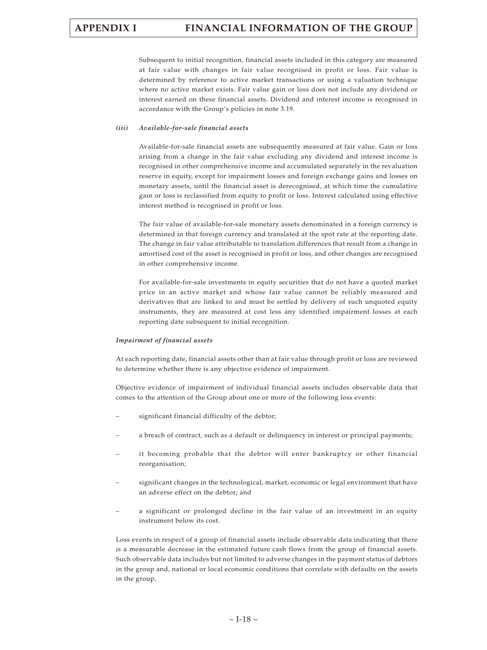Subsequent to initial recognition, financial assets included in this category are measured at fair value with changes in fair value recognised in profit or loss. Fair value is determined by reference to active market transactions or using a valuation technique where no active market exists. Fair value gain or loss does not include any dividend or interest earned on these financial assets. Dividend and interest income is recognised in accordance with the Group's policies in note 3.19.

#### *(iii) Available-for-sale financial assets*

Available-for-sale financial assets are subsequently measured at fair value. Gain or loss arising from a change in the fair value excluding any dividend and interest income is recognised in other comprehensive income and accumulated separately in the revaluation reserve in equity, except for impairment losses and foreign exchange gains and losses on monetary assets, until the financial asset is derecognised, at which time the cumulative gain or loss is reclassified from equity to profit or loss. Interest calculated using effective interest method is recognised in profit or loss.

The fair value of available-for-sale monetary assets denominated in a foreign currency is determined in that foreign currency and translated at the spot rate at the reporting date. The change in fair value attributable to translation differences that result from a change in amortised cost of the asset is recognised in profit or loss, and other changes are recognised in other comprehensive income.

For available-for-sale investments in equity securities that do not have a quoted market price in an active market and whose fair value cannot be reliably measured and derivatives that are linked to and must be settled by delivery of such unquoted equity instruments, they are measured at cost less any identified impairment losses at each reporting date subsequent to initial recognition.

#### *Impairment of financial assets*

At each reporting date, financial assets other than at fair value through profit or loss are reviewed to determine whether there is any objective evidence of impairment.

Objective evidence of impairment of individual financial assets includes observable data that comes to the attention of the Group about one or more of the following loss events:

- significant financial difficulty of the debtor;
- a breach of contract, such as a default or delinquency in interest or principal payments;
- it becoming probable that the debtor will enter bankruptcy or other financial reorganisation;
- significant changes in the technological, market, economic or legal environment that have an adverse effect on the debtor; and
- a significant or prolonged decline in the fair value of an investment in an equity instrument below its cost.

Loss events in respect of a group of financial assets include observable data indicating that there is a measurable decrease in the estimated future cash flows from the group of financial assets. Such observable data includes but not limited to adverse changes in the payment status of debtors in the group and, national or local economic conditions that correlate with defaults on the assets in the group.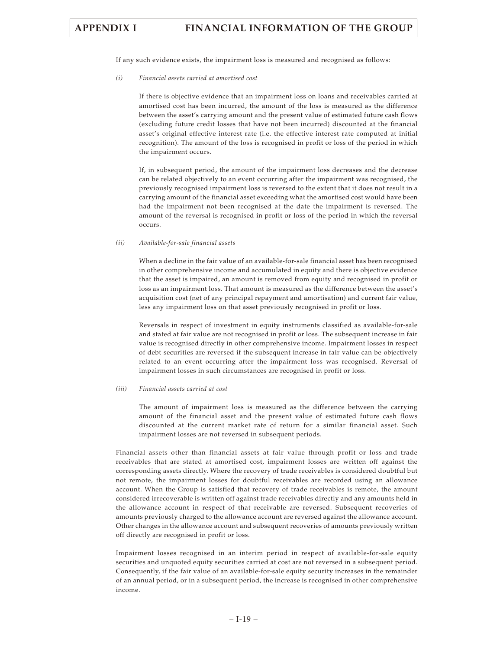If any such evidence exists, the impairment loss is measured and recognised as follows:

*(i) Financial assets carried at amortised cost*

If there is objective evidence that an impairment loss on loans and receivables carried at amortised cost has been incurred, the amount of the loss is measured as the difference between the asset's carrying amount and the present value of estimated future cash flows (excluding future credit losses that have not been incurred) discounted at the financial asset's original effective interest rate (i.e. the effective interest rate computed at initial recognition). The amount of the loss is recognised in profit or loss of the period in which the impairment occurs.

If, in subsequent period, the amount of the impairment loss decreases and the decrease can be related objectively to an event occurring after the impairment was recognised, the previously recognised impairment loss is reversed to the extent that it does not result in a carrying amount of the financial asset exceeding what the amortised cost would have been had the impairment not been recognised at the date the impairment is reversed. The amount of the reversal is recognised in profit or loss of the period in which the reversal occurs.

#### *(ii) Available-for-sale financial assets*

When a decline in the fair value of an available-for-sale financial asset has been recognised in other comprehensive income and accumulated in equity and there is objective evidence that the asset is impaired, an amount is removed from equity and recognised in profit or loss as an impairment loss. That amount is measured as the difference between the asset's acquisition cost (net of any principal repayment and amortisation) and current fair value, less any impairment loss on that asset previously recognised in profit or loss.

Reversals in respect of investment in equity instruments classified as available-for-sale and stated at fair value are not recognised in profit or loss. The subsequent increase in fair value is recognised directly in other comprehensive income. Impairment losses in respect of debt securities are reversed if the subsequent increase in fair value can be objectively related to an event occurring after the impairment loss was recognised. Reversal of impairment losses in such circumstances are recognised in profit or loss.

#### *(iii) Financial assets carried at cost*

The amount of impairment loss is measured as the difference between the carrying amount of the financial asset and the present value of estimated future cash flows discounted at the current market rate of return for a similar financial asset. Such impairment losses are not reversed in subsequent periods.

Financial assets other than financial assets at fair value through profit or loss and trade receivables that are stated at amortised cost, impairment losses are written off against the corresponding assets directly. Where the recovery of trade receivables is considered doubtful but not remote, the impairment losses for doubtful receivables are recorded using an allowance account. When the Group is satisfied that recovery of trade receivables is remote, the amount considered irrecoverable is written off against trade receivables directly and any amounts held in the allowance account in respect of that receivable are reversed. Subsequent recoveries of amounts previously charged to the allowance account are reversed against the allowance account. Other changes in the allowance account and subsequent recoveries of amounts previously written off directly are recognised in profit or loss.

Impairment losses recognised in an interim period in respect of available-for-sale equity securities and unquoted equity securities carried at cost are not reversed in a subsequent period. Consequently, if the fair value of an available-for-sale equity security increases in the remainder of an annual period, or in a subsequent period, the increase is recognised in other comprehensive income.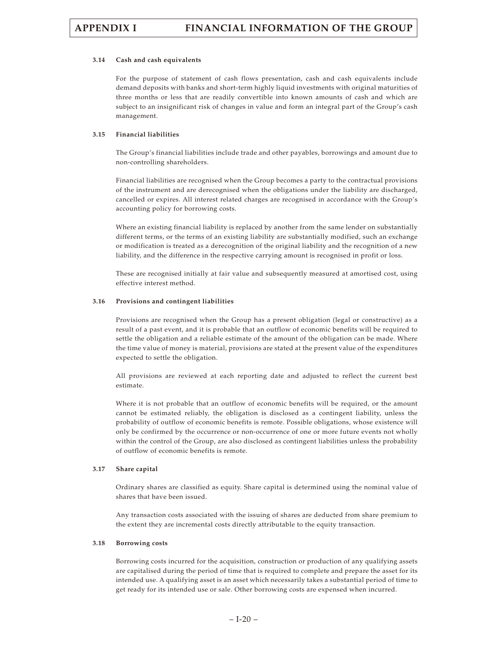#### **3.14 Cash and cash equivalents**

For the purpose of statement of cash flows presentation, cash and cash equivalents include demand deposits with banks and short-term highly liquid investments with original maturities of three months or less that are readily convertible into known amounts of cash and which are subject to an insignificant risk of changes in value and form an integral part of the Group's cash management.

#### **3.15 Financial liabilities**

The Group's financial liabilities include trade and other payables, borrowings and amount due to non-controlling shareholders.

Financial liabilities are recognised when the Group becomes a party to the contractual provisions of the instrument and are derecognised when the obligations under the liability are discharged, cancelled or expires. All interest related charges are recognised in accordance with the Group's accounting policy for borrowing costs.

Where an existing financial liability is replaced by another from the same lender on substantially different terms, or the terms of an existing liability are substantially modified, such an exchange or modification is treated as a derecognition of the original liability and the recognition of a new liability, and the difference in the respective carrying amount is recognised in profit or loss.

These are recognised initially at fair value and subsequently measured at amortised cost, using effective interest method.

#### **3.16 Provisions and contingent liabilities**

Provisions are recognised when the Group has a present obligation (legal or constructive) as a result of a past event, and it is probable that an outflow of economic benefits will be required to settle the obligation and a reliable estimate of the amount of the obligation can be made. Where the time value of money is material, provisions are stated at the present value of the expenditures expected to settle the obligation.

All provisions are reviewed at each reporting date and adjusted to reflect the current best estimate.

Where it is not probable that an outflow of economic benefits will be required, or the amount cannot be estimated reliably, the obligation is disclosed as a contingent liability, unless the probability of outflow of economic benefits is remote. Possible obligations, whose existence will only be confirmed by the occurrence or non-occurrence of one or more future events not wholly within the control of the Group, are also disclosed as contingent liabilities unless the probability of outflow of economic benefits is remote.

#### **3.17 Share capital**

Ordinary shares are classified as equity. Share capital is determined using the nominal value of shares that have been issued.

Any transaction costs associated with the issuing of shares are deducted from share premium to the extent they are incremental costs directly attributable to the equity transaction.

#### **3.18 Borrowing costs**

Borrowing costs incurred for the acquisition, construction or production of any qualifying assets are capitalised during the period of time that is required to complete and prepare the asset for its intended use. A qualifying asset is an asset which necessarily takes a substantial period of time to get ready for its intended use or sale. Other borrowing costs are expensed when incurred.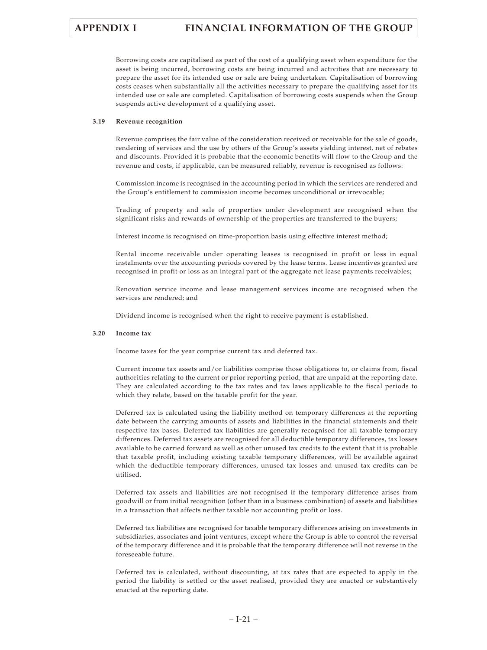Borrowing costs are capitalised as part of the cost of a qualifying asset when expenditure for the asset is being incurred, borrowing costs are being incurred and activities that are necessary to prepare the asset for its intended use or sale are being undertaken. Capitalisation of borrowing costs ceases when substantially all the activities necessary to prepare the qualifying asset for its intended use or sale are completed. Capitalisation of borrowing costs suspends when the Group suspends active development of a qualifying asset.

#### **3.19 Revenue recognition**

Revenue comprises the fair value of the consideration received or receivable for the sale of goods, rendering of services and the use by others of the Group's assets yielding interest, net of rebates and discounts. Provided it is probable that the economic benefits will flow to the Group and the revenue and costs, if applicable, can be measured reliably, revenue is recognised as follows:

Commission income is recognised in the accounting period in which the services are rendered and the Group's entitlement to commission income becomes unconditional or irrevocable;

Trading of property and sale of properties under development are recognised when the significant risks and rewards of ownership of the properties are transferred to the buyers;

Interest income is recognised on time-proportion basis using effective interest method;

Rental income receivable under operating leases is recognised in profit or loss in equal instalments over the accounting periods covered by the lease terms. Lease incentives granted are recognised in profit or loss as an integral part of the aggregate net lease payments receivables;

Renovation service income and lease management services income are recognised when the services are rendered; and

Dividend income is recognised when the right to receive payment is established.

#### **3.20 Income tax**

Income taxes for the year comprise current tax and deferred tax.

Current income tax assets and/or liabilities comprise those obligations to, or claims from, fiscal authorities relating to the current or prior reporting period, that are unpaid at the reporting date. They are calculated according to the tax rates and tax laws applicable to the fiscal periods to which they relate, based on the taxable profit for the year.

Deferred tax is calculated using the liability method on temporary differences at the reporting date between the carrying amounts of assets and liabilities in the financial statements and their respective tax bases. Deferred tax liabilities are generally recognised for all taxable temporary differences. Deferred tax assets are recognised for all deductible temporary differences, tax losses available to be carried forward as well as other unused tax credits to the extent that it is probable that taxable profit, including existing taxable temporary differences, will be available against which the deductible temporary differences, unused tax losses and unused tax credits can be utilised.

Deferred tax assets and liabilities are not recognised if the temporary difference arises from goodwill or from initial recognition (other than in a business combination) of assets and liabilities in a transaction that affects neither taxable nor accounting profit or loss.

Deferred tax liabilities are recognised for taxable temporary differences arising on investments in subsidiaries, associates and joint ventures, except where the Group is able to control the reversal of the temporary difference and it is probable that the temporary difference will not reverse in the foreseeable future.

Deferred tax is calculated, without discounting, at tax rates that are expected to apply in the period the liability is settled or the asset realised, provided they are enacted or substantively enacted at the reporting date.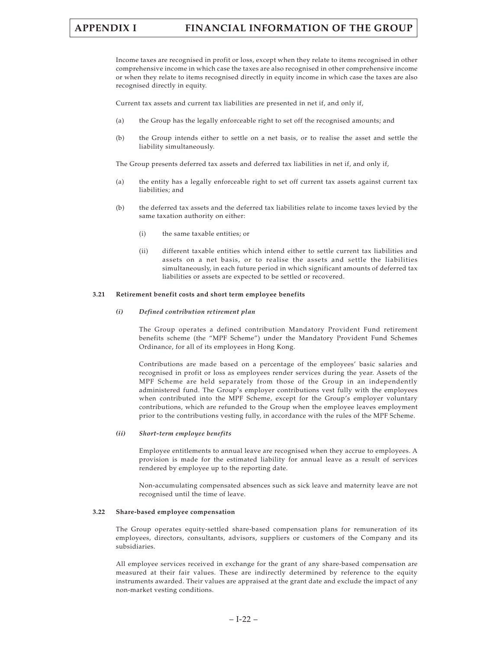Income taxes are recognised in profit or loss, except when they relate to items recognised in other comprehensive income in which case the taxes are also recognised in other comprehensive income or when they relate to items recognised directly in equity income in which case the taxes are also recognised directly in equity.

Current tax assets and current tax liabilities are presented in net if, and only if,

- (a) the Group has the legally enforceable right to set off the recognised amounts; and
- (b) the Group intends either to settle on a net basis, or to realise the asset and settle the liability simultaneously.

The Group presents deferred tax assets and deferred tax liabilities in net if, and only if,

- (a) the entity has a legally enforceable right to set off current tax assets against current tax liabilities; and
- (b) the deferred tax assets and the deferred tax liabilities relate to income taxes levied by the same taxation authority on either:
	- (i) the same taxable entities; or
	- (ii) different taxable entities which intend either to settle current tax liabilities and assets on a net basis, or to realise the assets and settle the liabilities simultaneously, in each future period in which significant amounts of deferred tax liabilities or assets are expected to be settled or recovered.

### **3.21 Retirement benefit costs and short term employee benefits**

### *(i) Defined contribution retirement plan*

The Group operates a defined contribution Mandatory Provident Fund retirement benefits scheme (the "MPF Scheme") under the Mandatory Provident Fund Schemes Ordinance, for all of its employees in Hong Kong.

Contributions are made based on a percentage of the employees' basic salaries and recognised in profit or loss as employees render services during the year. Assets of the MPF Scheme are held separately from those of the Group in an independently administered fund. The Group's employer contributions vest fully with the employees when contributed into the MPF Scheme, except for the Group's employer voluntary contributions, which are refunded to the Group when the employee leaves employment prior to the contributions vesting fully, in accordance with the rules of the MPF Scheme.

### *(ii) Short-term employee benefits*

Employee entitlements to annual leave are recognised when they accrue to employees. A provision is made for the estimated liability for annual leave as a result of services rendered by employee up to the reporting date.

Non-accumulating compensated absences such as sick leave and maternity leave are not recognised until the time of leave.

### **3.22 Share-based employee compensation**

The Group operates equity-settled share-based compensation plans for remuneration of its employees, directors, consultants, advisors, suppliers or customers of the Company and its subsidiaries.

All employee services received in exchange for the grant of any share-based compensation are measured at their fair values. These are indirectly determined by reference to the equity instruments awarded. Their values are appraised at the grant date and exclude the impact of any non-market vesting conditions.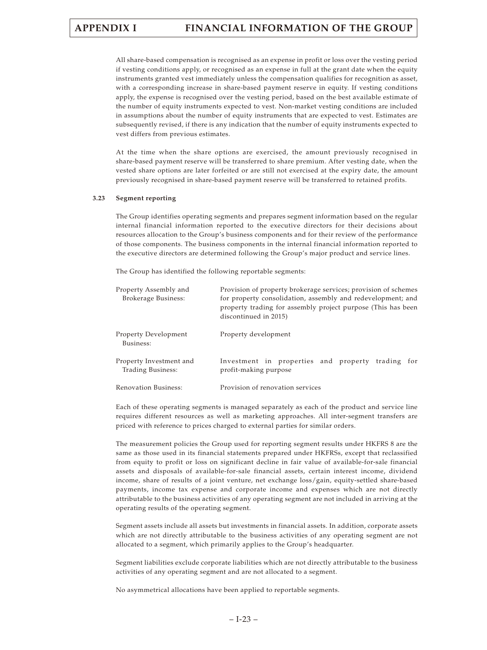All share-based compensation is recognised as an expense in profit or loss over the vesting period if vesting conditions apply, or recognised as an expense in full at the grant date when the equity instruments granted vest immediately unless the compensation qualifies for recognition as asset, with a corresponding increase in share-based payment reserve in equity. If vesting conditions apply, the expense is recognised over the vesting period, based on the best available estimate of the number of equity instruments expected to vest. Non-market vesting conditions are included in assumptions about the number of equity instruments that are expected to vest. Estimates are subsequently revised, if there is any indication that the number of equity instruments expected to vest differs from previous estimates.

At the time when the share options are exercised, the amount previously recognised in share-based payment reserve will be transferred to share premium. After vesting date, when the vested share options are later forfeited or are still not exercised at the expiry date, the amount previously recognised in share-based payment reserve will be transferred to retained profits.

### **3.23 Segment reporting**

The Group identifies operating segments and prepares segment information based on the regular internal financial information reported to the executive directors for their decisions about resources allocation to the Group's business components and for their review of the performance of those components. The business components in the internal financial information reported to the executive directors are determined following the Group's major product and service lines.

The Group has identified the following reportable segments:

| Property Assembly and<br>Brokerage Business: | Provision of property brokerage services; provision of schemes<br>for property consolidation, assembly and redevelopment; and<br>property trading for assembly project purpose (This has been<br>discontinued in 2015) |  |  |
|----------------------------------------------|------------------------------------------------------------------------------------------------------------------------------------------------------------------------------------------------------------------------|--|--|
| Property Development<br>Business:            | Property development                                                                                                                                                                                                   |  |  |
| Property Investment and<br>Trading Business: | Investment in properties and property trading for<br>profit-making purpose                                                                                                                                             |  |  |
| Renovation Business:                         | Provision of renovation services                                                                                                                                                                                       |  |  |

Each of these operating segments is managed separately as each of the product and service line requires different resources as well as marketing approaches. All inter-segment transfers are priced with reference to prices charged to external parties for similar orders.

The measurement policies the Group used for reporting segment results under HKFRS 8 are the same as those used in its financial statements prepared under HKFRSs, except that reclassified from equity to profit or loss on significant decline in fair value of available-for-sale financial assets and disposals of available-for-sale financial assets, certain interest income, dividend income, share of results of a joint venture, net exchange loss/gain, equity-settled share-based payments, income tax expense and corporate income and expenses which are not directly attributable to the business activities of any operating segment are not included in arriving at the operating results of the operating segment.

Segment assets include all assets but investments in financial assets. In addition, corporate assets which are not directly attributable to the business activities of any operating segment are not allocated to a segment, which primarily applies to the Group's headquarter.

Segment liabilities exclude corporate liabilities which are not directly attributable to the business activities of any operating segment and are not allocated to a segment.

No asymmetrical allocations have been applied to reportable segments.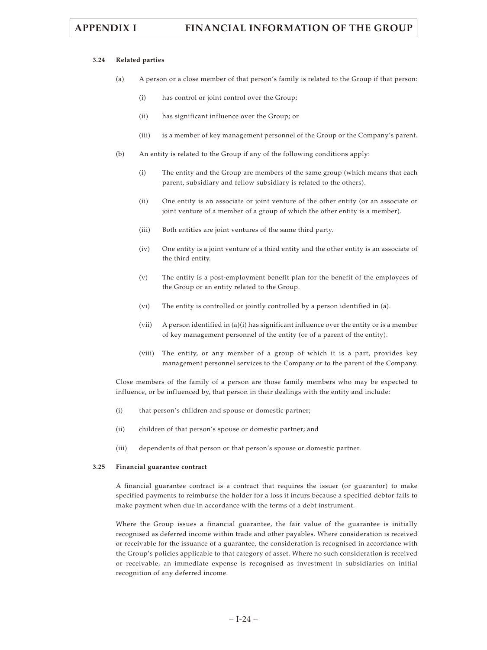### **3.24 Related parties**

- (a) A person or a close member of that person's family is related to the Group if that person:
	- (i) has control or joint control over the Group;
	- (ii) has significant influence over the Group; or
	- (iii) is a member of key management personnel of the Group or the Company's parent.
- (b) An entity is related to the Group if any of the following conditions apply:
	- (i) The entity and the Group are members of the same group (which means that each parent, subsidiary and fellow subsidiary is related to the others).
	- (ii) One entity is an associate or joint venture of the other entity (or an associate or joint venture of a member of a group of which the other entity is a member).
	- (iii) Both entities are joint ventures of the same third party.
	- (iv) One entity is a joint venture of a third entity and the other entity is an associate of the third entity.
	- (v) The entity is a post-employment benefit plan for the benefit of the employees of the Group or an entity related to the Group.
	- (vi) The entity is controlled or jointly controlled by a person identified in (a).
	- (vii) A person identified in (a)(i) has significant influence over the entity or is a member of key management personnel of the entity (or of a parent of the entity).
	- (viii) The entity, or any member of a group of which it is a part, provides key management personnel services to the Company or to the parent of the Company.

Close members of the family of a person are those family members who may be expected to influence, or be influenced by, that person in their dealings with the entity and include:

- (i) that person's children and spouse or domestic partner;
- (ii) children of that person's spouse or domestic partner; and
- (iii) dependents of that person or that person's spouse or domestic partner.

### **3.25 Financial guarantee contract**

A financial guarantee contract is a contract that requires the issuer (or guarantor) to make specified payments to reimburse the holder for a loss it incurs because a specified debtor fails to make payment when due in accordance with the terms of a debt instrument.

Where the Group issues a financial guarantee, the fair value of the guarantee is initially recognised as deferred income within trade and other payables. Where consideration is received or receivable for the issuance of a guarantee, the consideration is recognised in accordance with the Group's policies applicable to that category of asset. Where no such consideration is received or receivable, an immediate expense is recognised as investment in subsidiaries on initial recognition of any deferred income.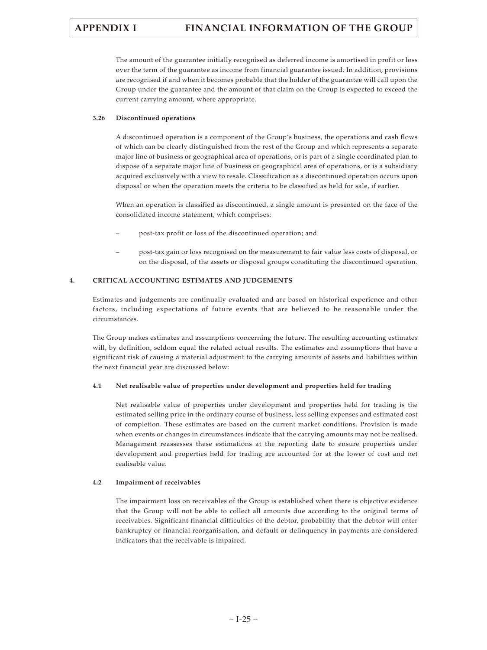The amount of the guarantee initially recognised as deferred income is amortised in profit or loss over the term of the guarantee as income from financial guarantee issued. In addition, provisions are recognised if and when it becomes probable that the holder of the guarantee will call upon the Group under the guarantee and the amount of that claim on the Group is expected to exceed the current carrying amount, where appropriate.

## **3.26 Discontinued operations**

A discontinued operation is a component of the Group's business, the operations and cash flows of which can be clearly distinguished from the rest of the Group and which represents a separate major line of business or geographical area of operations, or is part of a single coordinated plan to dispose of a separate major line of business or geographical area of operations, or is a subsidiary acquired exclusively with a view to resale. Classification as a discontinued operation occurs upon disposal or when the operation meets the criteria to be classified as held for sale, if earlier.

When an operation is classified as discontinued, a single amount is presented on the face of the consolidated income statement, which comprises:

- post-tax profit or loss of the discontinued operation; and
- post-tax gain or loss recognised on the measurement to fair value less costs of disposal, or on the disposal, of the assets or disposal groups constituting the discontinued operation.

# **4. CRITICAL ACCOUNTING ESTIMATES AND JUDGEMENTS**

Estimates and judgements are continually evaluated and are based on historical experience and other factors, including expectations of future events that are believed to be reasonable under the circumstances.

The Group makes estimates and assumptions concerning the future. The resulting accounting estimates will, by definition, seldom equal the related actual results. The estimates and assumptions that have a significant risk of causing a material adjustment to the carrying amounts of assets and liabilities within the next financial year are discussed below:

# **4.1 Net realisable value of properties under development and properties held for trading**

Net realisable value of properties under development and properties held for trading is the estimated selling price in the ordinary course of business, less selling expenses and estimated cost of completion. These estimates are based on the current market conditions. Provision is made when events or changes in circumstances indicate that the carrying amounts may not be realised. Management reassesses these estimations at the reporting date to ensure properties under development and properties held for trading are accounted for at the lower of cost and net realisable value.

# **4.2 Impairment of receivables**

The impairment loss on receivables of the Group is established when there is objective evidence that the Group will not be able to collect all amounts due according to the original terms of receivables. Significant financial difficulties of the debtor, probability that the debtor will enter bankruptcy or financial reorganisation, and default or delinquency in payments are considered indicators that the receivable is impaired.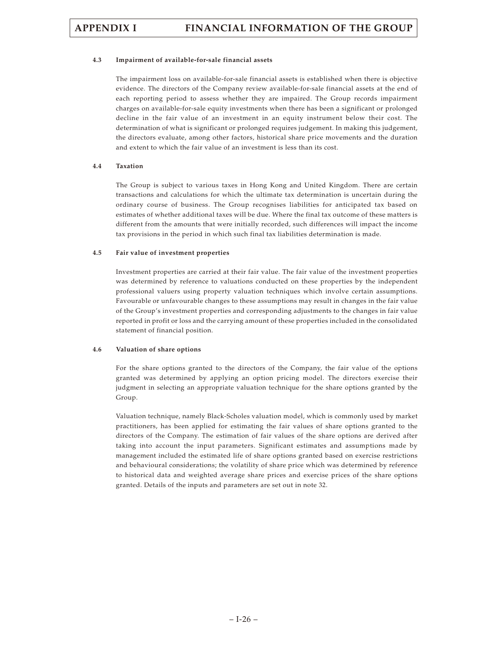## **4.3 Impairment of available-for-sale financial assets**

The impairment loss on available-for-sale financial assets is established when there is objective evidence. The directors of the Company review available-for-sale financial assets at the end of each reporting period to assess whether they are impaired. The Group records impairment charges on available-for-sale equity investments when there has been a significant or prolonged decline in the fair value of an investment in an equity instrument below their cost. The determination of what is significant or prolonged requires judgement. In making this judgement, the directors evaluate, among other factors, historical share price movements and the duration and extent to which the fair value of an investment is less than its cost.

## **4.4 Taxation**

The Group is subject to various taxes in Hong Kong and United Kingdom. There are certain transactions and calculations for which the ultimate tax determination is uncertain during the ordinary course of business. The Group recognises liabilities for anticipated tax based on estimates of whether additional taxes will be due. Where the final tax outcome of these matters is different from the amounts that were initially recorded, such differences will impact the income tax provisions in the period in which such final tax liabilities determination is made.

## **4.5 Fair value of investment properties**

Investment properties are carried at their fair value. The fair value of the investment properties was determined by reference to valuations conducted on these properties by the independent professional valuers using property valuation techniques which involve certain assumptions. Favourable or unfavourable changes to these assumptions may result in changes in the fair value of the Group's investment properties and corresponding adjustments to the changes in fair value reported in profit or loss and the carrying amount of these properties included in the consolidated statement of financial position.

# **4.6 Valuation of share options**

For the share options granted to the directors of the Company, the fair value of the options granted was determined by applying an option pricing model. The directors exercise their judgment in selecting an appropriate valuation technique for the share options granted by the Group.

Valuation technique, namely Black-Scholes valuation model, which is commonly used by market practitioners, has been applied for estimating the fair values of share options granted to the directors of the Company. The estimation of fair values of the share options are derived after taking into account the input parameters. Significant estimates and assumptions made by management included the estimated life of share options granted based on exercise restrictions and behavioural considerations; the volatility of share price which was determined by reference to historical data and weighted average share prices and exercise prices of the share options granted. Details of the inputs and parameters are set out in note 32.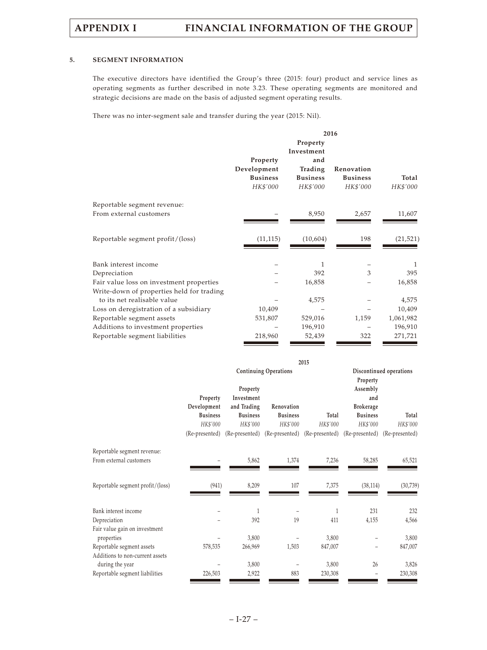# **5. SEGMENT INFORMATION**

The executive directors have identified the Group's three (2015: four) product and service lines as operating segments as further described in note 3.23. These operating segments are monitored and strategic decisions are made on the basis of adjusted segment operating results.

There was no inter-segment sale and transfer during the year (2015: Nil).

|                                           | 2016                                                   |                                               |                                           |                   |  |
|-------------------------------------------|--------------------------------------------------------|-----------------------------------------------|-------------------------------------------|-------------------|--|
|                                           |                                                        | Property<br>Investment                        |                                           |                   |  |
|                                           | Property<br>Development<br><b>Business</b><br>HK\$'000 | and<br>Trading<br><b>Business</b><br>HK\$'000 | Renovation<br><b>Business</b><br>HK\$'000 | Total<br>HK\$'000 |  |
| Reportable segment revenue:               |                                                        |                                               |                                           |                   |  |
| From external customers                   |                                                        | 8,950                                         | 2,657                                     | 11,607            |  |
| Reportable segment profit/(loss)          | (11, 115)                                              | (10,604)                                      | 198                                       | (21, 521)         |  |
| Bank interest income                      |                                                        | 1                                             |                                           | 1                 |  |
| Depreciation                              |                                                        | 392                                           | 3                                         | 395               |  |
| Fair value loss on investment properties  |                                                        | 16,858                                        |                                           | 16,858            |  |
| Write-down of properties held for trading |                                                        |                                               |                                           |                   |  |
| to its net realisable value               |                                                        | 4,575                                         |                                           | 4,575             |  |
| Loss on deregistration of a subsidiary    | 10,409                                                 |                                               |                                           | 10,409            |  |
| Reportable segment assets                 | 531,807                                                | 529,016                                       | 1,159                                     | 1,061,982         |  |
| Additions to investment properties        |                                                        | 196,910                                       |                                           | 196,910           |  |
| Reportable segment liabilities            | 218,960                                                | 52,439                                        | 322                                       | 271,721           |  |

|                                  | 2015            |                 |                                                             |          |                  |                         |
|----------------------------------|-----------------|-----------------|-------------------------------------------------------------|----------|------------------|-------------------------|
|                                  |                 |                 | <b>Continuing Operations</b>                                |          |                  | Discontinued operations |
|                                  |                 |                 |                                                             |          | Property         |                         |
|                                  |                 | Property        |                                                             |          | Assembly         |                         |
|                                  | Property        | Investment      |                                                             |          | and              |                         |
|                                  | Development     | and Trading     | Renovation                                                  |          | <b>Brokerage</b> |                         |
|                                  | <b>Business</b> | <b>Business</b> | <b>Business</b>                                             | Total    | <b>Business</b>  | Total                   |
|                                  | HK\$'000        | HK\$'000        | HK\$'000                                                    | HK\$'000 | HK\$'000         | HK\$'000                |
|                                  | (Re-presented)  |                 | (Re-presented) (Re-presented) (Re-presented) (Re-presented) |          |                  | (Re-presented)          |
| Reportable segment revenue:      |                 |                 |                                                             |          |                  |                         |
| From external customers          |                 | 5,862           | 1,374                                                       | 7,236    | 58,285           | 65,521                  |
|                                  |                 |                 |                                                             |          |                  |                         |
| Reportable segment profit/(loss) | (941)           | 8,209           | 107                                                         | 7,375    | (38, 114)        | (30, 739)               |
|                                  |                 |                 |                                                             |          |                  |                         |
| Bank interest income             |                 | 1               |                                                             | 1        | 231              | 232                     |
| Depreciation                     |                 | 392             | 19                                                          | 411      | 4,155            | 4,566                   |
| Fair value gain on investment    |                 |                 |                                                             |          |                  |                         |
| properties                       |                 | 3,800           |                                                             | 3,800    |                  | 3,800                   |
| Reportable segment assets        | 578,535         | 266,969         | 1,503                                                       | 847,007  |                  | 847,007                 |
| Additions to non-current assets  |                 |                 |                                                             |          |                  |                         |
| during the year                  |                 | 3,800           |                                                             | 3,800    | 26               | 3,826                   |
| Reportable segment liabilities   | 226,503         | 2,922           | 883                                                         | 230,308  |                  | 230,308                 |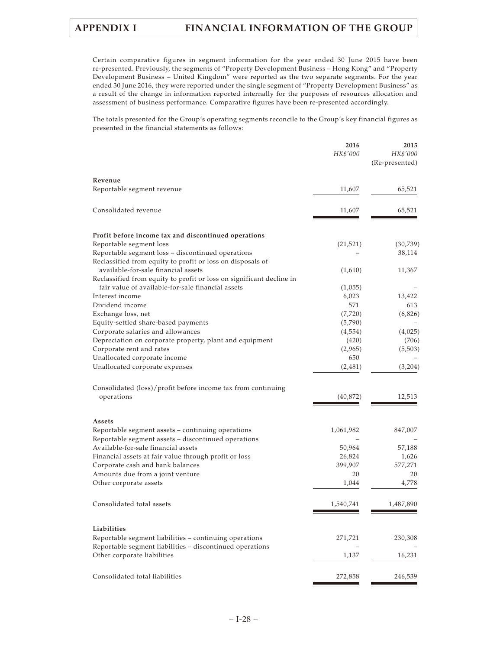Certain comparative figures in segment information for the year ended 30 June 2015 have been re-presented. Previously, the segments of "Property Development Business – Hong Kong" and "Property Development Business – United Kingdom" were reported as the two separate segments. For the year ended 30 June 2016, they were reported under the single segment of "Property Development Business" as a result of the change in information reported internally for the purposes of resources allocation and assessment of business performance. Comparative figures have been re-presented accordingly.

The totals presented for the Group's operating segments reconcile to the Group's key financial figures as presented in the financial statements as follows:

|                                                                                         | 2016<br>HK\$'000 | 2015<br>HK\$'000<br>(Re-presented) |
|-----------------------------------------------------------------------------------------|------------------|------------------------------------|
| Revenue                                                                                 |                  |                                    |
| Reportable segment revenue                                                              | 11,607           | 65,521                             |
| Consolidated revenue                                                                    | 11,607           | 65,521                             |
| Profit before income tax and discontinued operations                                    |                  |                                    |
| Reportable segment loss                                                                 | (21, 521)        | (30, 739)                          |
| Reportable segment loss - discontinued operations                                       |                  | 38,114                             |
| Reclassified from equity to profit or loss on disposals of                              |                  |                                    |
| available-for-sale financial assets                                                     | (1,610)          | 11,367                             |
| Reclassified from equity to profit or loss on significant decline in                    |                  |                                    |
| fair value of available-for-sale financial assets                                       | (1,055)          |                                    |
| Interest income                                                                         | 6,023            | 13,422                             |
| Dividend income                                                                         | 571              | 613                                |
| Exchange loss, net                                                                      | (7, 720)         | (6,826)                            |
| Equity-settled share-based payments                                                     | (5,790)          |                                    |
| Corporate salaries and allowances                                                       | (4, 554)         | (4,025)                            |
| Depreciation on corporate property, plant and equipment                                 | (420)            | (706)                              |
| Corporate rent and rates                                                                | (2,965)          | (5,503)                            |
| Unallocated corporate income                                                            | 650              |                                    |
| Unallocated corporate expenses                                                          | (2,481)          | (3,204)                            |
| Consolidated (loss)/profit before income tax from continuing                            |                  |                                    |
| operations                                                                              | (40, 872)        | 12,513                             |
| Assets                                                                                  |                  |                                    |
| Reportable segment assets - continuing operations                                       | 1,061,982        | 847,007                            |
| Reportable segment assets – discontinued operations                                     |                  |                                    |
| Available-for-sale financial assets                                                     | 50,964           | 57,188                             |
| Financial assets at fair value through profit or loss                                   | 26,824           | 1,626                              |
| Corporate cash and bank balances                                                        | 399,907          | 577,271                            |
| Amounts due from a joint venture                                                        | 20               | 20                                 |
| Other corporate assets                                                                  | 1,044            | 4,778                              |
| Consolidated total assets                                                               | 1,540,741        | 1,487,890                          |
| Liabilities                                                                             |                  |                                    |
| Reportable segment liabilities – continuing operations                                  | 271,721          | 230,308                            |
| Reportable segment liabilities - discontinued operations<br>Other corporate liabilities | 1,137            | 16,231                             |
|                                                                                         |                  |                                    |
| Consolidated total liabilities                                                          | 272,858          | 246,539                            |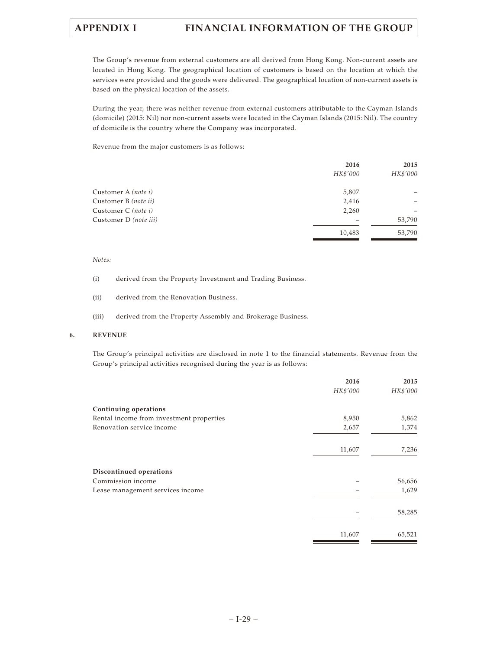The Group's revenue from external customers are all derived from Hong Kong. Non-current assets are located in Hong Kong. The geographical location of customers is based on the location at which the services were provided and the goods were delivered. The geographical location of non-current assets is based on the physical location of the assets.

During the year, there was neither revenue from external customers attributable to the Cayman Islands (domicile) (2015: Nil) nor non-current assets were located in the Cayman Islands (2015: Nil). The country of domicile is the country where the Company was incorporated.

Revenue from the major customers is as follows:

| 2016     | 2015     |
|----------|----------|
| HK\$'000 | HK\$'000 |
| 5,807    |          |
| 2,416    |          |
| 2,260    |          |
|          | 53,790   |
| 10,483   | 53,790   |
|          |          |

### *Notes:*

- (i) derived from the Property Investment and Trading Business.
- (ii) derived from the Renovation Business.
- (iii) derived from the Property Assembly and Brokerage Business.

### **6. REVENUE**

The Group's principal activities are disclosed in note 1 to the financial statements. Revenue from the Group's principal activities recognised during the year is as follows:

| 2016     | 2015     |
|----------|----------|
| HK\$'000 | HK\$'000 |
|          |          |
| 8,950    | 5,862    |
| 2,657    | 1,374    |
| 11,607   | 7,236    |
|          |          |
|          | 56,656   |
|          | 1,629    |
|          | 58,285   |
| 11,607   | 65,521   |
|          |          |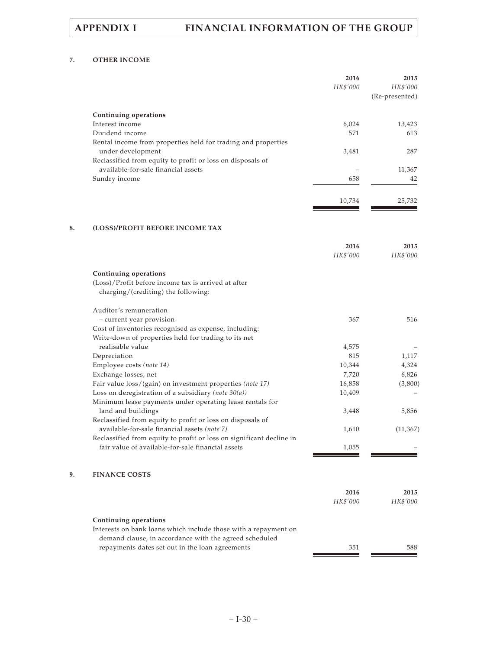# **7. OTHER INCOME**

|    |                                                                                                               | 2016<br>HK\$'000 | 2015<br>HK\$'000<br>(Re-presented) |
|----|---------------------------------------------------------------------------------------------------------------|------------------|------------------------------------|
|    | Continuing operations                                                                                         |                  |                                    |
|    | Interest income                                                                                               | 6,024            | 13,423                             |
|    | Dividend income                                                                                               | 571              | 613                                |
|    | Rental income from properties held for trading and properties                                                 |                  |                                    |
|    | under development                                                                                             | 3,481            | 287                                |
|    | Reclassified from equity to profit or loss on disposals of<br>available-for-sale financial assets             |                  | 11,367                             |
|    | Sundry income                                                                                                 | 658              | 42                                 |
|    |                                                                                                               |                  |                                    |
|    |                                                                                                               | 10,734           | 25,732                             |
| 8. | (LOSS)/PROFIT BEFORE INCOME TAX                                                                               |                  |                                    |
|    |                                                                                                               | 2016             | 2015                               |
|    |                                                                                                               | HK\$'000         | HK\$'000                           |
|    | Continuing operations                                                                                         |                  |                                    |
|    | (Loss)/Profit before income tax is arrived at after<br>charging/(crediting) the following:                    |                  |                                    |
|    | Auditor's remuneration                                                                                        |                  |                                    |
|    | - current year provision                                                                                      | 367              | 516                                |
|    | Cost of inventories recognised as expense, including:<br>Write-down of properties held for trading to its net |                  |                                    |
|    | realisable value                                                                                              | 4,575            |                                    |
|    | Depreciation                                                                                                  | 815              | 1,117                              |
|    | Employee costs (note 14)                                                                                      | 10,344           | 4,324                              |
|    | Exchange losses, net                                                                                          | 7,720            | 6,826                              |
|    | Fair value loss/(gain) on investment properties (note 17)                                                     | 16,858           | (3,800)                            |
|    | Loss on deregistration of a subsidiary (note $30(a)$ )                                                        | 10,409           |                                    |
|    | Minimum lease payments under operating lease rentals for                                                      |                  |                                    |
|    | land and buildings                                                                                            | 3,448            | 5,856                              |
|    | Reclassified from equity to profit or loss on disposals of                                                    |                  |                                    |
|    | available-for-sale financial assets (note 7)                                                                  | 1,610            | (11, 367)                          |
|    | Reclassified from equity to profit or loss on significant decline in                                          |                  |                                    |
|    | fair value of available-for-sale financial assets                                                             | 1,055            |                                    |
| 9. | <b>FINANCE COSTS</b>                                                                                          |                  |                                    |
|    |                                                                                                               | 2016             | 2015                               |
|    |                                                                                                               | HK\$'000         | HK\$'000                           |
|    | Continuing operations                                                                                         |                  |                                    |
|    | Interests on bank loans which include those with a repayment on                                               |                  |                                    |
|    | demand clause, in accordance with the agreed scheduled<br>repayments dates set out in the loan agreements     | 351              | 588                                |
|    |                                                                                                               |                  |                                    |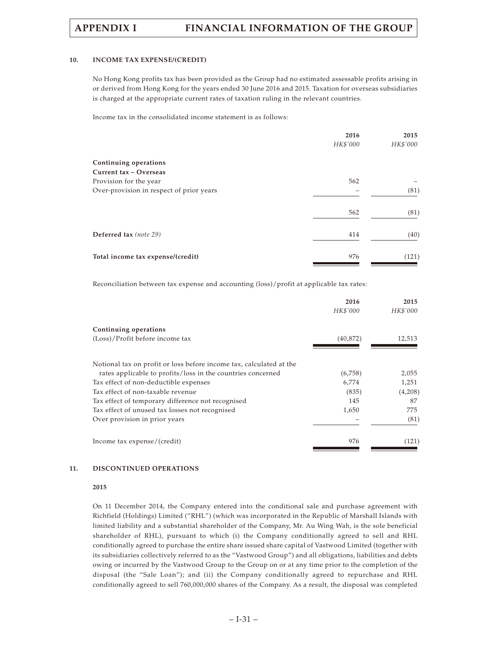### **10. INCOME TAX EXPENSE/(CREDIT)**

No Hong Kong profits tax has been provided as the Group had no estimated assessable profits arising in or derived from Hong Kong for the years ended 30 June 2016 and 2015. Taxation for overseas subsidiaries is charged at the appropriate current rates of taxation ruling in the relevant countries.

Income tax in the consolidated income statement is as follows:

|                                          | 2016<br>HK\$'000 | 2015<br>HK\$'000 |
|------------------------------------------|------------------|------------------|
| Continuing operations                    |                  |                  |
| Current tax - Overseas                   |                  |                  |
| Provision for the year                   | 562              |                  |
| Over-provision in respect of prior years |                  | (81)             |
|                                          | 562              | (81)             |
| Deferred tax (note 29)                   | 414              | (40)             |
| Total income tax expense/(credit)        | 976              | (121)            |

Reconciliation between tax expense and accounting (loss)/profit at applicable tax rates:

|                                                                     | 2016      | 2015     |
|---------------------------------------------------------------------|-----------|----------|
|                                                                     | HK\$'000  | HK\$'000 |
| Continuing operations                                               |           |          |
| (Loss)/Profit before income tax                                     | (40, 872) | 12,513   |
|                                                                     |           |          |
| Notional tax on profit or loss before income tax, calculated at the |           |          |
| rates applicable to profits/loss in the countries concerned         | (6,758)   | 2,055    |
| Tax effect of non-deductible expenses                               | 6,774     | 1,251    |
| Tax effect of non-taxable revenue                                   | (835)     | (4,208)  |
| Tax effect of temporary difference not recognised                   | 145       | 87       |
| Tax effect of unused tax losses not recognised                      | 1,650     | 775      |
| Over provision in prior years                                       |           | (81)     |
|                                                                     |           |          |
| Income tax expense/(credit)                                         | 976       | (121)    |
|                                                                     |           |          |

### **11. DISCONTINUED OPERATIONS**

### **2015**

On 11 December 2014, the Company entered into the conditional sale and purchase agreement with Richfield (Holdings) Limited ("RHL") (which was incorporated in the Republic of Marshall Islands with limited liability and a substantial shareholder of the Company, Mr. Au Wing Wah, is the sole beneficial shareholder of RHL), pursuant to which (i) the Company conditionally agreed to sell and RHL conditionally agreed to purchase the entire share issued share capital of Vastwood Limited (together with its subsidiaries collectively referred to as the "Vastwood Group") and all obligations, liabilities and debts owing or incurred by the Vastwood Group to the Group on or at any time prior to the completion of the disposal (the "Sale Loan"); and (ii) the Company conditionally agreed to repurchase and RHL conditionally agreed to sell 760,000,000 shares of the Company. As a result, the disposal was completed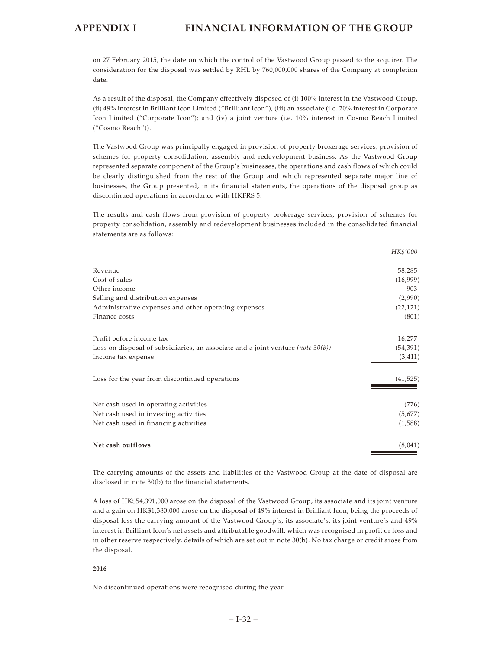on 27 February 2015, the date on which the control of the Vastwood Group passed to the acquirer. The consideration for the disposal was settled by RHL by 760,000,000 shares of the Company at completion date.

As a result of the disposal, the Company effectively disposed of (i) 100% interest in the Vastwood Group, (ii) 49% interest in Brilliant Icon Limited ("Brilliant Icon"), (iii) an associate (i.e. 20% interest in Corporate Icon Limited ("Corporate Icon"); and (iv) a joint venture (i.e. 10% interest in Cosmo Reach Limited ("Cosmo Reach")).

The Vastwood Group was principally engaged in provision of property brokerage services, provision of schemes for property consolidation, assembly and redevelopment business. As the Vastwood Group represented separate component of the Group's businesses, the operations and cash flows of which could be clearly distinguished from the rest of the Group and which represented separate major line of businesses, the Group presented, in its financial statements, the operations of the disposal group as discontinued operations in accordance with HKFRS 5.

The results and cash flows from provision of property brokerage services, provision of schemes for property consolidation, assembly and redevelopment businesses included in the consolidated financial statements are as follows:

|                                                                                            | HK\$'000  |
|--------------------------------------------------------------------------------------------|-----------|
| Revenue                                                                                    | 58,285    |
| Cost of sales                                                                              | (16,999)  |
| Other income                                                                               | 903       |
| Selling and distribution expenses                                                          | (2,990)   |
| Administrative expenses and other operating expenses                                       | (22, 121) |
| Finance costs                                                                              | (801)     |
| Profit before income tax                                                                   | 16,277    |
| Loss on disposal of subsidiaries, an associate and a joint venture ( <i>note</i> $30(b)$ ) | (54, 391) |
| Income tax expense                                                                         | (3, 411)  |
| Loss for the year from discontinued operations                                             | (41, 525) |
| Net cash used in operating activities                                                      | (776)     |
| Net cash used in investing activities                                                      | (5,677)   |
| Net cash used in financing activities                                                      | (1,588)   |
| Net cash outflows                                                                          | (8,041)   |

The carrying amounts of the assets and liabilities of the Vastwood Group at the date of disposal are disclosed in note 30(b) to the financial statements.

A loss of HK\$54,391,000 arose on the disposal of the Vastwood Group, its associate and its joint venture and a gain on HK\$1,380,000 arose on the disposal of 49% interest in Brilliant Icon, being the proceeds of disposal less the carrying amount of the Vastwood Group's, its associate's, its joint venture's and 49% interest in Brilliant Icon's net assets and attributable goodwill, which was recognised in profit or loss and in other reserve respectively, details of which are set out in note 30(b). No tax charge or credit arose from the disposal.

### **2016**

No discontinued operations were recognised during the year.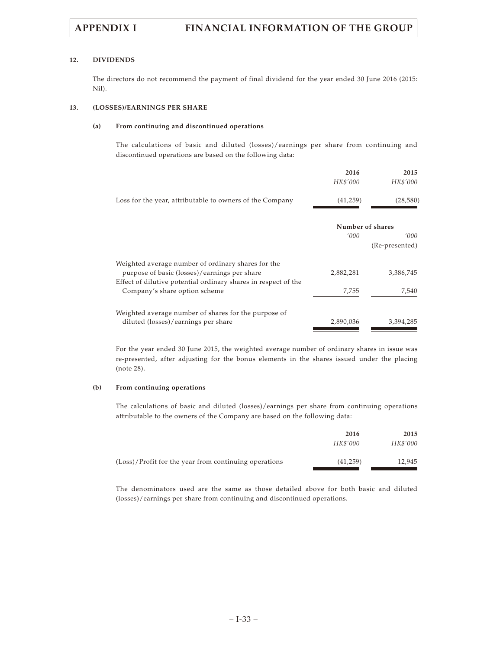## **12. DIVIDENDS**

The directors do not recommend the payment of final dividend for the year ended 30 June 2016 (2015: Nil).

## **13. (LOSSES)/EARNINGS PER SHARE**

# **(a) From continuing and discontinued operations**

The calculations of basic and diluted (losses)/earnings per share from continuing and discontinued operations are based on the following data:

|                                                                | 2016             | 2015           |
|----------------------------------------------------------------|------------------|----------------|
|                                                                | HK\$'000         | HK\$'000       |
| Loss for the year, attributable to owners of the Company       | (41,259)         | (28, 580)      |
|                                                                | Number of shares |                |
|                                                                | '000             | '000'          |
|                                                                |                  | (Re-presented) |
| Weighted average number of ordinary shares for the             |                  |                |
| purpose of basic (losses)/earnings per share                   | 2,882,281        | 3,386,745      |
| Effect of dilutive potential ordinary shares in respect of the |                  |                |
| Company's share option scheme                                  | 7,755            | 7,540          |
| Weighted average number of shares for the purpose of           |                  |                |
| diluted (losses)/earnings per share                            | 2,890,036        | 3,394,285      |
|                                                                |                  |                |

For the year ended 30 June 2015, the weighted average number of ordinary shares in issue was re-presented, after adjusting for the bonus elements in the shares issued under the placing (note 28).

### **(b) From continuing operations**

The calculations of basic and diluted (losses)/earnings per share from continuing operations attributable to the owners of the Company are based on the following data:

|                                                       | 2016<br>HK\$'000 | 2015<br>HK\$'000 |
|-------------------------------------------------------|------------------|------------------|
| (Loss)/Profit for the year from continuing operations | (41,259)         | 12.945           |

The denominators used are the same as those detailed above for both basic and diluted (losses)/earnings per share from continuing and discontinued operations.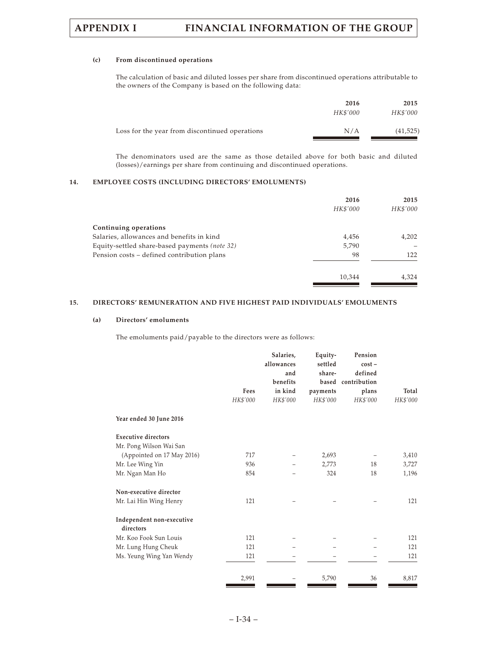## **(c) From discontinued operations**

The calculation of basic and diluted losses per share from discontinued operations attributable to the owners of the Company is based on the following data:

|                                                | 2016     | 2015      |
|------------------------------------------------|----------|-----------|
|                                                | HK\$'000 | HK\$'000  |
| Loss for the year from discontinued operations | N/A      | (41, 525) |

The denominators used are the same as those detailed above for both basic and diluted (losses)/earnings per share from continuing and discontinued operations.

### **14. EMPLOYEE COSTS (INCLUDING DIRECTORS' EMOLUMENTS)**

|                                               | 2016<br>HK\$'000 | 2015<br>HK\$'000 |
|-----------------------------------------------|------------------|------------------|
| Continuing operations                         |                  |                  |
| Salaries, allowances and benefits in kind     | 4,456            | 4,202            |
| Equity-settled share-based payments (note 32) | 5,790            |                  |
| Pension costs - defined contribution plans    | 98               | 122              |
|                                               | 10,344           | 4.324            |

# **15. DIRECTORS' REMUNERATION AND FIVE HIGHEST PAID INDIVIDUALS' EMOLUMENTS**

### **(a) Directors' emoluments**

The emoluments paid/payable to the directors were as follows:

|                                        |          | Salaries,<br>allowances<br>and<br>benefits | Equity-<br>settled<br>share- | Pension<br>$cost -$<br>defined<br>based contribution |          |
|----------------------------------------|----------|--------------------------------------------|------------------------------|------------------------------------------------------|----------|
|                                        | Fees     | in kind                                    | payments                     | plans                                                | Total    |
|                                        | HK\$'000 | HK\$'000                                   | HK\$'000                     | HK\$'000                                             | HK\$'000 |
| Year ended 30 June 2016                |          |                                            |                              |                                                      |          |
| <b>Executive directors</b>             |          |                                            |                              |                                                      |          |
| Mr. Pong Wilson Wai San                |          |                                            |                              |                                                      |          |
| (Appointed on 17 May 2016)             | 717      |                                            | 2,693                        |                                                      | 3,410    |
| Mr. Lee Wing Yin                       | 936      |                                            | 2,773                        | 18                                                   | 3,727    |
| Mr. Ngan Man Ho                        | 854      |                                            | 324                          | 18                                                   | 1,196    |
| Non-executive director                 |          |                                            |                              |                                                      |          |
| Mr. Lai Hin Wing Henry                 | 121      |                                            |                              |                                                      | 121      |
| Independent non-executive<br>directors |          |                                            |                              |                                                      |          |
| Mr. Koo Fook Sun Louis                 | 121      |                                            |                              |                                                      | 121      |
| Mr. Lung Hung Cheuk                    | 121      |                                            |                              |                                                      | 121      |
| Ms. Yeung Wing Yan Wendy               | 121      |                                            |                              |                                                      | 121      |
|                                        | 2,991    |                                            | 5,790                        | 36                                                   | 8,817    |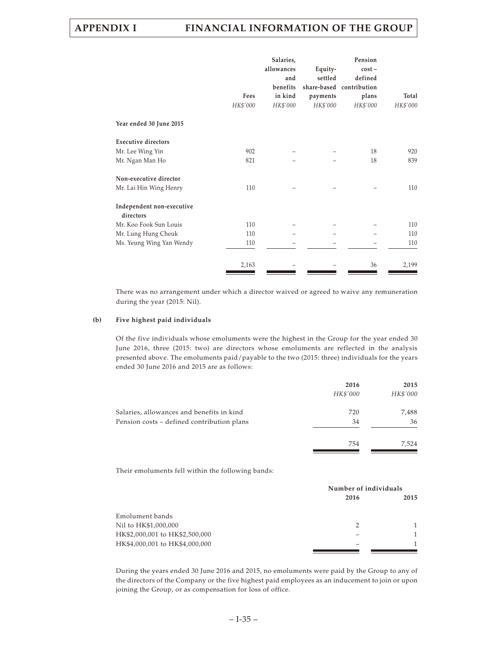|                                        | Fees<br>HK\$'000 | Salaries,<br>allowances<br>and<br>benefits<br>in kind<br>HK\$'000 | Equity-<br>settled<br>payments<br>HK\$'000 | Pension<br>$cost -$<br>defined<br>share-based contribution<br>plans<br>HK\$'000 | Total<br>HK\$'000 |
|----------------------------------------|------------------|-------------------------------------------------------------------|--------------------------------------------|---------------------------------------------------------------------------------|-------------------|
| Year ended 30 June 2015                |                  |                                                                   |                                            |                                                                                 |                   |
| <b>Executive directors</b>             |                  |                                                                   |                                            |                                                                                 |                   |
| Mr. Lee Wing Yin                       | 902              |                                                                   |                                            | 18                                                                              | 920               |
| Mr. Ngan Man Ho                        | 821              |                                                                   |                                            | 18                                                                              | 839               |
| Non-executive director                 |                  |                                                                   |                                            |                                                                                 |                   |
| Mr. Lai Hin Wing Henry                 | 110              |                                                                   |                                            |                                                                                 | 110               |
| Independent non-executive<br>directors |                  |                                                                   |                                            |                                                                                 |                   |
| Mr. Koo Fook Sun Louis                 | 110              |                                                                   |                                            |                                                                                 | 110               |
| Mr. Lung Hung Cheuk                    | 110              |                                                                   |                                            |                                                                                 | 110               |
| Ms. Yeung Wing Yan Wendy               | 110              |                                                                   |                                            |                                                                                 | 110               |
|                                        | 2,163            |                                                                   |                                            | 36                                                                              | 2,199             |

There was no arrangement under which a director waived or agreed to waive any remuneration during the year (2015: Nil).

### **(b) Five highest paid individuals**

Of the five individuals whose emoluments were the highest in the Group for the year ended 30 June 2016, three (2015: two) are directors whose emoluments are reflected in the analysis presented above. The emoluments paid/payable to the two (2015: three) individuals for the years ended 30 June 2016 and 2015 are as follows:

| 2016     | 2015     |
|----------|----------|
| HK\$'000 | HK\$'000 |
| 720      | 7,488    |
| 34       | 36       |
| 754      | 7,524    |
|          |          |

Their emoluments fell within the following bands:

|                                | Number of individuals |      |  |
|--------------------------------|-----------------------|------|--|
|                                | 2016                  | 2015 |  |
| Emolument bands                |                       |      |  |
| Nil to HK\$1,000,000           | 2                     |      |  |
| HK\$2,000,001 to HK\$2,500,000 |                       |      |  |
| HK\$4,000,001 to HK\$4,000,000 |                       |      |  |
|                                |                       |      |  |

During the years ended 30 June 2016 and 2015, no emoluments were paid by the Group to any of the directors of the Company or the five highest paid employees as an inducement to join or upon joining the Group, or as compensation for loss of office.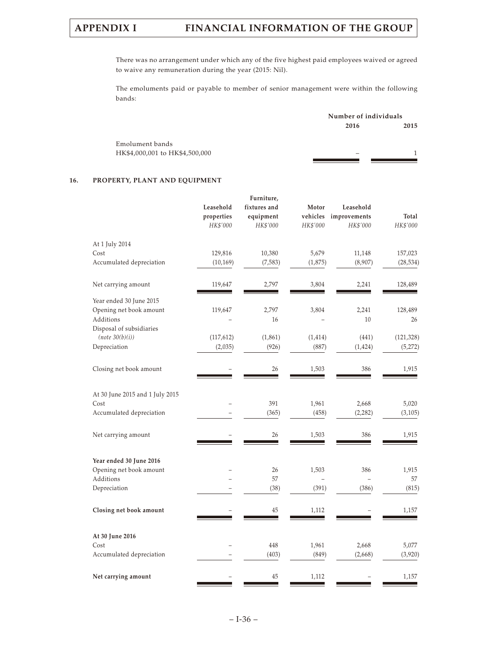There was no arrangement under which any of the five highest paid employees waived or agreed to waive any remuneration during the year (2015: Nil).

The emoluments paid or payable to member of senior management were within the following bands:

|                                | Number of individuals |      |  |
|--------------------------------|-----------------------|------|--|
|                                | 2016                  | 2015 |  |
| Emolument bands                |                       |      |  |
| HK\$4,000,001 to HK\$4,500,000 |                       |      |  |
|                                |                       |      |  |

# **16. PROPERTY, PLANT AND EQUIPMENT**

|                                 |            | Furniture,   |          |              |            |
|---------------------------------|------------|--------------|----------|--------------|------------|
|                                 | Leasehold  | fixtures and | Motor    | Leasehold    |            |
|                                 | properties | equipment    | vehicles | improvements | Total      |
|                                 | HK\$'000   | HK\$'000     | HK\$'000 | HK\$'000     | HK\$'000   |
| At 1 July 2014                  |            |              |          |              |            |
| Cost                            | 129,816    | 10,380       | 5,679    | 11,148       | 157,023    |
| Accumulated depreciation        | (10, 169)  | (7, 583)     | (1,875)  | (8,907)      | (28, 534)  |
| Net carrying amount             | 119,647    | 2,797        | 3,804    | 2,241        | 128,489    |
| Year ended 30 June 2015         |            |              |          |              |            |
| Opening net book amount         | 119,647    | 2,797        | 3,804    | 2,241        | 128,489    |
| Additions                       |            | 16           |          | 10           | 26         |
| Disposal of subsidiaries        |            |              |          |              |            |
| (note 30(b)(i))                 | (117, 612) | (1, 861)     | (1, 414) | (441)        | (121, 328) |
| Depreciation                    | (2,035)    | (926)        | (887)    | (1, 424)     | (5,272)    |
| Closing net book amount         |            | 26           | 1,503    | 386          | 1,915      |
| At 30 June 2015 and 1 July 2015 |            |              |          |              |            |
| Cost                            |            | 391          | 1,961    | 2,668        | 5,020      |
| Accumulated depreciation        |            | (365)        | (458)    | (2, 282)     | (3, 105)   |
|                                 |            |              |          |              |            |
| Net carrying amount             |            | 26           | 1,503    | 386          | 1,915      |
| Year ended 30 June 2016         |            |              |          |              |            |
| Opening net book amount         |            | 26           | 1,503    | 386          | 1,915      |
| Additions                       |            | 57           |          | -            | 57         |
| Depreciation                    |            | (38)         | (391)    | (386)        | (815)      |
| Closing net book amount         |            | 45           | 1,112    |              | 1,157      |
| At 30 June 2016                 |            |              |          |              |            |
| Cost                            |            | 448          | 1,961    | 2,668        | 5,077      |
| Accumulated depreciation        |            | (403)        | (849)    | (2,668)      | (3,920)    |
|                                 |            |              |          |              |            |
| Net carrying amount             |            | 45           | 1,112    |              | 1,157      |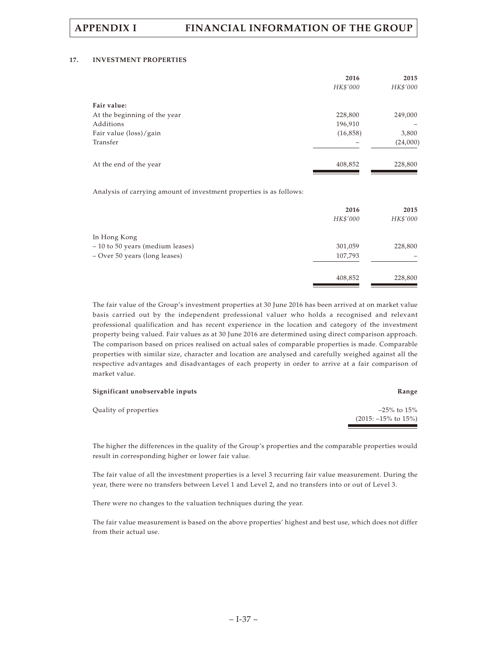## **17. INVESTMENT PROPERTIES**

|                              | 2016      | 2015     |
|------------------------------|-----------|----------|
|                              | HK\$'000  | HK\$'000 |
| Fair value:                  |           |          |
| At the beginning of the year | 228,800   | 249,000  |
| Additions                    | 196,910   |          |
| Fair value (loss)/gain       | (16, 858) | 3,800    |
| Transfer                     |           | (24,000) |
| At the end of the year       | 408,852   | 228,800  |

Analysis of carrying amount of investment properties is as follows:

|                                  | 2016     | 2015     |
|----------------------------------|----------|----------|
|                                  | HK\$'000 | HK\$'000 |
| In Hong Kong                     |          |          |
| - 10 to 50 years (medium leases) | 301,059  | 228,800  |
| - Over 50 years (long leases)    | 107,793  |          |
|                                  | 408,852  | 228,800  |

The fair value of the Group's investment properties at 30 June 2016 has been arrived at on market value basis carried out by the independent professional valuer who holds a recognised and relevant professional qualification and has recent experience in the location and category of the investment property being valued. Fair values as at 30 June 2016 are determined using direct comparison approach. The comparison based on prices realised on actual sales of comparable properties is made. Comparable properties with similar size, character and location are analysed and carefully weighed against all the respective advantages and disadvantages of each property in order to arrive at a fair comparison of market value.

| Significant unobservable inputs | Range                            |
|---------------------------------|----------------------------------|
| Quality of properties           | $-25\%$ to $15\%$                |
|                                 | $(2015: -15\% \text{ to } 15\%)$ |

The higher the differences in the quality of the Group's properties and the comparable properties would result in corresponding higher or lower fair value.

The fair value of all the investment properties is a level 3 recurring fair value measurement. During the year, there were no transfers between Level 1 and Level 2, and no transfers into or out of Level 3.

There were no changes to the valuation techniques during the year.

The fair value measurement is based on the above properties' highest and best use, which does not differ from their actual use.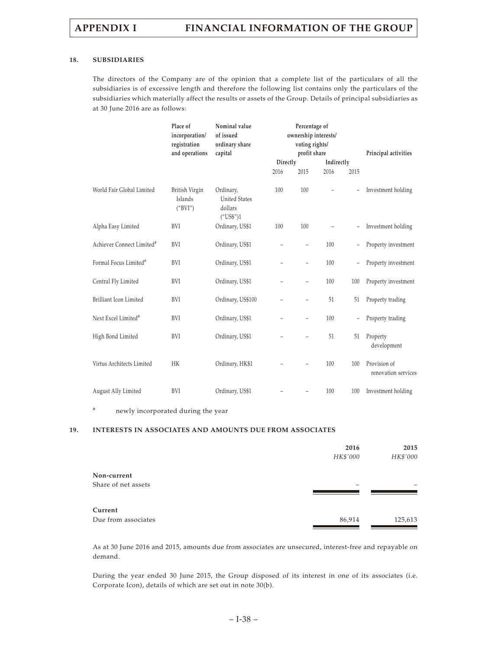### **18. SUBSIDIARIES**

The directors of the Company are of the opinion that a complete list of the particulars of all the subsidiaries is of excessive length and therefore the following list contains only the particulars of the subsidiaries which materially affect the results or assets of the Group. Details of principal subsidiaries as at 30 June 2016 are as follows:

|                                       | Place of<br>incorporation/<br>registration<br>and operations | Nominal value<br>of issued<br>ordinary share<br>capital   | Percentage of<br>ownership interests/<br>voting rights/<br>profit share |                   |                   |                          | Principal activities                |
|---------------------------------------|--------------------------------------------------------------|-----------------------------------------------------------|-------------------------------------------------------------------------|-------------------|-------------------|--------------------------|-------------------------------------|
|                                       |                                                              |                                                           | Directly                                                                |                   | Indirectly        |                          |                                     |
|                                       |                                                              |                                                           | 2016                                                                    | 2015              | 2016              | 2015                     |                                     |
| World Fair Global Limited             | British Virgin<br>Islands<br>("BVI")                         | Ordinary,<br><b>United States</b><br>dollars<br>("US\$")1 | 100                                                                     | 100               |                   | ÷,                       | Investment holding                  |
| Alpha Easy Limited                    | BVI                                                          | Ordinary, US\$1                                           | 100                                                                     | 100               | $\qquad \qquad -$ | $\overline{\phantom{0}}$ | Investment holding                  |
| Achiever Connect Limited <sup>#</sup> | <b>BVI</b>                                                   | Ordinary, US\$1                                           |                                                                         | $\qquad \qquad -$ | 100               | $\overline{\phantom{a}}$ | Property investment                 |
| Formal Focus Limited <sup>#</sup>     | BVI                                                          | Ordinary, US\$1                                           |                                                                         | $\qquad \qquad -$ | 100               | $\overline{\phantom{0}}$ | Property investment                 |
| Central Fly Limited                   | <b>BVI</b>                                                   | Ordinary, US\$1                                           |                                                                         | $\qquad \qquad -$ | 100               | 100                      | Property investment                 |
| Brilliant Icon Limited                | <b>BVI</b>                                                   | Ordinary, US\$100                                         |                                                                         |                   | 51                | 51                       | Property trading                    |
| Next Excel Limited <sup>#</sup>       | <b>BVI</b>                                                   | Ordinary, US\$1                                           |                                                                         | $\qquad \qquad -$ | 100               | ÷,                       | Property trading                    |
| High Bond Limited                     | BVI                                                          | Ordinary, US\$1                                           |                                                                         |                   | 51                | 51                       | Property<br>development             |
| Virtus Architects Limited             | HK                                                           | Ordinary, HK\$1                                           |                                                                         |                   | 100               | 100                      | Provision of<br>renovation services |
| August Ally Limited                   | BVI                                                          | Ordinary, US\$1                                           |                                                                         |                   | 100               | 100                      | Investment holding                  |

# newly incorporated during the year

# **19. INTERESTS IN ASSOCIATES AND AMOUNTS DUE FROM ASSOCIATES**

|                     | 2016     | 2015     |
|---------------------|----------|----------|
|                     | HK\$'000 | HK\$'000 |
| Non-current         |          |          |
| Share of net assets |          |          |
| Current             |          |          |
| Due from associates | 86,914   | 125,613  |

As at 30 June 2016 and 2015, amounts due from associates are unsecured, interest-free and repayable on demand.

During the year ended 30 June 2015, the Group disposed of its interest in one of its associates (i.e. Corporate Icon), details of which are set out in note 30(b).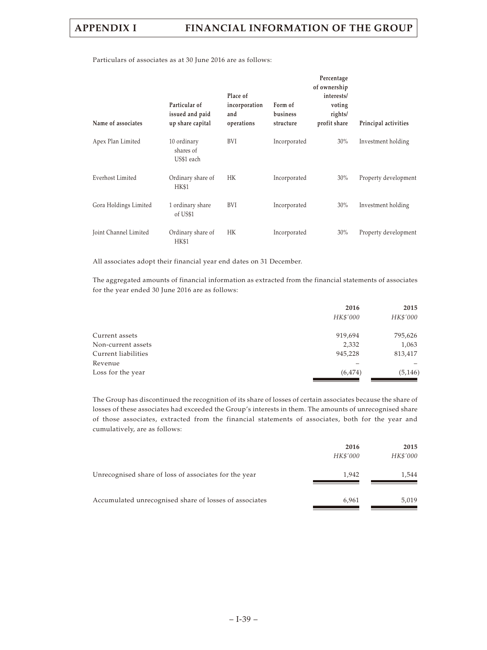Particulars of associates as at 30 June 2016 are as follows:

| Name of associates      | Particular of<br>issued and paid<br>up share capital | Place of<br>incorporation<br>and<br>operations | Form of<br>business<br>structure | Percentage<br>of ownership<br>interests/<br>voting<br>rights/<br>profit share | Principal activities |
|-------------------------|------------------------------------------------------|------------------------------------------------|----------------------------------|-------------------------------------------------------------------------------|----------------------|
| Apex Plan Limited       | 10 ordinary<br>shares of<br>US\$1 each               | BVI                                            | Incorporated                     | 30%                                                                           | Investment holding   |
| <b>Everhost Limited</b> | Ordinary share of<br>HK\$1                           | HK                                             | Incorporated                     | 30%                                                                           | Property development |
| Gora Holdings Limited   | 1 ordinary share<br>of US\$1                         | BVI                                            | Incorporated                     | 30%                                                                           | Investment holding   |
| Joint Channel Limited   | Ordinary share of<br><b>HK\$1</b>                    | HК                                             | Incorporated                     | 30%                                                                           | Property development |

All associates adopt their financial year end dates on 31 December.

The aggregated amounts of financial information as extracted from the financial statements of associates for the year ended 30 June 2016 are as follows:

|                     | 2016     | 2015     |
|---------------------|----------|----------|
|                     | HK\$'000 | HK\$'000 |
| Current assets      | 919,694  | 795,626  |
| Non-current assets  | 2,332    | 1,063    |
| Current liabilities | 945,228  | 813,417  |
| Revenue             |          |          |
| Loss for the year   | (6, 474) | (5, 146) |

The Group has discontinued the recognition of its share of losses of certain associates because the share of losses of these associates had exceeded the Group's interests in them. The amounts of unrecognised share of those associates, extracted from the financial statements of associates, both for the year and cumulatively, are as follows:

|                                                        | 2016<br>HK\$'000 | 2015<br>HK\$'000 |
|--------------------------------------------------------|------------------|------------------|
| Unrecognised share of loss of associates for the year  | 1.942            | 1.544            |
| Accumulated unrecognised share of losses of associates | 6,961            | 5,019            |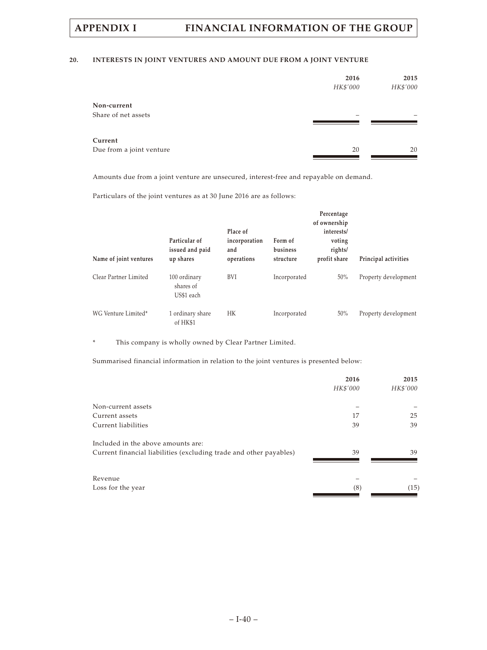# **20. INTERESTS IN JOINT VENTURES AND AMOUNT DUE FROM A JOINT VENTURE**

|                                     | 2016<br>HK\$'000 | 2015<br>HK\$'000 |
|-------------------------------------|------------------|------------------|
| Non-current<br>Share of net assets  |                  |                  |
| Current<br>Due from a joint venture | 20               | 20               |
|                                     |                  |                  |

Amounts due from a joint venture are unsecured, interest-free and repayable on demand.

Particulars of the joint ventures as at 30 June 2016 are as follows:

| Name of joint ventures | Particular of<br>issued and paid<br>up shares | Place of<br>incorporation<br>and<br>operations | Form of<br>business<br>structure | Percentage<br>of ownership<br>interests/<br>voting<br>rights/<br>profit share | Principal activities |
|------------------------|-----------------------------------------------|------------------------------------------------|----------------------------------|-------------------------------------------------------------------------------|----------------------|
| Clear Partner Limited  | 100 ordinary<br>shares of<br>US\$1 each       | BVI                                            | Incorporated                     | 50%                                                                           | Property development |
| WG Venture Limited*    | 1 ordinary share<br>of HK\$1                  | HК                                             | Incorporated                     | 50%                                                                           | Property development |

\* This company is wholly owned by Clear Partner Limited.

Summarised financial information in relation to the joint ventures is presented below:

|                                                                    | 2016     | 2015     |
|--------------------------------------------------------------------|----------|----------|
|                                                                    | HK\$'000 | HK\$'000 |
| Non-current assets                                                 |          |          |
| Current assets                                                     | 17       | 25       |
| Current liabilities                                                | 39       | 39       |
| Included in the above amounts are:                                 |          |          |
| Current financial liabilities (excluding trade and other payables) | 39       | 39       |
|                                                                    |          |          |
| Revenue                                                            |          |          |
| Loss for the year                                                  | (8)      | (15)     |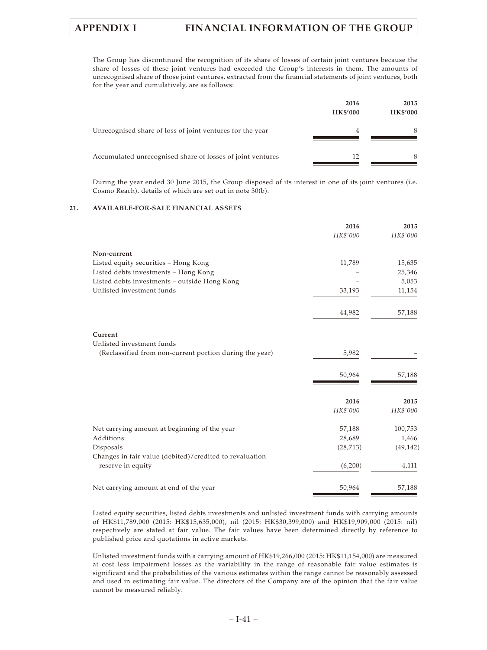The Group has discontinued the recognition of its share of losses of certain joint ventures because the share of losses of these joint ventures had exceeded the Group's interests in them. The amounts of unrecognised share of those joint ventures, extracted from the financial statements of joint ventures, both for the year and cumulatively, are as follows:

|                                                            | 2016<br><b>HK\$'000</b> | 2015<br><b>HK\$'000</b> |
|------------------------------------------------------------|-------------------------|-------------------------|
| Unrecognised share of loss of joint ventures for the year  | 4                       | 8                       |
| Accumulated unrecognised share of losses of joint ventures | 12                      | 8                       |

During the year ended 30 June 2015, the Group disposed of its interest in one of its joint ventures (i.e. Cosmo Reach), details of which are set out in note 30(b).

# **21. AVAILABLE-FOR-SALE FINANCIAL ASSETS**

| 2016      | 2015                    |
|-----------|-------------------------|
| HK\$'000  | HK\$'000                |
|           |                         |
| 11,789    | 15,635                  |
|           | 25,346                  |
|           | 5,053                   |
| 33,193    | 11,154                  |
|           | 57,188                  |
|           |                         |
|           |                         |
|           |                         |
|           |                         |
| 50,964    | 57,188                  |
|           | 2015                    |
| HK\$'000  | HK\$'000                |
| 57,188    | 100,753                 |
| 28,689    | 1,466                   |
| (28, 713) | (49, 142)               |
|           |                         |
| (6,200)   | 4,111                   |
| 50,964    | 57,188                  |
|           | 44,982<br>5,982<br>2016 |

Listed equity securities, listed debts investments and unlisted investment funds with carrying amounts of HK\$11,789,000 (2015: HK\$15,635,000), nil (2015: HK\$30,399,000) and HK\$19,909,000 (2015: nil) respectively are stated at fair value. The fair values have been determined directly by reference to published price and quotations in active markets.

Unlisted investment funds with a carrying amount of HK\$19,266,000 (2015: HK\$11,154,000) are measured at cost less impairment losses as the variability in the range of reasonable fair value estimates is significant and the probabilities of the various estimates within the range cannot be reasonably assessed and used in estimating fair value. The directors of the Company are of the opinion that the fair value cannot be measured reliably.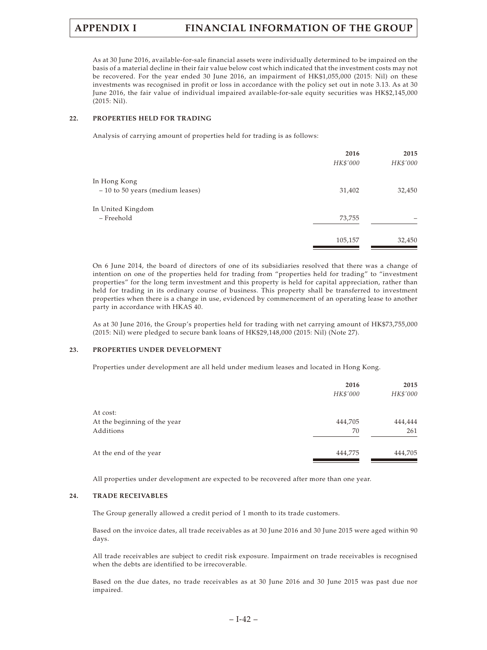As at 30 June 2016, available-for-sale financial assets were individually determined to be impaired on the basis of a material decline in their fair value below cost which indicated that the investment costs may not be recovered. For the year ended 30 June 2016, an impairment of HK\$1,055,000 (2015: Nil) on these investments was recognised in profit or loss in accordance with the policy set out in note 3.13. As at 30 June 2016, the fair value of individual impaired available-for-sale equity securities was HK\$2,145,000 (2015: Nil).

# **22. PROPERTIES HELD FOR TRADING**

Analysis of carrying amount of properties held for trading is as follows:

|                                   | 2016<br>HK\$'000 | 2015<br>HK\$'000 |
|-----------------------------------|------------------|------------------|
| In Hong Kong                      |                  |                  |
| $-10$ to 50 years (medium leases) | 31,402           | 32,450           |
| In United Kingdom                 |                  |                  |
| - Freehold                        | 73,755           |                  |
|                                   | 105,157          | 32,450           |

On 6 June 2014, the board of directors of one of its subsidiaries resolved that there was a change of intention on one of the properties held for trading from "properties held for trading" to "investment properties" for the long term investment and this property is held for capital appreciation, rather than held for trading in its ordinary course of business. This property shall be transferred to investment properties when there is a change in use, evidenced by commencement of an operating lease to another party in accordance with HKAS 40.

As at 30 June 2016, the Group's properties held for trading with net carrying amount of HK\$73,755,000 (2015: Nil) were pledged to secure bank loans of HK\$29,148,000 (2015: Nil) (Note 27).

## **23. PROPERTIES UNDER DEVELOPMENT**

Properties under development are all held under medium leases and located in Hong Kong.

|                              | 2016<br>HK\$'000 | 2015<br>HK\$'000 |
|------------------------------|------------------|------------------|
| At cost:                     |                  |                  |
| At the beginning of the year | 444,705          | 444,444          |
| Additions                    | 70               | 261              |
| At the end of the year       | 444,775          | 444,705          |

All properties under development are expected to be recovered after more than one year.

### **24. TRADE RECEIVABLES**

The Group generally allowed a credit period of 1 month to its trade customers.

Based on the invoice dates, all trade receivables as at 30 June 2016 and 30 June 2015 were aged within 90 days.

All trade receivables are subject to credit risk exposure. Impairment on trade receivables is recognised when the debts are identified to be irrecoverable.

Based on the due dates, no trade receivables as at 30 June 2016 and 30 June 2015 was past due nor impaired.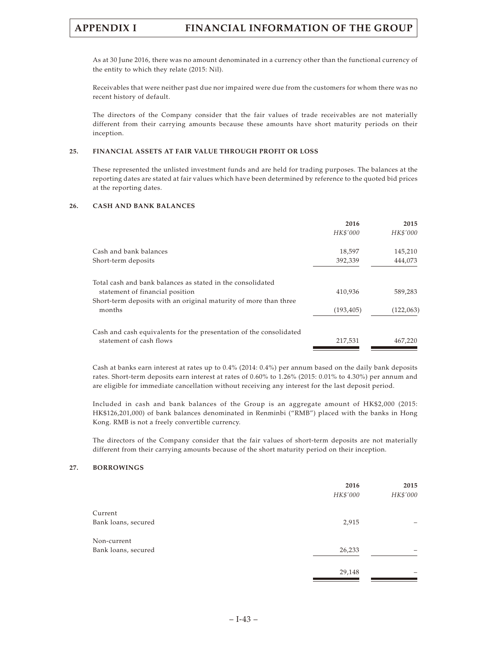As at 30 June 2016, there was no amount denominated in a currency other than the functional currency of the entity to which they relate (2015: Nil).

Receivables that were neither past due nor impaired were due from the customers for whom there was no recent history of default.

The directors of the Company consider that the fair values of trade receivables are not materially different from their carrying amounts because these amounts have short maturity periods on their inception.

## **25. FINANCIAL ASSETS AT FAIR VALUE THROUGH PROFIT OR LOSS**

These represented the unlisted investment funds and are held for trading purposes. The balances at the reporting dates are stated at fair values which have been determined by reference to the quoted bid prices at the reporting dates.

### **26. CASH AND BANK BALANCES**

|                                                                    | 2016       | 2015      |
|--------------------------------------------------------------------|------------|-----------|
|                                                                    | HK\$'000   | HK\$'000  |
| Cash and bank balances                                             | 18,597     | 145,210   |
| Short-term deposits                                                | 392,339    | 444,073   |
| Total cash and bank balances as stated in the consolidated         |            |           |
| statement of financial position                                    | 410,936    | 589,283   |
| Short-term deposits with an original maturity of more than three   |            |           |
| months                                                             | (193, 405) | (122,063) |
| Cash and cash equivalents for the presentation of the consolidated |            |           |
| statement of cash flows                                            | 217.531    | 467,220   |

Cash at banks earn interest at rates up to 0.4% (2014: 0.4%) per annum based on the daily bank deposits rates. Short-term deposits earn interest at rates of 0.60% to 1.26% (2015: 0.01% to 4.30%) per annum and are eligible for immediate cancellation without receiving any interest for the last deposit period.

Included in cash and bank balances of the Group is an aggregate amount of HK\$2,000 (2015: HK\$126,201,000) of bank balances denominated in Renminbi ("RMB") placed with the banks in Hong Kong. RMB is not a freely convertible currency.

The directors of the Company consider that the fair values of short-term deposits are not materially different from their carrying amounts because of the short maturity period on their inception.

### **27. BORROWINGS**

|                                    | 2016<br>HK\$'000 | 2015<br>HK\$'000 |
|------------------------------------|------------------|------------------|
| Current<br>Bank loans, secured     | 2,915            |                  |
| Non-current<br>Bank loans, secured | 26,233           |                  |
|                                    | 29,148           |                  |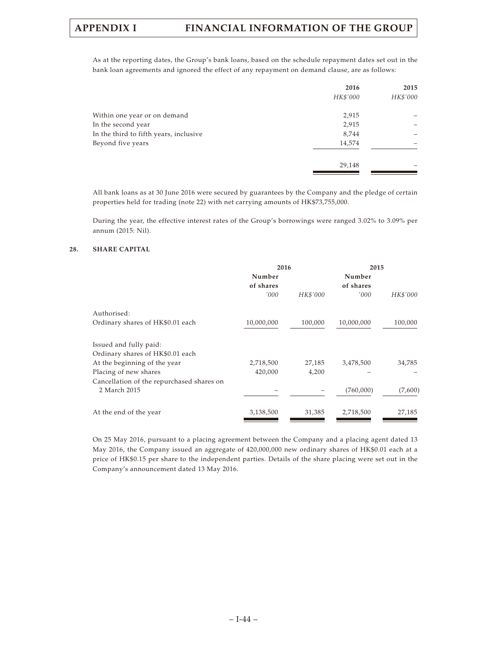As at the reporting dates, the Group's bank loans, based on the schedule repayment dates set out in the bank loan agreements and ignored the effect of any repayment on demand clause, are as follows:

|                                        | 2016     | 2015     |
|----------------------------------------|----------|----------|
|                                        | HK\$'000 | HK\$'000 |
| Within one year or on demand           | 2,915    |          |
| In the second year                     | 2,915    |          |
| In the third to fifth years, inclusive | 8,744    |          |
| Beyond five years                      | 14,574   |          |
|                                        | 29,148   |          |
|                                        |          |          |

All bank loans as at 30 June 2016 were secured by guarantees by the Company and the pledge of certain properties held for trading (note 22) with net carrying amounts of HK\$73,755,000.

During the year, the effective interest rates of the Group's borrowings were ranged 3.02% to 3.09% per annum (2015: Nil).

# **28. SHARE CAPITAL**

|                                           | 2016                |          | 2015                |          |  |
|-------------------------------------------|---------------------|----------|---------------------|----------|--|
|                                           | Number<br>of shares |          | Number<br>of shares |          |  |
|                                           | '000                | HK\$'000 | '000                | HK\$'000 |  |
| Authorised:                               |                     |          |                     |          |  |
| Ordinary shares of HK\$0.01 each          | 10,000,000          | 100,000  | 10,000,000          | 100,000  |  |
| Issued and fully paid:                    |                     |          |                     |          |  |
| Ordinary shares of HK\$0.01 each          |                     |          |                     |          |  |
| At the beginning of the year              | 2,718,500           | 27,185   | 3,478,500           | 34,785   |  |
| Placing of new shares                     | 420,000             | 4,200    |                     |          |  |
| Cancellation of the repurchased shares on |                     |          |                     |          |  |
| 2 March 2015                              |                     |          | (760,000)           | (7,600)  |  |
| At the end of the year                    | 3,138,500           | 31,385   | 2,718,500           | 27,185   |  |
|                                           |                     |          |                     |          |  |

On 25 May 2016, pursuant to a placing agreement between the Company and a placing agent dated 13 May 2016, the Company issued an aggregate of 420,000,000 new ordinary shares of HK\$0.01 each at a price of HK\$0.15 per share to the independent parties. Details of the share placing were set out in the Company's announcement dated 13 May 2016.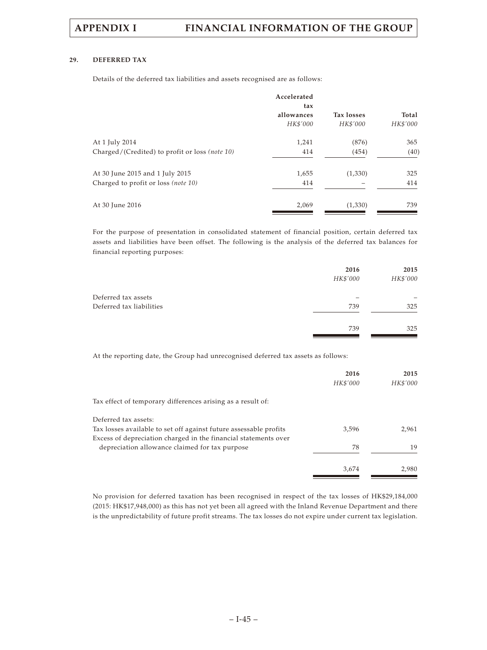# **29. DEFERRED TAX**

Details of the deferred tax liabilities and assets recognised are as follows:

|                                                | Accelerated<br>tax |                   |          |
|------------------------------------------------|--------------------|-------------------|----------|
|                                                | allowances         | <b>Tax losses</b> | Total    |
|                                                | HK\$'000           | HK\$'000          | HK\$'000 |
| At 1 July 2014                                 | 1,241              | (876)             | 365      |
| Charged/(Credited) to profit or loss (note 10) | 414                | (454)             | (40)     |
| At 30 June 2015 and 1 July 2015                | 1,655              | (1,330)           | 325      |
| Charged to profit or loss (note 10)            | 414                |                   | 414      |
| At 30 June 2016                                | 2,069              | (1,330)           | 739      |

For the purpose of presentation in consolidated statement of financial position, certain deferred tax assets and liabilities have been offset. The following is the analysis of the deferred tax balances for financial reporting purposes:

|                          | 2016     | 2015     |
|--------------------------|----------|----------|
|                          | HK\$'000 | HK\$'000 |
| Deferred tax assets      |          |          |
| Deferred tax liabilities | 739      | 325      |
|                          | 739      | 325      |
|                          |          |          |

At the reporting date, the Group had unrecognised deferred tax assets as follows:

|                                                                                                                                      | 2016<br>HK\$'000 | 2015<br>HK\$'000 |
|--------------------------------------------------------------------------------------------------------------------------------------|------------------|------------------|
| Tax effect of temporary differences arising as a result of:                                                                          |                  |                  |
| Deferred tax assets:                                                                                                                 |                  |                  |
| Tax losses available to set off against future assessable profits<br>Excess of depreciation charged in the financial statements over | 3,596            | 2.961            |
| depreciation allowance claimed for tax purpose                                                                                       | 78               | 19               |
|                                                                                                                                      | 3.674            | 2,980            |

No provision for deferred taxation has been recognised in respect of the tax losses of HK\$29,184,000 (2015: HK\$17,948,000) as this has not yet been all agreed with the Inland Revenue Department and there is the unpredictability of future profit streams. The tax losses do not expire under current tax legislation.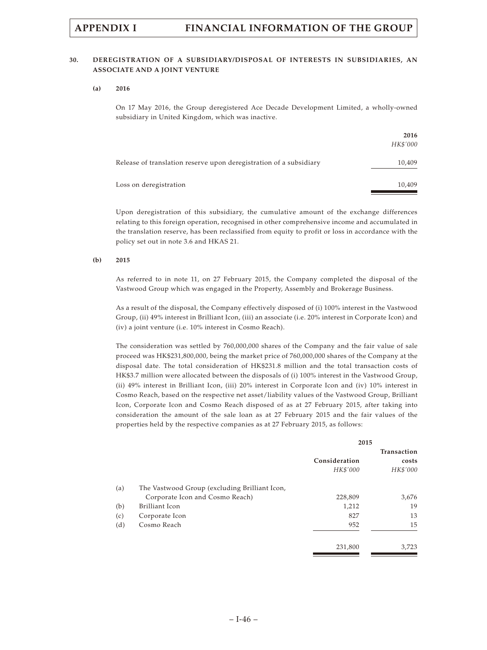# **30. DEREGISTRATION OF A SUBSIDIARY/DISPOSAL OF INTERESTS IN SUBSIDIARIES, AN ASSOCIATE AND A JOINT VENTURE**

### **(a) 2016**

On 17 May 2016, the Group deregistered Ace Decade Development Limited, a wholly-owned subsidiary in United Kingdom, which was inactive.

|                                                                    | 2016<br>HK\$'000 |
|--------------------------------------------------------------------|------------------|
| Release of translation reserve upon deregistration of a subsidiary | 10,409           |
| Loss on deregistration                                             | 10,409           |

Upon deregistration of this subsidiary, the cumulative amount of the exchange differences relating to this foreign operation, recognised in other comprehensive income and accumulated in the translation reserve, has been reclassified from equity to profit or loss in accordance with the policy set out in note 3.6 and HKAS 21.

### **(b) 2015**

As referred to in note 11, on 27 February 2015, the Company completed the disposal of the Vastwood Group which was engaged in the Property, Assembly and Brokerage Business.

As a result of the disposal, the Company effectively disposed of (i) 100% interest in the Vastwood Group, (ii) 49% interest in Brilliant Icon, (iii) an associate (i.e. 20% interest in Corporate Icon) and (iv) a joint venture (i.e. 10% interest in Cosmo Reach).

The consideration was settled by 760,000,000 shares of the Company and the fair value of sale proceed was HK\$231,800,000, being the market price of 760,000,000 shares of the Company at the disposal date. The total consideration of HK\$231.8 million and the total transaction costs of HK\$3.7 million were allocated between the disposals of (i) 100% interest in the Vastwood Group, (ii) 49% interest in Brilliant Icon, (iii) 20% interest in Corporate Icon and (iv) 10% interest in Cosmo Reach, based on the respective net asset/liability values of the Vastwood Group, Brilliant Icon, Corporate Icon and Cosmo Reach disposed of as at 27 February 2015, after taking into consideration the amount of the sale loan as at 27 February 2015 and the fair values of the properties held by the respective companies as at 27 February 2015, as follows:

|                                               | 2015          |             |
|-----------------------------------------------|---------------|-------------|
|                                               |               | Transaction |
|                                               | Consideration | costs       |
|                                               | HK\$'000      | HK\$'000    |
| The Vastwood Group (excluding Brilliant Icon, |               |             |
| Corporate Icon and Cosmo Reach)               | 228,809       | 3,676       |
| Brilliant Icon                                | 1,212         | 19          |
| Corporate Icon                                | 827           | 13          |
| Cosmo Reach                                   | 952           | 15          |
|                                               | 231,800       | 3,723       |
|                                               |               |             |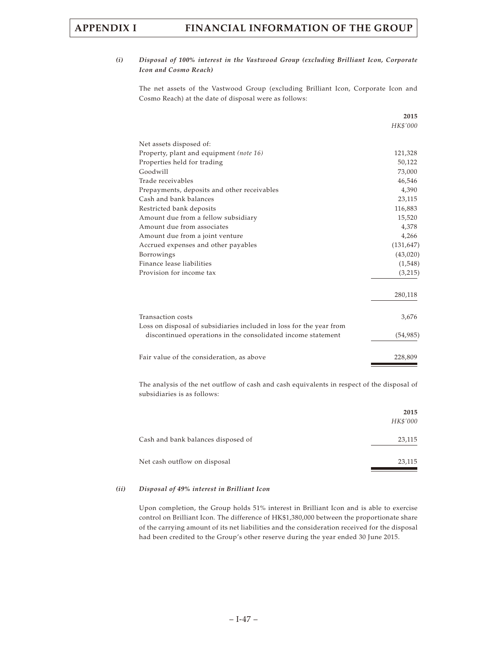# *(i) Disposal of 100% interest in the Vastwood Group (excluding Brilliant Icon, Corporate Icon and Cosmo Reach)*

The net assets of the Vastwood Group (excluding Brilliant Icon, Corporate Icon and Cosmo Reach) at the date of disposal were as follows:

|                                                                                                                                     | 2015       |
|-------------------------------------------------------------------------------------------------------------------------------------|------------|
|                                                                                                                                     | HK\$'000   |
| Net assets disposed of:                                                                                                             |            |
| Property, plant and equipment (note 16)                                                                                             | 121,328    |
| Properties held for trading                                                                                                         | 50,122     |
| Goodwill                                                                                                                            | 73,000     |
| Trade receivables                                                                                                                   | 46,546     |
| Prepayments, deposits and other receivables                                                                                         | 4,390      |
| Cash and bank balances                                                                                                              | 23,115     |
| Restricted bank deposits                                                                                                            | 116,883    |
| Amount due from a fellow subsidiary                                                                                                 | 15,520     |
| Amount due from associates                                                                                                          | 4,378      |
| Amount due from a joint venture                                                                                                     | 4,266      |
| Accrued expenses and other payables                                                                                                 | (131, 647) |
| Borrowings                                                                                                                          | (43,020)   |
| Finance lease liabilities                                                                                                           | (1,548)    |
| Provision for income tax                                                                                                            | (3,215)    |
|                                                                                                                                     | 280,118    |
| Transaction costs                                                                                                                   | 3,676      |
| Loss on disposal of subsidiaries included in loss for the year from<br>discontinued operations in the consolidated income statement | (54, 985)  |
| Fair value of the consideration, as above                                                                                           | 228,809    |
|                                                                                                                                     |            |

The analysis of the net outflow of cash and cash equivalents in respect of the disposal of subsidiaries is as follows:

|                                    | 2015<br>HK\$'000 |
|------------------------------------|------------------|
| Cash and bank balances disposed of | 23,115           |
| Net cash outflow on disposal       | 23,115           |

## *(ii) Disposal of 49% interest in Brilliant Icon*

Upon completion, the Group holds 51% interest in Brilliant Icon and is able to exercise control on Brilliant Icon. The difference of HK\$1,380,000 between the proportionate share of the carrying amount of its net liabilities and the consideration received for the disposal had been credited to the Group's other reserve during the year ended 30 June 2015.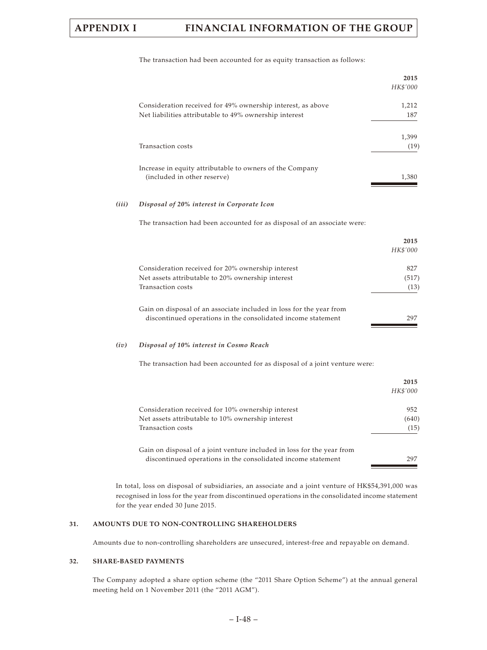|       |                                                                                                                                        | 2015<br>HK\$'000     |
|-------|----------------------------------------------------------------------------------------------------------------------------------------|----------------------|
|       | Consideration received for 49% ownership interest, as above<br>Net liabilities attributable to 49% ownership interest                  | 1,212<br>187         |
|       | Transaction costs                                                                                                                      | 1,399<br>(19)        |
|       | Increase in equity attributable to owners of the Company<br>(included in other reserve)                                                | 1,380                |
| (iii) | Disposal of 20% interest in Corporate Icon                                                                                             |                      |
|       | The transaction had been accounted for as disposal of an associate were:                                                               |                      |
|       |                                                                                                                                        | 2015<br>HK\$'000     |
|       | Consideration received for 20% ownership interest<br>Net assets attributable to 20% ownership interest<br>Transaction costs            | 827<br>(517)<br>(13) |
|       | Gain on disposal of an associate included in loss for the year from<br>discontinued operations in the consolidated income statement    | 297                  |
| (iv)  | Disposal of 10% interest in Cosmo Reach                                                                                                |                      |
|       | The transaction had been accounted for as disposal of a joint venture were:                                                            |                      |
|       |                                                                                                                                        | 2015<br>HK\$'000     |
|       | Consideration received for 10% ownership interest<br>Net assets attributable to 10% ownership interest<br>Transaction costs            | 952<br>(640)<br>(15) |
|       | Gain on disposal of a joint venture included in loss for the year from<br>discontinued operations in the consolidated income statement | 297                  |

The transaction had been accounted for as equity transaction as follows:

In total, loss on disposal of subsidiaries, an associate and a joint venture of HK\$54,391,000 was recognised in loss for the year from discontinued operations in the consolidated income statement for the year ended 30 June 2015.

# **31. AMOUNTS DUE TO NON-CONTROLLING SHAREHOLDERS**

Amounts due to non-controlling shareholders are unsecured, interest-free and repayable on demand.

# **32. SHARE-BASED PAYMENTS**

The Company adopted a share option scheme (the "2011 Share Option Scheme") at the annual general meeting held on 1 November 2011 (the "2011 AGM").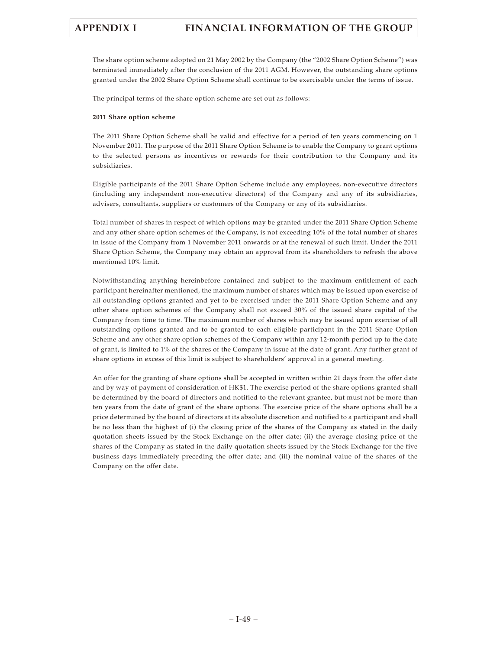The share option scheme adopted on 21 May 2002 by the Company (the "2002 Share Option Scheme") was terminated immediately after the conclusion of the 2011 AGM. However, the outstanding share options granted under the 2002 Share Option Scheme shall continue to be exercisable under the terms of issue.

The principal terms of the share option scheme are set out as follows:

## **2011 Share option scheme**

The 2011 Share Option Scheme shall be valid and effective for a period of ten years commencing on 1 November 2011. The purpose of the 2011 Share Option Scheme is to enable the Company to grant options to the selected persons as incentives or rewards for their contribution to the Company and its subsidiaries.

Eligible participants of the 2011 Share Option Scheme include any employees, non-executive directors (including any independent non-executive directors) of the Company and any of its subsidiaries, advisers, consultants, suppliers or customers of the Company or any of its subsidiaries.

Total number of shares in respect of which options may be granted under the 2011 Share Option Scheme and any other share option schemes of the Company, is not exceeding 10% of the total number of shares in issue of the Company from 1 November 2011 onwards or at the renewal of such limit. Under the 2011 Share Option Scheme, the Company may obtain an approval from its shareholders to refresh the above mentioned 10% limit.

Notwithstanding anything hereinbefore contained and subject to the maximum entitlement of each participant hereinafter mentioned, the maximum number of shares which may be issued upon exercise of all outstanding options granted and yet to be exercised under the 2011 Share Option Scheme and any other share option schemes of the Company shall not exceed 30% of the issued share capital of the Company from time to time. The maximum number of shares which may be issued upon exercise of all outstanding options granted and to be granted to each eligible participant in the 2011 Share Option Scheme and any other share option schemes of the Company within any 12-month period up to the date of grant, is limited to 1% of the shares of the Company in issue at the date of grant. Any further grant of share options in excess of this limit is subject to shareholders' approval in a general meeting.

An offer for the granting of share options shall be accepted in written within 21 days from the offer date and by way of payment of consideration of HK\$1. The exercise period of the share options granted shall be determined by the board of directors and notified to the relevant grantee, but must not be more than ten years from the date of grant of the share options. The exercise price of the share options shall be a price determined by the board of directors at its absolute discretion and notified to a participant and shall be no less than the highest of (i) the closing price of the shares of the Company as stated in the daily quotation sheets issued by the Stock Exchange on the offer date; (ii) the average closing price of the shares of the Company as stated in the daily quotation sheets issued by the Stock Exchange for the five business days immediately preceding the offer date; and (iii) the nominal value of the shares of the Company on the offer date.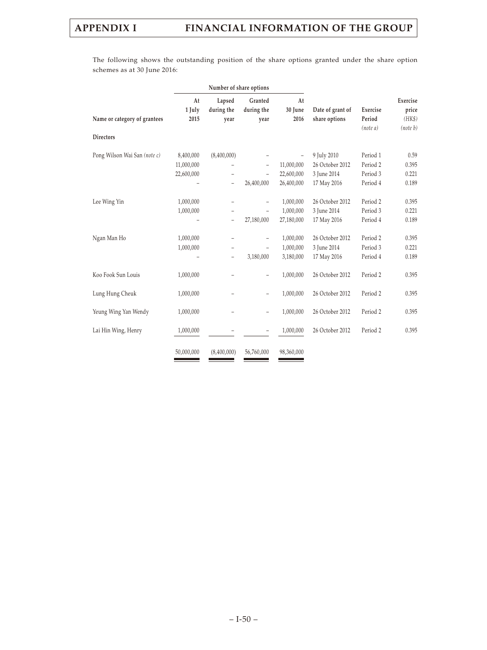The following shows the outstanding position of the share options granted under the share option schemes as at 30 June 2016:

|                              | Number of share options               |                                                                                  |                                                      |                                                      |                                               |                                  |                                         |
|------------------------------|---------------------------------------|----------------------------------------------------------------------------------|------------------------------------------------------|------------------------------------------------------|-----------------------------------------------|----------------------------------|-----------------------------------------|
| Name or category of grantees | At<br>1 July<br>2015                  | Lapsed<br>during the<br>year                                                     | Granted<br>during the<br>year                        | At<br>30 June<br>2016                                | Date of grant of<br>share options             | Exercise<br>Period<br>(note a)   | Exercise<br>price<br>(HK\$)<br>(note b) |
| <b>Directors</b>             |                                       |                                                                                  |                                                      |                                                      |                                               |                                  |                                         |
| Pong Wilson Wai San (note c) | 8,400,000<br>11,000,000<br>22,600,000 | (8,400,000)<br>$\qquad \qquad -$                                                 | $\qquad \qquad -$<br>$\qquad \qquad -$               | $\overline{\phantom{a}}$<br>11,000,000<br>22,600,000 | 9 July 2010<br>26 October 2012<br>3 June 2014 | Period 1<br>Period 2<br>Period 3 | 0.59<br>0.395<br>0.221                  |
|                              |                                       | $\qquad \qquad -$                                                                | 26,400,000                                           | 26,400,000                                           | 17 May 2016                                   | Period 4                         | 0.189                                   |
| Lee Wing Yin                 | 1,000,000<br>1,000,000                | -<br>-<br>$\qquad \qquad -$                                                      | $\qquad \qquad -$<br>$\qquad \qquad -$<br>27,180,000 | 1,000,000<br>1,000,000<br>27,180,000                 | 26 October 2012<br>3 June 2014<br>17 May 2016 | Period 2<br>Period 3<br>Period 4 | 0.395<br>0.221<br>0.189                 |
| Ngan Man Ho                  | 1,000,000<br>1,000,000                | $\overline{\phantom{0}}$<br>$\overline{\phantom{0}}$<br>$\overline{\phantom{0}}$ | $\overline{a}$<br>$\overline{a}$<br>3,180,000        | 1,000,000<br>1,000,000<br>3,180,000                  | 26 October 2012<br>3 June 2014<br>17 May 2016 | Period 2<br>Period 3<br>Period 4 | 0.395<br>0.221<br>0.189                 |
| Koo Fook Sun Louis           | 1,000,000                             |                                                                                  | $\qquad \qquad -$                                    | 1,000,000                                            | 26 October 2012                               | Period 2                         | 0.395                                   |
| Lung Hung Cheuk              | 1,000,000                             |                                                                                  | $\qquad \qquad -$                                    | 1,000,000                                            | 26 October 2012                               | Period 2                         | 0.395                                   |
| Yeung Wing Yan Wendy         | 1,000,000                             |                                                                                  | $\qquad \qquad -$                                    | 1,000,000                                            | 26 October 2012                               | Period 2                         | 0.395                                   |
| Lai Hin Wing, Henry          | 1,000,000                             |                                                                                  | $\qquad \qquad -$                                    | 1,000,000                                            | 26 October 2012                               | Period 2                         | 0.395                                   |
|                              | 50,000,000                            | (8,400,000)                                                                      | 56,760,000                                           | 98,360,000                                           |                                               |                                  |                                         |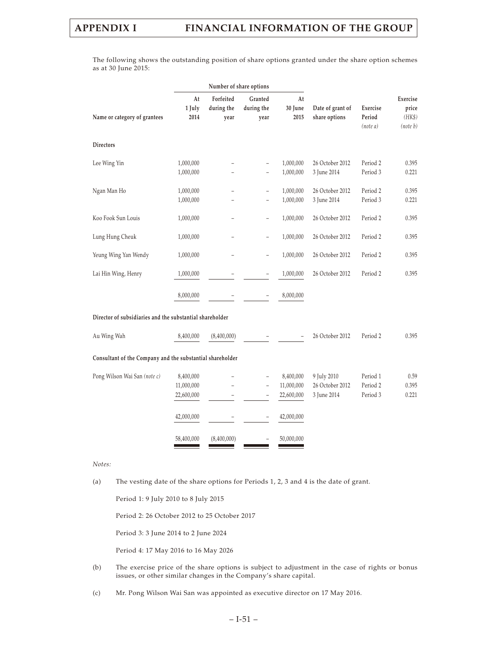The following shows the outstanding position of share options granted under the share option schemes as at 30 June 2015:

|                                                           |                                                     | Number of share options         |                                                            |                                                     |                                               |                                  |                                         |  |
|-----------------------------------------------------------|-----------------------------------------------------|---------------------------------|------------------------------------------------------------|-----------------------------------------------------|-----------------------------------------------|----------------------------------|-----------------------------------------|--|
| Name or category of grantees                              | At<br>1 July<br>2014                                | Forfeited<br>during the<br>year | Granted<br>during the<br>year                              | At<br>30 June<br>2015                               | Date of grant of<br>share options             | Exercise<br>Period<br>(note a)   | Exercise<br>price<br>(HK\$)<br>(note b) |  |
| <b>Directors</b>                                          |                                                     |                                 |                                                            |                                                     |                                               |                                  |                                         |  |
| Lee Wing Yin                                              | 1,000,000<br>1,000,000                              |                                 | $\overline{\phantom{0}}$<br>$\overline{\phantom{0}}$       | 1,000,000<br>1,000,000                              | 26 October 2012<br>3 June 2014                | Period 2<br>Period 3             | 0.395<br>0.221                          |  |
| Ngan Man Ho                                               | 1,000,000<br>1,000,000                              |                                 | $\overline{\phantom{0}}$                                   | 1,000,000<br>1,000,000                              | 26 October 2012<br>3 June 2014                | Period 2<br>Period 3             | 0.395<br>0.221                          |  |
| Koo Fook Sun Louis                                        | 1,000,000                                           |                                 | $\overline{\phantom{0}}$                                   | 1,000,000                                           | 26 October 2012                               | Period 2                         | 0.395                                   |  |
| Lung Hung Cheuk                                           | 1,000,000                                           |                                 | $\overline{\phantom{0}}$                                   | 1,000,000                                           | 26 October 2012                               | Period 2                         | 0.395                                   |  |
| Yeung Wing Yan Wendy                                      | 1,000,000                                           |                                 | $\overline{\phantom{0}}$                                   | 1,000,000                                           | 26 October 2012                               | Period 2                         | 0.395                                   |  |
| Lai Hin Wing, Henry                                       | 1,000,000                                           |                                 | $\overline{a}$                                             | 1,000,000                                           | 26 October 2012                               | Period 2                         | 0.395                                   |  |
|                                                           | 8,000,000                                           |                                 |                                                            | 8,000,000                                           |                                               |                                  |                                         |  |
| Director of subsidiaries and the substantial shareholder  |                                                     |                                 |                                                            |                                                     |                                               |                                  |                                         |  |
| Au Wing Wah                                               | 8,400,000                                           | (8,400,000)                     |                                                            |                                                     | 26 October 2012                               | Period 2                         | 0.395                                   |  |
| Consultant of the Company and the substantial shareholder |                                                     |                                 |                                                            |                                                     |                                               |                                  |                                         |  |
| Pong Wilson Wai San (note c)                              | 8,400,000<br>11,000,000<br>22,600,000<br>42,000,000 |                                 | ÷,<br>$\overline{\phantom{0}}$<br>$\overline{\phantom{0}}$ | 8,400,000<br>11,000,000<br>22,600,000<br>42,000,000 | 9 July 2010<br>26 October 2012<br>3 June 2014 | Period 1<br>Period 2<br>Period 3 | 0.59<br>0.395<br>0.221                  |  |
|                                                           | 58,400,000                                          | (8,400,000)                     |                                                            | 50,000,000                                          |                                               |                                  |                                         |  |

*Notes:*

(a) The vesting date of the share options for Periods 1, 2, 3 and 4 is the date of grant.

Period 1: 9 July 2010 to 8 July 2015

Period 2: 26 October 2012 to 25 October 2017

Period 3: 3 June 2014 to 2 June 2024

Period 4: 17 May 2016 to 16 May 2026

- (b) The exercise price of the share options is subject to adjustment in the case of rights or bonus issues, or other similar changes in the Company's share capital.
- (c) Mr. Pong Wilson Wai San was appointed as executive director on 17 May 2016.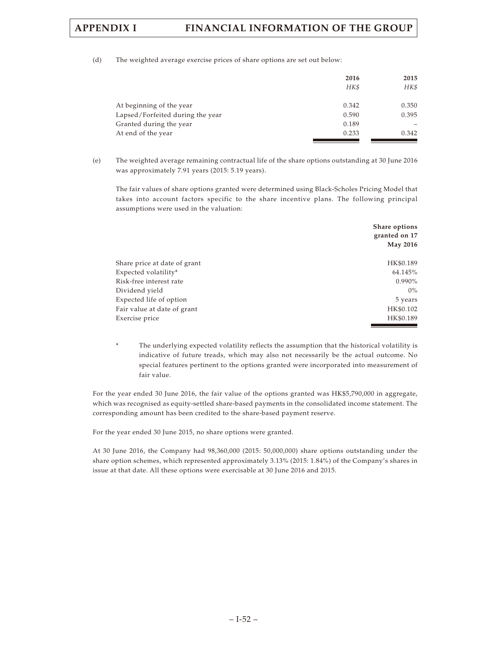(d) The weighted average exercise prices of share options are set out below:

|                                  | 2016<br>HK\$ | 2015<br>HK\$ |
|----------------------------------|--------------|--------------|
| At beginning of the year         | 0.342        | 0.350        |
| Lapsed/Forfeited during the year | 0.590        | 0.395        |
| Granted during the year          | 0.189        |              |
| At end of the year               | 0.233        | 0.342        |

(e) The weighted average remaining contractual life of the share options outstanding at 30 June 2016 was approximately 7.91 years (2015: 5.19 years).

The fair values of share options granted were determined using Black-Scholes Pricing Model that takes into account factors specific to the share incentive plans. The following principal assumptions were used in the valuation:

|                              | Share options<br>granted on 17 |
|------------------------------|--------------------------------|
|                              | <b>May 2016</b>                |
| Share price at date of grant | HK\$0.189                      |
| Expected volatility*         | 64.145%                        |
| Risk-free interest rate      | 0.990%                         |
| Dividend yield               | $0\%$                          |
| Expected life of option      | 5 years                        |
| Fair value at date of grant  | HK\$0.102                      |
| Exercise price               | HK\$0.189                      |

The underlying expected volatility reflects the assumption that the historical volatility is indicative of future treads, which may also not necessarily be the actual outcome. No special features pertinent to the options granted were incorporated into measurement of fair value.

For the year ended 30 June 2016, the fair value of the options granted was HK\$5,790,000 in aggregate, which was recognised as equity-settled share-based payments in the consolidated income statement. The corresponding amount has been credited to the share-based payment reserve.

For the year ended 30 June 2015, no share options were granted.

At 30 June 2016, the Company had 98,360,000 (2015: 50,000,000) share options outstanding under the share option schemes, which represented approximately 3.13% (2015: 1.84%) of the Company's shares in issue at that date. All these options were exercisable at 30 June 2016 and 2015.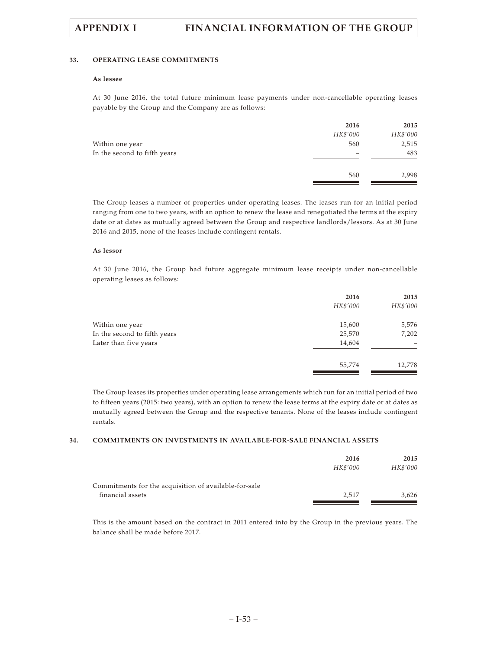### **33. OPERATING LEASE COMMITMENTS**

# **As lessee**

At 30 June 2016, the total future minimum lease payments under non-cancellable operating leases payable by the Group and the Company are as follows:

|                              | 2016     | 2015     |
|------------------------------|----------|----------|
|                              | HK\$'000 | HK\$'000 |
| Within one year              | 560      | 2,515    |
| In the second to fifth years |          | 483      |
|                              | 560      | 2,998    |
|                              |          |          |

The Group leases a number of properties under operating leases. The leases run for an initial period ranging from one to two years, with an option to renew the lease and renegotiated the terms at the expiry date or at dates as mutually agreed between the Group and respective landlords/lessors. As at 30 June 2016 and 2015, none of the leases include contingent rentals.

### **As lessor**

At 30 June 2016, the Group had future aggregate minimum lease receipts under non-cancellable operating leases as follows:

|                              | 2016<br>HK\$'000 | 2015<br>HK\$'000 |
|------------------------------|------------------|------------------|
| Within one year              | 15,600           | 5,576            |
| In the second to fifth years | 25,570           | 7,202            |
| Later than five years        | 14,604           |                  |
|                              | 55,774           | 12,778           |
|                              |                  |                  |

The Group leases its properties under operating lease arrangements which run for an initial period of two to fifteen years (2015: two years), with an option to renew the lease terms at the expiry date or at dates as mutually agreed between the Group and the respective tenants. None of the leases include contingent rentals.

# **34. COMMITMENTS ON INVESTMENTS IN AVAILABLE-FOR-SALE FINANCIAL ASSETS**

|                                                       | 2016     | 2015     |
|-------------------------------------------------------|----------|----------|
|                                                       | HK\$'000 | HK\$'000 |
| Commitments for the acquisition of available-for-sale |          |          |
| financial assets                                      | 2.517    | 3.626    |
|                                                       |          |          |

This is the amount based on the contract in 2011 entered into by the Group in the previous years. The balance shall be made before 2017.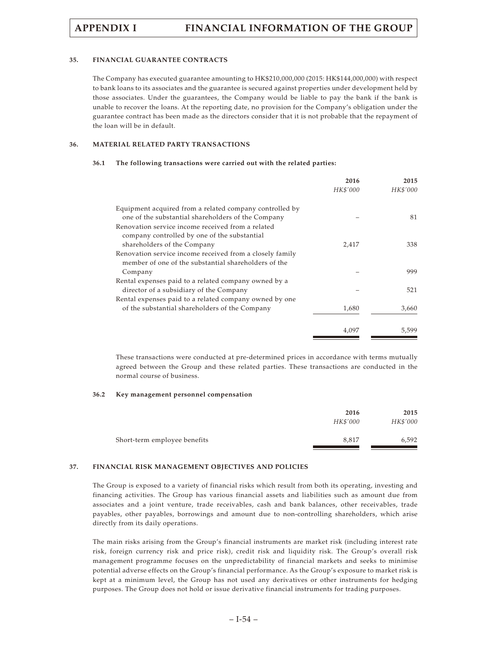### **35. FINANCIAL GUARANTEE CONTRACTS**

The Company has executed guarantee amounting to HK\$210,000,000 (2015: HK\$144,000,000) with respect to bank loans to its associates and the guarantee is secured against properties under development held by those associates. Under the guarantees, the Company would be liable to pay the bank if the bank is unable to recover the loans. At the reporting date, no provision for the Company's obligation under the guarantee contract has been made as the directors consider that it is not probable that the repayment of the loan will be in default.

## **36. MATERIAL RELATED PARTY TRANSACTIONS**

### **36.1 The following transactions were carried out with the related parties:**

|                                                          | 2016     | 2015     |
|----------------------------------------------------------|----------|----------|
|                                                          | HK\$'000 | HK\$'000 |
| Equipment acquired from a related company controlled by  |          |          |
| one of the substantial shareholders of the Company       |          | 81       |
| Renovation service income received from a related        |          |          |
| company controlled by one of the substantial             |          |          |
| shareholders of the Company                              | 2,417    | 338      |
| Renovation service income received from a closely family |          |          |
| member of one of the substantial shareholders of the     |          |          |
| Company                                                  |          | 999      |
| Rental expenses paid to a related company owned by a     |          |          |
| director of a subsidiary of the Company                  |          | 521      |
| Rental expenses paid to a related company owned by one   |          |          |
| of the substantial shareholders of the Company           | 1,680    | 3,660    |
|                                                          | 4,097    | 5,599    |

These transactions were conducted at pre-determined prices in accordance with terms mutually agreed between the Group and these related parties. These transactions are conducted in the normal course of business.

### **36.2 Key management personnel compensation**

| 2016     | 2015     |
|----------|----------|
| HK\$'000 | HK\$'000 |
| 8,817    | 6,592    |
|          |          |

# **37. FINANCIAL RISK MANAGEMENT OBJECTIVES AND POLICIES**

The Group is exposed to a variety of financial risks which result from both its operating, investing and financing activities. The Group has various financial assets and liabilities such as amount due from associates and a joint venture, trade receivables, cash and bank balances, other receivables, trade payables, other payables, borrowings and amount due to non-controlling shareholders, which arise directly from its daily operations.

The main risks arising from the Group's financial instruments are market risk (including interest rate risk, foreign currency risk and price risk), credit risk and liquidity risk. The Group's overall risk management programme focuses on the unpredictability of financial markets and seeks to minimise potential adverse effects on the Group's financial performance. As the Group's exposure to market risk is kept at a minimum level, the Group has not used any derivatives or other instruments for hedging purposes. The Group does not hold or issue derivative financial instruments for trading purposes.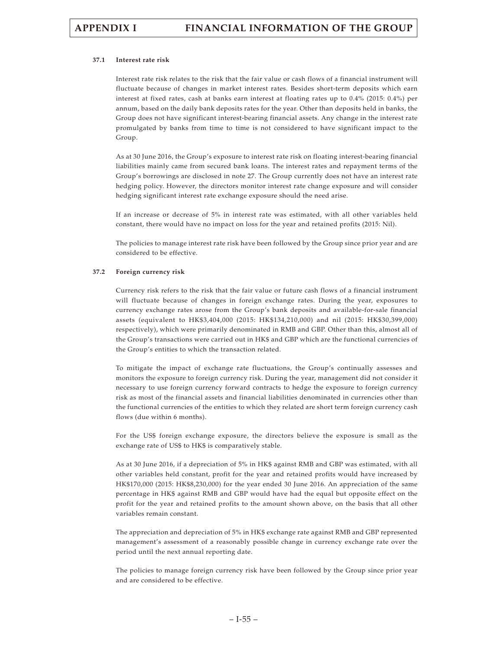## **37.1 Interest rate risk**

Interest rate risk relates to the risk that the fair value or cash flows of a financial instrument will fluctuate because of changes in market interest rates. Besides short-term deposits which earn interest at fixed rates, cash at banks earn interest at floating rates up to 0.4% (2015: 0.4%) per annum, based on the daily bank deposits rates for the year. Other than deposits held in banks, the Group does not have significant interest-bearing financial assets. Any change in the interest rate promulgated by banks from time to time is not considered to have significant impact to the Group.

As at 30 June 2016, the Group's exposure to interest rate risk on floating interest-bearing financial liabilities mainly came from secured bank loans. The interest rates and repayment terms of the Group's borrowings are disclosed in note 27. The Group currently does not have an interest rate hedging policy. However, the directors monitor interest rate change exposure and will consider hedging significant interest rate exchange exposure should the need arise.

If an increase or decrease of 5% in interest rate was estimated, with all other variables held constant, there would have no impact on loss for the year and retained profits (2015: Nil).

The policies to manage interest rate risk have been followed by the Group since prior year and are considered to be effective.

## **37.2 Foreign currency risk**

Currency risk refers to the risk that the fair value or future cash flows of a financial instrument will fluctuate because of changes in foreign exchange rates. During the year, exposures to currency exchange rates arose from the Group's bank deposits and available-for-sale financial assets (equivalent to HK\$3,404,000 (2015: HK\$134,210,000) and nil (2015: HK\$30,399,000) respectively), which were primarily denominated in RMB and GBP. Other than this, almost all of the Group's transactions were carried out in HK\$ and GBP which are the functional currencies of the Group's entities to which the transaction related.

To mitigate the impact of exchange rate fluctuations, the Group's continually assesses and monitors the exposure to foreign currency risk. During the year, management did not consider it necessary to use foreign currency forward contracts to hedge the exposure to foreign currency risk as most of the financial assets and financial liabilities denominated in currencies other than the functional currencies of the entities to which they related are short term foreign currency cash flows (due within 6 months).

For the US\$ foreign exchange exposure, the directors believe the exposure is small as the exchange rate of US\$ to HK\$ is comparatively stable.

As at 30 June 2016, if a depreciation of 5% in HK\$ against RMB and GBP was estimated, with all other variables held constant, profit for the year and retained profits would have increased by HK\$170,000 (2015: HK\$8,230,000) for the year ended 30 June 2016. An appreciation of the same percentage in HK\$ against RMB and GBP would have had the equal but opposite effect on the profit for the year and retained profits to the amount shown above, on the basis that all other variables remain constant.

The appreciation and depreciation of 5% in HK\$ exchange rate against RMB and GBP represented management's assessment of a reasonably possible change in currency exchange rate over the period until the next annual reporting date.

The policies to manage foreign currency risk have been followed by the Group since prior year and are considered to be effective.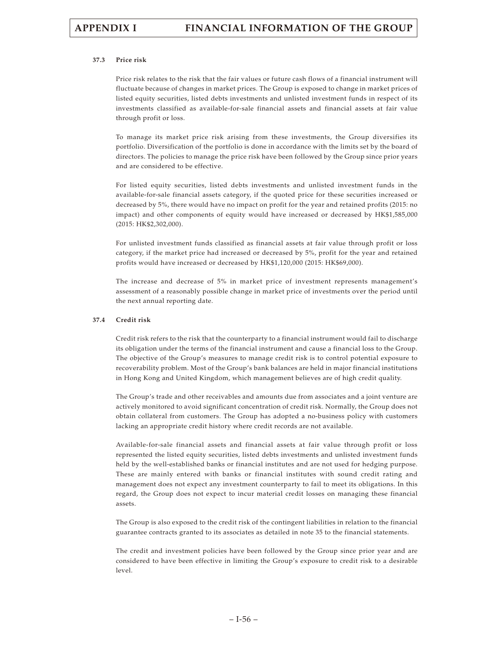## **37.3 Price risk**

Price risk relates to the risk that the fair values or future cash flows of a financial instrument will fluctuate because of changes in market prices. The Group is exposed to change in market prices of listed equity securities, listed debts investments and unlisted investment funds in respect of its investments classified as available-for-sale financial assets and financial assets at fair value through profit or loss.

To manage its market price risk arising from these investments, the Group diversifies its portfolio. Diversification of the portfolio is done in accordance with the limits set by the board of directors. The policies to manage the price risk have been followed by the Group since prior years and are considered to be effective.

For listed equity securities, listed debts investments and unlisted investment funds in the available-for-sale financial assets category, if the quoted price for these securities increased or decreased by 5%, there would have no impact on profit for the year and retained profits (2015: no impact) and other components of equity would have increased or decreased by HK\$1,585,000 (2015: HK\$2,302,000).

For unlisted investment funds classified as financial assets at fair value through profit or loss category, if the market price had increased or decreased by 5%, profit for the year and retained profits would have increased or decreased by HK\$1,120,000 (2015: HK\$69,000).

The increase and decrease of 5% in market price of investment represents management's assessment of a reasonably possible change in market price of investments over the period until the next annual reporting date.

## **37.4 Credit risk**

Credit risk refers to the risk that the counterparty to a financial instrument would fail to discharge its obligation under the terms of the financial instrument and cause a financial loss to the Group. The objective of the Group's measures to manage credit risk is to control potential exposure to recoverability problem. Most of the Group's bank balances are held in major financial institutions in Hong Kong and United Kingdom, which management believes are of high credit quality.

The Group's trade and other receivables and amounts due from associates and a joint venture are actively monitored to avoid significant concentration of credit risk. Normally, the Group does not obtain collateral from customers. The Group has adopted a no-business policy with customers lacking an appropriate credit history where credit records are not available.

Available-for-sale financial assets and financial assets at fair value through profit or loss represented the listed equity securities, listed debts investments and unlisted investment funds held by the well-established banks or financial institutes and are not used for hedging purpose. These are mainly entered with banks or financial institutes with sound credit rating and management does not expect any investment counterparty to fail to meet its obligations. In this regard, the Group does not expect to incur material credit losses on managing these financial assets.

The Group is also exposed to the credit risk of the contingent liabilities in relation to the financial guarantee contracts granted to its associates as detailed in note 35 to the financial statements.

The credit and investment policies have been followed by the Group since prior year and are considered to have been effective in limiting the Group's exposure to credit risk to a desirable level.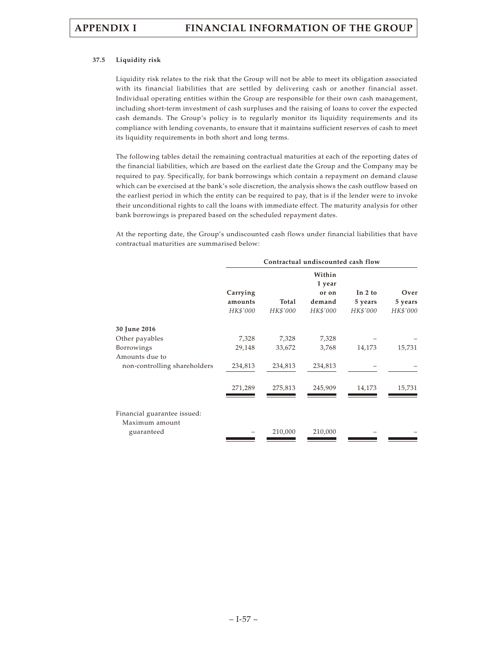## **37.5 Liquidity risk**

Liquidity risk relates to the risk that the Group will not be able to meet its obligation associated with its financial liabilities that are settled by delivering cash or another financial asset. Individual operating entities within the Group are responsible for their own cash management, including short-term investment of cash surpluses and the raising of loans to cover the expected cash demands. The Group's policy is to regularly monitor its liquidity requirements and its compliance with lending covenants, to ensure that it maintains sufficient reserves of cash to meet its liquidity requirements in both short and long terms.

The following tables detail the remaining contractual maturities at each of the reporting dates of the financial liabilities, which are based on the earliest date the Group and the Company may be required to pay. Specifically, for bank borrowings which contain a repayment on demand clause which can be exercised at the bank's sole discretion, the analysis shows the cash outflow based on the earliest period in which the entity can be required to pay, that is if the lender were to invoke their unconditional rights to call the loans with immediate effect. The maturity analysis for other bank borrowings is prepared based on the scheduled repayment dates.

At the reporting date, the Group's undiscounted cash flows under financial liabilities that have contractual maturities are summarised below:

|                                               | Contractual undiscounted cash flow |          |                  |          |          |
|-----------------------------------------------|------------------------------------|----------|------------------|----------|----------|
|                                               |                                    |          | Within<br>1 year |          |          |
|                                               | Carrying                           |          | or on            | In 2 to  | Over     |
|                                               | amounts                            | Total    | demand           | 5 years  | 5 years  |
|                                               | HK\$'000                           | HK\$'000 | HK\$'000         | HK\$'000 | HK\$'000 |
| 30 June 2016                                  |                                    |          |                  |          |          |
| Other payables                                | 7,328                              | 7,328    | 7,328            |          |          |
| Borrowings                                    | 29,148                             | 33,672   | 3,768            | 14,173   | 15,731   |
| Amounts due to                                |                                    |          |                  |          |          |
| non-controlling shareholders                  | 234,813                            | 234,813  | 234,813          |          |          |
|                                               | 271,289                            | 275,813  | 245,909          | 14,173   | 15,731   |
|                                               |                                    |          |                  |          |          |
| Financial guarantee issued:<br>Maximum amount |                                    |          |                  |          |          |
| guaranteed                                    |                                    | 210,000  | 210,000          |          |          |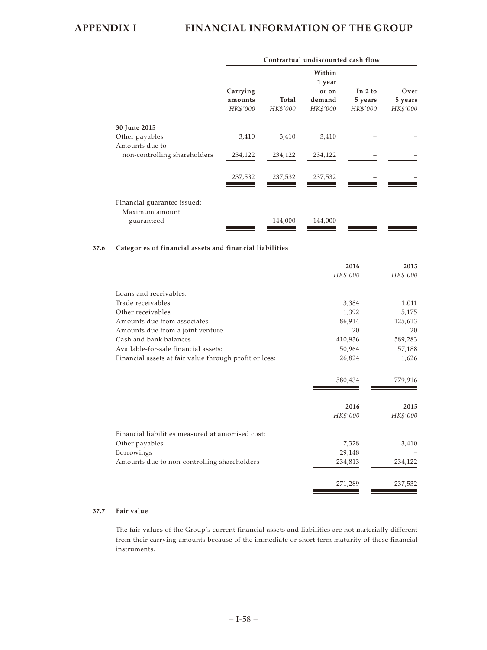|                                                | Contractual undiscounted cash flow |          |                 |                      |                 |  |  |  |
|------------------------------------------------|------------------------------------|----------|-----------------|----------------------|-----------------|--|--|--|
|                                                |                                    |          |                 |                      |                 |  |  |  |
|                                                | Carrying<br>amounts                | Total    | or on<br>demand | In $2$ to<br>5 years | Over<br>5 years |  |  |  |
|                                                | HK\$'000                           | HK\$'000 | HK\$'000        | HK\$'000             | HK\$'000        |  |  |  |
| 30 June 2015                                   |                                    |          |                 |                      |                 |  |  |  |
| Other payables                                 | 3,410                              | 3,410    | 3,410           |                      |                 |  |  |  |
| Amounts due to<br>non-controlling shareholders | 234,122                            | 234,122  | 234,122         |                      |                 |  |  |  |
|                                                | 237,532                            | 237,532  | 237,532         |                      |                 |  |  |  |
| Financial guarantee issued:<br>Maximum amount  |                                    |          |                 |                      |                 |  |  |  |
| guaranteed                                     |                                    | 144,000  | 144,000         |                      |                 |  |  |  |

## **37.6 Categories of financial assets and financial liabilities**

|                                                        | 2016     | 2015     |
|--------------------------------------------------------|----------|----------|
|                                                        | HK\$'000 | HK\$'000 |
| Loans and receivables:                                 |          |          |
| Trade receivables                                      | 3,384    | 1,011    |
| Other receivables                                      | 1,392    | 5,175    |
| Amounts due from associates                            | 86,914   | 125,613  |
| Amounts due from a joint venture                       | 20       | 20       |
| Cash and bank balances                                 | 410,936  | 589,283  |
| Available-for-sale financial assets:                   | 50,964   | 57,188   |
| Financial assets at fair value through profit or loss: | 26,824   | 1,626    |
|                                                        |          |          |
|                                                        | 580,434  | 779,916  |
|                                                        |          |          |
|                                                        | 2016     | 2015     |
|                                                        | HK\$'000 | HK\$'000 |
| Financial liabilities measured at amortised cost:      |          |          |
| Other payables                                         | 7,328    | 3,410    |
| Borrowings                                             | 29,148   |          |
| Amounts due to non-controlling shareholders            | 234,813  | 234,122  |
|                                                        |          |          |
|                                                        | 271,289  | 237,532  |

# **37.7 Fair value**

The fair values of the Group's current financial assets and liabilities are not materially different from their carrying amounts because of the immediate or short term maturity of these financial instruments.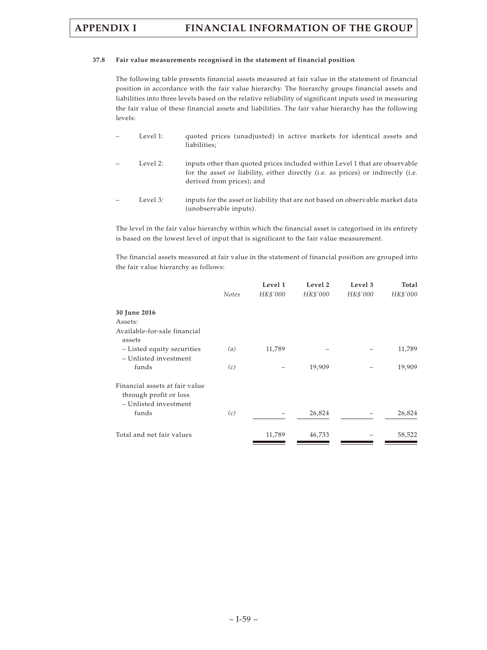## **37.8 Fair value measurements recognised in the statement of financial position**

The following table presents financial assets measured at fair value in the statement of financial position in accordance with the fair value hierarchy. The hierarchy groups financial assets and liabilities into three levels based on the relative reliability of significant inputs used in measuring the fair value of these financial assets and liabilities. The fair value hierarchy has the following levels:

- Level 1: quoted prices (unadjusted) in active markets for identical assets and liabilities;
- Level 2: inputs other than quoted prices included within Level 1 that are observable for the asset or liability, either directly (i.e. as prices) or indirectly (i.e. derived from prices); and
- Level 3: inputs for the asset or liability that are not based on observable market data (unobservable inputs).

The level in the fair value hierarchy within which the financial asset is categorised in its entirety is based on the lowest level of input that is significant to the fair value measurement.

The financial assets measured at fair value in the statement of financial position are grouped into the fair value hierarchy as follows:

|                                                                                   |              | Level 1  | Level 2  | Level 3  | Total    |
|-----------------------------------------------------------------------------------|--------------|----------|----------|----------|----------|
|                                                                                   | <b>Notes</b> | HK\$'000 | HK\$'000 | HK\$'000 | HK\$'000 |
| 30 June 2016                                                                      |              |          |          |          |          |
| Assets:                                                                           |              |          |          |          |          |
| Available-for-sale financial<br>assets                                            |              |          |          |          |          |
| - Listed equity securities<br>- Unlisted investment                               | (a)          | 11,789   |          |          | 11,789   |
| funds                                                                             | (c)          |          | 19,909   |          | 19,909   |
| Financial assets at fair value<br>through profit or loss<br>- Unlisted investment |              |          |          |          |          |
| funds                                                                             | (c)          |          | 26,824   |          | 26,824   |
| Total and net fair values                                                         |              | 11,789   | 46,733   |          | 58,522   |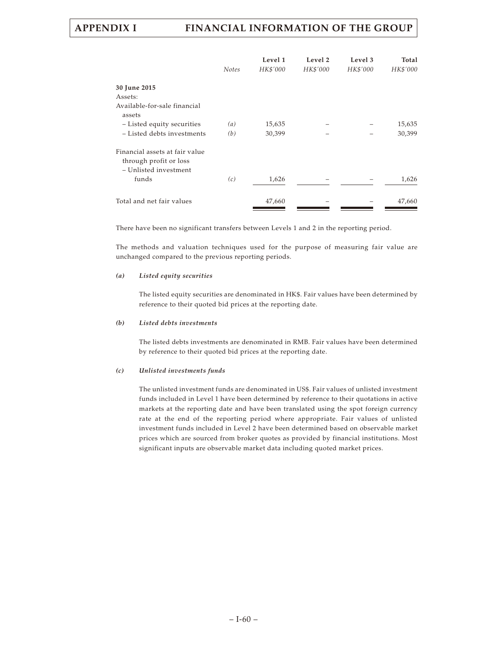|                                                                                   | <b>Notes</b> | Level 1<br>HK\$'000 | Level 2<br>HK\$'000 | Level 3<br>HK\$'000 | Total<br>HK\$'000 |
|-----------------------------------------------------------------------------------|--------------|---------------------|---------------------|---------------------|-------------------|
| 30 June 2015                                                                      |              |                     |                     |                     |                   |
| Assets:                                                                           |              |                     |                     |                     |                   |
| Available-for-sale financial<br>assets                                            |              |                     |                     |                     |                   |
| - Listed equity securities                                                        | (a)          | 15,635              |                     |                     | 15,635            |
| - Listed debts investments                                                        | (b)          | 30,399              |                     |                     | 30,399            |
| Financial assets at fair value<br>through profit or loss<br>- Unlisted investment |              |                     |                     |                     |                   |
| funds                                                                             | (c)          | 1,626               |                     |                     | 1,626             |
| Total and net fair values                                                         |              | 47,660              |                     |                     | 47,660            |

There have been no significant transfers between Levels 1 and 2 in the reporting period.

The methods and valuation techniques used for the purpose of measuring fair value are unchanged compared to the previous reporting periods.

## *(a) Listed equity securities*

The listed equity securities are denominated in HK\$. Fair values have been determined by reference to their quoted bid prices at the reporting date.

## *(b) Listed debts investments*

The listed debts investments are denominated in RMB. Fair values have been determined by reference to their quoted bid prices at the reporting date.

### *(c) Unlisted investments funds*

The unlisted investment funds are denominated in US\$. Fair values of unlisted investment funds included in Level 1 have been determined by reference to their quotations in active markets at the reporting date and have been translated using the spot foreign currency rate at the end of the reporting period where appropriate. Fair values of unlisted investment funds included in Level 2 have been determined based on observable market prices which are sourced from broker quotes as provided by financial institutions. Most significant inputs are observable market data including quoted market prices.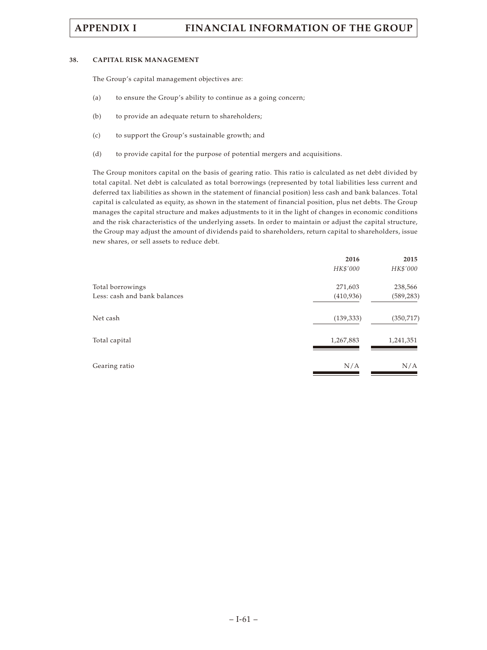### **38. CAPITAL RISK MANAGEMENT**

The Group's capital management objectives are:

- (a) to ensure the Group's ability to continue as a going concern;
- (b) to provide an adequate return to shareholders;
- (c) to support the Group's sustainable growth; and
- (d) to provide capital for the purpose of potential mergers and acquisitions.

The Group monitors capital on the basis of gearing ratio. This ratio is calculated as net debt divided by total capital. Net debt is calculated as total borrowings (represented by total liabilities less current and deferred tax liabilities as shown in the statement of financial position) less cash and bank balances. Total capital is calculated as equity, as shown in the statement of financial position, plus net debts. The Group manages the capital structure and makes adjustments to it in the light of changes in economic conditions and the risk characteristics of the underlying assets. In order to maintain or adjust the capital structure, the Group may adjust the amount of dividends paid to shareholders, return capital to shareholders, issue new shares, or sell assets to reduce debt.

| 2016       | 2015       |
|------------|------------|
| HK\$'000   | HK\$'000   |
| 271,603    | 238,566    |
| (410,936)  | (589, 283) |
| (139, 333) | (350, 717) |
| 1,267,883  | 1,241,351  |
| N/A        | N/A        |
|            |            |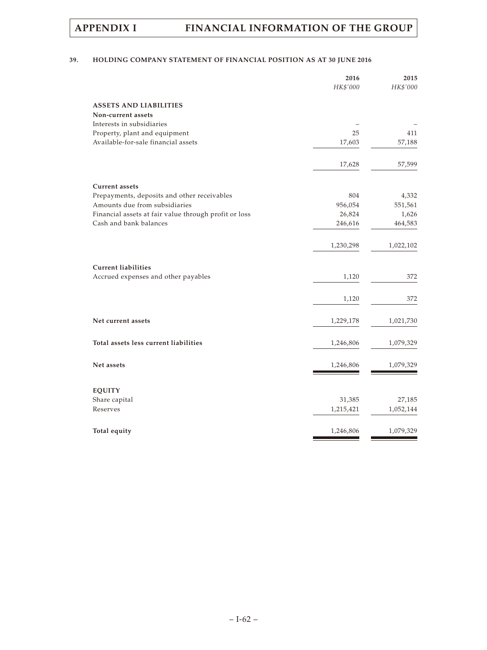# **39. HOLDING COMPANY STATEMENT OF FINANCIAL POSITION AS AT 30 JUNE 2016**

|                                                       | 2016<br>HK\$'000 | 2015<br>HK\$'000 |
|-------------------------------------------------------|------------------|------------------|
| <b>ASSETS AND LIABILITIES</b>                         |                  |                  |
| Non-current assets                                    |                  |                  |
| Interests in subsidiaries                             |                  |                  |
| Property, plant and equipment                         | 25               | 411              |
| Available-for-sale financial assets                   | 17,603           | 57,188           |
|                                                       | 17,628           | 57,599           |
| <b>Current</b> assets                                 |                  |                  |
| Prepayments, deposits and other receivables           | 804              | 4,332            |
| Amounts due from subsidiaries                         | 956,054          | 551,561          |
| Financial assets at fair value through profit or loss | 26,824           | 1,626            |
| Cash and bank balances                                | 246,616          | 464,583          |
|                                                       | 1,230,298        | 1,022,102        |
| <b>Current liabilities</b>                            |                  |                  |
| Accrued expenses and other payables                   | 1,120            | 372              |
|                                                       | 1,120            | 372              |
| Net current assets                                    | 1,229,178        | 1,021,730        |
| Total assets less current liabilities                 | 1,246,806        | 1,079,329        |
| Net assets                                            | 1,246,806        | 1,079,329        |
| <b>EQUITY</b>                                         |                  |                  |
| Share capital                                         | 31,385           | 27,185           |
| Reserves                                              | 1,215,421        | 1,052,144        |
| Total equity                                          | 1,246,806        | 1,079,329        |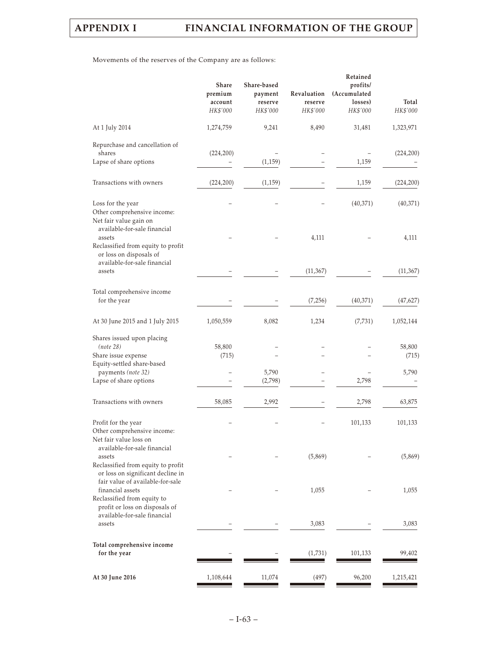Movements of the reserves of the Company are as follows:

|                                                                                                                          | Share<br>premium<br>account<br>HK\$'000 | Share-based<br>payment<br>reserve<br>HK\$'000 | Revaluation<br>reserve<br>HK\$'000 | Retained<br>profits/<br>(Accumulated<br>losses)<br>HK\$'000 | Total<br>HK\$'000 |
|--------------------------------------------------------------------------------------------------------------------------|-----------------------------------------|-----------------------------------------------|------------------------------------|-------------------------------------------------------------|-------------------|
| At 1 July 2014                                                                                                           | 1,274,759                               | 9,241                                         | 8,490                              | 31,481                                                      | 1,323,971         |
| Repurchase and cancellation of<br>shares<br>Lapse of share options                                                       | (224, 200)                              |                                               |                                    | 1,159                                                       | (224, 200)        |
|                                                                                                                          |                                         | (1, 159)                                      |                                    |                                                             |                   |
| Transactions with owners                                                                                                 | (224, 200)                              | (1, 159)                                      |                                    | 1,159                                                       | (224, 200)        |
| Loss for the year<br>Other comprehensive income:<br>Net fair value gain on                                               |                                         |                                               |                                    | (40,371)                                                    | (40, 371)         |
| available-for-sale financial<br>assets<br>Reclassified from equity to profit<br>or loss on disposals of                  |                                         |                                               | 4,111                              |                                                             | 4,111             |
| available-for-sale financial<br>assets                                                                                   |                                         |                                               | (11, 367)                          |                                                             | (11, 367)         |
| Total comprehensive income<br>for the year                                                                               |                                         |                                               | (7,256)                            | (40,371)                                                    | (47, 627)         |
| At 30 June 2015 and 1 July 2015                                                                                          | 1,050,559                               | 8,082                                         | 1,234                              | (7, 731)                                                    | 1,052,144         |
| Shares issued upon placing<br>(note 28)<br>Share issue expense                                                           | 58,800<br>(715)                         |                                               |                                    |                                                             | 58,800<br>(715)   |
| Equity-settled share-based<br>payments (note 32)                                                                         |                                         | 5,790                                         |                                    |                                                             | 5,790             |
| Lapse of share options                                                                                                   |                                         | (2,798)                                       |                                    | 2,798                                                       |                   |
| Transactions with owners                                                                                                 | 58,085                                  | 2,992                                         |                                    | 2,798                                                       | 63,875            |
| Profit for the year<br>Other comprehensive income:<br>Net fair value loss on                                             |                                         |                                               |                                    | 101,133                                                     | 101,133           |
| available-for-sale financial<br>assets<br>Reclassified from equity to profit                                             |                                         |                                               | (5,869)                            |                                                             | (5,869)           |
| or loss on significant decline in<br>fair value of available-for-sale<br>financial assets<br>Reclassified from equity to |                                         |                                               | 1,055                              |                                                             | 1,055             |
| profit or loss on disposals of<br>available-for-sale financial<br>assets                                                 |                                         |                                               | 3,083                              |                                                             | 3,083             |
| Total comprehensive income<br>for the year                                                                               |                                         |                                               | (1,731)                            | 101,133                                                     | 99,402            |
| At 30 June 2016                                                                                                          | 1,108,644                               | 11,074                                        | (497)                              | 96,200                                                      | 1,215,421         |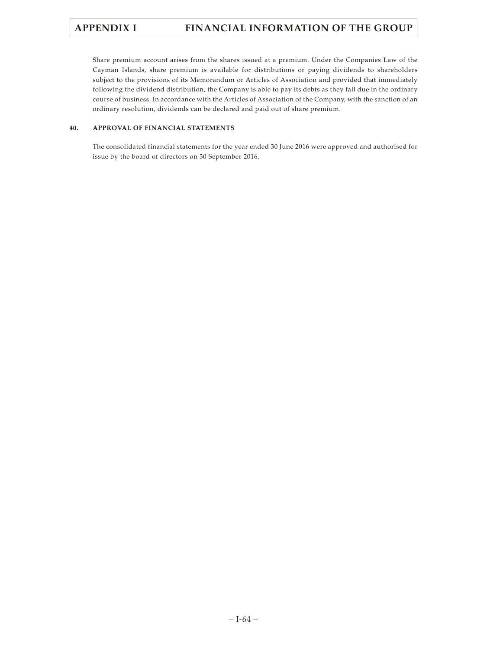Share premium account arises from the shares issued at a premium. Under the Companies Law of the Cayman Islands, share premium is available for distributions or paying dividends to shareholders subject to the provisions of its Memorandum or Articles of Association and provided that immediately following the dividend distribution, the Company is able to pay its debts as they fall due in the ordinary course of business. In accordance with the Articles of Association of the Company, with the sanction of an ordinary resolution, dividends can be declared and paid out of share premium.

# **40. APPROVAL OF FINANCIAL STATEMENTS**

The consolidated financial statements for the year ended 30 June 2016 were approved and authorised for issue by the board of directors on 30 September 2016.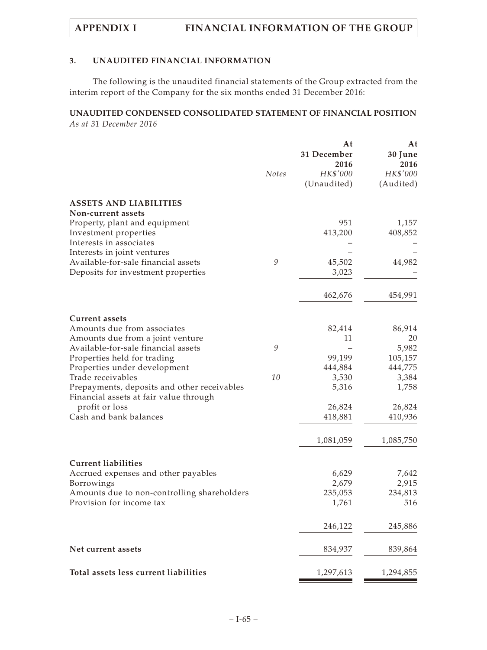# **3. UNAUDITED FINANCIAL INFORMATION**

The following is the unaudited financial statements of the Group extracted from the interim report of the Company for the six months ended 31 December 2016:

# **UNAUDITED CONDENSED CONSOLIDATED STATEMENT OF FINANCIAL POSITION** *As at 31 December 2016*

|                                                   | <b>Notes</b>                                              | At<br>31 December<br>2016<br>HK\$'000<br>(Unaudited) | At<br>30 June<br>2016<br>HK\$'000<br>(Audited) |
|---------------------------------------------------|-----------------------------------------------------------|------------------------------------------------------|------------------------------------------------|
| <b>ASSETS AND LIABILITIES</b>                     |                                                           |                                                      |                                                |
| Non-current assets                                |                                                           |                                                      |                                                |
| Property, plant and equipment                     |                                                           | 951                                                  | 1,157                                          |
| Investment properties<br>Interests in associates  |                                                           | 413,200                                              | 408,852                                        |
| Interests in joint ventures                       |                                                           |                                                      |                                                |
| Available-for-sale financial assets               | $\mathcal{G}% _{M_{1},M_{2}}^{\alpha,\beta}(\mathcal{G})$ | 45,502                                               | 44,982                                         |
| Deposits for investment properties                |                                                           | 3,023                                                |                                                |
|                                                   |                                                           | 462,676                                              | 454,991                                        |
| <b>Current assets</b>                             |                                                           |                                                      |                                                |
| Amounts due from associates                       |                                                           | 82,414                                               | 86,914                                         |
| Amounts due from a joint venture                  |                                                           | 11                                                   | 20                                             |
| Available-for-sale financial assets               | 9                                                         |                                                      | 5,982                                          |
| Properties held for trading                       |                                                           | 99,199                                               | 105,157                                        |
| Properties under development<br>Trade receivables | 10                                                        | 444,884<br>3,530                                     | 444,775<br>3,384                               |
| Prepayments, deposits and other receivables       |                                                           | 5,316                                                | 1,758                                          |
| Financial assets at fair value through            |                                                           |                                                      |                                                |
| profit or loss                                    |                                                           | 26,824                                               | 26,824                                         |
| Cash and bank balances                            |                                                           | 418,881                                              | 410,936                                        |
|                                                   |                                                           | 1,081,059                                            | 1,085,750                                      |
| <b>Current liabilities</b>                        |                                                           |                                                      |                                                |
| Accrued expenses and other payables               |                                                           | 6,629                                                | 7,642                                          |
| <b>Borrowings</b>                                 |                                                           | 2,679                                                | 2,915                                          |
| Amounts due to non-controlling shareholders       |                                                           | 235,053                                              | 234,813                                        |
| Provision for income tax                          |                                                           | 1,761                                                | 516                                            |
|                                                   |                                                           | 246,122                                              | 245,886                                        |
| Net current assets                                |                                                           | 834,937                                              | 839,864                                        |
| Total assets less current liabilities             |                                                           | 1,297,613                                            | 1,294,855                                      |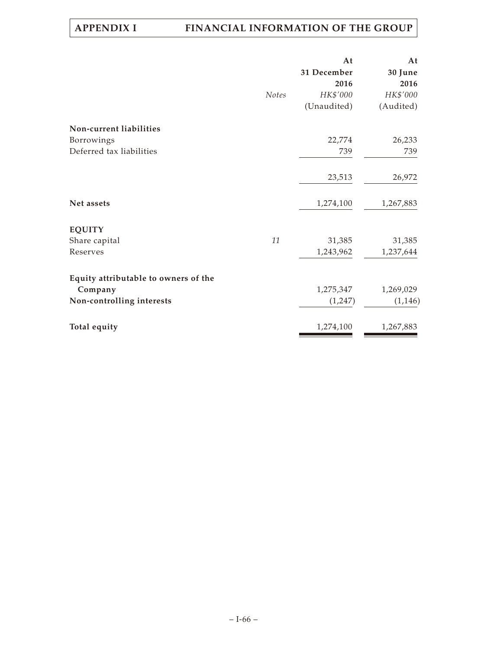|                                      |              | At          | At        |
|--------------------------------------|--------------|-------------|-----------|
|                                      |              | 31 December | 30 June   |
|                                      |              | 2016        | 2016      |
|                                      | <b>Notes</b> | HK\$'000    | HK\$'000  |
|                                      |              | (Unaudited) | (Audited) |
| Non-current liabilities              |              |             |           |
| Borrowings                           |              | 22,774      | 26,233    |
| Deferred tax liabilities             |              | 739         | 739       |
|                                      |              | 23,513      | 26,972    |
| Net assets                           |              | 1,274,100   | 1,267,883 |
| <b>EQUITY</b>                        |              |             |           |
| Share capital                        | 11           | 31,385      | 31,385    |
| Reserves                             |              | 1,243,962   | 1,237,644 |
| Equity attributable to owners of the |              |             |           |
| Company                              |              | 1,275,347   | 1,269,029 |
| Non-controlling interests            |              | (1,247)     | (1, 146)  |
| Total equity                         |              | 1,274,100   | 1,267,883 |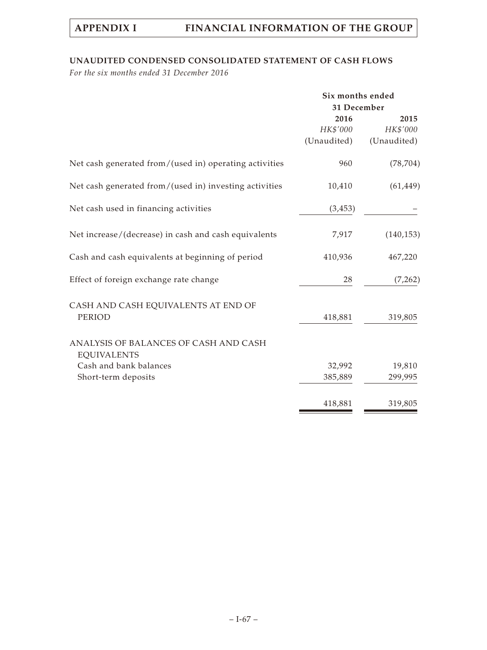# **UNAUDITED CONDENSED CONSOLIDATED STATEMENT OF CASH FLOWS**

*For the six months ended 31 December 2016*

|                                                             | Six months ended |             |  |  |
|-------------------------------------------------------------|------------------|-------------|--|--|
|                                                             | 31 December      |             |  |  |
|                                                             | 2016             | 2015        |  |  |
|                                                             | HK\$'000         | HK\$'000    |  |  |
|                                                             | (Unaudited)      | (Unaudited) |  |  |
| Net cash generated from/(used in) operating activities      | 960              | (78, 704)   |  |  |
| Net cash generated from/(used in) investing activities      | 10,410           | (61, 449)   |  |  |
| Net cash used in financing activities                       | (3, 453)         |             |  |  |
| Net increase/(decrease) in cash and cash equivalents        | 7,917            | (140, 153)  |  |  |
| Cash and cash equivalents at beginning of period            | 410,936          | 467,220     |  |  |
| Effect of foreign exchange rate change                      | 28               | (7,262)     |  |  |
| CASH AND CASH EQUIVALENTS AT END OF                         |                  |             |  |  |
| PERIOD                                                      | 418,881          | 319,805     |  |  |
| ANALYSIS OF BALANCES OF CASH AND CASH<br><b>EQUIVALENTS</b> |                  |             |  |  |
| Cash and bank balances                                      | 32,992           | 19,810      |  |  |
| Short-term deposits                                         | 385,889          | 299,995     |  |  |
|                                                             | 418,881          | 319,805     |  |  |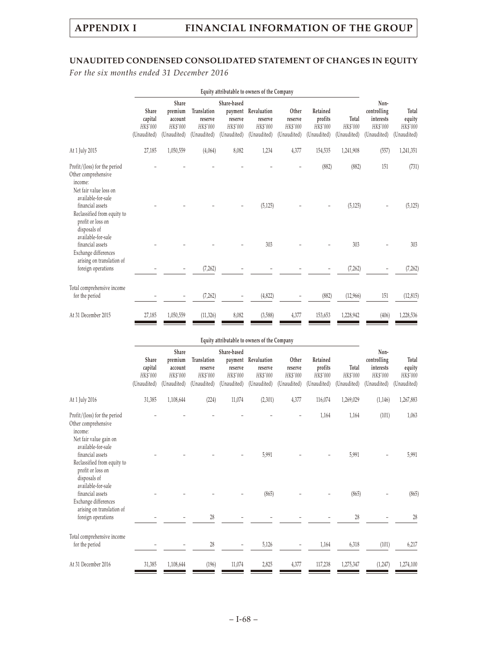# **UNAUDITED CONDENSED CONSOLIDATED STATEMENT OF CHANGES IN EQUITY**

*For the six months ended 31 December 2016*

|                                                                                                                | Equity attributable to owners of the Company |                                                        |                                                   |                                                              |                                                   |                                             |                                                |                                  |                                                             |                                            |
|----------------------------------------------------------------------------------------------------------------|----------------------------------------------|--------------------------------------------------------|---------------------------------------------------|--------------------------------------------------------------|---------------------------------------------------|---------------------------------------------|------------------------------------------------|----------------------------------|-------------------------------------------------------------|--------------------------------------------|
|                                                                                                                | Share<br>capital<br>HK\$'000<br>(Unaudited)  | Share<br>premium<br>account<br>HK\$'000<br>(Unaudited) | Translation<br>reserve<br>HK\$'000<br>(Unaudited) | Share-based<br>payment<br>reserve<br>HK\$'000<br>(Unaudited) | Revaluation<br>reserve<br>HK\$'000<br>(Unaudited) | Other<br>reserve<br>HK\$'000<br>(Unaudited) | Retained<br>profits<br>HK\$'000<br>(Unaudited) | Total<br>HK\$'000<br>(Unaudited) | Non-<br>controlling<br>interests<br>HK\$'000<br>(Unaudited) | Total<br>equity<br>HK\$'000<br>(Unaudited) |
| At 1 July 2015                                                                                                 | 27,185                                       | 1,050,559                                              | (4,064)                                           | 8,082                                                        | 1,234                                             | 4,377                                       | 154,535                                        | 1,241,908                        | (557)                                                       | 1,241,351                                  |
| Profit/(loss) for the period<br>Other comprehensive<br>income:<br>Net fair value loss on<br>available-for-sale |                                              |                                                        |                                                   |                                                              |                                                   |                                             | (882)                                          | (882)                            | 151                                                         | (731)                                      |
| financial assets<br>Reclassified from equity to<br>profit or loss on<br>disposals of<br>available-for-sale     |                                              |                                                        |                                                   |                                                              | (5, 125)                                          |                                             |                                                | (5, 125)                         |                                                             | (5, 125)                                   |
| financial assets<br>Exchange differences<br>arising on translation of                                          |                                              |                                                        |                                                   |                                                              | 303                                               |                                             |                                                | 303                              |                                                             | 303                                        |
| foreign operations                                                                                             |                                              |                                                        | (7, 262)                                          |                                                              |                                                   |                                             |                                                | (7, 262)                         |                                                             | (7,262)                                    |
| Total comprehensive income<br>for the period                                                                   |                                              |                                                        | (7, 262)                                          |                                                              | (4,822)                                           |                                             | (882)                                          | (12,966)                         | 151                                                         | (12, 815)                                  |
| At 31 December 2015                                                                                            | 27,185                                       | 1,050,559                                              | (11, 326)                                         | 8,082                                                        | (3,588)                                           | 4,377                                       | 153,653                                        | 1,228,942                        | (406)                                                       | 1,228,536                                  |

## **Equity attributable to owners of the Company**

|                                                                                                                                                                                        | Share<br>capital<br>HK\$'000<br>(Unaudited) | Share<br>premium<br>account<br>HK\$'000<br>(Unaudited) | Translation<br>reserve<br>HK\$'000<br>(Unaudited) | Share-based<br>reserve<br>HK\$'000<br>(Unaudited) | payment Revaluation<br>reserve<br>HK\$'000<br>(Unaudited) | Other<br>reserve<br>HK\$'000<br>(Unaudited) | Retained<br>profits<br>HK\$'000<br>(Unaudited) | Total<br>HK\$'000<br>(Unaudited) | Non-<br>controlling<br>interests<br>HK\$'000<br>(Unaudited) | Total<br>equity<br>HK\$'000<br>(Unaudited) |
|----------------------------------------------------------------------------------------------------------------------------------------------------------------------------------------|---------------------------------------------|--------------------------------------------------------|---------------------------------------------------|---------------------------------------------------|-----------------------------------------------------------|---------------------------------------------|------------------------------------------------|----------------------------------|-------------------------------------------------------------|--------------------------------------------|
| At 1 July 2016                                                                                                                                                                         | 31,385                                      | 1,108,644                                              | (224)                                             | 11,074                                            | (2,301)                                                   | 4,377                                       | 116,074                                        | 1,269,029                        | (1,146)                                                     | 1,267,883                                  |
| Profit/(loss) for the period<br>Other comprehensive<br>income:<br>Net fair value gain on<br>available-for-sale<br>financial assets<br>Reclassified from equity to<br>profit or loss on |                                             |                                                        |                                                   |                                                   | 5,991                                                     |                                             | 1,164                                          | 1,164<br>5,991                   | (101)                                                       | 1,063<br>5,991                             |
| disposals of<br>available-for-sale<br>financial assets<br>Exchange differences<br>arising on translation of<br>foreign operations                                                      |                                             |                                                        | 28                                                |                                                   | (865)                                                     |                                             |                                                | (865)<br>28                      |                                                             | (865)<br>28                                |
| Total comprehensive income<br>for the period                                                                                                                                           |                                             |                                                        | 28                                                |                                                   | 5,126                                                     |                                             | 1,164                                          | 6,318                            | (101)                                                       | 6,217                                      |
| At 31 December 2016                                                                                                                                                                    | 31,385                                      | 1,108,644                                              | (196)                                             | 11,074                                            | 2,825                                                     | 4,377                                       | 117,238                                        | 1,275,347                        | (1,247)                                                     | 1,274,100                                  |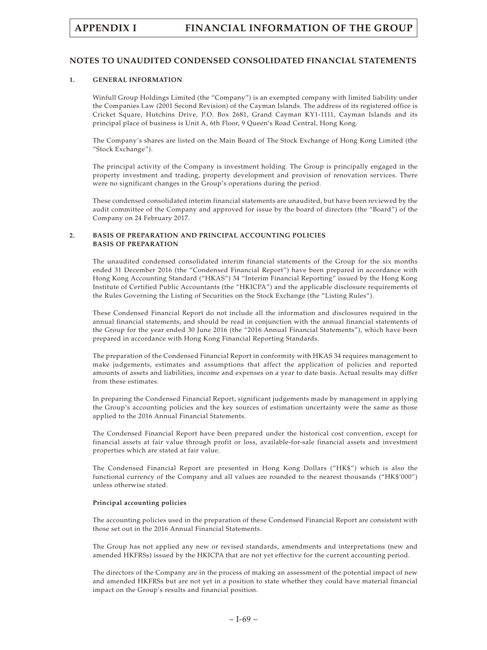# **NOTES TO UNAUDITED CONDENSED CONSOLIDATED FINANCIAL STATEMENTS**

### **1. GENERAL INFORMATION**

Winfull Group Holdings Limited (the "Company") is an exempted company with limited liability under the Companies Law (2001 Second Revision) of the Cayman Islands. The address of its registered office is Cricket Square, Hutchins Drive, P.O. Box 2681, Grand Cayman KY1-1111, Cayman Islands and its principal place of business is Unit A, 6th Floor, 9 Queen's Road Central, Hong Kong.

The Company's shares are listed on the Main Board of The Stock Exchange of Hong Kong Limited (the "Stock Exchange").

The principal activity of the Company is investment holding. The Group is principally engaged in the property investment and trading, property development and provision of renovation services. There were no significant changes in the Group's operations during the period.

These condensed consolidated interim financial statements are unaudited, but have been reviewed by the audit committee of the Company and approved for issue by the board of directors (the "Board") of the Company on 24 February 2017.

## **2. BASIS OF PREPARATION AND PRINCIPAL ACCOUNTING POLICIES BASIS OF PREPARATION**

The unaudited condensed consolidated interim financial statements of the Group for the six months ended 31 December 2016 (the "Condensed Financial Report") have been prepared in accordance with Hong Kong Accounting Standard ("HKAS") 34 "Interim Financial Reporting" issued by the Hong Kong Institute of Certified Public Accountants (the "HKICPA") and the applicable disclosure requirements of the Rules Governing the Listing of Securities on the Stock Exchange (the "Listing Rules").

These Condensed Financial Report do not include all the information and disclosures required in the annual financial statements, and should be read in conjunction with the annual financial statements of the Group for the year ended 30 June 2016 (the "2016 Annual Financial Statements"), which have been prepared in accordance with Hong Kong Financial Reporting Standards.

The preparation of the Condensed Financial Report in conformity with HKAS 34 requires management to make judgements, estimates and assumptions that affect the application of policies and reported amounts of assets and liabilities, income and expenses on a year to date basis. Actual results may differ from these estimates.

In preparing the Condensed Financial Report, significant judgements made by management in applying the Group's accounting policies and the key sources of estimation uncertainty were the same as those applied to the 2016 Annual Financial Statements.

The Condensed Financial Report have been prepared under the historical cost convention, except for financial assets at fair value through profit or loss, available-for-sale financial assets and investment properties which are stated at fair value.

The Condensed Financial Report are presented in Hong Kong Dollars ("HK\$") which is also the functional currency of the Company and all values are rounded to the nearest thousands ("HK\$'000") unless otherwise stated.

# **Principal accounting policies**

The accounting policies used in the preparation of these Condensed Financial Report are consistent with those set out in the 2016 Annual Financial Statements.

The Group has not applied any new or revised standards, amendments and interpretations (new and amended HKFRSs) issued by the HKICPA that are not yet effective for the current accounting period.

The directors of the Company are in the process of making an assessment of the potential impact of new and amended HKFRSs but are not yet in a position to state whether they could have material financial impact on the Group's results and financial position.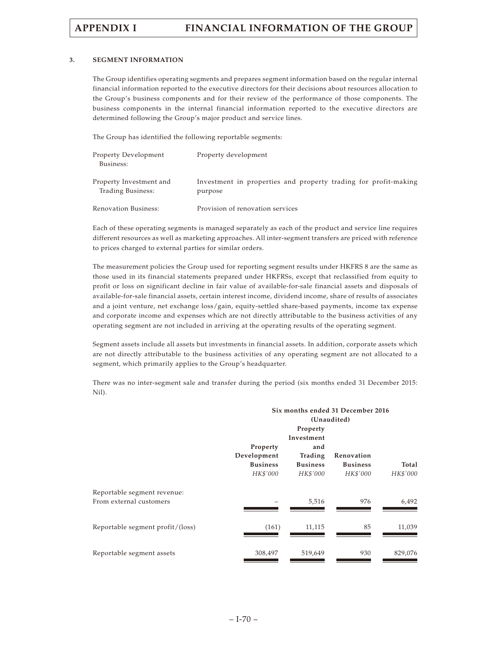### **3. SEGMENT INFORMATION**

The Group identifies operating segments and prepares segment information based on the regular internal financial information reported to the executive directors for their decisions about resources allocation to the Group's business components and for their review of the performance of those components. The business components in the internal financial information reported to the executive directors are determined following the Group's major product and service lines.

The Group has identified the following reportable segments:

| Property Development<br>Business:            | Property development                                                       |
|----------------------------------------------|----------------------------------------------------------------------------|
| Property Investment and<br>Trading Business: | Investment in properties and property trading for profit-making<br>purpose |
| Renovation Business:                         | Provision of renovation services                                           |

Each of these operating segments is managed separately as each of the product and service line requires different resources as well as marketing approaches. All inter-segment transfers are priced with reference to prices charged to external parties for similar orders.

The measurement policies the Group used for reporting segment results under HKFRS 8 are the same as those used in its financial statements prepared under HKFRSs, except that reclassified from equity to profit or loss on significant decline in fair value of available-for-sale financial assets and disposals of available-for-sale financial assets, certain interest income, dividend income, share of results of associates and a joint venture, net exchange loss/gain, equity-settled share-based payments, income tax expense and corporate income and expenses which are not directly attributable to the business activities of any operating segment are not included in arriving at the operating results of the operating segment.

Segment assets include all assets but investments in financial assets. In addition, corporate assets which are not directly attributable to the business activities of any operating segment are not allocated to a segment, which primarily applies to the Group's headquarter.

There was no inter-segment sale and transfer during the period (six months ended 31 December 2015: Nil).

| Six months ended 31 December 2016 |                 |                 |          |
|-----------------------------------|-----------------|-----------------|----------|
| (Unaudited)                       |                 |                 |          |
|                                   | Property        |                 |          |
|                                   | Investment      |                 |          |
| Property                          | and             |                 |          |
| Development                       | Trading         | Renovation      |          |
| <b>Business</b>                   | <b>Business</b> | <b>Business</b> | Total    |
| HK\$'000                          | HK\$'000        | HK\$'000        | HK\$'000 |
|                                   |                 |                 |          |
|                                   | 5,516           | 976             | 6,492    |
|                                   |                 |                 |          |
|                                   |                 |                 | 11,039   |
| 308,497                           | 519,649         | 930             | 829,076  |
|                                   | (161)           | 11,115          | 85       |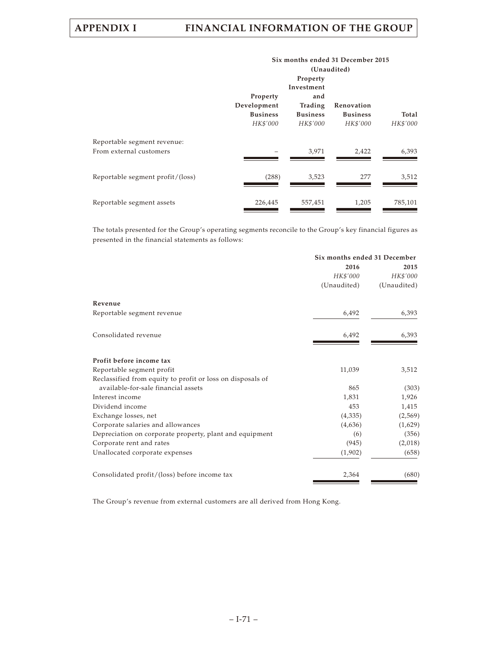|                                                        | Six months ended 31 December 2015<br>(Unaudited)       |                                                                         |                                           |                   |
|--------------------------------------------------------|--------------------------------------------------------|-------------------------------------------------------------------------|-------------------------------------------|-------------------|
|                                                        | Property<br>Development<br><b>Business</b><br>HK\$'000 | Property<br>Investment<br>and<br>Trading<br><b>Business</b><br>HK\$'000 | Renovation<br><b>Business</b><br>HK\$'000 | Total<br>HK\$'000 |
| Reportable segment revenue:<br>From external customers |                                                        | 3,971                                                                   | 2,422                                     | 6,393             |
| Reportable segment profit/(loss)                       | (288)                                                  | 3,523                                                                   | 277                                       | 3,512             |
| Reportable segment assets                              | 226,445                                                | 557,451                                                                 | 1,205                                     | 785,101           |

The totals presented for the Group's operating segments reconcile to the Group's key financial figures as presented in the financial statements as follows:

|                                                            | Six months ended 31 December |             |
|------------------------------------------------------------|------------------------------|-------------|
|                                                            | 2016                         | 2015        |
|                                                            | HK\$'000                     | HK\$'000    |
|                                                            | (Unaudited)                  | (Unaudited) |
| Revenue                                                    |                              |             |
| Reportable segment revenue                                 | 6,492                        | 6,393       |
| Consolidated revenue                                       | 6,492                        | 6,393       |
| Profit before income tax                                   |                              |             |
| Reportable segment profit                                  | 11,039                       | 3,512       |
| Reclassified from equity to profit or loss on disposals of |                              |             |
| available-for-sale financial assets                        | 865                          | (303)       |
| Interest income                                            | 1,831                        | 1,926       |
| Dividend income                                            | 453                          | 1,415       |
| Exchange losses, net                                       | (4,335)                      | (2,569)     |
| Corporate salaries and allowances                          | (4,636)                      | (1,629)     |
| Depreciation on corporate property, plant and equipment    | (6)                          | (356)       |
| Corporate rent and rates                                   | (945)                        | (2,018)     |
| Unallocated corporate expenses                             | (1,902)                      | (658)       |
| Consolidated profit/(loss) before income tax               | 2,364                        | (680)       |

The Group's revenue from external customers are all derived from Hong Kong.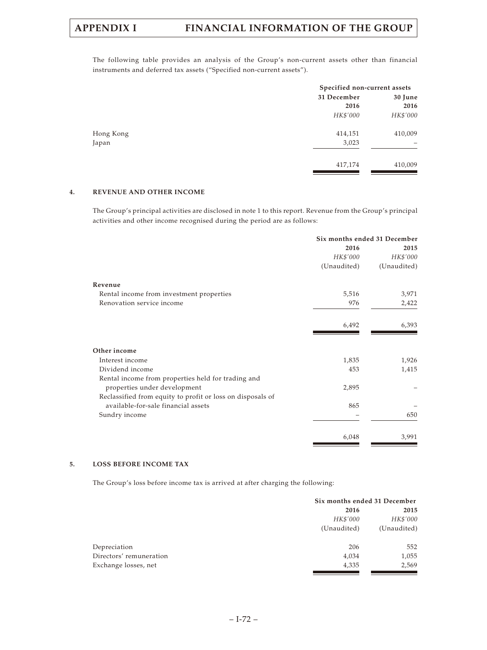The following table provides an analysis of the Group's non-current assets other than financial instruments and deferred tax assets ("Specified non-current assets").

|           |             | Specified non-current assets |  |
|-----------|-------------|------------------------------|--|
|           | 31 December | 30 June                      |  |
|           | 2016        | 2016                         |  |
|           | HK\$'000    | HK\$'000                     |  |
| Hong Kong | 414,151     | 410,009                      |  |
| Japan     | 3,023       |                              |  |
|           | 417,174     | 410,009                      |  |
|           |             |                              |  |

## **4. REVENUE AND OTHER INCOME**

The Group's principal activities are disclosed in note 1 to this report. Revenue from the Group's principal activities and other income recognised during the period are as follows:

|                                                            | Six months ended 31 December |             |
|------------------------------------------------------------|------------------------------|-------------|
|                                                            | 2016                         | 2015        |
|                                                            | HK\$'000                     | HK\$'000    |
|                                                            | (Unaudited)                  | (Unaudited) |
| Revenue                                                    |                              |             |
| Rental income from investment properties                   | 5,516                        | 3,971       |
| Renovation service income                                  | 976                          | 2,422       |
|                                                            | 6,492                        | 6,393       |
| Other income                                               |                              |             |
| Interest income                                            | 1,835                        | 1,926       |
| Dividend income                                            | 453                          | 1,415       |
| Rental income from properties held for trading and         |                              |             |
| properties under development                               | 2,895                        |             |
| Reclassified from equity to profit or loss on disposals of |                              |             |
| available-for-sale financial assets                        | 865                          |             |
| Sundry income                                              |                              | 650         |
|                                                            | 6,048                        | 3,991       |

#### **5. LOSS BEFORE INCOME TAX**

The Group's loss before income tax is arrived at after charging the following:

| Six months ended 31 December |             |
|------------------------------|-------------|
| 2016                         | 2015        |
| HK\$'000                     | HK\$'000    |
| (Unaudited)                  | (Unaudited) |
| 206                          | 552         |
| 4,034                        | 1,055       |
| 4,335                        | 2,569       |
|                              |             |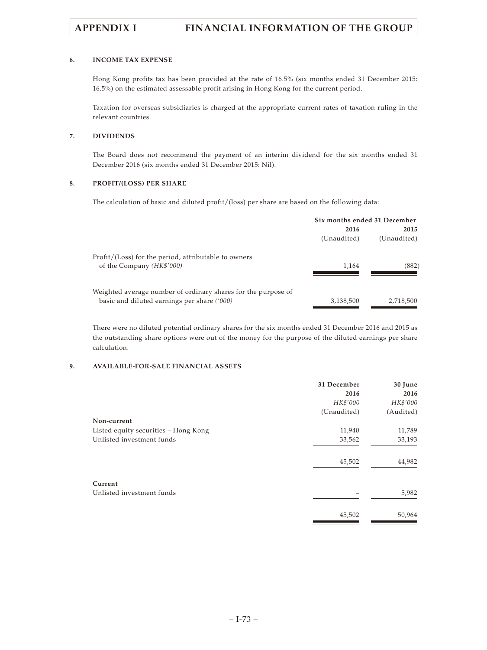### **6. INCOME TAX EXPENSE**

Hong Kong profits tax has been provided at the rate of 16.5% (six months ended 31 December 2015: 16.5%) on the estimated assessable profit arising in Hong Kong for the current period.

Taxation for overseas subsidiaries is charged at the appropriate current rates of taxation ruling in the relevant countries.

## **7. DIVIDENDS**

The Board does not recommend the payment of an interim dividend for the six months ended 31 December 2016 (six months ended 31 December 2015: Nil).

## **8. PROFIT/(LOSS) PER SHARE**

The calculation of basic and diluted profit/(loss) per share are based on the following data:

| Six months ended 31 December |             |
|------------------------------|-------------|
| 2016                         | 2015        |
| (Unaudited)                  | (Unaudited) |
|                              |             |
| 1.164                        | (882)       |
|                              |             |
|                              |             |
| 3,138,500                    | 2,718,500   |
|                              |             |

There were no diluted potential ordinary shares for the six months ended 31 December 2016 and 2015 as the outstanding share options were out of the money for the purpose of the diluted earnings per share calculation.

### **9. AVAILABLE-FOR-SALE FINANCIAL ASSETS**

|                                      | 31 December | 30 June   |
|--------------------------------------|-------------|-----------|
|                                      | 2016        | 2016      |
|                                      | HK\$'000    | HK\$'000  |
|                                      | (Unaudited) | (Audited) |
| Non-current                          |             |           |
| Listed equity securities - Hong Kong | 11,940      | 11,789    |
| Unlisted investment funds            | 33,562      | 33,193    |
|                                      | 45,502      | 44,982    |
| Current                              |             |           |
| Unlisted investment funds            |             | 5,982     |
|                                      | 45,502      | 50,964    |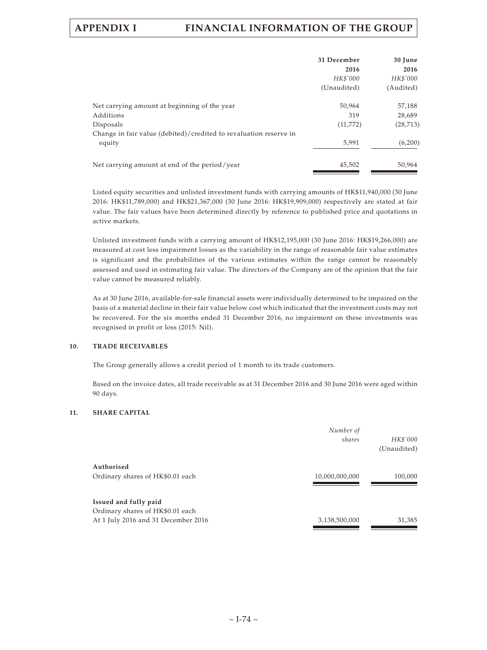| 31 December | 30 June   |
|-------------|-----------|
| 2016        | 2016      |
| HK\$'000    | HK\$'000  |
| (Unaudited) | (Audited) |
| 50,964      | 57,188    |
| 319         | 28,689    |
| (11, 772)   | (28, 713) |
|             |           |
| 5,991       | (6,200)   |
| 45,502      | 50,964    |
|             |           |

Listed equity securities and unlisted investment funds with carrying amounts of HK\$11,940,000 (30 June 2016: HK\$11,789,000) and HK\$21,367,000 (30 June 2016: HK\$19,909,000) respectively are stated at fair value. The fair values have been determined directly by reference to published price and quotations in active markets.

Unlisted investment funds with a carrying amount of HK\$12,195,000 (30 June 2016: HK\$19,266,000) are measured at cost less impairment losses as the variability in the range of reasonable fair value estimates is significant and the probabilities of the various estimates within the range cannot be reasonably assessed and used in estimating fair value. The directors of the Company are of the opinion that the fair value cannot be measured reliably.

As at 30 June 2016, available-for-sale financial assets were individually determined to be impaired on the basis of a material decline in their fair value below cost which indicated that the investment costs may not be recovered. For the six months ended 31 December 2016, no impairment on these investments was recognised in profit or loss (2015: Nil).

### **10. TRADE RECEIVABLES**

The Group generally allows a credit period of 1 month to its trade customers.

Based on the invoice dates, all trade receivable as at 31 December 2016 and 30 June 2016 were aged within 90 days.

### **11. SHARE CAPITAL**

|                                                                                                  | Number of<br>shares | HK\$'000<br>(Unaudited) |
|--------------------------------------------------------------------------------------------------|---------------------|-------------------------|
| Authorised<br>Ordinary shares of HK\$0.01 each                                                   | 10,000,000,000      | 100,000                 |
| Issued and fully paid<br>Ordinary shares of HK\$0.01 each<br>At 1 July 2016 and 31 December 2016 | 3,138,500,000       | 31,385                  |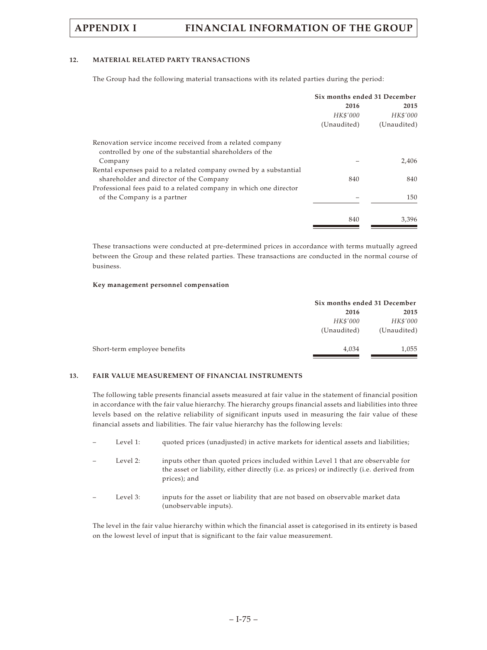# **12. MATERIAL RELATED PARTY TRANSACTIONS**

The Group had the following material transactions with its related parties during the period:

|                                                                   | Six months ended 31 December |                  |
|-------------------------------------------------------------------|------------------------------|------------------|
|                                                                   | 2016                         | 2015<br>HK\$'000 |
|                                                                   | HK\$'000                     |                  |
|                                                                   | (Unaudited)                  | (Unaudited)      |
| Renovation service income received from a related company         |                              |                  |
| controlled by one of the substantial shareholders of the          |                              |                  |
| Company                                                           |                              | 2,406            |
| Rental expenses paid to a related company owned by a substantial  |                              |                  |
| shareholder and director of the Company                           | 840                          | 840              |
| Professional fees paid to a related company in which one director |                              |                  |
| of the Company is a partner                                       |                              | 150              |
|                                                                   |                              |                  |
|                                                                   | 840                          | 3.396            |

These transactions were conducted at pre-determined prices in accordance with terms mutually agreed between the Group and these related parties. These transactions are conducted in the normal course of business.

#### **Key management personnel compensation**

|                              | Six months ended 31 December |             |  |
|------------------------------|------------------------------|-------------|--|
|                              | 2016                         | 2015        |  |
|                              | HK\$'000                     | HK\$'000    |  |
|                              | (Unaudited)                  | (Unaudited) |  |
| Short-term employee benefits | 4,034                        | 1,055       |  |
|                              |                              |             |  |

# **13. FAIR VALUE MEASUREMENT OF FINANCIAL INSTRUMENTS**

The following table presents financial assets measured at fair value in the statement of financial position in accordance with the fair value hierarchy. The hierarchy groups financial assets and liabilities into three levels based on the relative reliability of significant inputs used in measuring the fair value of these financial assets and liabilities. The fair value hierarchy has the following levels:

| Level 1: | quoted prices (unadjusted) in active markets for identical assets and liabilities;                                                                                                           |
|----------|----------------------------------------------------------------------------------------------------------------------------------------------------------------------------------------------|
| Level 2: | inputs other than quoted prices included within Level 1 that are observable for<br>the asset or liability, either directly (i.e. as prices) or indirectly (i.e. derived from<br>prices); and |
| Level 3: | inputs for the asset or liability that are not based on observable market data<br>(unobservable inputs).                                                                                     |

The level in the fair value hierarchy within which the financial asset is categorised in its entirety is based on the lowest level of input that is significant to the fair value measurement.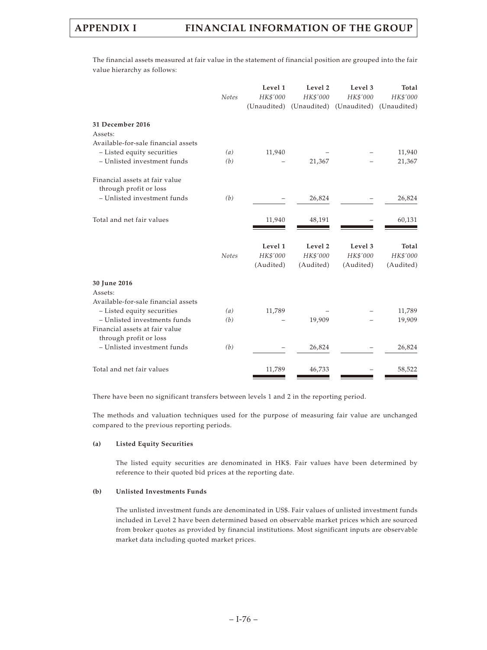The financial assets measured at fair value in the statement of financial position are grouped into the fair value hierarchy as follows:

|                                                          | <b>Notes</b> | Level 1<br>HK\$'000<br>(Unaudited) | Level 2<br>HK\$'000<br>(Unaudited) | Level 3<br>HK\$'000<br>(Unaudited) | Total<br>HK\$'000<br>(Unaudited) |
|----------------------------------------------------------|--------------|------------------------------------|------------------------------------|------------------------------------|----------------------------------|
| 31 December 2016<br>Assets:                              |              |                                    |                                    |                                    |                                  |
| Available-for-sale financial assets                      |              |                                    |                                    |                                    |                                  |
| - Listed equity securities                               | (a)          | 11,940                             |                                    |                                    | 11,940                           |
| - Unlisted investment funds                              | (b)          |                                    | 21,367                             |                                    | 21,367                           |
| Financial assets at fair value<br>through profit or loss |              |                                    |                                    |                                    |                                  |
| - Unlisted investment funds                              | (b)          |                                    | 26,824                             |                                    | 26,824                           |
| Total and net fair values                                |              | 11,940                             | 48,191                             |                                    | 60,131                           |
|                                                          |              | Level 1                            | Level 2                            | Level 3                            | Total                            |
|                                                          | <b>Notes</b> | HK\$'000                           | HK\$'000                           | HK\$'000                           | HK\$'000                         |
|                                                          |              | (Audited)                          | (Audited)                          | (Audited)                          | (Audited)                        |
| 30 June 2016<br>Assets:                                  |              |                                    |                                    |                                    |                                  |
| Available-for-sale financial assets                      |              |                                    |                                    |                                    |                                  |
| - Listed equity securities                               | (a)          | 11,789                             |                                    |                                    | 11,789                           |
| - Unlisted investments funds                             | (b)          |                                    | 19,909                             |                                    | 19,909                           |
| Financial assets at fair value<br>through profit or loss |              |                                    |                                    |                                    |                                  |
| - Unlisted investment funds                              | (b)          |                                    | 26,824                             |                                    | 26,824                           |
| Total and net fair values                                |              | 11,789                             | 46,733                             |                                    | 58,522                           |

There have been no significant transfers between levels 1 and 2 in the reporting period.

The methods and valuation techniques used for the purpose of measuring fair value are unchanged compared to the previous reporting periods.

### **(a) Listed Equity Securities**

The listed equity securities are denominated in HK\$. Fair values have been determined by reference to their quoted bid prices at the reporting date.

#### **(b) Unlisted Investments Funds**

The unlisted investment funds are denominated in US\$. Fair values of unlisted investment funds included in Level 2 have been determined based on observable market prices which are sourced from broker quotes as provided by financial institutions. Most significant inputs are observable market data including quoted market prices.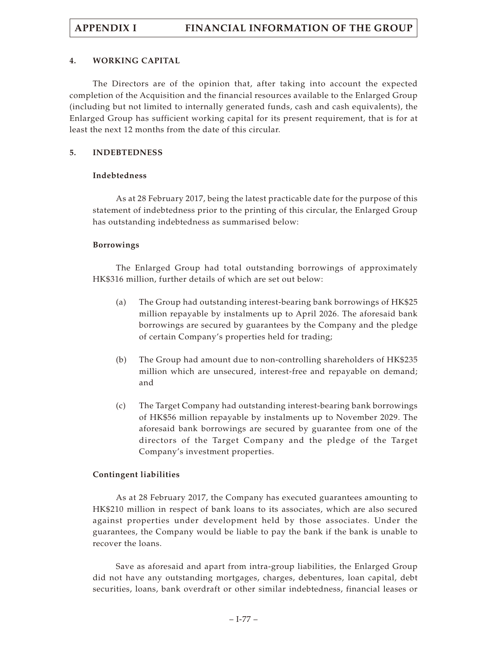# **4. WORKING CAPITAL**

The Directors are of the opinion that, after taking into account the expected completion of the Acquisition and the financial resources available to the Enlarged Group (including but not limited to internally generated funds, cash and cash equivalents), the Enlarged Group has sufficient working capital for its present requirement, that is for at least the next 12 months from the date of this circular.

# **5. INDEBTEDNESS**

# **Indebtedness**

As at 28 February 2017, being the latest practicable date for the purpose of this statement of indebtedness prior to the printing of this circular, the Enlarged Group has outstanding indebtedness as summarised below:

# **Borrowings**

The Enlarged Group had total outstanding borrowings of approximately HK\$316 million, further details of which are set out below:

- (a) The Group had outstanding interest-bearing bank borrowings of HK\$25 million repayable by instalments up to April 2026. The aforesaid bank borrowings are secured by guarantees by the Company and the pledge of certain Company's properties held for trading;
- (b) The Group had amount due to non-controlling shareholders of HK\$235 million which are unsecured, interest-free and repayable on demand; and
- (c) The Target Company had outstanding interest-bearing bank borrowings of HK\$56 million repayable by instalments up to November 2029. The aforesaid bank borrowings are secured by guarantee from one of the directors of the Target Company and the pledge of the Target Company's investment properties.

# **Contingent liabilities**

As at 28 February 2017, the Company has executed guarantees amounting to HK\$210 million in respect of bank loans to its associates, which are also secured against properties under development held by those associates. Under the guarantees, the Company would be liable to pay the bank if the bank is unable to recover the loans.

Save as aforesaid and apart from intra-group liabilities, the Enlarged Group did not have any outstanding mortgages, charges, debentures, loan capital, debt securities, loans, bank overdraft or other similar indebtedness, financial leases or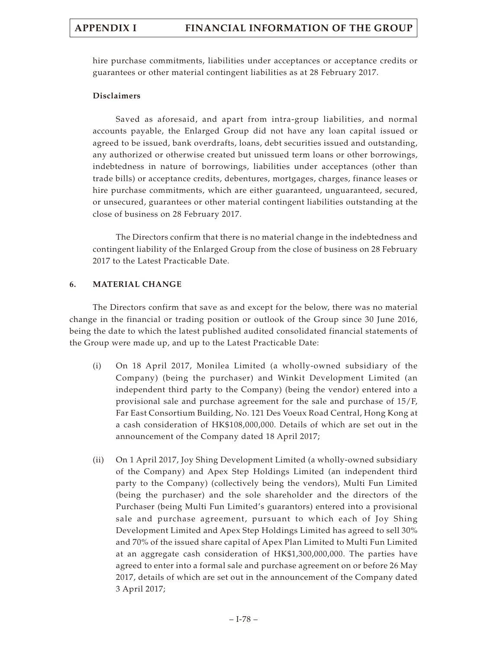hire purchase commitments, liabilities under acceptances or acceptance credits or guarantees or other material contingent liabilities as at 28 February 2017.

# **Disclaimers**

Saved as aforesaid, and apart from intra-group liabilities, and normal accounts payable, the Enlarged Group did not have any loan capital issued or agreed to be issued, bank overdrafts, loans, debt securities issued and outstanding, any authorized or otherwise created but unissued term loans or other borrowings, indebtedness in nature of borrowings, liabilities under acceptances (other than trade bills) or acceptance credits, debentures, mortgages, charges, finance leases or hire purchase commitments, which are either guaranteed, unguaranteed, secured, or unsecured, guarantees or other material contingent liabilities outstanding at the close of business on 28 February 2017.

The Directors confirm that there is no material change in the indebtedness and contingent liability of the Enlarged Group from the close of business on 28 February 2017 to the Latest Practicable Date.

# **6. MATERIAL CHANGE**

The Directors confirm that save as and except for the below, there was no material change in the financial or trading position or outlook of the Group since 30 June 2016, being the date to which the latest published audited consolidated financial statements of the Group were made up, and up to the Latest Practicable Date:

- (i) On 18 April 2017, Monilea Limited (a wholly-owned subsidiary of the Company) (being the purchaser) and Winkit Development Limited (an independent third party to the Company) (being the vendor) entered into a provisional sale and purchase agreement for the sale and purchase of 15/F, Far East Consortium Building, No. 121 Des Voeux Road Central, Hong Kong at a cash consideration of HK\$108,000,000. Details of which are set out in the announcement of the Company dated 18 April 2017;
- (ii) On 1 April 2017, Joy Shing Development Limited (a wholly-owned subsidiary of the Company) and Apex Step Holdings Limited (an independent third party to the Company) (collectively being the vendors), Multi Fun Limited (being the purchaser) and the sole shareholder and the directors of the Purchaser (being Multi Fun Limited's guarantors) entered into a provisional sale and purchase agreement, pursuant to which each of Joy Shing Development Limited and Apex Step Holdings Limited has agreed to sell 30% and 70% of the issued share capital of Apex Plan Limited to Multi Fun Limited at an aggregate cash consideration of HK\$1,300,000,000. The parties have agreed to enter into a formal sale and purchase agreement on or before 26 May 2017, details of which are set out in the announcement of the Company dated 3 April 2017;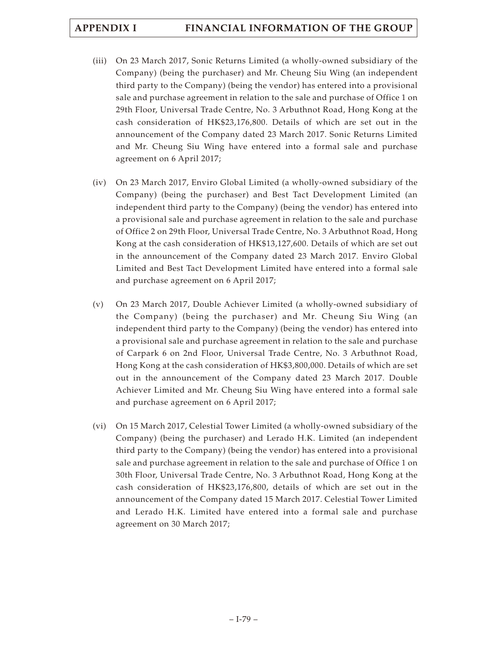- (iii) On 23 March 2017, Sonic Returns Limited (a wholly-owned subsidiary of the Company) (being the purchaser) and Mr. Cheung Siu Wing (an independent third party to the Company) (being the vendor) has entered into a provisional sale and purchase agreement in relation to the sale and purchase of Office 1 on 29th Floor, Universal Trade Centre, No. 3 Arbuthnot Road, Hong Kong at the cash consideration of HK\$23,176,800. Details of which are set out in the announcement of the Company dated 23 March 2017. Sonic Returns Limited and Mr. Cheung Siu Wing have entered into a formal sale and purchase agreement on 6 April 2017;
- (iv) On 23 March 2017, Enviro Global Limited (a wholly-owned subsidiary of the Company) (being the purchaser) and Best Tact Development Limited (an independent third party to the Company) (being the vendor) has entered into a provisional sale and purchase agreement in relation to the sale and purchase of Office 2 on 29th Floor, Universal Trade Centre, No. 3 Arbuthnot Road, Hong Kong at the cash consideration of HK\$13,127,600. Details of which are set out in the announcement of the Company dated 23 March 2017. Enviro Global Limited and Best Tact Development Limited have entered into a formal sale and purchase agreement on 6 April 2017;
- (v) On 23 March 2017, Double Achiever Limited (a wholly-owned subsidiary of the Company) (being the purchaser) and Mr. Cheung Siu Wing (an independent third party to the Company) (being the vendor) has entered into a provisional sale and purchase agreement in relation to the sale and purchase of Carpark 6 on 2nd Floor, Universal Trade Centre, No. 3 Arbuthnot Road, Hong Kong at the cash consideration of HK\$3,800,000. Details of which are set out in the announcement of the Company dated 23 March 2017. Double Achiever Limited and Mr. Cheung Siu Wing have entered into a formal sale and purchase agreement on 6 April 2017;
- (vi) On 15 March 2017, Celestial Tower Limited (a wholly-owned subsidiary of the Company) (being the purchaser) and Lerado H.K. Limited (an independent third party to the Company) (being the vendor) has entered into a provisional sale and purchase agreement in relation to the sale and purchase of Office 1 on 30th Floor, Universal Trade Centre, No. 3 Arbuthnot Road, Hong Kong at the cash consideration of HK\$23,176,800, details of which are set out in the announcement of the Company dated 15 March 2017. Celestial Tower Limited and Lerado H.K. Limited have entered into a formal sale and purchase agreement on 30 March 2017;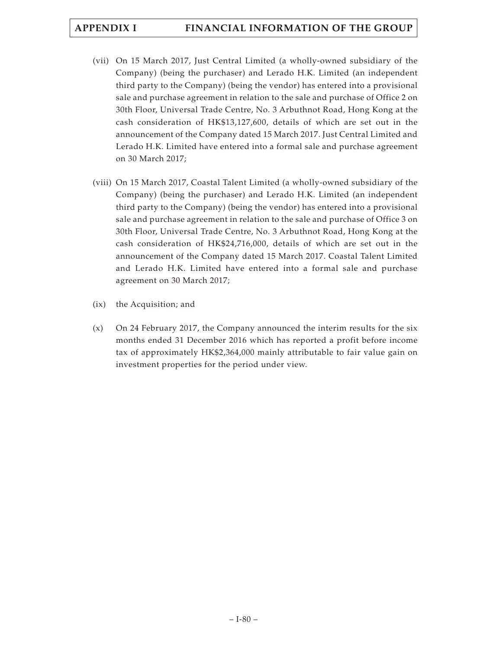- (vii) On 15 March 2017, Just Central Limited (a wholly-owned subsidiary of the Company) (being the purchaser) and Lerado H.K. Limited (an independent third party to the Company) (being the vendor) has entered into a provisional sale and purchase agreement in relation to the sale and purchase of Office 2 on 30th Floor, Universal Trade Centre, No. 3 Arbuthnot Road, Hong Kong at the cash consideration of HK\$13,127,600, details of which are set out in the announcement of the Company dated 15 March 2017. Just Central Limited and Lerado H.K. Limited have entered into a formal sale and purchase agreement on 30 March 2017;
- (viii) On 15 March 2017, Coastal Talent Limited (a wholly-owned subsidiary of the Company) (being the purchaser) and Lerado H.K. Limited (an independent third party to the Company) (being the vendor) has entered into a provisional sale and purchase agreement in relation to the sale and purchase of Office 3 on 30th Floor, Universal Trade Centre, No. 3 Arbuthnot Road, Hong Kong at the cash consideration of HK\$24,716,000, details of which are set out in the announcement of the Company dated 15 March 2017. Coastal Talent Limited and Lerado H.K. Limited have entered into a formal sale and purchase agreement on 30 March 2017;
- (ix) the Acquisition; and
- (x) On 24 February 2017, the Company announced the interim results for the six months ended 31 December 2016 which has reported a profit before income tax of approximately HK\$2,364,000 mainly attributable to fair value gain on investment properties for the period under view.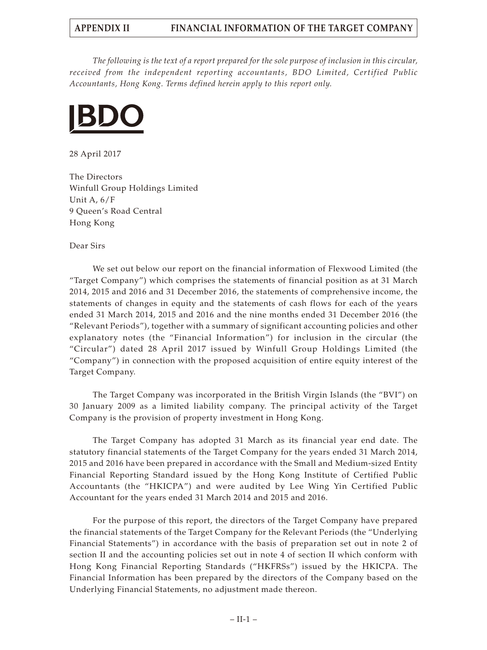*The following is the text of a report prepared for the sole purpose of inclusion in this circular, received from the independent reporting accountants, BDO Limited, Certified Public Accountants, Hong Kong. Terms defined herein apply to this report only.*



28 April 2017

The Directors Winfull Group Holdings Limited Unit A, 6/F 9 Queen's Road Central Hong Kong

Dear Sirs

We set out below our report on the financial information of Flexwood Limited (the "Target Company") which comprises the statements of financial position as at 31 March 2014, 2015 and 2016 and 31 December 2016, the statements of comprehensive income, the statements of changes in equity and the statements of cash flows for each of the years ended 31 March 2014, 2015 and 2016 and the nine months ended 31 December 2016 (the "Relevant Periods"), together with a summary of significant accounting policies and other explanatory notes (the "Financial Information") for inclusion in the circular (the "Circular") dated 28 April 2017 issued by Winfull Group Holdings Limited (the "Company") in connection with the proposed acquisition of entire equity interest of the Target Company.

The Target Company was incorporated in the British Virgin Islands (the "BVI") on 30 January 2009 as a limited liability company. The principal activity of the Target Company is the provision of property investment in Hong Kong.

The Target Company has adopted 31 March as its financial year end date. The statutory financial statements of the Target Company for the years ended 31 March 2014, 2015 and 2016 have been prepared in accordance with the Small and Medium-sized Entity Financial Reporting Standard issued by the Hong Kong Institute of Certified Public Accountants (the "HKICPA") and were audited by Lee Wing Yin Certified Public Accountant for the years ended 31 March 2014 and 2015 and 2016.

For the purpose of this report, the directors of the Target Company have prepared the financial statements of the Target Company for the Relevant Periods (the "Underlying Financial Statements") in accordance with the basis of preparation set out in note 2 of section II and the accounting policies set out in note 4 of section II which conform with Hong Kong Financial Reporting Standards ("HKFRSs") issued by the HKICPA. The Financial Information has been prepared by the directors of the Company based on the Underlying Financial Statements, no adjustment made thereon.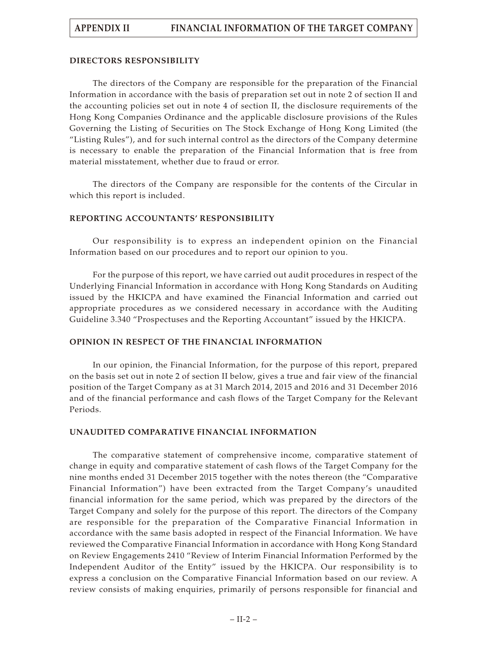# **DIRECTORS RESPONSIBILITY**

The directors of the Company are responsible for the preparation of the Financial Information in accordance with the basis of preparation set out in note 2 of section II and the accounting policies set out in note 4 of section II, the disclosure requirements of the Hong Kong Companies Ordinance and the applicable disclosure provisions of the Rules Governing the Listing of Securities on The Stock Exchange of Hong Kong Limited (the "Listing Rules"), and for such internal control as the directors of the Company determine is necessary to enable the preparation of the Financial Information that is free from material misstatement, whether due to fraud or error.

The directors of the Company are responsible for the contents of the Circular in which this report is included.

# **REPORTING ACCOUNTANTS' RESPONSIBILITY**

Our responsibility is to express an independent opinion on the Financial Information based on our procedures and to report our opinion to you.

For the purpose of this report, we have carried out audit procedures in respect of the Underlying Financial Information in accordance with Hong Kong Standards on Auditing issued by the HKICPA and have examined the Financial Information and carried out appropriate procedures as we considered necessary in accordance with the Auditing Guideline 3.340 "Prospectuses and the Reporting Accountant" issued by the HKICPA.

# **OPINION IN RESPECT OF THE FINANCIAL INFORMATION**

In our opinion, the Financial Information, for the purpose of this report, prepared on the basis set out in note 2 of section II below, gives a true and fair view of the financial position of the Target Company as at 31 March 2014, 2015 and 2016 and 31 December 2016 and of the financial performance and cash flows of the Target Company for the Relevant Periods.

# **UNAUDITED COMPARATIVE FINANCIAL INFORMATION**

The comparative statement of comprehensive income, comparative statement of change in equity and comparative statement of cash flows of the Target Company for the nine months ended 31 December 2015 together with the notes thereon (the "Comparative Financial Information") have been extracted from the Target Company's unaudited financial information for the same period, which was prepared by the directors of the Target Company and solely for the purpose of this report. The directors of the Company are responsible for the preparation of the Comparative Financial Information in accordance with the same basis adopted in respect of the Financial Information. We have reviewed the Comparative Financial Information in accordance with Hong Kong Standard on Review Engagements 2410 "Review of Interim Financial Information Performed by the Independent Auditor of the Entity" issued by the HKICPA. Our responsibility is to express a conclusion on the Comparative Financial Information based on our review. A review consists of making enquiries, primarily of persons responsible for financial and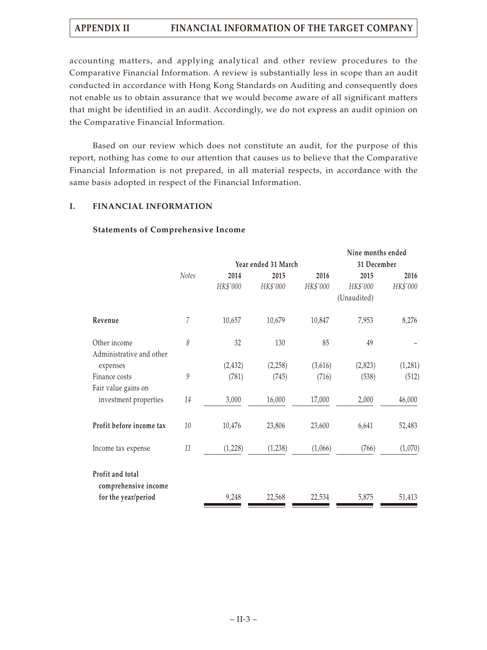accounting matters, and applying analytical and other review procedures to the Comparative Financial Information. A review is substantially less in scope than an audit conducted in accordance with Hong Kong Standards on Auditing and consequently does not enable us to obtain assurance that we would become aware of all significant matters that might be identified in an audit. Accordingly, we do not express an audit opinion on the Comparative Financial Information.

Based on our review which does not constitute an audit, for the purpose of this report, nothing has come to our attention that causes us to believe that the Comparative Financial Information is not prepared, in all material respects, in accordance with the same basis adopted in respect of the Financial Information.

# **I. FINANCIAL INFORMATION**

# **Statements of Comprehensive Income**

|                                                                 |              |          |                     |          | Nine months ended       |          |
|-----------------------------------------------------------------|--------------|----------|---------------------|----------|-------------------------|----------|
|                                                                 |              |          | Year ended 31 March |          | 31 December             |          |
|                                                                 | <b>Notes</b> | 2014     | 2015                | 2016     | 2015                    | 2016     |
|                                                                 |              | HK\$'000 | HK\$'000            | HK\$'000 | HK\$'000<br>(Unaudited) | HK\$'000 |
| Revenue                                                         | 7            | 10,657   | 10,679              | 10,847   | 7,953                   | 8,276    |
| Other income<br>Administrative and other                        | 8            | 32       | 130                 | 85       | 49                      |          |
| expenses                                                        |              | (2, 432) | (2,258)             | (3,616)  | (2,823)                 | (1,281)  |
| Finance costs<br>Fair value gains on                            | 9            | (781)    | (745)               | (716)    | (538)                   | (512)    |
| investment properties                                           | 14           | 3,000    | 16,000              | 17,000   | 2,000                   | 46,000   |
| Profit before income tax                                        | 10           | 10,476   | 23,806              | 23,600   | 6,641                   | 52,483   |
| Income tax expense                                              | 11           | (1,228)  | (1,238)             | (1,066)  | (766)                   | (1,070)  |
| Profit and total<br>comprehensive income<br>for the year/period |              | 9,248    | 22,568              | 22,534   | 5,875                   | 51,413   |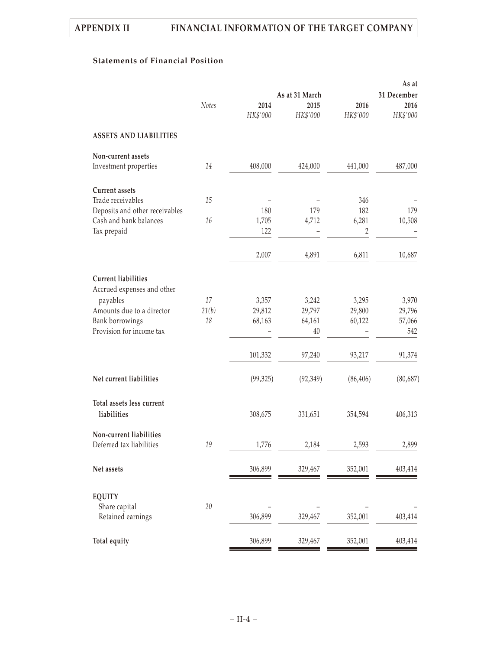# **Statements of Financial Position**

| 31 December |
|-------------|
| 2016        |
| HK\$'000    |
|             |
|             |
| 487,000     |
|             |
|             |
| 179         |
| 10,508      |
|             |
| 10,687      |
|             |
| 3,970       |
| 29,796      |
| 57,066      |
| 542         |
| 91,374      |
| (80, 687)   |
| 406,313     |
| 2,899       |
| 403,414     |
|             |
|             |
| 403,414     |
| 403,414     |
|             |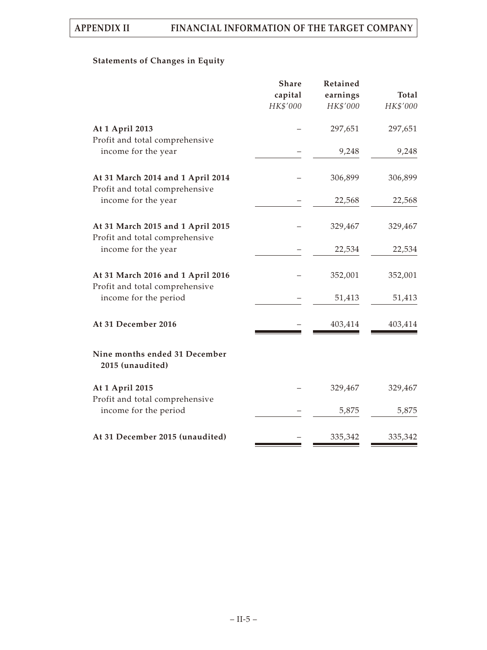# **Statements of Changes in Equity**

| <b>Share</b> | Retained            |                                                             |
|--------------|---------------------|-------------------------------------------------------------|
|              |                     | Total                                                       |
|              |                     | HK\$'000                                                    |
|              | 297,651             | 297,651                                                     |
|              |                     |                                                             |
|              | 9,248               | 9,248                                                       |
|              | 306,899             | 306,899                                                     |
|              |                     |                                                             |
|              |                     | 22,568                                                      |
|              | 329,467             | 329,467                                                     |
|              |                     |                                                             |
|              |                     | 22,534                                                      |
|              | 352,001             | 352,001                                                     |
|              |                     |                                                             |
|              |                     | 51,413                                                      |
|              | 403,414             | 403,414                                                     |
|              |                     |                                                             |
|              | 329,467             | 329,467                                                     |
|              |                     |                                                             |
|              |                     | 5,875                                                       |
|              | 335,342             | 335,342                                                     |
|              | capital<br>HK\$'000 | earnings<br>HK\$'000<br>22,568<br>22,534<br>51,413<br>5,875 |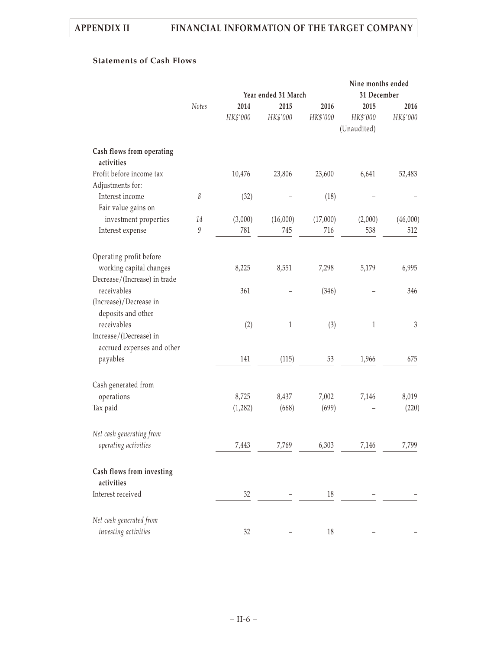# **Statements of Cash Flows**

|                                              |              |          |                     |          | Nine months ended |            |
|----------------------------------------------|--------------|----------|---------------------|----------|-------------------|------------|
|                                              |              |          | Year ended 31 March |          | 31 December       |            |
|                                              | <b>Notes</b> | 2014     | 2015                | 2016     | 2015              | 2016       |
|                                              |              | HK\$'000 | HK\$'000            | HK\$'000 | HK\$'000          | HK\$'000   |
|                                              |              |          |                     |          | (Unaudited)       |            |
| Cash flows from operating<br>activities      |              |          |                     |          |                   |            |
| Profit before income tax<br>Adjustments for: |              | 10,476   | 23,806              | 23,600   | 6,641             | 52,483     |
| Interest income<br>Fair value gains on       | 8            | (32)     |                     | (18)     |                   |            |
| investment properties                        | 14           | (3,000)  | (16,000)            | (17,000) | (2,000)           | (46,000)   |
| Interest expense                             | 9            | 781      | 745                 | 716      | 538               | 512        |
| Operating profit before                      |              |          |                     |          |                   |            |
| working capital changes                      |              | 8,225    | 8,551               | 7,298    | 5,179             | 6,995      |
| Decrease/(Increase) in trade<br>receivables  |              | 361      |                     | (346)    |                   | 346        |
| (Increase)/Decrease in                       |              |          |                     |          |                   |            |
| deposits and other                           |              |          |                     |          |                   |            |
| receivables                                  |              | (2)      | $\,1$               | (3)      | $\,1\,$           | $\sqrt{3}$ |
| Increase/(Decrease) in                       |              |          |                     |          |                   |            |
| accrued expenses and other                   |              |          |                     |          |                   |            |
| payables                                     |              | 141      | (115)               | 53       | 1,966             | 675        |
| Cash generated from                          |              |          |                     |          |                   |            |
| operations                                   |              | 8,725    | 8,437               | 7,002    | 7,146             | 8,019      |
| Tax paid                                     |              | (1,282)  | (668)               | (699)    |                   | (220)      |
| Net cash generating from                     |              |          |                     |          |                   |            |
| operating activities                         |              | 7,443    | 7,769               | 6,303    | 7,146             | 7,799      |
| Cash flows from investing                    |              |          |                     |          |                   |            |
| activities                                   |              |          |                     |          |                   |            |
| Interest received                            |              | 32       |                     | 18       |                   |            |
| Net cash generated from                      |              |          |                     |          |                   |            |
| investing activities                         |              | 32       |                     | 18       |                   |            |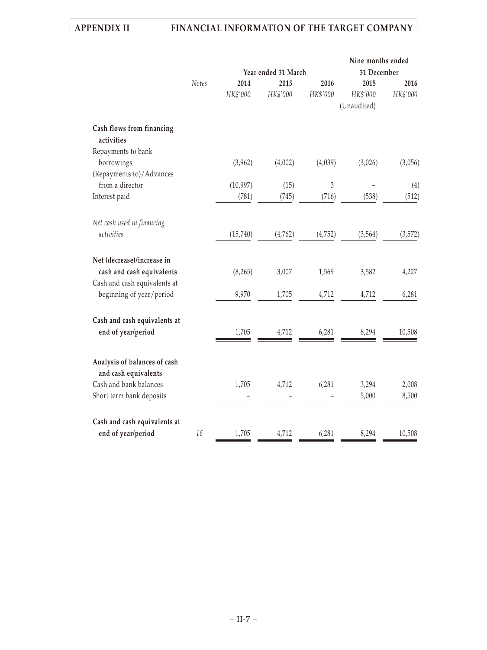|                                         |       |                     |          |          | Nine months ended |          |
|-----------------------------------------|-------|---------------------|----------|----------|-------------------|----------|
|                                         |       | Year ended 31 March |          |          | 31 December       |          |
|                                         | Notes | 2014                | 2015     | 2016     | 2015              | 2016     |
|                                         |       | HK\$'000            | HK\$'000 | HK\$'000 | HK\$'000          | HK\$'000 |
|                                         |       |                     |          |          | (Unaudited)       |          |
| Cash flows from financing<br>activities |       |                     |          |          |                   |          |
| Repayments to bank                      |       |                     |          |          |                   |          |
| borrowings                              |       | (3,962)             | (4,002)  | (4,039)  | (3,026)           | (3,056)  |
| (Repayments to)/Advances                |       |                     |          |          |                   |          |
| from a director                         |       | (10, 997)           | (15)     | 3        |                   | (4)      |
| Interest paid                           |       | (781)               | (745)    | (716)    | (538)             | (512)    |
|                                         |       |                     |          |          |                   |          |
| Net cash used in financing              |       |                     |          |          |                   |          |
| activities                              |       | (15,740)            | (4,762)  | (4, 752) | (3, 564)          | (3, 572) |
|                                         |       |                     |          |          |                   |          |
| Net (decrease)/increase in              |       |                     |          |          |                   |          |
| cash and cash equivalents               |       | (8, 265)            | 3,007    | 1,569    | 3,582             | 4,227    |
| Cash and cash equivalents at            |       |                     |          |          |                   |          |
| beginning of year/period                |       | 9,970               | 1,705    | 4,712    | 4,712             | 6,281    |
|                                         |       |                     |          |          |                   |          |
| Cash and cash equivalents at            |       |                     |          |          |                   |          |
| end of year/period                      |       | 1,705               | 4,712    | 6,281    | 8,294             | 10,508   |
|                                         |       |                     |          |          |                   |          |
| Analysis of balances of cash            |       |                     |          |          |                   |          |
| and cash equivalents                    |       |                     |          |          |                   |          |
| Cash and bank balances                  |       | 1,705               | 4,712    | 6,281    | 3,294             | 2,008    |
| Short term bank deposits                |       |                     |          |          | 5,000             | 8,500    |
|                                         |       |                     |          |          |                   |          |
| Cash and cash equivalents at            |       |                     |          |          |                   |          |
| end of year/period                      | 16    | 1,705               | 4,712    | 6,281    | 8,294             | 10,508   |
|                                         |       |                     |          |          |                   |          |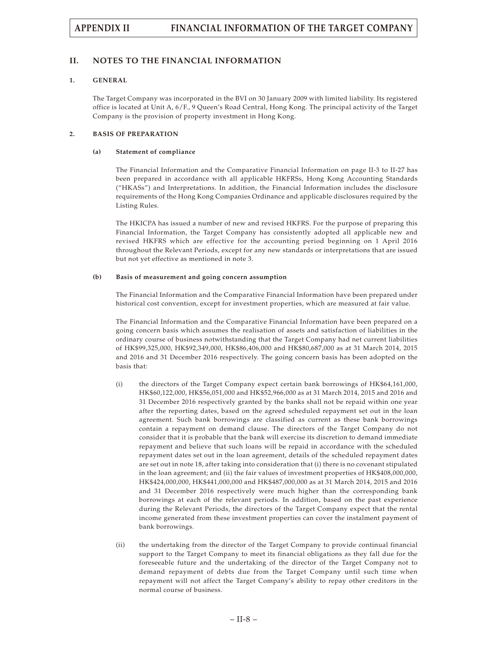# **II. NOTES TO THE FINANCIAL INFORMATION**

# **1. GENERAL**

The Target Company was incorporated in the BVI on 30 January 2009 with limited liability. Its registered office is located at Unit A, 6/F., 9 Queen's Road Central, Hong Kong. The principal activity of the Target Company is the provision of property investment in Hong Kong.

### **2. BASIS OF PREPARATION**

### **(a) Statement of compliance**

The Financial Information and the Comparative Financial Information on page II-3 to II-27 has been prepared in accordance with all applicable HKFRSs, Hong Kong Accounting Standards ("HKASs") and Interpretations. In addition, the Financial Information includes the disclosure requirements of the Hong Kong Companies Ordinance and applicable disclosures required by the Listing Rules.

The HKICPA has issued a number of new and revised HKFRS. For the purpose of preparing this Financial Information, the Target Company has consistently adopted all applicable new and revised HKFRS which are effective for the accounting period beginning on 1 April 2016 throughout the Relevant Periods, except for any new standards or interpretations that are issued but not yet effective as mentioned in note 3.

## **(b) Basis of measurement and going concern assumption**

The Financial Information and the Comparative Financial Information have been prepared under historical cost convention, except for investment properties, which are measured at fair value.

The Financial Information and the Comparative Financial Information have been prepared on a going concern basis which assumes the realisation of assets and satisfaction of liabilities in the ordinary course of business notwithstanding that the Target Company had net current liabilities of HK\$99,325,000, HK\$92,349,000, HK\$86,406,000 and HK\$80,687,000 as at 31 March 2014, 2015 and 2016 and 31 December 2016 respectively. The going concern basis has been adopted on the basis that:

- (i) the directors of the Target Company expect certain bank borrowings of HK\$64,161,000, HK\$60,122,000, HK\$56,051,000 and HK\$52,966,000 as at 31 March 2014, 2015 and 2016 and 31 December 2016 respectively granted by the banks shall not be repaid within one year after the reporting dates, based on the agreed scheduled repayment set out in the loan agreement. Such bank borrowings are classified as current as these bank borrowings contain a repayment on demand clause. The directors of the Target Company do not consider that it is probable that the bank will exercise its discretion to demand immediate repayment and believe that such loans will be repaid in accordance with the scheduled repayment dates set out in the loan agreement, details of the scheduled repayment dates are set out in note 18, after taking into consideration that (i) there is no covenant stipulated in the loan agreement; and (ii) the fair values of investment properties of HK\$408,000,000, HK\$424,000,000, HK\$441,000,000 and HK\$487,000,000 as at 31 March 2014, 2015 and 2016 and 31 December 2016 respectively were much higher than the corresponding bank borrowings at each of the relevant periods. In addition, based on the past experience during the Relevant Periods, the directors of the Target Company expect that the rental income generated from these investment properties can cover the instalment payment of bank borrowings.
- (ii) the undertaking from the director of the Target Company to provide continual financial support to the Target Company to meet its financial obligations as they fall due for the foreseeable future and the undertaking of the director of the Target Company not to demand repayment of debts due from the Target Company until such time when repayment will not affect the Target Company's ability to repay other creditors in the normal course of business.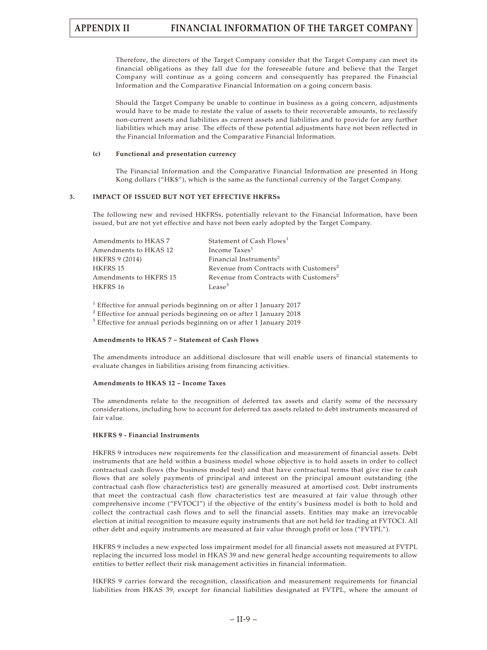Therefore, the directors of the Target Company consider that the Target Company can meet its financial obligations as they fall due for the foreseeable future and believe that the Target Company will continue as a going concern and consequently has prepared the Financial Information and the Comparative Financial Information on a going concern basis.

Should the Target Company be unable to continue in business as a going concern, adjustments would have to be made to restate the value of assets to their recoverable amounts, to reclassify non-current assets and liabilities as current assets and liabilities and to provide for any further liabilities which may arise. The effects of these potential adjustments have not been reflected in the Financial Information and the Comparative Financial Information.

#### **(c) Functional and presentation currency**

The Financial Information and the Comparative Financial Information are presented in Hong Kong dollars ("HK\$"), which is the same as the functional currency of the Target Company.

## **3. IMPACT OF ISSUED BUT NOT YET EFFECTIVE HKFRSs**

The following new and revised HKFRSs, potentially relevant to the Financial Information, have been issued, but are not yet effective and have not been early adopted by the Target Company.

| Amendments to HKAS 7   | Statement of Cash Flows <sup>1</sup>               |
|------------------------|----------------------------------------------------|
| Amendments to HKAS 12  | Income Taxes <sup>1</sup>                          |
| <b>HKFRS 9 (2014)</b>  | Financial Instruments <sup>2</sup>                 |
| <b>HKFRS 15</b>        | Revenue from Contracts with Customers <sup>2</sup> |
| Amendments to HKFRS 15 | Revenue from Contracts with Customers <sup>2</sup> |
| HKFRS 16               | Lease <sup>3</sup>                                 |

<sup>1</sup> Effective for annual periods beginning on or after 1 January 2017

<sup>2</sup> Effective for annual periods beginning on or after 1 January 2018

<sup>3</sup> Effective for annual periods beginning on or after 1 January 2019

### **Amendments to HKAS 7 – Statement of Cash Flows**

The amendments introduce an additional disclosure that will enable users of financial statements to evaluate changes in liabilities arising from financing activities.

#### **Amendments to HKAS 12 – Income Taxes**

The amendments relate to the recognition of deferred tax assets and clarify some of the necessary considerations, including how to account for deferred tax assets related to debt instruments measured of fair value.

### **HKFRS 9 - Financial Instruments**

HKFRS 9 introduces new requirements for the classification and measurement of financial assets. Debt instruments that are held within a business model whose objective is to hold assets in order to collect contractual cash flows (the business model test) and that have contractual terms that give rise to cash flows that are solely payments of principal and interest on the principal amount outstanding (the contractual cash flow characteristics test) are generally measured at amortised cost. Debt instruments that meet the contractual cash flow characteristics test are measured at fair value through other comprehensive income ("FVTOCI") if the objective of the entity's business model is both to hold and collect the contractual cash flows and to sell the financial assets. Entities may make an irrevocable election at initial recognition to measure equity instruments that are not held for trading at FVTOCI. All other debt and equity instruments are measured at fair value through profit or loss ("FVTPL").

HKFRS 9 includes a new expected loss impairment model for all financial assets not measured at FVTPL replacing the incurred loss model in HKAS 39 and new general hedge accounting requirements to allow entities to better reflect their risk management activities in financial information.

HKFRS 9 carries forward the recognition, classification and measurement requirements for financial liabilities from HKAS 39, except for financial liabilities designated at FVTPL, where the amount of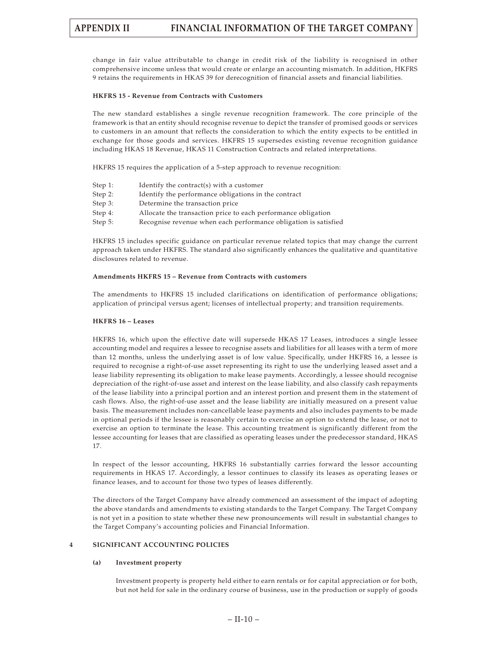change in fair value attributable to change in credit risk of the liability is recognised in other comprehensive income unless that would create or enlarge an accounting mismatch. In addition, HKFRS 9 retains the requirements in HKAS 39 for derecognition of financial assets and financial liabilities.

#### **HKFRS 15 - Revenue from Contracts with Customers**

The new standard establishes a single revenue recognition framework. The core principle of the framework is that an entity should recognise revenue to depict the transfer of promised goods or services to customers in an amount that reflects the consideration to which the entity expects to be entitled in exchange for those goods and services. HKFRS 15 supersedes existing revenue recognition guidance including HKAS 18 Revenue, HKAS 11 Construction Contracts and related interpretations.

HKFRS 15 requires the application of a 5-step approach to revenue recognition:

| Step 1: | Identify the contract(s) with a customer                        |
|---------|-----------------------------------------------------------------|
| Step 2: | Identify the performance obligations in the contract            |
| Step 3: | Determine the transaction price                                 |
| Step 4: | Allocate the transaction price to each performance obligation   |
| Step 5: | Recognise revenue when each performance obligation is satisfied |
|         |                                                                 |

HKFRS 15 includes specific guidance on particular revenue related topics that may change the current approach taken under HKFRS. The standard also significantly enhances the qualitative and quantitative disclosures related to revenue.

#### **Amendments HKFRS 15 – Revenue from Contracts with customers**

The amendments to HKFRS 15 included clarifications on identification of performance obligations; application of principal versus agent; licenses of intellectual property; and transition requirements.

#### **HKFRS 16 – Leases**

HKFRS 16, which upon the effective date will supersede HKAS 17 Leases, introduces a single lessee accounting model and requires a lessee to recognise assets and liabilities for all leases with a term of more than 12 months, unless the underlying asset is of low value. Specifically, under HKFRS 16, a lessee is required to recognise a right-of-use asset representing its right to use the underlying leased asset and a lease liability representing its obligation to make lease payments. Accordingly, a lessee should recognise depreciation of the right-of-use asset and interest on the lease liability, and also classify cash repayments of the lease liability into a principal portion and an interest portion and present them in the statement of cash flows. Also, the right-of-use asset and the lease liability are initially measured on a present value basis. The measurement includes non-cancellable lease payments and also includes payments to be made in optional periods if the lessee is reasonably certain to exercise an option to extend the lease, or not to exercise an option to terminate the lease. This accounting treatment is significantly different from the lessee accounting for leases that are classified as operating leases under the predecessor standard, HKAS 17.

In respect of the lessor accounting, HKFRS 16 substantially carries forward the lessor accounting requirements in HKAS 17. Accordingly, a lessor continues to classify its leases as operating leases or finance leases, and to account for those two types of leases differently.

The directors of the Target Company have already commenced an assessment of the impact of adopting the above standards and amendments to existing standards to the Target Company. The Target Company is not yet in a position to state whether these new pronouncements will result in substantial changes to the Target Company's accounting policies and Financial Information.

## **4 SIGNIFICANT ACCOUNTING POLICIES**

### **(a) Investment property**

Investment property is property held either to earn rentals or for capital appreciation or for both, but not held for sale in the ordinary course of business, use in the production or supply of goods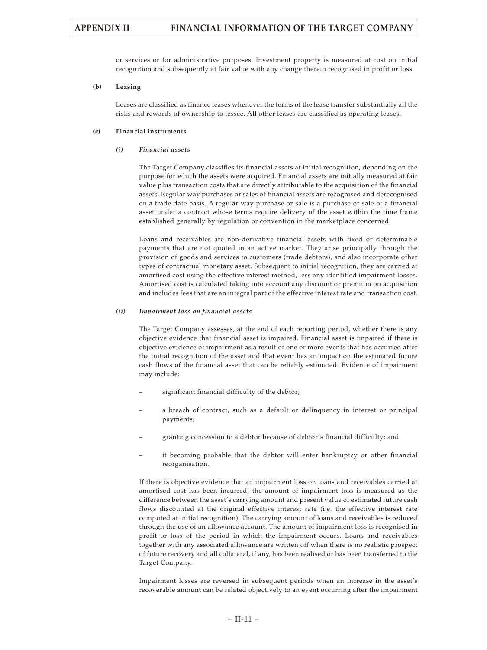or services or for administrative purposes. Investment property is measured at cost on initial recognition and subsequently at fair value with any change therein recognised in profit or loss.

#### **(b) Leasing**

Leases are classified as finance leases whenever the terms of the lease transfer substantially all the risks and rewards of ownership to lessee. All other leases are classified as operating leases.

#### **(c) Financial instruments**

#### *(i) Financial assets*

The Target Company classifies its financial assets at initial recognition, depending on the purpose for which the assets were acquired. Financial assets are initially measured at fair value plus transaction costs that are directly attributable to the acquisition of the financial assets. Regular way purchases or sales of financial assets are recognised and derecognised on a trade date basis. A regular way purchase or sale is a purchase or sale of a financial asset under a contract whose terms require delivery of the asset within the time frame established generally by regulation or convention in the marketplace concerned.

Loans and receivables are non-derivative financial assets with fixed or determinable payments that are not quoted in an active market. They arise principally through the provision of goods and services to customers (trade debtors), and also incorporate other types of contractual monetary asset. Subsequent to initial recognition, they are carried at amortised cost using the effective interest method, less any identified impairment losses. Amortised cost is calculated taking into account any discount or premium on acquisition and includes fees that are an integral part of the effective interest rate and transaction cost.

#### *(ii) Impairment loss on financial assets*

The Target Company assesses, at the end of each reporting period, whether there is any objective evidence that financial asset is impaired. Financial asset is impaired if there is objective evidence of impairment as a result of one or more events that has occurred after the initial recognition of the asset and that event has an impact on the estimated future cash flows of the financial asset that can be reliably estimated. Evidence of impairment may include:

- significant financial difficulty of the debtor;
- a breach of contract, such as a default or delinquency in interest or principal payments;
- granting concession to a debtor because of debtor's financial difficulty; and
- it becoming probable that the debtor will enter bankruptcy or other financial reorganisation.

If there is objective evidence that an impairment loss on loans and receivables carried at amortised cost has been incurred, the amount of impairment loss is measured as the difference between the asset's carrying amount and present value of estimated future cash flows discounted at the original effective interest rate (i.e. the effective interest rate computed at initial recognition). The carrying amount of loans and receivables is reduced through the use of an allowance account. The amount of impairment loss is recognised in profit or loss of the period in which the impairment occurs. Loans and receivables together with any associated allowance are written off when there is no realistic prospect of future recovery and all collateral, if any, has been realised or has been transferred to the Target Company.

Impairment losses are reversed in subsequent periods when an increase in the asset's recoverable amount can be related objectively to an event occurring after the impairment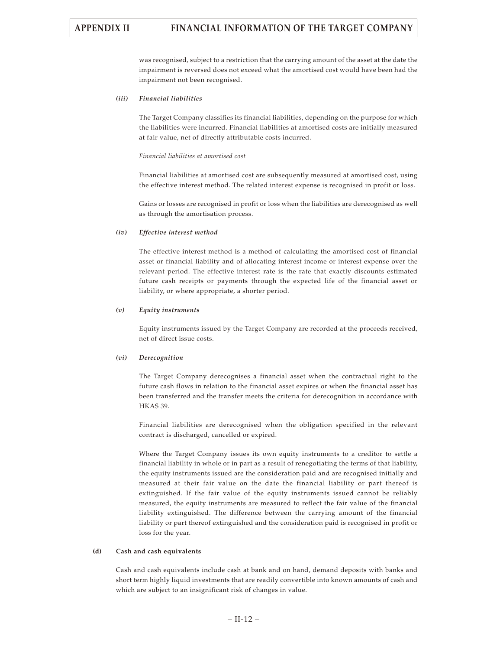was recognised, subject to a restriction that the carrying amount of the asset at the date the impairment is reversed does not exceed what the amortised cost would have been had the impairment not been recognised.

### *(iii) Financial liabilities*

The Target Company classifies its financial liabilities, depending on the purpose for which the liabilities were incurred. Financial liabilities at amortised costs are initially measured at fair value, net of directly attributable costs incurred.

### *Financial liabilities at amortised cost*

Financial liabilities at amortised cost are subsequently measured at amortised cost, using the effective interest method. The related interest expense is recognised in profit or loss.

Gains or losses are recognised in profit or loss when the liabilities are derecognised as well as through the amortisation process.

## *(iv) Effective interest method*

The effective interest method is a method of calculating the amortised cost of financial asset or financial liability and of allocating interest income or interest expense over the relevant period. The effective interest rate is the rate that exactly discounts estimated future cash receipts or payments through the expected life of the financial asset or liability, or where appropriate, a shorter period.

## *(v) Equity instruments*

Equity instruments issued by the Target Company are recorded at the proceeds received, net of direct issue costs.

### *(vi) Derecognition*

The Target Company derecognises a financial asset when the contractual right to the future cash flows in relation to the financial asset expires or when the financial asset has been transferred and the transfer meets the criteria for derecognition in accordance with HKAS 39.

Financial liabilities are derecognised when the obligation specified in the relevant contract is discharged, cancelled or expired.

Where the Target Company issues its own equity instruments to a creditor to settle a financial liability in whole or in part as a result of renegotiating the terms of that liability, the equity instruments issued are the consideration paid and are recognised initially and measured at their fair value on the date the financial liability or part thereof is extinguished. If the fair value of the equity instruments issued cannot be reliably measured, the equity instruments are measured to reflect the fair value of the financial liability extinguished. The difference between the carrying amount of the financial liability or part thereof extinguished and the consideration paid is recognised in profit or loss for the year.

# **(d) Cash and cash equivalents**

Cash and cash equivalents include cash at bank and on hand, demand deposits with banks and short term highly liquid investments that are readily convertible into known amounts of cash and which are subject to an insignificant risk of changes in value.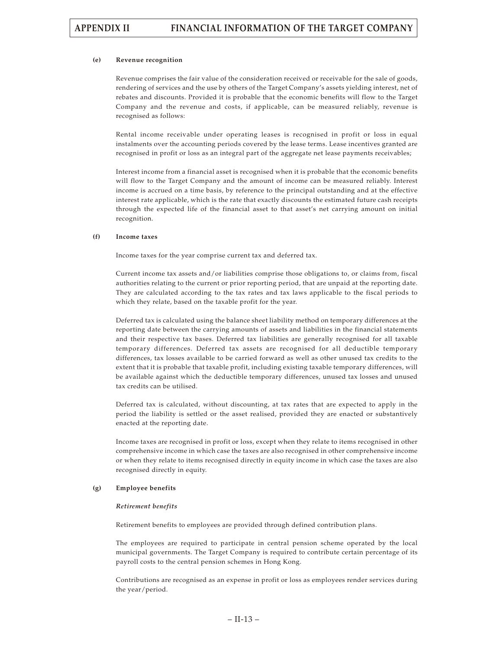### **(e) Revenue recognition**

Revenue comprises the fair value of the consideration received or receivable for the sale of goods, rendering of services and the use by others of the Target Company's assets yielding interest, net of rebates and discounts. Provided it is probable that the economic benefits will flow to the Target Company and the revenue and costs, if applicable, can be measured reliably, revenue is recognised as follows:

Rental income receivable under operating leases is recognised in profit or loss in equal instalments over the accounting periods covered by the lease terms. Lease incentives granted are recognised in profit or loss as an integral part of the aggregate net lease payments receivables;

Interest income from a financial asset is recognised when it is probable that the economic benefits will flow to the Target Company and the amount of income can be measured reliably. Interest income is accrued on a time basis, by reference to the principal outstanding and at the effective interest rate applicable, which is the rate that exactly discounts the estimated future cash receipts through the expected life of the financial asset to that asset's net carrying amount on initial recognition.

#### **(f) Income taxes**

Income taxes for the year comprise current tax and deferred tax.

Current income tax assets and/or liabilities comprise those obligations to, or claims from, fiscal authorities relating to the current or prior reporting period, that are unpaid at the reporting date. They are calculated according to the tax rates and tax laws applicable to the fiscal periods to which they relate, based on the taxable profit for the year.

Deferred tax is calculated using the balance sheet liability method on temporary differences at the reporting date between the carrying amounts of assets and liabilities in the financial statements and their respective tax bases. Deferred tax liabilities are generally recognised for all taxable temporary differences. Deferred tax assets are recognised for all deductible temporary differences, tax losses available to be carried forward as well as other unused tax credits to the extent that it is probable that taxable profit, including existing taxable temporary differences, will be available against which the deductible temporary differences, unused tax losses and unused tax credits can be utilised.

Deferred tax is calculated, without discounting, at tax rates that are expected to apply in the period the liability is settled or the asset realised, provided they are enacted or substantively enacted at the reporting date.

Income taxes are recognised in profit or loss, except when they relate to items recognised in other comprehensive income in which case the taxes are also recognised in other comprehensive income or when they relate to items recognised directly in equity income in which case the taxes are also recognised directly in equity.

### **(g) Employee benefits**

#### *Retirement benefits*

Retirement benefits to employees are provided through defined contribution plans.

The employees are required to participate in central pension scheme operated by the local municipal governments. The Target Company is required to contribute certain percentage of its payroll costs to the central pension schemes in Hong Kong.

Contributions are recognised as an expense in profit or loss as employees render services during the year/period.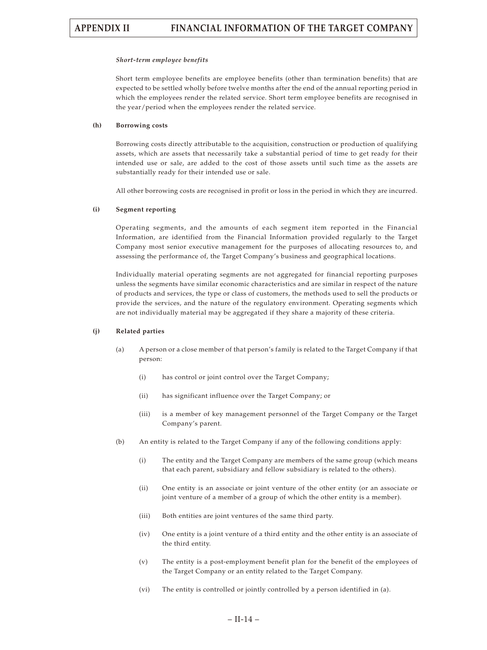#### *Short-term employee benefits*

Short term employee benefits are employee benefits (other than termination benefits) that are expected to be settled wholly before twelve months after the end of the annual reporting period in which the employees render the related service. Short term employee benefits are recognised in the year/period when the employees render the related service.

#### **(h) Borrowing costs**

Borrowing costs directly attributable to the acquisition, construction or production of qualifying assets, which are assets that necessarily take a substantial period of time to get ready for their intended use or sale, are added to the cost of those assets until such time as the assets are substantially ready for their intended use or sale.

All other borrowing costs are recognised in profit or loss in the period in which they are incurred.

#### **(i) Segment reporting**

Operating segments, and the amounts of each segment item reported in the Financial Information, are identified from the Financial Information provided regularly to the Target Company most senior executive management for the purposes of allocating resources to, and assessing the performance of, the Target Company's business and geographical locations.

Individually material operating segments are not aggregated for financial reporting purposes unless the segments have similar economic characteristics and are similar in respect of the nature of products and services, the type or class of customers, the methods used to sell the products or provide the services, and the nature of the regulatory environment. Operating segments which are not individually material may be aggregated if they share a majority of these criteria.

#### **(j) Related parties**

- (a) A person or a close member of that person's family is related to the Target Company if that person:
	- (i) has control or joint control over the Target Company;
	- (ii) has significant influence over the Target Company; or
	- (iii) is a member of key management personnel of the Target Company or the Target Company's parent.
- (b) An entity is related to the Target Company if any of the following conditions apply:
	- (i) The entity and the Target Company are members of the same group (which means that each parent, subsidiary and fellow subsidiary is related to the others).
	- (ii) One entity is an associate or joint venture of the other entity (or an associate or joint venture of a member of a group of which the other entity is a member).
	- (iii) Both entities are joint ventures of the same third party.
	- (iv) One entity is a joint venture of a third entity and the other entity is an associate of the third entity.
	- (v) The entity is a post-employment benefit plan for the benefit of the employees of the Target Company or an entity related to the Target Company.
	- (vi) The entity is controlled or jointly controlled by a person identified in (a).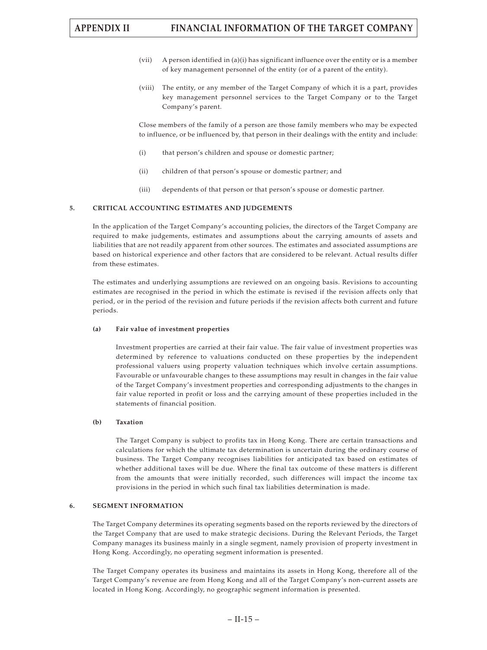- (vii) A person identified in (a)(i) has significant influence over the entity or is a member of key management personnel of the entity (or of a parent of the entity).
- (viii) The entity, or any member of the Target Company of which it is a part, provides key management personnel services to the Target Company or to the Target Company's parent.

Close members of the family of a person are those family members who may be expected to influence, or be influenced by, that person in their dealings with the entity and include:

- (i) that person's children and spouse or domestic partner;
- (ii) children of that person's spouse or domestic partner; and
- (iii) dependents of that person or that person's spouse or domestic partner.

#### **5. CRITICAL ACCOUNTING ESTIMATES AND JUDGEMENTS**

In the application of the Target Company's accounting policies, the directors of the Target Company are required to make judgements, estimates and assumptions about the carrying amounts of assets and liabilities that are not readily apparent from other sources. The estimates and associated assumptions are based on historical experience and other factors that are considered to be relevant. Actual results differ from these estimates.

The estimates and underlying assumptions are reviewed on an ongoing basis. Revisions to accounting estimates are recognised in the period in which the estimate is revised if the revision affects only that period, or in the period of the revision and future periods if the revision affects both current and future periods.

#### **(a) Fair value of investment properties**

Investment properties are carried at their fair value. The fair value of investment properties was determined by reference to valuations conducted on these properties by the independent professional valuers using property valuation techniques which involve certain assumptions. Favourable or unfavourable changes to these assumptions may result in changes in the fair value of the Target Company's investment properties and corresponding adjustments to the changes in fair value reported in profit or loss and the carrying amount of these properties included in the statements of financial position.

#### **(b) Taxation**

The Target Company is subject to profits tax in Hong Kong. There are certain transactions and calculations for which the ultimate tax determination is uncertain during the ordinary course of business. The Target Company recognises liabilities for anticipated tax based on estimates of whether additional taxes will be due. Where the final tax outcome of these matters is different from the amounts that were initially recorded, such differences will impact the income tax provisions in the period in which such final tax liabilities determination is made.

## **6. SEGMENT INFORMATION**

The Target Company determines its operating segments based on the reports reviewed by the directors of the Target Company that are used to make strategic decisions. During the Relevant Periods, the Target Company manages its business mainly in a single segment, namely provision of property investment in Hong Kong. Accordingly, no operating segment information is presented.

The Target Company operates its business and maintains its assets in Hong Kong, therefore all of the Target Company's revenue are from Hong Kong and all of the Target Company's non-current assets are located in Hong Kong. Accordingly, no geographic segment information is presented.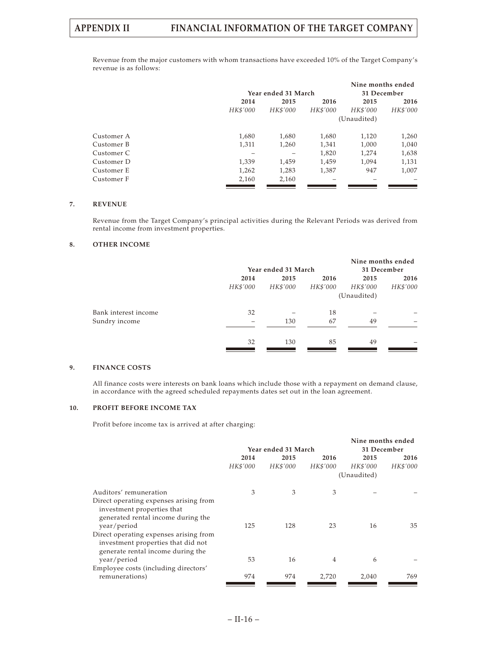Revenue from the major customers with whom transactions have exceeded 10% of the Target Company's revenue is as follows:

|            |          |                     |          | Nine months ended |          |
|------------|----------|---------------------|----------|-------------------|----------|
|            |          | Year ended 31 March |          | 31 December       |          |
|            | 2014     | 2015                | 2016     | 2015              | 2016     |
|            | HK\$'000 | HK\$'000            | HK\$'000 | HK\$'000          | HK\$'000 |
|            |          |                     |          | (Unaudited)       |          |
| Customer A | 1.680    | 1,680               | 1,680    | 1,120             | 1,260    |
| Customer B | 1,311    | 1,260               | 1,341    | 1,000             | 1,040    |
| Customer C |          |                     | 1,820    | 1,274             | 1,638    |
| Customer D | 1,339    | 1,459               | 1,459    | 1,094             | 1,131    |
| Customer E | 1,262    | 1,283               | 1,387    | 947               | 1,007    |
| Customer F | 2,160    | 2,160               |          |                   |          |

#### **7. REVENUE**

Revenue from the Target Company's principal activities during the Relevant Periods was derived from rental income from investment properties.

## **8. OTHER INCOME**

|                      |          | Year ended 31 March |          | Nine months ended | 31 December |
|----------------------|----------|---------------------|----------|-------------------|-------------|
|                      |          |                     |          |                   |             |
|                      | 2014     | 2015                | 2016     | 2015              | 2016        |
|                      | HK\$'000 | HK\$'000            | HK\$'000 | HK\$'000          | HK\$'000    |
|                      |          |                     |          | (Unaudited)       |             |
| Bank interest income | 32       |                     | 18       |                   |             |
| Sundry income        |          | 130                 | 67       | 49                |             |
|                      |          |                     |          |                   |             |
|                      | 32       | 130                 | 85       | 49                |             |
|                      |          |                     |          |                   |             |

## **9. FINANCE COSTS**

All finance costs were interests on bank loans which include those with a repayment on demand clause, in accordance with the agreed scheduled repayments dates set out in the loan agreement.

#### **10. PROFIT BEFORE INCOME TAX**

Profit before income tax is arrived at after charging:

|                                                                                                                   |          |                     |          | Nine months ended |          |
|-------------------------------------------------------------------------------------------------------------------|----------|---------------------|----------|-------------------|----------|
|                                                                                                                   |          | Year ended 31 March |          | 31 December       |          |
|                                                                                                                   | 2014     | 2015                | 2016     | 2015              | 2016     |
|                                                                                                                   | HK\$'000 | HK\$'000            | HK\$'000 | HK\$'000          | HK\$'000 |
|                                                                                                                   |          |                     |          | (Unaudited)       |          |
| Auditors' remuneration                                                                                            | 3        | 3                   | 3        |                   |          |
| Direct operating expenses arising from<br>investment properties that<br>generated rental income during the        |          |                     |          |                   |          |
| year/period                                                                                                       | 125      | 128                 | 23       | 16                | 35       |
| Direct operating expenses arising from<br>investment properties that did not<br>generate rental income during the |          |                     |          |                   |          |
| year/period                                                                                                       | 53       | 16                  | 4        | 6                 |          |
| Employee costs (including directors'                                                                              |          |                     |          |                   |          |
| remunerations)                                                                                                    | 974      | 974                 | 2,720    | 2,040             | 769.     |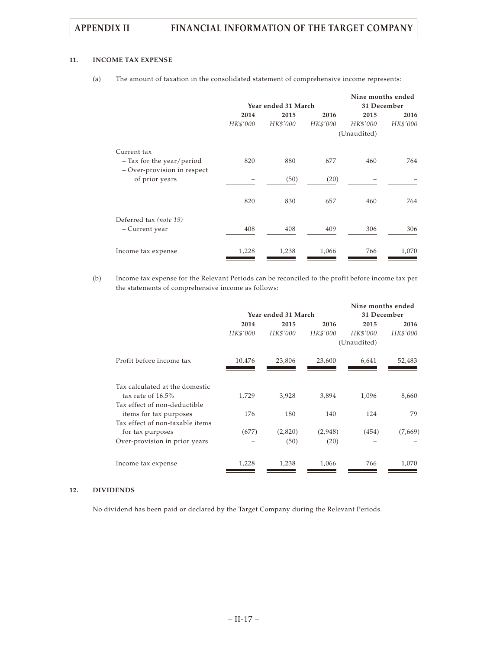## **11. INCOME TAX EXPENSE**

|                             |          |                     |          | Nine months ended |          |
|-----------------------------|----------|---------------------|----------|-------------------|----------|
|                             |          | Year ended 31 March |          | 31 December       |          |
|                             | 2014     | 2015                | 2016     | 2015              | 2016     |
|                             | HK\$'000 | HK\$'000            | HK\$'000 | HK\$'000          | HK\$'000 |
|                             |          |                     |          | (Unaudited)       |          |
| Current tax                 |          |                     |          |                   |          |
| $-$ Tax for the year/period | 820      | 880                 | 677      | 460               | 764      |
| - Over-provision in respect |          |                     |          |                   |          |
| of prior years              |          | (50)                | (20)     |                   |          |
|                             |          |                     |          |                   |          |
|                             | 820      | 830                 | 657      | 460               | 764      |
|                             |          |                     |          |                   |          |
| Deferred tax (note 19)      |          |                     |          |                   |          |
| – Current year              | 408      | 408                 | 409      | 306               | 306      |
|                             |          |                     |          |                   |          |
| Income tax expense          | 1,228    | 1,238               | 1,066    | 766               | 1,070    |
|                             |          |                     |          |                   |          |

(a) The amount of taxation in the consolidated statement of comprehensive income represents:

(b) Income tax expense for the Relevant Periods can be reconciled to the profit before income tax per the statements of comprehensive income as follows:

|                                                     |          | Year ended 31 March |          | Nine months ended<br>31 December |          |
|-----------------------------------------------------|----------|---------------------|----------|----------------------------------|----------|
|                                                     | 2014     | 2015                | 2016     | 2015                             | 2016     |
|                                                     | HK\$'000 | HK\$'000            | HK\$'000 | HK\$'000                         | HK\$'000 |
|                                                     |          |                     |          | (Unaudited)                      |          |
| Profit before income tax                            | 10,476   | 23,806              | 23,600   | 6,641                            | 52,483   |
| Tax calculated at the domestic                      |          |                     |          |                                  |          |
| tax rate of $16.5\%$                                | 1,729    | 3,928               | 3,894    | 1,096                            | 8,660    |
| Tax effect of non-deductible                        |          |                     |          |                                  |          |
| items for tax purposes                              | 176      | 180                 | 140      | 124                              | 79       |
| Tax effect of non-taxable items<br>for tax purposes | (677)    | (2,820)             | (2,948)  | (454)                            | (7,669)  |
|                                                     |          |                     |          |                                  |          |
| Over-provision in prior years                       |          | (50)                | (20)     |                                  |          |
| Income tax expense                                  | 1,228    | 1,238               | 1,066    | 766                              | 1,070    |

## **12. DIVIDENDS**

No dividend has been paid or declared by the Target Company during the Relevant Periods.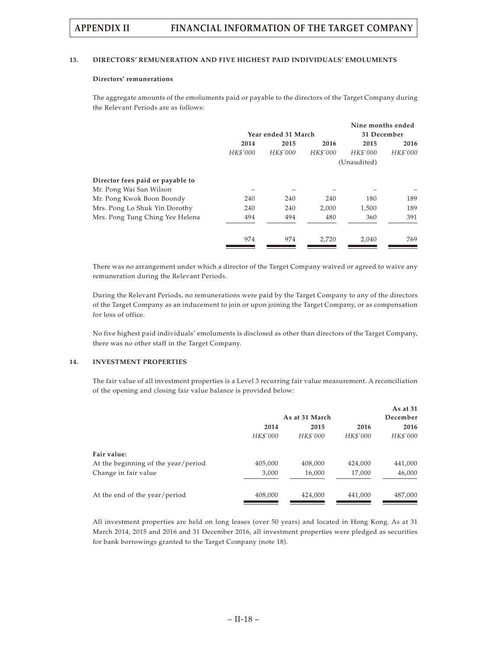#### **13. DIRECTORS' REMUNERATION AND FIVE HIGHEST PAID INDIVIDUALS' EMOLUMENTS**

### **Directors' remunerations**

The aggregate amounts of the emoluments paid or payable to the directors of the Target Company during the Relevant Periods are as follows:

|                                  |          |                     |          | Nine months ended |          |
|----------------------------------|----------|---------------------|----------|-------------------|----------|
|                                  |          | Year ended 31 March |          | 31 December       |          |
|                                  | 2014     | 2015                | 2016     | 2015              | 2016     |
|                                  | HK\$'000 | HK\$'000            | HK\$'000 | HK\$'000          | HK\$'000 |
|                                  |          |                     |          | (Unaudited)       |          |
| Director fees paid or payable to |          |                     |          |                   |          |
| Mr. Pong Wai San Wilson          |          |                     |          |                   |          |
| Mr. Pong Kwok Boon Boondy        | 240      | 240                 | 240      | 180               | 189      |
| Mrs. Pong Lo Shuk Yin Dorothy    | 240      | 240                 | 2,000    | 1,500             | 189      |
| Mrs. Pong Tung Ching Yee Helena  | 494      | 494                 | 480      | 360               | 391      |
|                                  | 974      | 974                 | 2,720    | 2,040             | 769      |

There was no arrangement under which a director of the Target Company waived or agreed to waive any remuneration during the Relevant Periods.

During the Relevant Periods, no remunerations were paid by the Target Company to any of the directors of the Target Company as an inducement to join or upon joining the Target Company, or as compensation for loss of office.

No five highest paid individuals' emoluments is disclosed as other than directors of the Target Company, there was no other staff in the Target Company.

#### **14. INVESTMENT PROPERTIES**

The fair value of all investment properties is a Level 3 recurring fair value measurement. A reconciliation of the opening and closing fair value balance is provided below:

|                                     |          |                |          | As at 31 |
|-------------------------------------|----------|----------------|----------|----------|
|                                     |          | As at 31 March |          | December |
|                                     | 2014     | 2015           | 2016     | 2016     |
|                                     | HK\$'000 | HK\$'000       | HK\$'000 | HK\$'000 |
| Fair value:                         |          |                |          |          |
| At the beginning of the year/period | 405,000  | 408,000        | 424,000  | 441,000  |
| Change in fair value                | 3,000    | 16,000         | 17,000   | 46,000   |
| At the end of the year/period       | 408,000  | 424,000        | 441,000  | 487,000  |

All investment properties are held on long leases (over 50 years) and located in Hong Kong. As at 31 March 2014, 2015 and 2016 and 31 December 2016, all investment properties were pledged as securities for bank borrowings granted to the Target Company (note 18).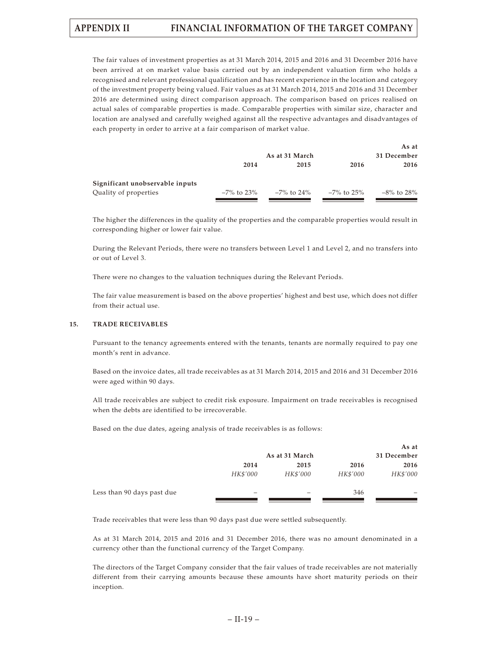The fair values of investment properties as at 31 March 2014, 2015 and 2016 and 31 December 2016 have been arrived at on market value basis carried out by an independent valuation firm who holds a recognised and relevant professional qualification and has recent experience in the location and category of the investment property being valued. Fair values as at 31 March 2014, 2015 and 2016 and 31 December 2016 are determined using direct comparison approach. The comparison based on prices realised on actual sales of comparable properties is made. Comparable properties with similar size, character and location are analysed and carefully weighed against all the respective advantages and disadvantages of each property in order to arrive at a fair comparison of market value.

|                                 |               |                |            | As at         |  |  |
|---------------------------------|---------------|----------------|------------|---------------|--|--|
|                                 |               | As at 31 March |            | 31 December   |  |  |
|                                 | 2014          | 2015           | 2016       | 2016          |  |  |
| Significant unobservable inputs |               |                |            |               |  |  |
| Quality of properties           | $-7\%$ to 23% | –7% to 24%     | -7% to 25% | $-8\%$ to 28% |  |  |

The higher the differences in the quality of the properties and the comparable properties would result in corresponding higher or lower fair value.

During the Relevant Periods, there were no transfers between Level 1 and Level 2, and no transfers into or out of Level 3.

There were no changes to the valuation techniques during the Relevant Periods.

The fair value measurement is based on the above properties' highest and best use, which does not differ from their actual use.

## **15. TRADE RECEIVABLES**

Pursuant to the tenancy agreements entered with the tenants, tenants are normally required to pay one month's rent in advance.

Based on the invoice dates, all trade receivables as at 31 March 2014, 2015 and 2016 and 31 December 2016 were aged within 90 days.

All trade receivables are subject to credit risk exposure. Impairment on trade receivables is recognised when the debts are identified to be irrecoverable.

Based on the due dates, ageing analysis of trade receivables is as follows:

|                            |          |                |          | As at       |
|----------------------------|----------|----------------|----------|-------------|
|                            |          | As at 31 March |          | 31 December |
|                            | 2014     | 2015           | 2016     | 2016        |
|                            | HK\$'000 | HK\$'000       | HK\$'000 | HK\$'000    |
| Less than 90 days past due |          |                | 346      |             |
|                            |          |                |          |             |

Trade receivables that were less than 90 days past due were settled subsequently.

As at 31 March 2014, 2015 and 2016 and 31 December 2016, there was no amount denominated in a currency other than the functional currency of the Target Company.

The directors of the Target Company consider that the fair values of trade receivables are not materially different from their carrying amounts because these amounts have short maturity periods on their inception.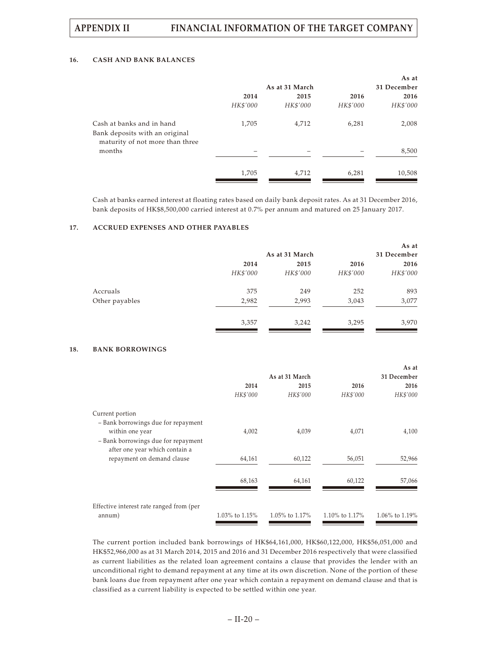### **16. CASH AND BANK BALANCES**

|          |          |                | As at       |  |
|----------|----------|----------------|-------------|--|
|          |          |                | 31 December |  |
| 2014     | 2015     | 2016           | 2016        |  |
| HK\$'000 | HK\$'000 | HK\$'000       | HK\$'000    |  |
| 1,705    | 4,712    | 6,281          | 2,008       |  |
|          |          |                |             |  |
|          |          |                | 8,500       |  |
| 1,705    | 4,712    | 6,281          | 10,508      |  |
|          |          | As at 31 March |             |  |

Cash at banks earned interest at floating rates based on daily bank deposit rates. As at 31 December 2016, bank deposits of HK\$8,500,000 carried interest at 0.7% per annum and matured on 25 January 2017.

### **17. ACCRUED EXPENSES AND OTHER PAYABLES**

|                |          |                |          | As at       |
|----------------|----------|----------------|----------|-------------|
|                |          | As at 31 March |          | 31 December |
|                | 2014     | 2015           | 2016     | 2016        |
|                | HK\$'000 | HK\$'000       | HK\$'000 | HK\$'000    |
| Accruals       | 375      | 249            | 252      | 893         |
| Other payables | 2,982    | 2,993          | 3,043    | 3,077       |
|                | 3,357    | 3,242          | 3,295    | 3,970       |

#### **18. BANK BORROWINGS**

|                                          |                |                |                | As at            |  |
|------------------------------------------|----------------|----------------|----------------|------------------|--|
|                                          |                | As at 31 March |                |                  |  |
|                                          | 2014           | 2015           | 2016           | 2016             |  |
|                                          | HK\$'000       | HK\$'000       | HK\$'000       | HK\$'000         |  |
| Current portion                          |                |                |                |                  |  |
| - Bank borrowings due for repayment      |                |                |                |                  |  |
| within one year                          | 4,002          | 4,039          | 4,071          | 4,100            |  |
| - Bank borrowings due for repayment      |                |                |                |                  |  |
| after one year which contain a           |                |                |                |                  |  |
| repayment on demand clause               | 64,161         | 60,122         | 56,051         | 52,966           |  |
|                                          | 68,163         | 64,161         | 60,122         | 57,066           |  |
|                                          |                |                |                |                  |  |
| Effective interest rate ranged from (per |                |                |                |                  |  |
| annum)                                   | 1.03% to 1.15% | 1.05% to 1.17% | 1.10% to 1.17% | 1.06% to $1.19%$ |  |

The current portion included bank borrowings of HK\$64,161,000, HK\$60,122,000, HK\$56,051,000 and HK\$52,966,000 as at 31 March 2014, 2015 and 2016 and 31 December 2016 respectively that were classified as current liabilities as the related loan agreement contains a clause that provides the lender with an unconditional right to demand repayment at any time at its own discretion. None of the portion of these bank loans due from repayment after one year which contain a repayment on demand clause and that is classified as a current liability is expected to be settled within one year.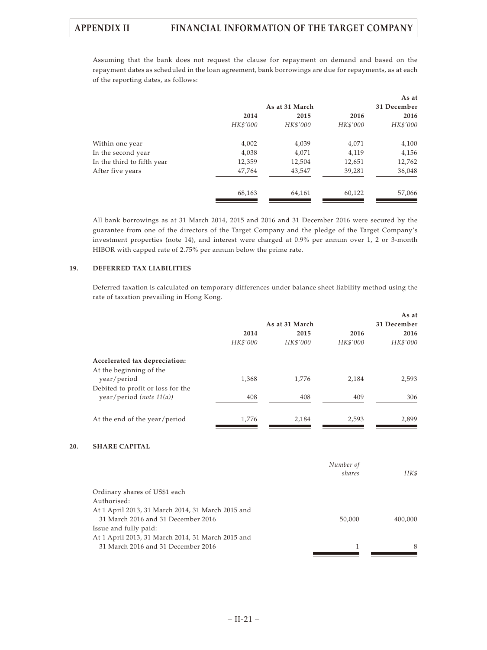Assuming that the bank does not request the clause for repayment on demand and based on the repayment dates as scheduled in the loan agreement, bank borrowings are due for repayments, as at each of the reporting dates, as follows:

|                            |          |                |          | As at       |
|----------------------------|----------|----------------|----------|-------------|
|                            |          | As at 31 March |          | 31 December |
|                            | 2014     | 2015           | 2016     | 2016        |
|                            | HK\$'000 | HK\$'000       | HK\$'000 | HK\$'000    |
| Within one year            | 4,002    | 4,039          | 4,071    | 4,100       |
| In the second year         | 4,038    | 4,071          | 4,119    | 4,156       |
| In the third to fifth year | 12,359   | 12,504         | 12,651   | 12,762      |
| After five years           | 47,764   | 43,547         | 39,281   | 36,048      |
|                            | 68,163   | 64,161         | 60,122   | 57,066      |
|                            |          |                |          |             |

All bank borrowings as at 31 March 2014, 2015 and 2016 and 31 December 2016 were secured by the guarantee from one of the directors of the Target Company and the pledge of the Target Company's investment properties (note 14), and interest were charged at 0.9% per annum over 1, 2 or 3-month HIBOR with capped rate of 2.75% per annum below the prime rate.

## **19. DEFERRED TAX LIABILITIES**

Deferred taxation is calculated on temporary differences under balance sheet liability method using the rate of taxation prevailing in Hong Kong.

|                                   |          |                |          | As at       |
|-----------------------------------|----------|----------------|----------|-------------|
|                                   |          | As at 31 March |          | 31 December |
|                                   | 2014     | 2015           | 2016     | 2016        |
|                                   | HK\$'000 | HK\$'000       | HK\$'000 | HK\$'000    |
| Accelerated tax depreciation:     |          |                |          |             |
| At the beginning of the           |          |                |          |             |
| year/period                       | 1,368    | 1,776          | 2,184    | 2,593       |
| Debited to profit or loss for the |          |                |          |             |
| year/period (note $11(a)$ )       | 408      | 408            | 409      | 306         |
| At the end of the year/period     | 1,776    | 2,184          | 2,593    | 2,899       |
|                                   |          |                |          |             |
| CITAPE CAPITAT                    |          |                |          |             |

## **20. SHARE CAPITAL**

| Number of |         |
|-----------|---------|
| shares    | HK\$    |
|           |         |
|           |         |
|           |         |
| 50,000    | 400,000 |
|           |         |
|           |         |
|           | 8       |
|           |         |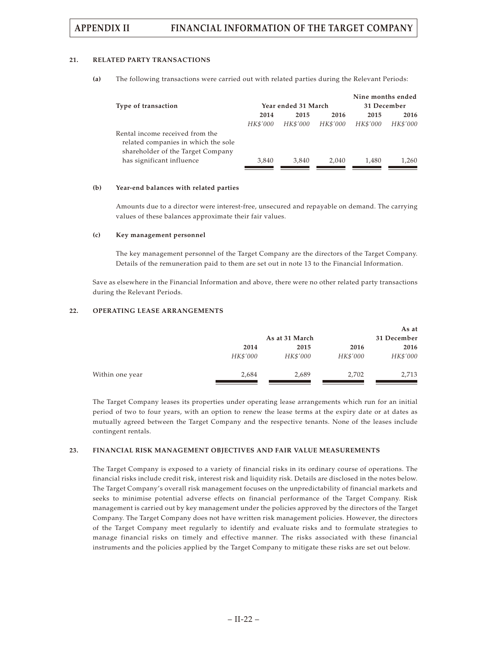#### **21. RELATED PARTY TRANSACTIONS**

**(a)** The following transactions were carried out with related parties during the Relevant Periods:

|                                                                                                             |                     |          |          | Nine months ended |             |
|-------------------------------------------------------------------------------------------------------------|---------------------|----------|----------|-------------------|-------------|
| Type of transaction                                                                                         | Year ended 31 March |          |          |                   | 31 December |
|                                                                                                             | 2014                | 2015     | 2016     | 2015              | 2016        |
|                                                                                                             | HK\$'000            | HK\$'000 | HK\$'000 | HK\$'000          | HK\$'000    |
| Rental income received from the<br>related companies in which the sole<br>shareholder of the Target Company |                     |          |          |                   |             |
| has significant influence                                                                                   | 3,840               | 3.840    | 2.040    | 1.480             | 1,260       |

#### **(b) Year-end balances with related parties**

Amounts due to a director were interest-free, unsecured and repayable on demand. The carrying values of these balances approximate their fair values.

#### **(c) Key management personnel**

The key management personnel of the Target Company are the directors of the Target Company. Details of the remuneration paid to them are set out in note 13 to the Financial Information.

Save as elsewhere in the Financial Information and above, there were no other related party transactions during the Relevant Periods.

## **22. OPERATING LEASE ARRANGEMENTS**

|                 |          | As at 31 March |          | As at<br>31 December |
|-----------------|----------|----------------|----------|----------------------|
|                 | 2014     | 2015           | 2016     | 2016                 |
|                 | HK\$'000 | HK\$'000       | HK\$'000 | HK\$'000             |
| Within one year | 2,684    | 2,689          | 2,702    | 2,713                |

The Target Company leases its properties under operating lease arrangements which run for an initial period of two to four years, with an option to renew the lease terms at the expiry date or at dates as mutually agreed between the Target Company and the respective tenants. None of the leases include contingent rentals.

#### **23. FINANCIAL RISK MANAGEMENT OBJECTIVES AND FAIR VALUE MEASUREMENTS**

The Target Company is exposed to a variety of financial risks in its ordinary course of operations. The financial risks include credit risk, interest risk and liquidity risk. Details are disclosed in the notes below. The Target Company's overall risk management focuses on the unpredictability of financial markets and seeks to minimise potential adverse effects on financial performance of the Target Company. Risk management is carried out by key management under the policies approved by the directors of the Target Company. The Target Company does not have written risk management policies. However, the directors of the Target Company meet regularly to identify and evaluate risks and to formulate strategies to manage financial risks on timely and effective manner. The risks associated with these financial instruments and the policies applied by the Target Company to mitigate these risks are set out below.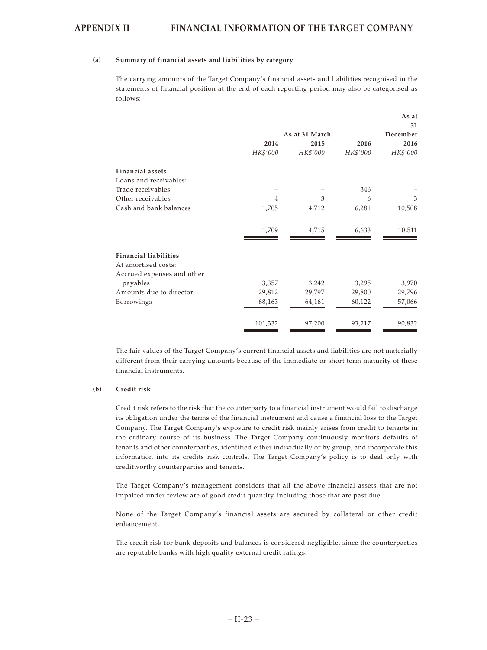#### **(a) Summary of financial assets and liabilities by category**

The carrying amounts of the Target Company's financial assets and liabilities recognised in the statements of financial position at the end of each reporting period may also be categorised as follows:

|                              |          |                |          | As at    |
|------------------------------|----------|----------------|----------|----------|
|                              |          |                |          | 31       |
|                              |          | As at 31 March |          | December |
|                              | 2014     | 2015           | 2016     | 2016     |
|                              | HK\$'000 | HK\$'000       | HK\$'000 | HK\$'000 |
| <b>Financial assets</b>      |          |                |          |          |
| Loans and receivables:       |          |                |          |          |
| Trade receivables            |          |                | 346      |          |
| Other receivables            | 4        | 3              | 6        | 3        |
| Cash and bank balances       | 1,705    | 4,712          | 6,281    | 10,508   |
|                              | 1,709    | 4,715          | 6,633    | 10,511   |
| <b>Financial liabilities</b> |          |                |          |          |
| At amortised costs:          |          |                |          |          |
| Accrued expenses and other   |          |                |          |          |
| payables                     | 3,357    | 3,242          | 3,295    | 3,970    |
| Amounts due to director      | 29,812   | 29,797         | 29,800   | 29,796   |
| Borrowings                   | 68,163   | 64,161         | 60,122   | 57,066   |
|                              | 101,332  | 97,200         | 93,217   | 90,832   |

The fair values of the Target Company's current financial assets and liabilities are not materially different from their carrying amounts because of the immediate or short term maturity of these financial instruments.

#### **(b) Credit risk**

Credit risk refers to the risk that the counterparty to a financial instrument would fail to discharge its obligation under the terms of the financial instrument and cause a financial loss to the Target Company. The Target Company's exposure to credit risk mainly arises from credit to tenants in the ordinary course of its business. The Target Company continuously monitors defaults of tenants and other counterparties, identified either individually or by group, and incorporate this information into its credits risk controls. The Target Company's policy is to deal only with creditworthy counterparties and tenants.

The Target Company's management considers that all the above financial assets that are not impaired under review are of good credit quantity, including those that are past due.

None of the Target Company's financial assets are secured by collateral or other credit enhancement.

The credit risk for bank deposits and balances is considered negligible, since the counterparties are reputable banks with high quality external credit ratings.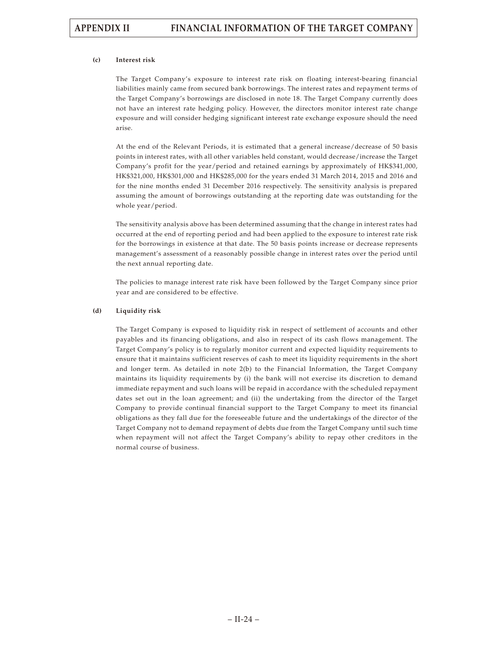## **(c) Interest risk**

The Target Company's exposure to interest rate risk on floating interest-bearing financial liabilities mainly came from secured bank borrowings. The interest rates and repayment terms of the Target Company's borrowings are disclosed in note 18. The Target Company currently does not have an interest rate hedging policy. However, the directors monitor interest rate change exposure and will consider hedging significant interest rate exchange exposure should the need arise.

At the end of the Relevant Periods, it is estimated that a general increase/decrease of 50 basis points in interest rates, with all other variables held constant, would decrease/increase the Target Company's profit for the year/period and retained earnings by approximately of HK\$341,000, HK\$321,000, HK\$301,000 and HK\$285,000 for the years ended 31 March 2014, 2015 and 2016 and for the nine months ended 31 December 2016 respectively. The sensitivity analysis is prepared assuming the amount of borrowings outstanding at the reporting date was outstanding for the whole year/period.

The sensitivity analysis above has been determined assuming that the change in interest rates had occurred at the end of reporting period and had been applied to the exposure to interest rate risk for the borrowings in existence at that date. The 50 basis points increase or decrease represents management's assessment of a reasonably possible change in interest rates over the period until the next annual reporting date.

The policies to manage interest rate risk have been followed by the Target Company since prior year and are considered to be effective.

## **(d) Liquidity risk**

The Target Company is exposed to liquidity risk in respect of settlement of accounts and other payables and its financing obligations, and also in respect of its cash flows management. The Target Company's policy is to regularly monitor current and expected liquidity requirements to ensure that it maintains sufficient reserves of cash to meet its liquidity requirements in the short and longer term. As detailed in note 2(b) to the Financial Information, the Target Company maintains its liquidity requirements by (i) the bank will not exercise its discretion to demand immediate repayment and such loans will be repaid in accordance with the scheduled repayment dates set out in the loan agreement; and (ii) the undertaking from the director of the Target Company to provide continual financial support to the Target Company to meet its financial obligations as they fall due for the foreseeable future and the undertakings of the director of the Target Company not to demand repayment of debts due from the Target Company until such time when repayment will not affect the Target Company's ability to repay other creditors in the normal course of business.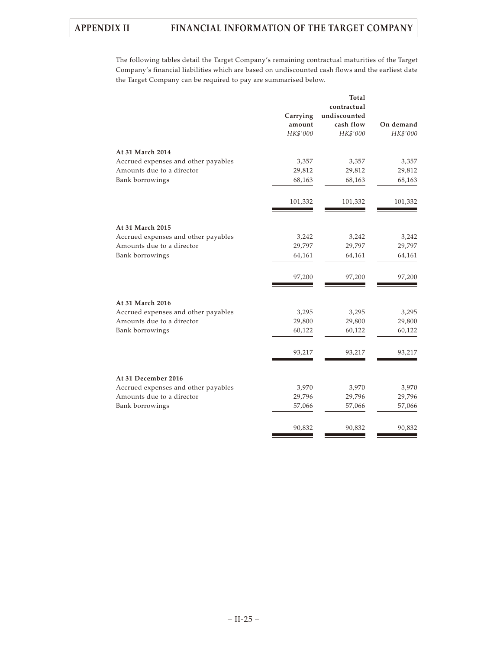The following tables detail the Target Company's remaining contractual maturities of the Target Company's financial liabilities which are based on undiscounted cash flows and the earliest date the Target Company can be required to pay are summarised below.

|                                     |          | <b>Total</b> |           |
|-------------------------------------|----------|--------------|-----------|
|                                     |          | contractual  |           |
|                                     | Carrying | undiscounted |           |
|                                     | amount   | cash flow    | On demand |
|                                     | HK\$'000 | HK\$'000     | HK\$'000  |
|                                     |          |              |           |
| At 31 March 2014                    |          |              |           |
| Accrued expenses and other payables | 3,357    | 3,357        | 3,357     |
| Amounts due to a director           | 29,812   | 29,812       | 29,812    |
| Bank borrowings                     | 68,163   | 68,163       | 68,163    |
|                                     | 101,332  | 101,332      | 101,332   |
|                                     |          |              |           |
| At 31 March 2015                    |          |              |           |
| Accrued expenses and other payables | 3,242    | 3,242        | 3,242     |
| Amounts due to a director           | 29,797   | 29,797       | 29,797    |
| Bank borrowings                     | 64,161   | 64,161       | 64,161    |
|                                     |          |              |           |
|                                     | 97,200   | 97,200       | 97,200    |
|                                     |          |              |           |
| At 31 March 2016                    |          |              |           |
| Accrued expenses and other payables | 3,295    | 3,295        | 3,295     |
| Amounts due to a director           | 29,800   | 29,800       | 29,800    |
| Bank borrowings                     | 60,122   | 60,122       | 60,122    |
|                                     | 93,217   | 93,217       | 93,217    |
|                                     |          |              |           |
| At 31 December 2016                 |          |              |           |
| Accrued expenses and other payables | 3,970    | 3,970        | 3,970     |
| Amounts due to a director           | 29,796   | 29,796       | 29,796    |
| Bank borrowings                     | 57,066   | 57,066       | 57,066    |
|                                     |          |              |           |
|                                     | 90,832   | 90,832       | 90,832    |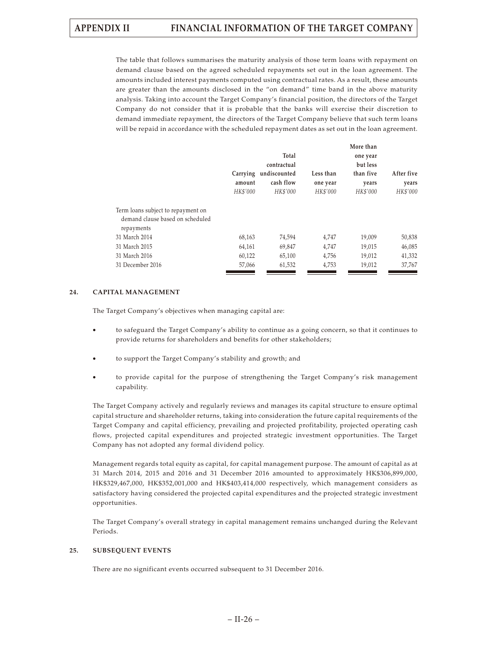The table that follows summarises the maturity analysis of those term loans with repayment on demand clause based on the agreed scheduled repayments set out in the loan agreement. The amounts included interest payments computed using contractual rates. As a result, these amounts are greater than the amounts disclosed in the "on demand" time band in the above maturity analysis. Taking into account the Target Company's financial position, the directors of the Target Company do not consider that it is probable that the banks will exercise their discretion to demand immediate repayment, the directors of the Target Company believe that such term loans will be repaid in accordance with the scheduled repayment dates as set out in the loan agreement.

| After five |
|------------|
| years      |
| HK\$'000   |
|            |
|            |
| 50,838     |
| 46,085     |
| 41,332     |
| 37,767     |
|            |

## **24. CAPITAL MANAGEMENT**

The Target Company's objectives when managing capital are:

- to safeguard the Target Company's ability to continue as a going concern, so that it continues to provide returns for shareholders and benefits for other stakeholders;
- to support the Target Company's stability and growth; and
- to provide capital for the purpose of strengthening the Target Company's risk management capability.

The Target Company actively and regularly reviews and manages its capital structure to ensure optimal capital structure and shareholder returns, taking into consideration the future capital requirements of the Target Company and capital efficiency, prevailing and projected profitability, projected operating cash flows, projected capital expenditures and projected strategic investment opportunities. The Target Company has not adopted any formal dividend policy.

Management regards total equity as capital, for capital management purpose. The amount of capital as at 31 March 2014, 2015 and 2016 and 31 December 2016 amounted to approximately HK\$306,899,000, HK\$329,467,000, HK\$352,001,000 and HK\$403,414,000 respectively, which management considers as satisfactory having considered the projected capital expenditures and the projected strategic investment opportunities.

The Target Company's overall strategy in capital management remains unchanged during the Relevant Periods.

## **25. SUBSEQUENT EVENTS**

There are no significant events occurred subsequent to 31 December 2016.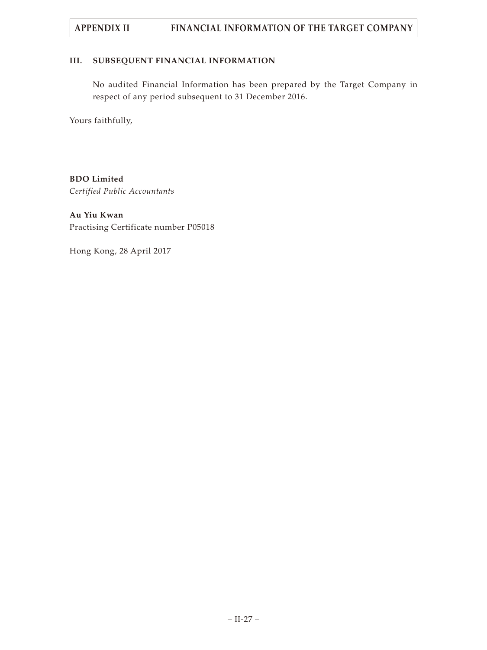## **III. SUBSEQUENT FINANCIAL INFORMATION**

No audited Financial Information has been prepared by the Target Company in respect of any period subsequent to 31 December 2016.

Yours faithfully,

**BDO Limited** *Certified Public Accountants*

**Au Yiu Kwan** Practising Certificate number P05018

Hong Kong, 28 April 2017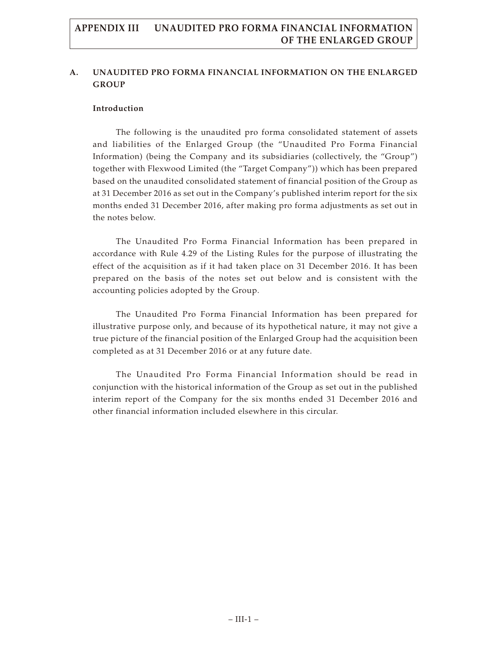## **A. UNAUDITED PRO FORMA FINANCIAL INFORMATION ON THE ENLARGED GROUP**

## **Introduction**

The following is the unaudited pro forma consolidated statement of assets and liabilities of the Enlarged Group (the "Unaudited Pro Forma Financial Information) (being the Company and its subsidiaries (collectively, the "Group") together with Flexwood Limited (the "Target Company")) which has been prepared based on the unaudited consolidated statement of financial position of the Group as at 31 December 2016 as set out in the Company's published interim report for the six months ended 31 December 2016, after making pro forma adjustments as set out in the notes below.

The Unaudited Pro Forma Financial Information has been prepared in accordance with Rule 4.29 of the Listing Rules for the purpose of illustrating the effect of the acquisition as if it had taken place on 31 December 2016. It has been prepared on the basis of the notes set out below and is consistent with the accounting policies adopted by the Group.

The Unaudited Pro Forma Financial Information has been prepared for illustrative purpose only, and because of its hypothetical nature, it may not give a true picture of the financial position of the Enlarged Group had the acquisition been completed as at 31 December 2016 or at any future date.

The Unaudited Pro Forma Financial Information should be read in conjunction with the historical information of the Group as set out in the published interim report of the Company for the six months ended 31 December 2016 and other financial information included elsewhere in this circular.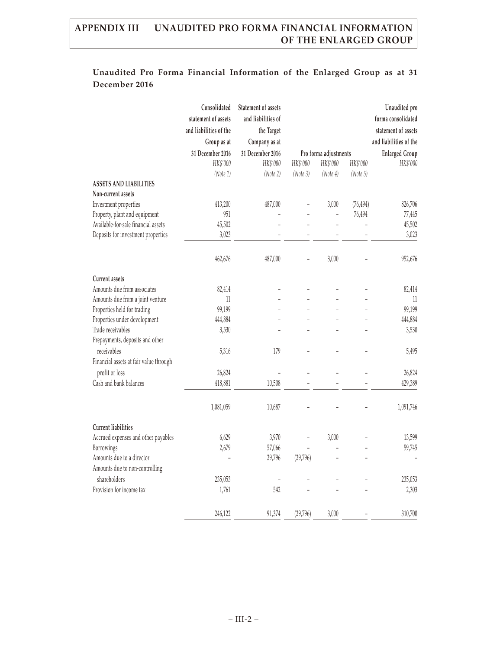|                                        | Consolidated           | Statement of assets |                |                       |                | Unaudited pro          |
|----------------------------------------|------------------------|---------------------|----------------|-----------------------|----------------|------------------------|
|                                        | statement of assets    | and liabilities of  |                |                       |                | forma consolidated     |
|                                        | and liabilities of the | the Target          |                |                       |                | statement of assets    |
|                                        | Group as at            | Company as at       |                |                       |                | and liabilities of the |
|                                        | 31 December 2016       | 31 December 2016    |                | Pro forma adjustments |                | <b>Enlarged Group</b>  |
|                                        | HK\$'000               | HK\$'000            | HK\$'000       | HK\$'000              | HK\$'000       | HK\$'000               |
|                                        | (Note 1)               | (Note 2)            | (Note3)        | (Note 4)              | (Note 5)       |                        |
| <b>ASSETS AND LIABILITIES</b>          |                        |                     |                |                       |                |                        |
| Non-current assets                     |                        |                     |                |                       |                |                        |
| Investment properties                  | 413,200                | 487,000             | $\overline{a}$ | 3,000                 | (76, 494)      | 826,706                |
| Property, plant and equipment          | 951                    |                     | $\overline{a}$ | $\bar{ }$             | 76,494         | 77,445                 |
| Available-for-sale financial assets    | 45,502                 |                     |                | $\overline{a}$        | $\overline{a}$ | 45,502                 |
| Deposits for investment properties     | 3,023                  |                     |                | $\overline{a}$        |                | 3,023                  |
|                                        | 462,676                | 487,000             |                | 3,000                 |                | 952,676                |
| <b>Current assets</b>                  |                        |                     |                |                       |                |                        |
| Amounts due from associates            | 82,414                 |                     |                |                       |                | 82,414                 |
| Amounts due from a joint venture       | 11                     |                     |                |                       |                | 11                     |
| Properties held for trading            | 99,199                 |                     |                |                       |                | 99,199                 |
| Properties under development           | 444,884                |                     |                |                       |                | 444,884                |
| Trade receivables                      | 3,530                  |                     |                |                       |                | 3,530                  |
| Prepayments, deposits and other        |                        |                     |                |                       |                |                        |
| receivables                            | 5,316                  | 179                 |                |                       |                | 5,495                  |
| Financial assets at fair value through |                        |                     |                |                       |                |                        |
| profit or loss                         | 26,824                 |                     |                |                       |                | 26,824                 |
| Cash and bank balances                 | 418,881                | 10,508              |                |                       |                | 429,389                |
|                                        | 1,081,059              | 10,687              |                |                       |                | 1,091,746              |
| <b>Current liabilities</b>             |                        |                     |                |                       |                |                        |
| Accrued expenses and other payables    | 6,629                  | 3,970               | $\overline{a}$ | 3,000                 |                | 13,599                 |
| Borrowings                             | 2,679                  | 57,066              |                |                       |                | 59,745                 |
| Amounts due to a director              |                        | 29,796              | (29,796)       |                       |                |                        |
| Amounts due to non-controlling         |                        |                     |                |                       |                |                        |
| shareholders                           | 235,053                |                     |                |                       |                | 235,053                |
| Provision for income tax               | 1,761                  | 542                 |                |                       |                | 2,303                  |
|                                        | 246,122                | 91,374              | (29, 796)      | 3,000                 |                | 310,700                |

# **Unaudited Pro Forma Financial Information of the Enlarged Group as at 31 December 2016**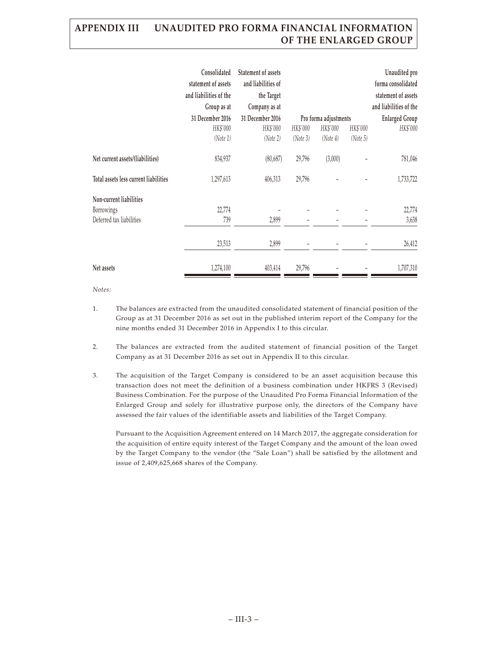|                                       | Consolidated<br>statement of assets<br>and liabilities of the | <b>Statement of assets</b><br>and liabilities of<br>the Target |          |                       |          | Unaudited pro<br>forma consolidated<br>statement of assets |
|---------------------------------------|---------------------------------------------------------------|----------------------------------------------------------------|----------|-----------------------|----------|------------------------------------------------------------|
|                                       | Group as at                                                   | Company as at                                                  |          |                       |          | and liabilities of the                                     |
|                                       | 31 December 2016                                              | 31 December 2016                                               |          | Pro forma adjustments |          | <b>Enlarged Group</b>                                      |
|                                       | HK\$'000                                                      | HK\$'000                                                       | HK\$'000 | HK\$'000              | HK\$'000 | HK\$'000                                                   |
|                                       | (Note 1)                                                      | (Note 2)                                                       | (Note 3) | (Note 4)              | (Note 5) |                                                            |
| Net current assets/(liabilities)      | 834,937                                                       | (80, 687)                                                      | 29,796   | (3,000)               |          | 781,046                                                    |
| Total assets less current liabilities | 1,297,613                                                     | 406,313                                                        | 29,796   |                       |          | 1,733,722                                                  |
| Non-current liabilities               |                                                               |                                                                |          |                       |          |                                                            |
| Borrowings                            | 22,774                                                        |                                                                |          |                       |          | 22,774                                                     |
| Deferred tax liabilities              | 739                                                           | 2,899                                                          |          |                       |          | 3,638                                                      |
|                                       | 23,513                                                        | 2,899                                                          |          |                       |          | 26,412                                                     |
| Net assets                            | 1,274,100                                                     | 403,414                                                        | 29,796   |                       |          | 1,707,310                                                  |

*Notes:*

- 1. The balances are extracted from the unaudited consolidated statement of financial position of the Group as at 31 December 2016 as set out in the published interim report of the Company for the nine months ended 31 December 2016 in Appendix I to this circular.
- 2. The balances are extracted from the audited statement of financial position of the Target Company as at 31 December 2016 as set out in Appendix II to this circular.
- 3. The acquisition of the Target Company is considered to be an asset acquisition because this transaction does not meet the definition of a business combination under HKFRS 3 (Revised) Business Combination. For the purpose of the Unaudited Pro Forma Financial Information of the Enlarged Group and solely for illustrative purpose only, the directors of the Company have assessed the fair values of the identifiable assets and liabilities of the Target Company.

Pursuant to the Acquisition Agreement entered on 14 March 2017, the aggregate consideration for the acquisition of entire equity interest of the Target Company and the amount of the loan owed by the Target Company to the vendor (the "Sale Loan") shall be satisfied by the allotment and issue of 2,409,625,668 shares of the Company.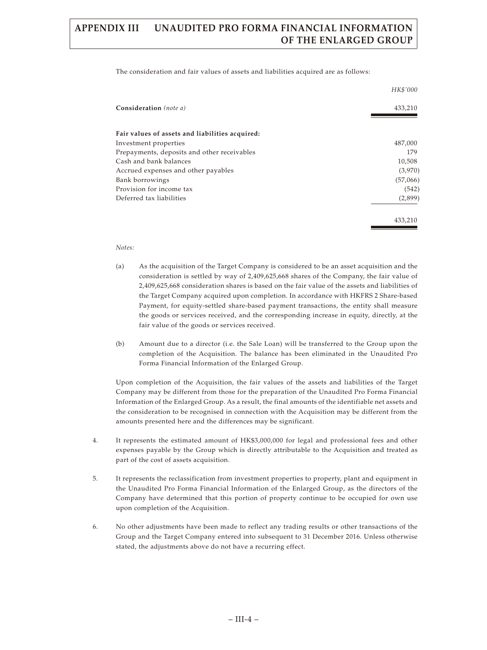The consideration and fair values of assets and liabilities acquired are as follows:

|                                                 | HK\$'000 |
|-------------------------------------------------|----------|
| Consideration (note a)                          | 433,210  |
| Fair values of assets and liabilities acquired: |          |
| Investment properties                           | 487,000  |
| Prepayments, deposits and other receivables     | 179      |
| Cash and bank balances                          | 10,508   |
| Accrued expenses and other payables             | (3,970)  |
| Bank borrowings                                 | (57,066) |
| Provision for income tax                        | (542)    |
| Deferred tax liabilities                        | (2,899)  |
|                                                 | 433,210  |

#### *Notes:*

- (a) As the acquisition of the Target Company is considered to be an asset acquisition and the consideration is settled by way of 2,409,625,668 shares of the Company, the fair value of 2,409,625,668 consideration shares is based on the fair value of the assets and liabilities of the Target Company acquired upon completion. In accordance with HKFRS 2 Share-based Payment, for equity-settled share-based payment transactions, the entity shall measure the goods or services received, and the corresponding increase in equity, directly, at the fair value of the goods or services received.
- (b) Amount due to a director (i.e. the Sale Loan) will be transferred to the Group upon the completion of the Acquisition. The balance has been eliminated in the Unaudited Pro Forma Financial Information of the Enlarged Group.

Upon completion of the Acquisition, the fair values of the assets and liabilities of the Target Company may be different from those for the preparation of the Unaudited Pro Forma Financial Information of the Enlarged Group. As a result, the final amounts of the identifiable net assets and the consideration to be recognised in connection with the Acquisition may be different from the amounts presented here and the differences may be significant.

- 4. It represents the estimated amount of HK\$3,000,000 for legal and professional fees and other expenses payable by the Group which is directly attributable to the Acquisition and treated as part of the cost of assets acquisition.
- 5. It represents the reclassification from investment properties to property, plant and equipment in the Unaudited Pro Forma Financial Information of the Enlarged Group, as the directors of the Company have determined that this portion of property continue to be occupied for own use upon completion of the Acquisition.
- 6. No other adjustments have been made to reflect any trading results or other transactions of the Group and the Target Company entered into subsequent to 31 December 2016. Unless otherwise stated, the adjustments above do not have a recurring effect.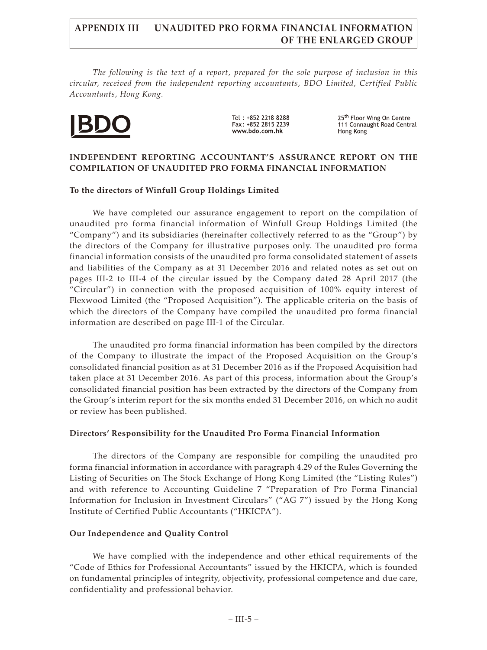*The following is the text of a report, prepared for the sole purpose of inclusion in this circular, received from the independent reporting accountants, BDO Limited, Certified Public Accountants, Hong Kong.*



Tel: +852 2218 8288 Fax: +852 2815 2239 www.bdo.com.hk

25<sup>th</sup> Floor Wing On Centre 111 Connaught Road Central Hong Kong

## **INDEPENDENT REPORTING ACCOUNTANT'S ASSURANCE REPORT ON THE COMPILATION OF UNAUDITED PRO FORMA FINANCIAL INFORMATION**

## **To the directors of Winfull Group Holdings Limited**

We have completed our assurance engagement to report on the compilation of unaudited pro forma financial information of Winfull Group Holdings Limited (the "Company") and its subsidiaries (hereinafter collectively referred to as the "Group") by the directors of the Company for illustrative purposes only. The unaudited pro forma financial information consists of the unaudited pro forma consolidated statement of assets and liabilities of the Company as at 31 December 2016 and related notes as set out on pages III-2 to III-4 of the circular issued by the Company dated 28 April 2017 (the "Circular") in connection with the proposed acquisition of 100% equity interest of Flexwood Limited (the "Proposed Acquisition"). The applicable criteria on the basis of which the directors of the Company have compiled the unaudited pro forma financial information are described on page III-1 of the Circular.

The unaudited pro forma financial information has been compiled by the directors of the Company to illustrate the impact of the Proposed Acquisition on the Group's consolidated financial position as at 31 December 2016 as if the Proposed Acquisition had taken place at 31 December 2016. As part of this process, information about the Group's consolidated financial position has been extracted by the directors of the Company from the Group's interim report for the six months ended 31 December 2016, on which no audit or review has been published.

## **Directors' Responsibility for the Unaudited Pro Forma Financial Information**

The directors of the Company are responsible for compiling the unaudited pro forma financial information in accordance with paragraph 4.29 of the Rules Governing the Listing of Securities on The Stock Exchange of Hong Kong Limited (the "Listing Rules") and with reference to Accounting Guideline 7 "Preparation of Pro Forma Financial Information for Inclusion in Investment Circulars" ("AG 7") issued by the Hong Kong Institute of Certified Public Accountants ("HKICPA").

## **Our Independence and Quality Control**

We have complied with the independence and other ethical requirements of the "Code of Ethics for Professional Accountants" issued by the HKICPA, which is founded on fundamental principles of integrity, objectivity, professional competence and due care, confidentiality and professional behavior.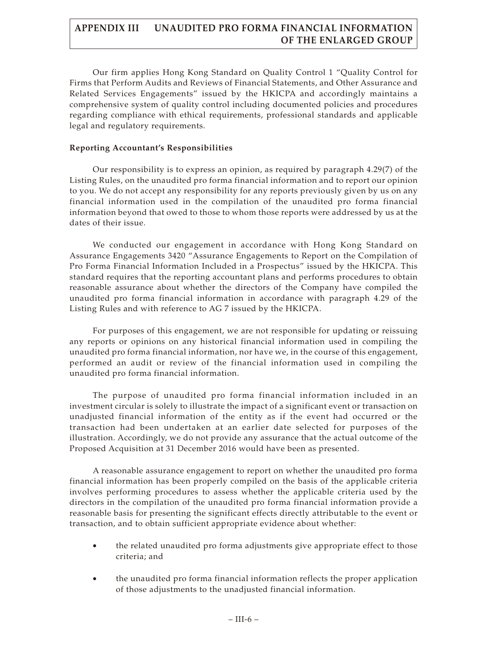Our firm applies Hong Kong Standard on Quality Control 1 "Quality Control for Firms that Perform Audits and Reviews of Financial Statements, and Other Assurance and Related Services Engagements" issued by the HKICPA and accordingly maintains a comprehensive system of quality control including documented policies and procedures regarding compliance with ethical requirements, professional standards and applicable legal and regulatory requirements.

## **Reporting Accountant's Responsibilities**

Our responsibility is to express an opinion, as required by paragraph 4.29(7) of the Listing Rules, on the unaudited pro forma financial information and to report our opinion to you. We do not accept any responsibility for any reports previously given by us on any financial information used in the compilation of the unaudited pro forma financial information beyond that owed to those to whom those reports were addressed by us at the dates of their issue.

We conducted our engagement in accordance with Hong Kong Standard on Assurance Engagements 3420 "Assurance Engagements to Report on the Compilation of Pro Forma Financial Information Included in a Prospectus" issued by the HKICPA. This standard requires that the reporting accountant plans and performs procedures to obtain reasonable assurance about whether the directors of the Company have compiled the unaudited pro forma financial information in accordance with paragraph 4.29 of the Listing Rules and with reference to AG 7 issued by the HKICPA.

For purposes of this engagement, we are not responsible for updating or reissuing any reports or opinions on any historical financial information used in compiling the unaudited pro forma financial information, nor have we, in the course of this engagement, performed an audit or review of the financial information used in compiling the unaudited pro forma financial information.

The purpose of unaudited pro forma financial information included in an investment circular is solely to illustrate the impact of a significant event or transaction on unadjusted financial information of the entity as if the event had occurred or the transaction had been undertaken at an earlier date selected for purposes of the illustration. Accordingly, we do not provide any assurance that the actual outcome of the Proposed Acquisition at 31 December 2016 would have been as presented.

A reasonable assurance engagement to report on whether the unaudited pro forma financial information has been properly compiled on the basis of the applicable criteria involves performing procedures to assess whether the applicable criteria used by the directors in the compilation of the unaudited pro forma financial information provide a reasonable basis for presenting the significant effects directly attributable to the event or transaction, and to obtain sufficient appropriate evidence about whether:

- the related unaudited pro forma adjustments give appropriate effect to those criteria; and
- the unaudited pro forma financial information reflects the proper application of those adjustments to the unadjusted financial information.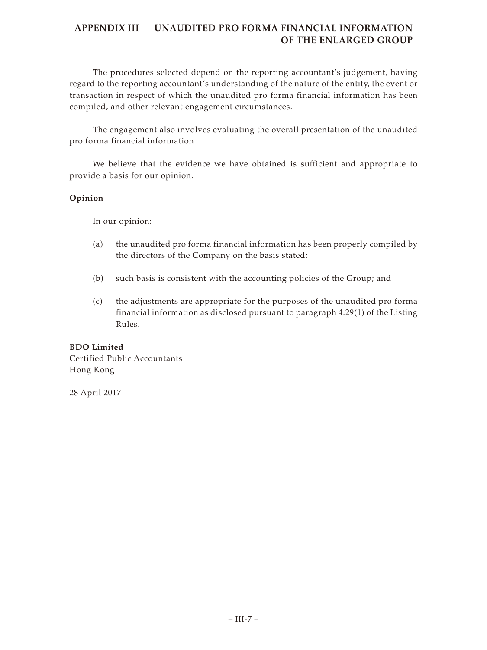The procedures selected depend on the reporting accountant's judgement, having regard to the reporting accountant's understanding of the nature of the entity, the event or transaction in respect of which the unaudited pro forma financial information has been compiled, and other relevant engagement circumstances.

The engagement also involves evaluating the overall presentation of the unaudited pro forma financial information.

We believe that the evidence we have obtained is sufficient and appropriate to provide a basis for our opinion.

## **Opinion**

In our opinion:

- (a) the unaudited pro forma financial information has been properly compiled by the directors of the Company on the basis stated;
- (b) such basis is consistent with the accounting policies of the Group; and
- (c) the adjustments are appropriate for the purposes of the unaudited pro forma financial information as disclosed pursuant to paragraph 4.29(1) of the Listing Rules.

## **BDO Limited**

Certified Public Accountants Hong Kong

28 April 2017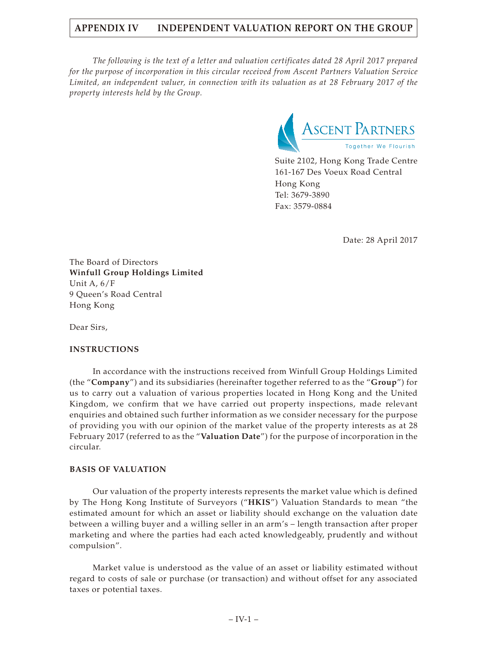*The following is the text of a letter and valuation certificates dated 28 April 2017 prepared for the purpose of incorporation in this circular received from Ascent Partners Valuation Service Limited, an independent valuer, in connection with its valuation as at 28 February 2017 of the property interests held by the Group.*



Suite 2102, Hong Kong Trade Centre 161-167 Des Voeux Road Central Hong Kong Tel: 3679-3890 Fax: 3579-0884

Date: 28 April 2017

The Board of Directors **Winfull Group Holdings Limited** Unit A, 6/F 9 Queen's Road Central Hong Kong

Dear Sirs,

## **INSTRUCTIONS**

In accordance with the instructions received from Winfull Group Holdings Limited (the "**Company**") and its subsidiaries (hereinafter together referred to as the "**Group**") for us to carry out a valuation of various properties located in Hong Kong and the United Kingdom, we confirm that we have carried out property inspections, made relevant enquiries and obtained such further information as we consider necessary for the purpose of providing you with our opinion of the market value of the property interests as at 28 February 2017 (referred to as the "**Valuation Date**") for the purpose of incorporation in the circular.

## **BASIS OF VALUATION**

Our valuation of the property interests represents the market value which is defined by The Hong Kong Institute of Surveyors ("**HKIS**") Valuation Standards to mean "the estimated amount for which an asset or liability should exchange on the valuation date between a willing buyer and a willing seller in an arm's – length transaction after proper marketing and where the parties had each acted knowledgeably, prudently and without compulsion".

Market value is understood as the value of an asset or liability estimated without regard to costs of sale or purchase (or transaction) and without offset for any associated taxes or potential taxes.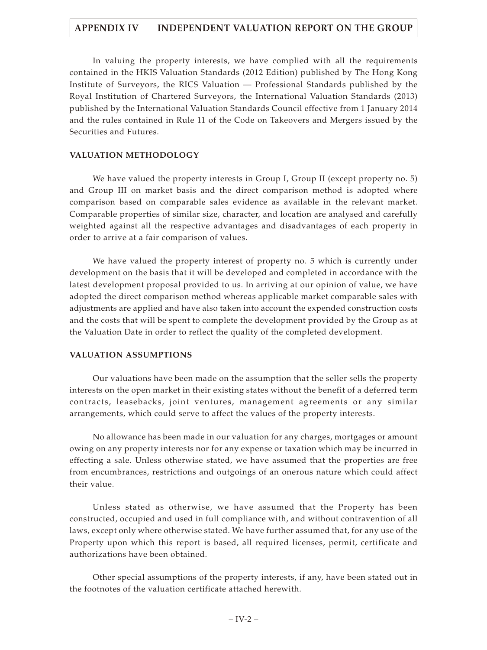In valuing the property interests, we have complied with all the requirements contained in the HKIS Valuation Standards (2012 Edition) published by The Hong Kong Institute of Surveyors, the RICS Valuation — Professional Standards published by the Royal Institution of Chartered Surveyors, the International Valuation Standards (2013) published by the International Valuation Standards Council effective from 1 January 2014 and the rules contained in Rule 11 of the Code on Takeovers and Mergers issued by the Securities and Futures.

## **VALUATION METHODOLOGY**

We have valued the property interests in Group I, Group II (except property no. 5) and Group III on market basis and the direct comparison method is adopted where comparison based on comparable sales evidence as available in the relevant market. Comparable properties of similar size, character, and location are analysed and carefully weighted against all the respective advantages and disadvantages of each property in order to arrive at a fair comparison of values.

We have valued the property interest of property no. 5 which is currently under development on the basis that it will be developed and completed in accordance with the latest development proposal provided to us. In arriving at our opinion of value, we have adopted the direct comparison method whereas applicable market comparable sales with adjustments are applied and have also taken into account the expended construction costs and the costs that will be spent to complete the development provided by the Group as at the Valuation Date in order to reflect the quality of the completed development.

## **VALUATION ASSUMPTIONS**

Our valuations have been made on the assumption that the seller sells the property interests on the open market in their existing states without the benefit of a deferred term contracts, leasebacks, joint ventures, management agreements or any similar arrangements, which could serve to affect the values of the property interests.

No allowance has been made in our valuation for any charges, mortgages or amount owing on any property interests nor for any expense or taxation which may be incurred in effecting a sale. Unless otherwise stated, we have assumed that the properties are free from encumbrances, restrictions and outgoings of an onerous nature which could affect their value.

Unless stated as otherwise, we have assumed that the Property has been constructed, occupied and used in full compliance with, and without contravention of all laws, except only where otherwise stated. We have further assumed that, for any use of the Property upon which this report is based, all required licenses, permit, certificate and authorizations have been obtained.

Other special assumptions of the property interests, if any, have been stated out in the footnotes of the valuation certificate attached herewith.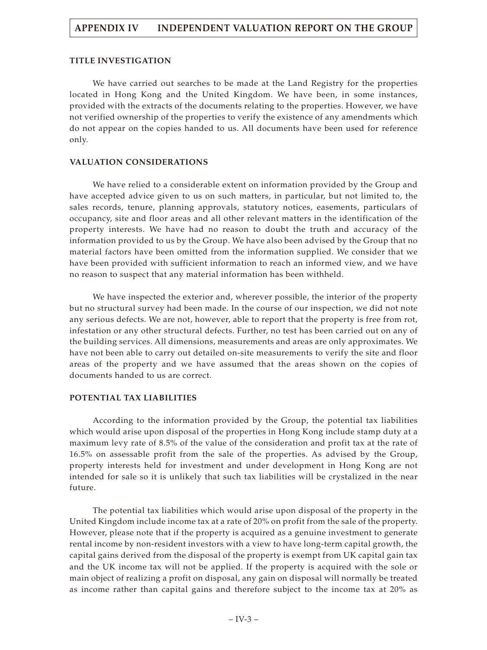## **TITLE INVESTIGATION**

We have carried out searches to be made at the Land Registry for the properties located in Hong Kong and the United Kingdom. We have been, in some instances, provided with the extracts of the documents relating to the properties. However, we have not verified ownership of the properties to verify the existence of any amendments which do not appear on the copies handed to us. All documents have been used for reference only.

## **VALUATION CONSIDERATIONS**

We have relied to a considerable extent on information provided by the Group and have accepted advice given to us on such matters, in particular, but not limited to, the sales records, tenure, planning approvals, statutory notices, easements, particulars of occupancy, site and floor areas and all other relevant matters in the identification of the property interests. We have had no reason to doubt the truth and accuracy of the information provided to us by the Group. We have also been advised by the Group that no material factors have been omitted from the information supplied. We consider that we have been provided with sufficient information to reach an informed view, and we have no reason to suspect that any material information has been withheld.

We have inspected the exterior and, wherever possible, the interior of the property but no structural survey had been made. In the course of our inspection, we did not note any serious defects. We are not, however, able to report that the property is free from rot, infestation or any other structural defects. Further, no test has been carried out on any of the building services. All dimensions, measurements and areas are only approximates. We have not been able to carry out detailed on-site measurements to verify the site and floor areas of the property and we have assumed that the areas shown on the copies of documents handed to us are correct.

## **POTENTIAL TAX LIABILITIES**

According to the information provided by the Group, the potential tax liabilities which would arise upon disposal of the properties in Hong Kong include stamp duty at a maximum levy rate of 8.5% of the value of the consideration and profit tax at the rate of 16.5% on assessable profit from the sale of the properties. As advised by the Group, property interests held for investment and under development in Hong Kong are not intended for sale so it is unlikely that such tax liabilities will be crystalized in the near future.

The potential tax liabilities which would arise upon disposal of the property in the United Kingdom include income tax at a rate of 20% on profit from the sale of the property. However, please note that if the property is acquired as a genuine investment to generate rental income by non-resident investors with a view to have long-term capital growth, the capital gains derived from the disposal of the property is exempt from UK capital gain tax and the UK income tax will not be applied. If the property is acquired with the sole or main object of realizing a profit on disposal, any gain on disposal will normally be treated as income rather than capital gains and therefore subject to the income tax at 20% as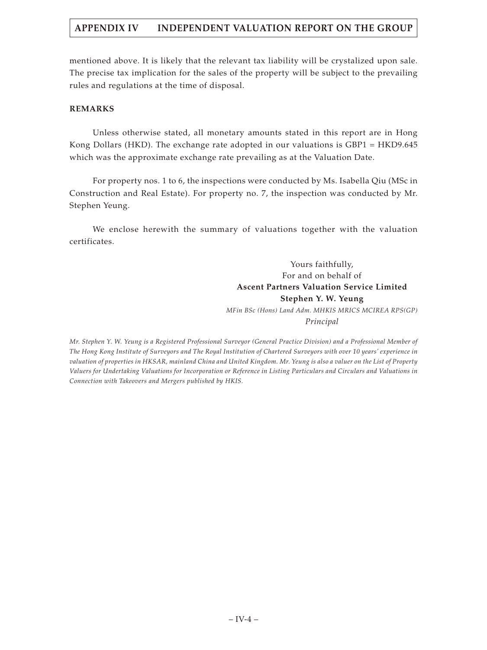mentioned above. It is likely that the relevant tax liability will be crystalized upon sale. The precise tax implication for the sales of the property will be subject to the prevailing rules and regulations at the time of disposal.

## **REMARKS**

Unless otherwise stated, all monetary amounts stated in this report are in Hong Kong Dollars (HKD). The exchange rate adopted in our valuations is GBP1 = HKD9.645 which was the approximate exchange rate prevailing as at the Valuation Date.

For property nos. 1 to 6, the inspections were conducted by Ms. Isabella Qiu (MSc in Construction and Real Estate). For property no. 7, the inspection was conducted by Mr. Stephen Yeung.

We enclose herewith the summary of valuations together with the valuation certificates.

> Yours faithfully, For and on behalf of **Ascent Partners Valuation Service Limited Stephen Y. W. Yeung**

*MFin BSc (Hons) Land Adm. MHKIS MRICS MCIREA RPS(GP) Principal*

*Mr. Stephen Y. W. Yeung is a Registered Professional Surveyor (General Practice Division) and a Professional Member of The Hong Kong Institute of Surveyors and The Royal Institution of Chartered Surveyors with over 10 years' experience in valuation of properties in HKSAR, mainland China and United Kingdom. Mr. Yeung is also a valuer on the List of Property Valuers for Undertaking Valuations for Incorporation or Reference in Listing Particulars and Circulars and Valuations in Connection with Takeovers and Mergers published by HKIS.*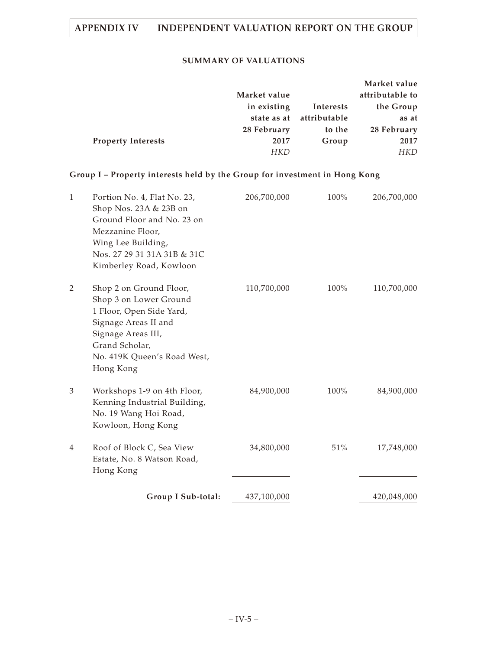## **SUMMARY OF VALUATIONS**

|                           |              |              | Market value    |
|---------------------------|--------------|--------------|-----------------|
|                           | Market value |              | attributable to |
|                           | in existing  | Interests    | the Group       |
|                           | state as at  | attributable | as at           |
|                           | 28 February  | to the       | 28 February     |
| <b>Property Interests</b> | 2017         | Group        | 2017            |
|                           | <b>HKD</b>   |              | <b>HKD</b>      |

# **Group I – Property interests held by the Group for investment in Hong Kong**

| $\mathbf{1}$ | Portion No. 4, Flat No. 23,<br>Shop Nos. 23A & 23B on<br>Ground Floor and No. 23 on<br>Mezzanine Floor,<br>Wing Lee Building,<br>Nos. 27 29 31 31A 31B & 31C<br>Kimberley Road, Kowloon   | 206,700,000 | $100\%$ | 206,700,000 |
|--------------|-------------------------------------------------------------------------------------------------------------------------------------------------------------------------------------------|-------------|---------|-------------|
| 2            | Shop 2 on Ground Floor,<br>Shop 3 on Lower Ground<br>1 Floor, Open Side Yard,<br>Signage Areas II and<br>Signage Areas III,<br>Grand Scholar,<br>No. 419K Queen's Road West,<br>Hong Kong | 110,700,000 | 100%    | 110,700,000 |
| 3            | Workshops 1-9 on 4th Floor,<br>Kenning Industrial Building,<br>No. 19 Wang Hoi Road,<br>Kowloon, Hong Kong                                                                                | 84,900,000  | 100%    | 84,900,000  |
| 4            | Roof of Block C, Sea View<br>Estate, No. 8 Watson Road,<br>Hong Kong                                                                                                                      | 34,800,000  | 51%     | 17,748,000  |
|              | Group I Sub-total:                                                                                                                                                                        | 437,100,000 |         | 420,048,000 |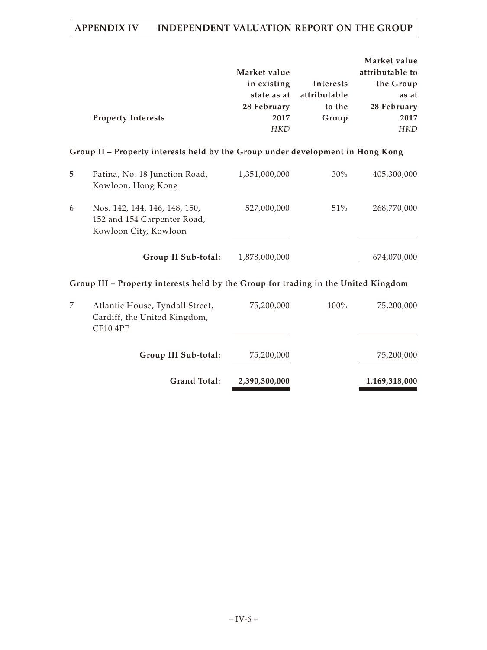|   | <b>Property Interests</b>                                                             | Market value<br>in existing<br>state as at<br>28 February<br>2017<br><b>HKD</b> | Interests<br>attributable<br>to the<br>Group | Market value<br>attributable to<br>the Group<br>as at<br>28 February<br>2017<br><b>HKD</b> |
|---|---------------------------------------------------------------------------------------|---------------------------------------------------------------------------------|----------------------------------------------|--------------------------------------------------------------------------------------------|
|   | Group II – Property interests held by the Group under development in Hong Kong        |                                                                                 |                                              |                                                                                            |
| 5 | Patina, No. 18 Junction Road,<br>Kowloon, Hong Kong                                   | 1,351,000,000                                                                   | $30\%$                                       | 405,300,000                                                                                |
| 6 | Nos. 142, 144, 146, 148, 150,<br>152 and 154 Carpenter Road,<br>Kowloon City, Kowloon | 527,000,000                                                                     | 51%                                          | 268,770,000                                                                                |
|   | Group II Sub-total:                                                                   | 1,878,000,000                                                                   |                                              | 674,070,000                                                                                |

# **Group III – Property interests held by the Group for trading in the United Kingdom**

| <b>Grand Total:</b>                                                                     | 2,390,300,000 |         | 1,169,318,000 |
|-----------------------------------------------------------------------------------------|---------------|---------|---------------|
| Group III Sub-total:                                                                    | 75,200,000    |         | 75,200,000    |
| Atlantic House, Tyndall Street,<br>Cardiff, the United Kingdom,<br>CF <sub>10</sub> 4PP | 75,200,000    | $100\%$ | 75,200,000    |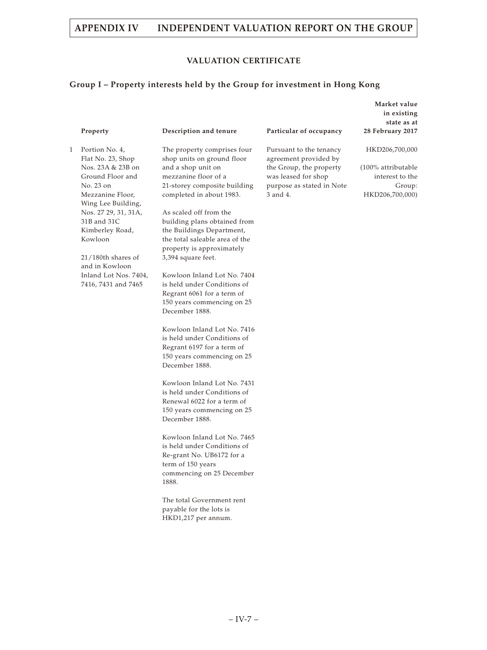## **VALUATION CERTIFICATE**

**Market value**

# **Group I – Property interests held by the Group for investment in Hong Kong**

|   |                                                     |                                                           |                                                  | in existing<br>state as at            |
|---|-----------------------------------------------------|-----------------------------------------------------------|--------------------------------------------------|---------------------------------------|
|   | Property                                            | Description and tenure                                    | Particular of occupancy                          | 28 February 2017                      |
| 1 | Portion No. 4,<br>Flat No. 23, Shop                 | The property comprises four<br>shop units on ground floor | Pursuant to the tenancy<br>agreement provided by | HKD206,700,000                        |
|   | Nos. 23A & 23B on<br>Ground Floor and               | and a shop unit on<br>mezzanine floor of a                | the Group, the property<br>was leased for shop   | (100% attributable<br>interest to the |
|   | No. 23 on<br>Mezzanine Floor,<br>Wing Lee Building, | 21-storey composite building<br>completed in about 1983.  | purpose as stated in Note<br>3 and 4.            | Group:<br>HKD206,700,000)             |
|   | Nos. 27 29, 31, 31A,                                | As scaled off from the                                    |                                                  |                                       |
|   | 31B and 31C<br>Kimberley Road,                      | building plans obtained from<br>the Buildings Department, |                                                  |                                       |
|   | Kowloon                                             | the total saleable area of the                            |                                                  |                                       |
|   |                                                     | property is approximately                                 |                                                  |                                       |
|   | 21/180th shares of<br>and in Kowloon                | 3,394 square feet.                                        |                                                  |                                       |
|   | Inland Lot Nos. 7404,                               | Kowloon Inland Lot No. 7404                               |                                                  |                                       |
|   | 7416, 7431 and 7465                                 | is held under Conditions of                               |                                                  |                                       |
|   |                                                     | Regrant 6061 for a term of<br>150 years commencing on 25  |                                                  |                                       |
|   |                                                     | December 1888.                                            |                                                  |                                       |
|   |                                                     | Kowloon Inland Lot No. 7416                               |                                                  |                                       |
|   |                                                     | is held under Conditions of                               |                                                  |                                       |
|   |                                                     | Regrant 6197 for a term of<br>150 years commencing on 25  |                                                  |                                       |
|   |                                                     | December 1888.                                            |                                                  |                                       |
|   |                                                     | Kowloon Inland Lot No. 7431                               |                                                  |                                       |
|   |                                                     | is held under Conditions of<br>Renewal 6022 for a term of |                                                  |                                       |
|   |                                                     | 150 years commencing on 25                                |                                                  |                                       |
|   |                                                     | December 1888.                                            |                                                  |                                       |
|   |                                                     | Kowloon Inland Lot No. 7465                               |                                                  |                                       |
|   |                                                     | is held under Conditions of                               |                                                  |                                       |
|   |                                                     | Re-grant No. UB6172 for a<br>term of 150 years            |                                                  |                                       |
|   |                                                     | commencing on 25 December                                 |                                                  |                                       |
|   |                                                     | 1888.                                                     |                                                  |                                       |
|   |                                                     | The total Government rent                                 |                                                  |                                       |
|   |                                                     | payable for the lots is<br>HKD1,217 per annum.            |                                                  |                                       |
|   |                                                     |                                                           |                                                  |                                       |
|   |                                                     |                                                           |                                                  |                                       |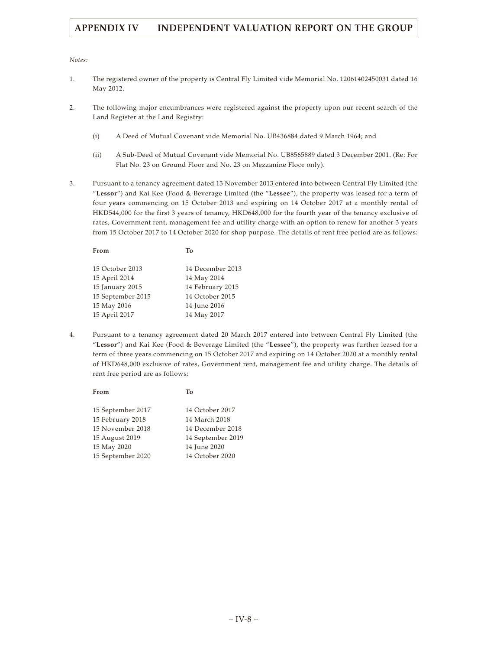#### *Notes:*

- 1. The registered owner of the property is Central Fly Limited vide Memorial No. 12061402450031 dated 16 May 2012.
- 2. The following major encumbrances were registered against the property upon our recent search of the Land Register at the Land Registry:
	- (i) A Deed of Mutual Covenant vide Memorial No. UB436884 dated 9 March 1964; and
	- (ii) A Sub-Deed of Mutual Covenant vide Memorial No. UB8565889 dated 3 December 2001. (Re: For Flat No. 23 on Ground Floor and No. 23 on Mezzanine Floor only).
- 3. Pursuant to a tenancy agreement dated 13 November 2013 entered into between Central Fly Limited (the "**Lessor**") and Kai Kee (Food & Beverage Limited (the "**Lessee**"), the property was leased for a term of four years commencing on 15 October 2013 and expiring on 14 October 2017 at a monthly rental of HKD544,000 for the first 3 years of tenancy, HKD648,000 for the fourth year of the tenancy exclusive of rates, Government rent, management fee and utility charge with an option to renew for another 3 years from 15 October 2017 to 14 October 2020 for shop purpose. The details of rent free period are as follows:

| From              | Тο               |
|-------------------|------------------|
| 15 October 2013   | 14 December 2013 |
| 15 April 2014     | 14 May 2014      |
| 15 January 2015   | 14 February 2015 |
| 15 September 2015 | 14 October 2015  |
| 15 May 2016       | 14 June 2016     |
| 15 April 2017     | 14 May 2017      |
|                   |                  |

4. Pursuant to a tenancy agreement dated 20 March 2017 entered into between Central Fly Limited (the "**Lessor**") and Kai Kee (Food & Beverage Limited (the "**Lessee**"), the property was further leased for a term of three years commencing on 15 October 2017 and expiring on 14 October 2020 at a monthly rental of HKD648,000 exclusive of rates, Government rent, management fee and utility charge. The details of rent free period are as follows:

| 15 September 2017 | 14 October 2017   |
|-------------------|-------------------|
| 15 February 2018  | 14 March 2018     |
| 15 November 2018  | 14 December 2018  |
| 15 August 2019    | 14 September 2019 |
| 15 May 2020       | 14 June 2020      |
| 15 September 2020 | 14 October 2020   |

**From To**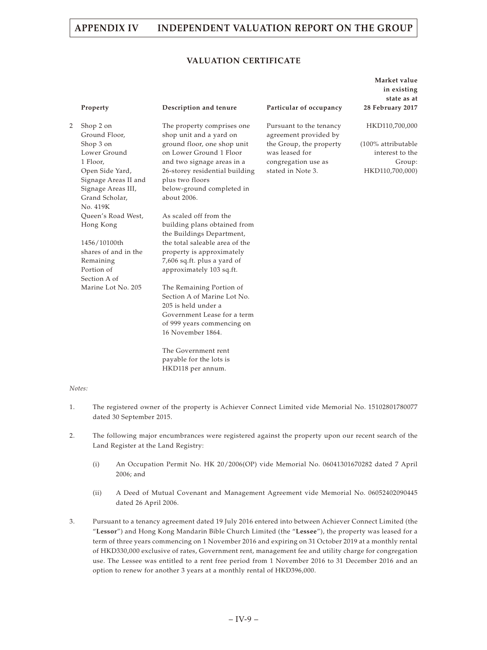## **VALUATION CERTIFICATE**

|   | Property                   | Description and tenure                                 | Particular of occupancy                          | Market value<br>in existing<br>state as at<br>28 February 2017 |
|---|----------------------------|--------------------------------------------------------|--------------------------------------------------|----------------------------------------------------------------|
| 2 | Shop 2 on<br>Ground Floor, | The property comprises one<br>shop unit and a yard on  | Pursuant to the tenancy<br>agreement provided by | HKD110,700,000                                                 |
|   |                            |                                                        |                                                  | (100% attributable                                             |
|   | Shop 3 on<br>Lower Ground  | ground floor, one shop unit<br>on Lower Ground 1 Floor | the Group, the property<br>was leased for        | interest to the                                                |
|   | 1 Floor,                   | and two signage areas in a                             | congregation use as                              | Group:                                                         |
|   | Open Side Yard,            | 26-storey residential building                         | stated in Note 3.                                | HKD110,700,000)                                                |
|   | Signage Areas II and       | plus two floors                                        |                                                  |                                                                |
|   | Signage Areas III,         | below-ground completed in                              |                                                  |                                                                |
|   | Grand Scholar,             | about 2006.                                            |                                                  |                                                                |
|   | No. 419K                   |                                                        |                                                  |                                                                |
|   | Queen's Road West,         | As scaled off from the                                 |                                                  |                                                                |
|   | Hong Kong                  | building plans obtained from                           |                                                  |                                                                |
|   |                            | the Buildings Department,                              |                                                  |                                                                |
|   | 1456/10100th               | the total saleable area of the                         |                                                  |                                                                |
|   | shares of and in the       | property is approximately                              |                                                  |                                                                |
|   | Remaining                  | 7,606 sq.ft. plus a yard of                            |                                                  |                                                                |
|   | Portion of                 | approximately 103 sq.ft.                               |                                                  |                                                                |
|   | Section A of               |                                                        |                                                  |                                                                |
|   | Marine Lot No. 205         | The Remaining Portion of                               |                                                  |                                                                |
|   |                            | Section A of Marine Lot No.                            |                                                  |                                                                |
|   |                            | 205 is held under a                                    |                                                  |                                                                |
|   |                            | Government Lease for a term                            |                                                  |                                                                |
|   |                            | of 999 years commencing on                             |                                                  |                                                                |
|   |                            | 16 November 1864.                                      |                                                  |                                                                |
|   |                            | The Government rent                                    |                                                  |                                                                |
|   |                            | payable for the lots is                                |                                                  |                                                                |
|   |                            | HKD118 per annum.                                      |                                                  |                                                                |

#### *Notes:*

- 1. The registered owner of the property is Achiever Connect Limited vide Memorial No. 15102801780077 dated 30 September 2015.
- 2. The following major encumbrances were registered against the property upon our recent search of the Land Register at the Land Registry:
	- (i) An Occupation Permit No. HK 20/2006(OP) vide Memorial No. 06041301670282 dated 7 April 2006; and
	- (ii) A Deed of Mutual Covenant and Management Agreement vide Memorial No. 06052402090445 dated 26 April 2006.
- 3. Pursuant to a tenancy agreement dated 19 July 2016 entered into between Achiever Connect Limited (the "**Lessor**") and Hong Kong Mandarin Bible Church Limited (the "**Lessee**"), the property was leased for a term of three years commencing on 1 November 2016 and expiring on 31 October 2019 at a monthly rental of HKD330,000 exclusive of rates, Government rent, management fee and utility charge for congregation use. The Lessee was entitled to a rent free period from 1 November 2016 to 31 December 2016 and an option to renew for another 3 years at a monthly rental of HKD396,000.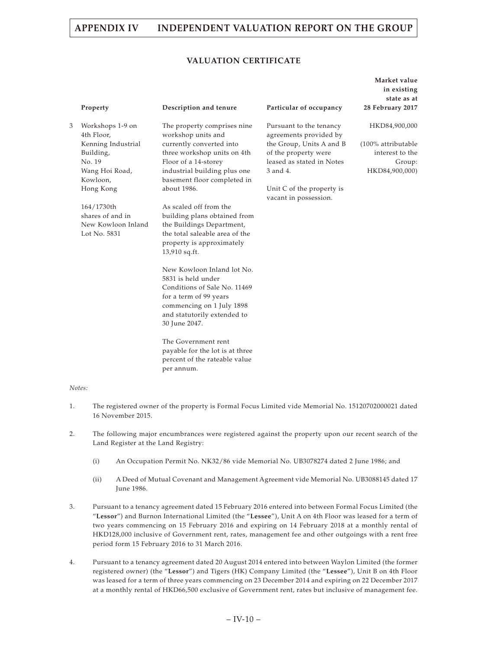## **VALUATION CERTIFICATE**

|   | Property                                                                                                                                                                                       | Description and tenure                                                                                                                                                                                                                                                                                                                                                                                                                                                                                                               | Particular of occupancy                                                                                                                                                                              | Market value<br>in existing<br>state as at<br>28 February 2017                     |
|---|------------------------------------------------------------------------------------------------------------------------------------------------------------------------------------------------|--------------------------------------------------------------------------------------------------------------------------------------------------------------------------------------------------------------------------------------------------------------------------------------------------------------------------------------------------------------------------------------------------------------------------------------------------------------------------------------------------------------------------------------|------------------------------------------------------------------------------------------------------------------------------------------------------------------------------------------------------|------------------------------------------------------------------------------------|
| 3 | Workshops 1-9 on<br>4th Floor,<br>Kenning Industrial<br>Building,<br>No. 19<br>Wang Hoi Road,<br>Kowloon,<br>Hong Kong<br>164/1730th<br>shares of and in<br>New Kowloon Inland<br>Lot No. 5831 | The property comprises nine<br>workshop units and<br>currently converted into<br>three workshop units on 4th<br>Floor of a 14-storey<br>industrial building plus one<br>basement floor completed in<br>about 1986.<br>As scaled off from the<br>building plans obtained from<br>the Buildings Department,<br>the total saleable area of the<br>property is approximately<br>13,910 sq.ft.<br>New Kowloon Inland lot No.<br>5831 is held under<br>Conditions of Sale No. 11469<br>for a term of 99 years<br>commencing on 1 July 1898 | Pursuant to the tenancy<br>agreements provided by<br>the Group, Units A and B<br>of the property were<br>leased as stated in Notes<br>3 and 4.<br>Unit C of the property is<br>vacant in possession. | HKD84,900,000<br>(100% attributable<br>interest to the<br>Group:<br>HKD84,900,000) |
|   |                                                                                                                                                                                                | and statutorily extended to<br>30 June 2047.<br>The Government rent<br>payable for the lot is at three<br>percent of the rateable value                                                                                                                                                                                                                                                                                                                                                                                              |                                                                                                                                                                                                      |                                                                                    |

#### *Notes:*

1. The registered owner of the property is Formal Focus Limited vide Memorial No. 15120702000021 dated 16 November 2015.

per annum.

- 2. The following major encumbrances were registered against the property upon our recent search of the Land Register at the Land Registry:
	- (i) An Occupation Permit No. NK32/86 vide Memorial No. UB3078274 dated 2 June 1986; and
	- (ii) A Deed of Mutual Covenant and Management Agreement vide Memorial No. UB3088145 dated 17 June 1986.
- 3. Pursuant to a tenancy agreement dated 15 February 2016 entered into between Formal Focus Limited (the "**Lessor**") and Burnon International Limited (the "**Lessee**"), Unit A on 4th Floor was leased for a term of two years commencing on 15 February 2016 and expiring on 14 February 2018 at a monthly rental of HKD128,000 inclusive of Government rent, rates, management fee and other outgoings with a rent free period form 15 February 2016 to 31 March 2016.
- 4. Pursuant to a tenancy agreement dated 20 August 2014 entered into between Waylon Limited (the former registered owner) (the "**Lessor**") and Tigers (HK) Company Limited (the "**Lessee**"), Unit B on 4th Floor was leased for a term of three years commencing on 23 December 2014 and expiring on 22 December 2017 at a monthly rental of HKD66,500 exclusive of Government rent, rates but inclusive of management fee.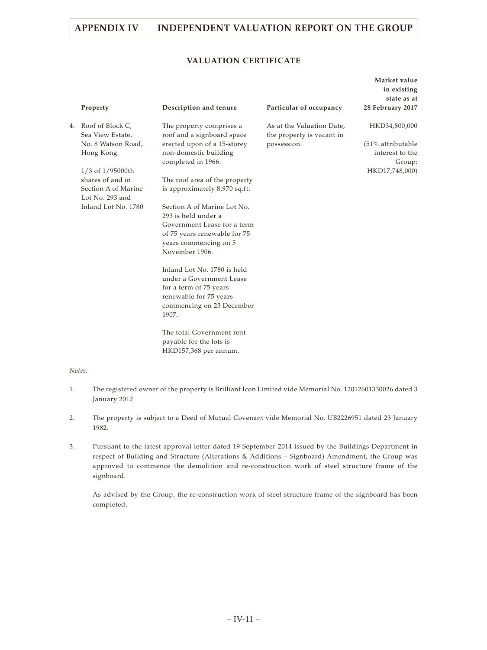## **VALUATION CERTIFICATE**

| Property                                | Description and tenure                                                     | Particular of occupancy                                | Market value<br>in existing<br>state as at<br>28 February 2017 |
|-----------------------------------------|----------------------------------------------------------------------------|--------------------------------------------------------|----------------------------------------------------------------|
| 4. Roof of Block C,<br>Sea View Estate, | The property comprises a<br>roof and a signboard space                     | As at the Valuation Date,<br>the property is vacant in | HKD34,800,000                                                  |
| No. 8 Watson Road,<br>Hong Kong         | erected upon of a 15-storey<br>non-domestic building<br>completed in 1966. | possession.                                            | (51% attributable<br>interest to the<br>Group:                 |
| 1/3 of 1/95000th                        |                                                                            |                                                        | HKD17,748,000)                                                 |
| shares of and in                        | The roof area of the property                                              |                                                        |                                                                |
| Section A of Marine<br>Lot No. 293 and  | is approximately 8,970 sq.ft.                                              |                                                        |                                                                |
| Inland Lot No. 1780                     | Section A of Marine Lot No.                                                |                                                        |                                                                |
|                                         | 293 is held under a<br>Government Lease for a term                         |                                                        |                                                                |
|                                         | of 75 years renewable for 75                                               |                                                        |                                                                |
|                                         | years commencing on 5                                                      |                                                        |                                                                |
|                                         | November 1906.                                                             |                                                        |                                                                |
|                                         | Inland Lot No. 1780 is held<br>under a Government Lease                    |                                                        |                                                                |
|                                         | for a term of 75 years                                                     |                                                        |                                                                |
|                                         | renewable for 75 years                                                     |                                                        |                                                                |
|                                         | commencing on 23 December<br>1907.                                         |                                                        |                                                                |
|                                         | The total Government rent                                                  |                                                        |                                                                |
|                                         | payable for the lots is                                                    |                                                        |                                                                |

#### *Notes:*

1. The registered owner of the property is Brilliant Icon Limited vide Memorial No. 12012601330026 dated 3 January 2012.

HKD157,368 per annum.

- 2. The property is subject to a Deed of Mutual Covenant vide Memorial No. UB2226951 dated 23 January 1982.
- 3. Pursuant to the latest approval letter dated 19 September 2014 issued by the Buildings Department in respect of Building and Structure (Alterations & Additions – Signboard) Amendment, the Group was approved to commence the demolition and re-construction work of steel structure frame of the signboard.

As advised by the Group, the re-construction work of steel structure frame of the signboard has been completed.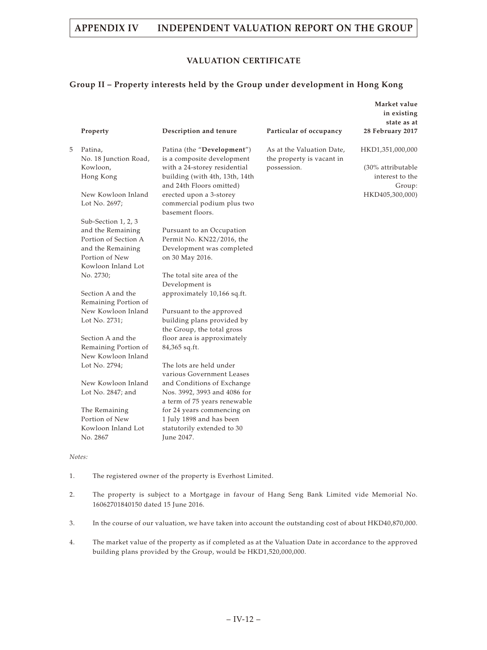## **VALUATION CERTIFICATE**

**Market value**

## **Group II – Property interests held by the Group under development in Hong Kong**

|   |                                           |                                                            |                           | in existing<br>state as at |
|---|-------------------------------------------|------------------------------------------------------------|---------------------------|----------------------------|
|   | Property                                  | Description and tenure                                     | Particular of occupancy   | 28 February 2017           |
| 5 | Patina,                                   | Patina (the "Development")                                 | As at the Valuation Date, | HKD1,351,000,000           |
|   | No. 18 Junction Road,                     | is a composite development                                 | the property is vacant in |                            |
|   | Kowloon,                                  | with a 24-storey residential                               | possession.               | (30% attributable          |
|   | Hong Kong                                 | building (with 4th, 13th, 14th<br>and 24th Floors omitted) |                           | interest to the<br>Group:  |
|   | New Kowloon Inland                        | erected upon a 3-storey                                    |                           | HKD405,300,000)            |
|   | Lot No. 2697;                             | commercial podium plus two<br>basement floors.             |                           |                            |
|   | Sub-Section 1, 2, 3                       |                                                            |                           |                            |
|   | and the Remaining                         | Pursuant to an Occupation                                  |                           |                            |
|   | Portion of Section A                      | Permit No. KN22/2016, the                                  |                           |                            |
|   | and the Remaining                         | Development was completed                                  |                           |                            |
|   | Portion of New                            | on 30 May 2016.                                            |                           |                            |
|   | Kowloon Inland Lot                        |                                                            |                           |                            |
|   | No. 2730;                                 | The total site area of the                                 |                           |                            |
|   |                                           | Development is                                             |                           |                            |
|   | Section A and the<br>Remaining Portion of | approximately 10,166 sq.ft.                                |                           |                            |
|   | New Kowloon Inland                        | Pursuant to the approved                                   |                           |                            |
|   | Lot No. 2731;                             | building plans provided by                                 |                           |                            |
|   |                                           | the Group, the total gross                                 |                           |                            |
|   | Section A and the                         | floor area is approximately                                |                           |                            |
|   | Remaining Portion of                      | 84,365 sq.ft.                                              |                           |                            |
|   | New Kowloon Inland                        |                                                            |                           |                            |
|   | Lot No. 2794;                             | The lots are held under                                    |                           |                            |
|   |                                           | various Government Leases                                  |                           |                            |
|   | New Kowloon Inland                        | and Conditions of Exchange                                 |                           |                            |
|   | Lot No. 2847; and                         | Nos. 3992, 3993 and 4086 for                               |                           |                            |
|   |                                           | a term of 75 years renewable                               |                           |                            |
|   | The Remaining                             | for 24 years commencing on                                 |                           |                            |
|   | Portion of New                            | 1 July 1898 and has been                                   |                           |                            |
|   | Kowloon Inland Lot                        | statutorily extended to 30                                 |                           |                            |
|   | No. 2867                                  | June 2047.                                                 |                           |                            |
|   | Notes:                                    |                                                            |                           |                            |

- 1. The registered owner of the property is Everhost Limited.
- 2. The property is subject to a Mortgage in favour of Hang Seng Bank Limited vide Memorial No. 16062701840150 dated 15 June 2016.
- 3. In the course of our valuation, we have taken into account the outstanding cost of about HKD40,870,000.
- 4. The market value of the property as if completed as at the Valuation Date in accordance to the approved building plans provided by the Group, would be HKD1,520,000,000.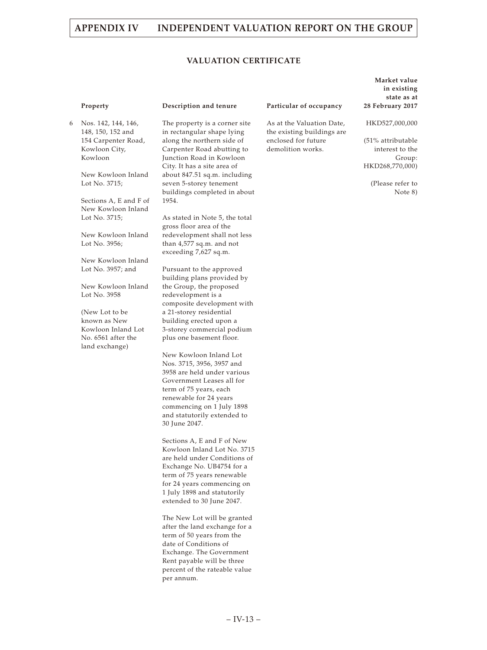## **VALUATION CERTIFICATE**

6 Nos. 142, 144, 146, 148, 150, 152 and 154 Carpenter Road, Kowloon City, Kowloon

> New Kowloon Inland Lot No. 3715;

Sections A, E and F of New Kowloon Inland Lot No. 3715;

New Kowloon Inland Lot No. 3956;

New Kowloon Inland Lot No. 3957; and

New Kowloon Inland Lot No. 3958

(New Lot to be known as New Kowloon Inland Lot No. 6561 after the land exchange)

The property is a corner site in rectangular shape lying along the northern side of Carpenter Road abutting to Junction Road in Kowloon City. It has a site area of about 847.51 sq.m. including seven 5-storey tenement buildings completed in about 1954.

As stated in Note 5, the total gross floor area of the redevelopment shall not less than 4,577 sq.m. and not exceeding 7,627 sq.m.

Pursuant to the approved building plans provided by the Group, the proposed redevelopment is a composite development with a 21-storey residential building erected upon a 3-storey commercial podium plus one basement floor.

New Kowloon Inland Lot Nos. 3715, 3956, 3957 and 3958 are held under various Government Leases all for term of 75 years, each renewable for 24 years commencing on 1 July 1898 and statutorily extended to 30 June 2047.

Sections A, E and F of New Kowloon Inland Lot No. 3715 are held under Conditions of Exchange No. UB4754 for a term of 75 years renewable for 24 years commencing on 1 July 1898 and statutorily extended to 30 June 2047.

The New Lot will be granted after the land exchange for a term of 50 years from the date of Conditions of Exchange. The Government Rent payable will be three percent of the rateable value per annum.

#### **Property Description and tenure Particular of occupancy**

As at the Valuation Date, the existing buildings are enclosed for future demolition works.

**Market value in existing state as at 28 February 2017**

HKD527,000,000

(51% attributable interest to the Group: HKD268,770,000)

(Please refer to Note 8)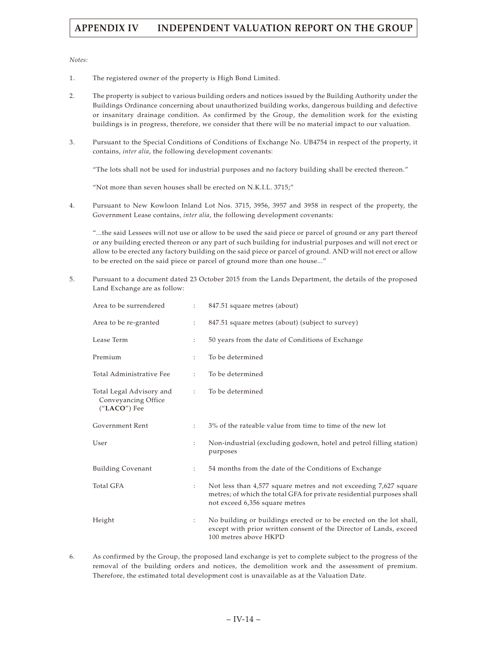*Notes:*

- 1. The registered owner of the property is High Bond Limited.
- 2. The property is subject to various building orders and notices issued by the Building Authority under the Buildings Ordinance concerning about unauthorized building works, dangerous building and defective or insanitary drainage condition. As confirmed by the Group, the demolition work for the existing buildings is in progress, therefore, we consider that there will be no material impact to our valuation.
- 3. Pursuant to the Special Conditions of Conditions of Exchange No. UB4754 in respect of the property, it contains, *inter alia*, the following development covenants:

"The lots shall not be used for industrial purposes and no factory building shall be erected thereon."

"Not more than seven houses shall be erected on N.K.I.L. 3715;"

4. Pursuant to New Kowloon Inland Lot Nos. 3715, 3956, 3957 and 3958 in respect of the property, the Government Lease contains, *inter alia*, the following development covenants:

"...the said Lessees will not use or allow to be used the said piece or parcel of ground or any part thereof or any building erected thereon or any part of such building for industrial purposes and will not erect or allow to be erected any factory building on the said piece or parcel of ground. AND will not erect or allow to be erected on the said piece or parcel of ground more than one house..."

5. Pursuant to a document dated 23 October 2015 from the Lands Department, the details of the proposed Land Exchange are as follow:

| Area to be surrendered                                          | $\ddot{\phantom{a}}$ | 847.51 square metres (about)                                                                                                                                                |
|-----------------------------------------------------------------|----------------------|-----------------------------------------------------------------------------------------------------------------------------------------------------------------------------|
| Area to be re-granted                                           | $\ddot{\cdot}$       | 847.51 square metres (about) (subject to survey)                                                                                                                            |
| Lease Term                                                      | $\ddot{\phantom{a}}$ | 50 years from the date of Conditions of Exchange                                                                                                                            |
| Premium                                                         | $\ddot{\phantom{a}}$ | To be determined                                                                                                                                                            |
| Total Administrative Fee                                        | $\ddot{\cdot}$       | To be determined                                                                                                                                                            |
| Total Legal Advisory and<br>Conveyancing Office<br>("LACO") Fee | $\ddot{\cdot}$       | To be determined                                                                                                                                                            |
| Government Rent                                                 | $\ddot{\cdot}$       | 3% of the rateable value from time to time of the new lot                                                                                                                   |
| User                                                            | $\ddot{\phantom{a}}$ | Non-industrial (excluding godown, hotel and petrol filling station)<br>purposes                                                                                             |
| <b>Building Covenant</b>                                        | $\ddot{\phantom{a}}$ | 54 months from the date of the Conditions of Exchange                                                                                                                       |
| Total GFA                                                       | $\ddot{\cdot}$       | Not less than 4,577 square metres and not exceeding 7,627 square<br>metres; of which the total GFA for private residential purposes shall<br>not exceed 6,356 square metres |
| Height                                                          | $\ddot{\phantom{a}}$ | No building or buildings erected or to be erected on the lot shall,<br>except with prior written consent of the Director of Lands, exceed<br>100 metres above HKPD          |

6. As confirmed by the Group, the proposed land exchange is yet to complete subject to the progress of the removal of the building orders and notices, the demolition work and the assessment of premium. Therefore, the estimated total development cost is unavailable as at the Valuation Date.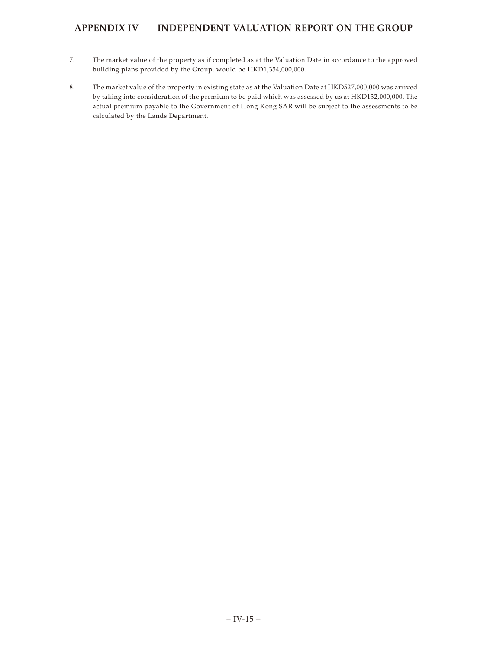- 7. The market value of the property as if completed as at the Valuation Date in accordance to the approved building plans provided by the Group, would be HKD1,354,000,000.
- 8. The market value of the property in existing state as at the Valuation Date at HKD527,000,000 was arrived by taking into consideration of the premium to be paid which was assessed by us at HKD132,000,000. The actual premium payable to the Government of Hong Kong SAR will be subject to the assessments to be calculated by the Lands Department.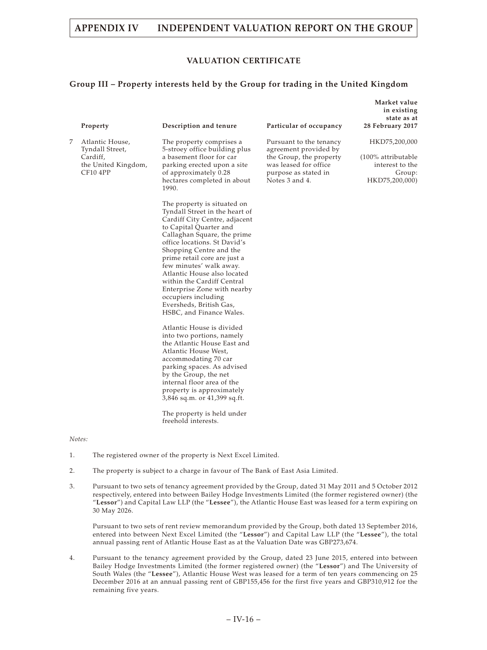# **APPENDIX IV INDEPENDENT VALUATION REPORT ON THE GROUP**

## **VALUATION CERTIFICATE**

## **Group III – Property interests held by the Group for trading in the United Kingdom**

**Market value**

|   |                                                |                                                                                                                                                                                                                                                                                                                                                                                                                                                         |                                                                             | in existing<br>state as at          |
|---|------------------------------------------------|---------------------------------------------------------------------------------------------------------------------------------------------------------------------------------------------------------------------------------------------------------------------------------------------------------------------------------------------------------------------------------------------------------------------------------------------------------|-----------------------------------------------------------------------------|-------------------------------------|
|   | Property                                       | Description and tenure                                                                                                                                                                                                                                                                                                                                                                                                                                  | Particular of occupancy                                                     | 28 February 2017                    |
| 7 | Atlantic House,<br>Tyndall Street,<br>Cardiff, | The property comprises a<br>5-stroey office building plus<br>a basement floor for car                                                                                                                                                                                                                                                                                                                                                                   | Pursuant to the tenancy<br>agreement provided by<br>the Group, the property | HKD75,200,000<br>(100% attributable |
|   | the United Kingdom,                            | parking erected upon a site                                                                                                                                                                                                                                                                                                                                                                                                                             | was leased for office                                                       | interest to the                     |
|   | CF10 4PP                                       | of approximately 0.28                                                                                                                                                                                                                                                                                                                                                                                                                                   | purpose as stated in                                                        | Group:                              |
|   |                                                | hectares completed in about<br>1990.                                                                                                                                                                                                                                                                                                                                                                                                                    | Notes 3 and 4.                                                              | HKD75,200,000)                      |
|   |                                                | The property is situated on<br>Tyndall Street in the heart of<br>Cardiff City Centre, adjacent<br>to Capital Quarter and<br>Callaghan Square, the prime<br>office locations. St David's<br>Shopping Centre and the<br>prime retail core are just a<br>few minutes' walk away.<br>Atlantic House also located<br>within the Cardiff Central<br>Enterprise Zone with nearby<br>occupiers including<br>Eversheds, British Gas,<br>HSBC, and Finance Wales. |                                                                             |                                     |
|   |                                                |                                                                                                                                                                                                                                                                                                                                                                                                                                                         |                                                                             |                                     |
|   |                                                | Atlantic House is divided                                                                                                                                                                                                                                                                                                                                                                                                                               |                                                                             |                                     |
|   |                                                | into two portions, namely                                                                                                                                                                                                                                                                                                                                                                                                                               |                                                                             |                                     |
|   |                                                | the Atlantic House East and<br>Atlantic House West,                                                                                                                                                                                                                                                                                                                                                                                                     |                                                                             |                                     |
|   |                                                | accommodating 70 car                                                                                                                                                                                                                                                                                                                                                                                                                                    |                                                                             |                                     |
|   |                                                | parking spaces. As advised                                                                                                                                                                                                                                                                                                                                                                                                                              |                                                                             |                                     |
|   |                                                | by the Group, the net                                                                                                                                                                                                                                                                                                                                                                                                                                   |                                                                             |                                     |
|   |                                                | internal floor area of the                                                                                                                                                                                                                                                                                                                                                                                                                              |                                                                             |                                     |
|   |                                                | property is approximately<br>3,846 sq.m. or 41,399 sq.ft.                                                                                                                                                                                                                                                                                                                                                                                               |                                                                             |                                     |
|   |                                                | The property is held under<br>freehold interests.                                                                                                                                                                                                                                                                                                                                                                                                       |                                                                             |                                     |

*Notes:*

- 1. The registered owner of the property is Next Excel Limited.
- 2. The property is subject to a charge in favour of The Bank of East Asia Limited.
- 3. Pursuant to two sets of tenancy agreement provided by the Group, dated 31 May 2011 and 5 October 2012 respectively, entered into between Bailey Hodge Investments Limited (the former registered owner) (the "**Lessor**") and Capital Law LLP (the "**Lessee**"), the Atlantic House East was leased for a term expiring on 30 May 2026.

Pursuant to two sets of rent review memorandum provided by the Group, both dated 13 September 2016, entered into between Next Excel Limited (the "**Lessor**") and Capital Law LLP (the "**Lessee**"), the total annual passing rent of Atlantic House East as at the Valuation Date was GBP273,674.

4. Pursuant to the tenancy agreement provided by the Group, dated 23 June 2015, entered into between Bailey Hodge Investments Limited (the former registered owner) (the "**Lessor**") and The University of South Wales (the "**Lessee**"), Atlantic House West was leased for a term of ten years commencing on 25 December 2016 at an annual passing rent of GBP155,456 for the first five years and GBP310,912 for the remaining five years.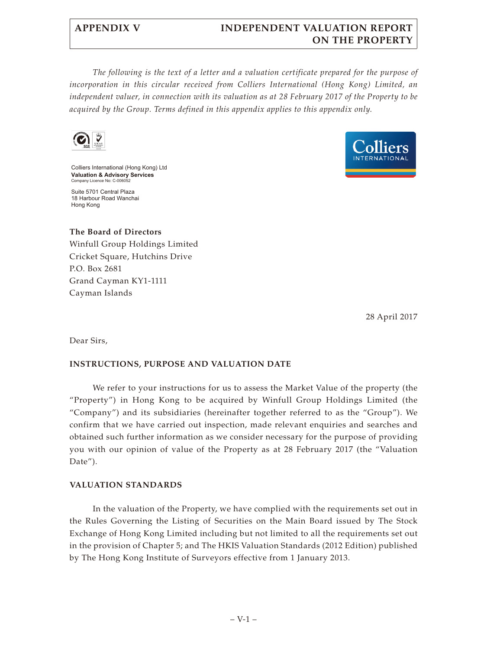# **APPENDIX V INDEPENDENT VALUATION REPORT ON THE PROPERTY**

*The following is the text of a letter and a valuation certificate prepared for the purpose of incorporation in this circular received from Colliers International (Hong Kong) Limited, an independent valuer, in connection with its valuation as at 28 February 2017 of the Property to be acquired by the Group. Terms defined in this appendix applies to this appendix only.*



Colliers International (Hong Kong) Ltd **Valuation & Advisory Services**  Company Licence No: C-00605

Suite 5701 Central Plaza 18 Harbour Road Wanchai Hong Kong



**The Board of Directors** Winfull Group Holdings Limited Cricket Square, Hutchins Drive P.O. Box 2681 Grand Cayman KY1-1111 Cayman Islands

28 April 2017

Dear Sirs,

# **INSTRUCTIONS, PURPOSE AND VALUATION DATE**

We refer to your instructions for us to assess the Market Value of the property (the "Property") in Hong Kong to be acquired by Winfull Group Holdings Limited (the "Company") and its subsidiaries (hereinafter together referred to as the "Group"). We confirm that we have carried out inspection, made relevant enquiries and searches and obtained such further information as we consider necessary for the purpose of providing you with our opinion of value of the Property as at 28 February 2017 (the "Valuation Date").

# **VALUATION STANDARDS**

In the valuation of the Property, we have complied with the requirements set out in the Rules Governing the Listing of Securities on the Main Board issued by The Stock Exchange of Hong Kong Limited including but not limited to all the requirements set out in the provision of Chapter 5; and The HKIS Valuation Standards (2012 Edition) published by The Hong Kong Institute of Surveyors effective from 1 January 2013.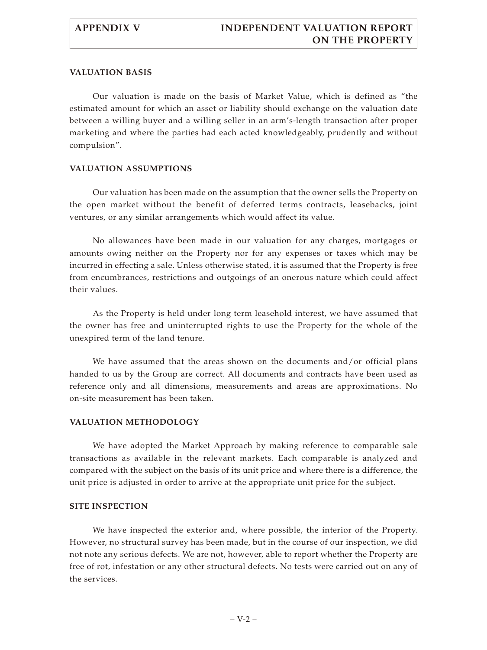## **VALUATION BASIS**

Our valuation is made on the basis of Market Value, which is defined as "the estimated amount for which an asset or liability should exchange on the valuation date between a willing buyer and a willing seller in an arm's-length transaction after proper marketing and where the parties had each acted knowledgeably, prudently and without compulsion".

## **VALUATION ASSUMPTIONS**

Our valuation has been made on the assumption that the owner sells the Property on the open market without the benefit of deferred terms contracts, leasebacks, joint ventures, or any similar arrangements which would affect its value.

No allowances have been made in our valuation for any charges, mortgages or amounts owing neither on the Property nor for any expenses or taxes which may be incurred in effecting a sale. Unless otherwise stated, it is assumed that the Property is free from encumbrances, restrictions and outgoings of an onerous nature which could affect their values.

As the Property is held under long term leasehold interest, we have assumed that the owner has free and uninterrupted rights to use the Property for the whole of the unexpired term of the land tenure.

We have assumed that the areas shown on the documents and/or official plans handed to us by the Group are correct. All documents and contracts have been used as reference only and all dimensions, measurements and areas are approximations. No on-site measurement has been taken.

# **VALUATION METHODOLOGY**

We have adopted the Market Approach by making reference to comparable sale transactions as available in the relevant markets. Each comparable is analyzed and compared with the subject on the basis of its unit price and where there is a difference, the unit price is adjusted in order to arrive at the appropriate unit price for the subject.

# **SITE INSPECTION**

We have inspected the exterior and, where possible, the interior of the Property. However, no structural survey has been made, but in the course of our inspection, we did not note any serious defects. We are not, however, able to report whether the Property are free of rot, infestation or any other structural defects. No tests were carried out on any of the services.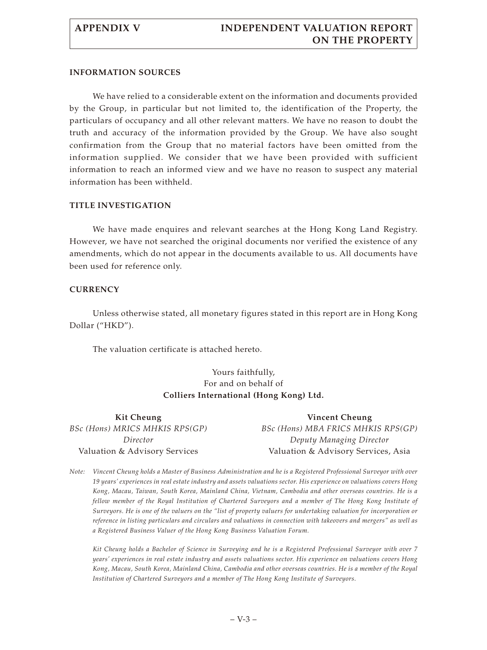# **INFORMATION SOURCES**

We have relied to a considerable extent on the information and documents provided by the Group, in particular but not limited to, the identification of the Property, the particulars of occupancy and all other relevant matters. We have no reason to doubt the truth and accuracy of the information provided by the Group. We have also sought confirmation from the Group that no material factors have been omitted from the information supplied. We consider that we have been provided with sufficient information to reach an informed view and we have no reason to suspect any material information has been withheld.

# **TITLE INVESTIGATION**

We have made enquires and relevant searches at the Hong Kong Land Registry. However, we have not searched the original documents nor verified the existence of any amendments, which do not appear in the documents available to us. All documents have been used for reference only.

# **CURRENCY**

Unless otherwise stated, all monetary figures stated in this report are in Hong Kong Dollar ("HKD").

The valuation certificate is attached hereto.

# Yours faithfully, For and on behalf of **Colliers International (Hong Kong) Ltd.**

| Kit Cheung                     | <b>Vincent Cheung</b>               |
|--------------------------------|-------------------------------------|
| BSc (Hons) MRICS MHKIS RPS(GP) | BSc (Hons) MBA FRICS MHKIS RPS(GP)  |
| Director                       | Deputy Managing Director            |
| Valuation & Advisory Services  | Valuation & Advisory Services, Asia |

*Note: Vincent Cheung holds a Master of Business Administration and he is a Registered Professional Surveyor with over 19 years' experiences in real estate industry and assets valuations sector. His experience on valuations covers Hong Kong, Macau, Taiwan, South Korea, Mainland China, Vietnam, Cambodia and other overseas countries. He is a fellow member of the Royal Institution of Chartered Surveyors and a member of The Hong Kong Institute of Surveyors. He is one of the valuers on the "list of property valuers for undertaking valuation for incorporation or reference in listing particulars and circulars and valuations in connection with takeovers and mergers" as well as a Registered Business Valuer of the Hong Kong Business Valuation Forum.*

*Kit Cheung holds a Bachelor of Science in Surveying and he is a Registered Professional Surveyor with over 7 years' experiences in real estate industry and assets valuations sector. His experience on valuations covers Hong Kong, Macau, South Korea, Mainland China, Cambodia and other overseas countries. He is a member of the Royal Institution of Chartered Surveyors and a member of The Hong Kong Institute of Surveyors.*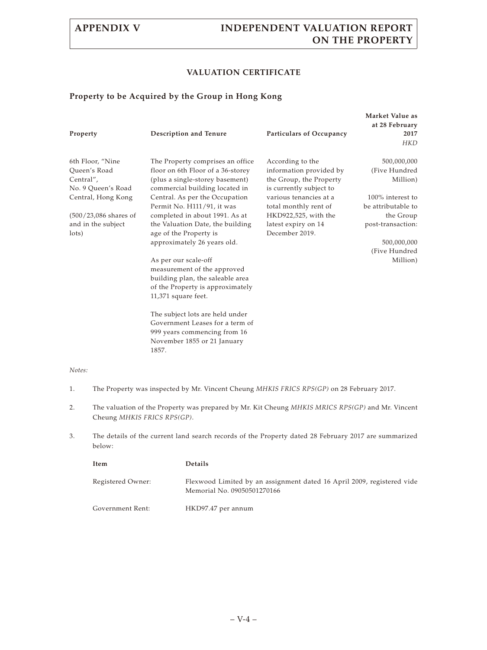# **APPENDIX V INDEPENDENT VALUATION REPORT ON THE PROPERTY**

# **VALUATION CERTIFICATE**

# **Property to be Acquired by the Group in Hong Kong**

| Property                                                            | Description and Tenure                                                                                                                               | Particulars of Occupancy                                                                          | Market Value as<br>at 28 February<br>2017<br><b>HKD</b> |
|---------------------------------------------------------------------|------------------------------------------------------------------------------------------------------------------------------------------------------|---------------------------------------------------------------------------------------------------|---------------------------------------------------------|
| 6th Floor, "Nine<br>Queen's Road<br>Central",<br>No. 9 Queen's Road | The Property comprises an office<br>floor on 6th Floor of a 36-storey<br>(plus a single-storey basement)<br>commercial building located in           | According to the<br>information provided by<br>the Group, the Property<br>is currently subject to | 500,000,000<br>(Five Hundred)<br>Million)               |
| Central, Hong Kong                                                  | Central. As per the Occupation<br>Permit No. H111/91, it was                                                                                         | various tenancies at a<br>total monthly rent of                                                   | 100% interest to<br>be attributable to                  |
| $(500/23,086$ shares of<br>and in the subject<br>lots)              | completed in about 1991. As at<br>the Valuation Date, the building<br>age of the Property is                                                         | HKD922,525, with the<br>latest expiry on 14<br>December 2019.                                     | the Group<br>post-transaction:                          |
|                                                                     | approximately 26 years old.                                                                                                                          |                                                                                                   | 500,000,000                                             |
|                                                                     | As per our scale-off<br>measurement of the approved<br>building plan, the saleable area<br>of the Property is approximately<br>$11,371$ square feet. |                                                                                                   | (Five Hundred)<br>Million)                              |
|                                                                     | The subject lots are held under<br>Government Leases for a term of<br>999 years commencing from 16                                                   |                                                                                                   |                                                         |

## *Notes:*

1. The Property was inspected by Mr. Vincent Cheung *MHKIS FRICS RPS(GP)* on 28 February 2017.

November 1855 or 21 January

1857.

- 2. The valuation of the Property was prepared by Mr. Kit Cheung *MHKIS MRICS RPS(GP)* and Mr. Vincent Cheung *MHKIS FRICS RPS(GP)*.
- 3. The details of the current land search records of the Property dated 28 February 2017 are summarized below:

| Item              | <b>Details</b>                                                                                        |
|-------------------|-------------------------------------------------------------------------------------------------------|
| Registered Owner: | Flexwood Limited by an assignment dated 16 April 2009, registered vide<br>Memorial No. 09050501270166 |
| Government Rent:  | HKD97.47 per annum                                                                                    |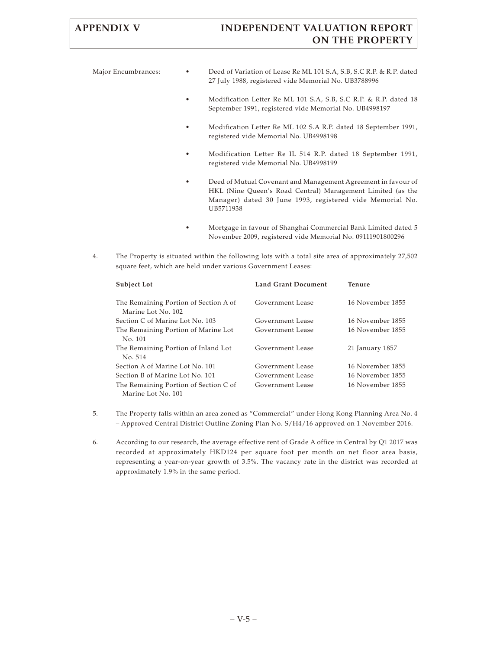# **APPENDIX V INDEPENDENT VALUATION REPORT ON THE PROPERTY**

Major Encumbrances: • Deed of Variation of Lease Re ML 101 S.A, S.B, S.C R.P. & R.P. dated 27 July 1988, registered vide Memorial No. UB3788996

- Modification Letter Re ML 101 S.A, S.B, S.C R.P. & R.P. dated 18 September 1991, registered vide Memorial No. UB4998197
- Modification Letter Re ML 102 S.A R.P. dated 18 September 1991, registered vide Memorial No. UB4998198
- Modification Letter Re IL 514 R.P. dated 18 September 1991, registered vide Memorial No. UB4998199
- Deed of Mutual Covenant and Management Agreement in favour of HKL (Nine Queen's Road Central) Management Limited (as the Manager) dated 30 June 1993, registered vide Memorial No. UB5711938
- Mortgage in favour of Shanghai Commercial Bank Limited dated 5 November 2009, registered vide Memorial No. 09111901800296
- 4. The Property is situated within the following lots with a total site area of approximately 27,502 square feet, which are held under various Government Leases:

| <b>Subject Lot</b>                                          | <b>Land Grant Document</b> | <b>Tenure</b>    |
|-------------------------------------------------------------|----------------------------|------------------|
| The Remaining Portion of Section A of<br>Marine Lot No. 102 | Government Lease           | 16 November 1855 |
| Section C of Marine Lot No. 103                             | Government Lease           | 16 November 1855 |
| The Remaining Portion of Marine Lot<br>No. 101              | Government Lease           | 16 November 1855 |
| The Remaining Portion of Inland Lot<br>No. 514              | Government Lease           | 21 January 1857  |
| Section A of Marine Lot No. 101                             | Government Lease           | 16 November 1855 |
| Section B of Marine Lot No. 101                             | Government Lease           | 16 November 1855 |
| The Remaining Portion of Section C of<br>Marine Lot No. 101 | Government Lease           | 16 November 1855 |

- 5. The Property falls within an area zoned as "Commercial" under Hong Kong Planning Area No. 4 – Approved Central District Outline Zoning Plan No. S/H4/16 approved on 1 November 2016.
- 6. According to our research, the average effective rent of Grade A office in Central by Q1 2017 was recorded at approximately HKD124 per square foot per month on net floor area basis, representing a year-on-year growth of 3.5%. The vacancy rate in the district was recorded at approximately 1.9% in the same period.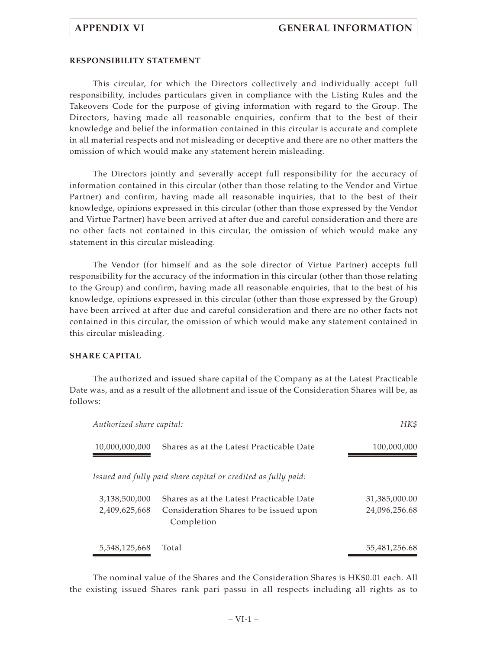## **RESPONSIBILITY STATEMENT**

This circular, for which the Directors collectively and individually accept full responsibility, includes particulars given in compliance with the Listing Rules and the Takeovers Code for the purpose of giving information with regard to the Group. The Directors, having made all reasonable enquiries, confirm that to the best of their knowledge and belief the information contained in this circular is accurate and complete in all material respects and not misleading or deceptive and there are no other matters the omission of which would make any statement herein misleading.

The Directors jointly and severally accept full responsibility for the accuracy of information contained in this circular (other than those relating to the Vendor and Virtue Partner) and confirm, having made all reasonable inquiries, that to the best of their knowledge, opinions expressed in this circular (other than those expressed by the Vendor and Virtue Partner) have been arrived at after due and careful consideration and there are no other facts not contained in this circular, the omission of which would make any statement in this circular misleading.

The Vendor (for himself and as the sole director of Virtue Partner) accepts full responsibility for the accuracy of the information in this circular (other than those relating to the Group) and confirm, having made all reasonable enquiries, that to the best of his knowledge, opinions expressed in this circular (other than those expressed by the Group) have been arrived at after due and careful consideration and there are no other facts not contained in this circular, the omission of which would make any statement contained in this circular misleading.

# **SHARE CAPITAL**

The authorized and issued share capital of the Company as at the Latest Practicable Date was, and as a result of the allotment and issue of the Consideration Shares will be, as follows:

| Authorized share capital: | HK\$                                                           |               |
|---------------------------|----------------------------------------------------------------|---------------|
| 10,000,000,000            | Shares as at the Latest Practicable Date                       | 100,000,000   |
|                           | Issued and fully paid share capital or credited as fully paid: |               |
| 3,138,500,000             | Shares as at the Latest Practicable Date                       | 31,385,000.00 |
| 2,409,625,668             | Consideration Shares to be issued upon<br>Completion           | 24,096,256.68 |
| 5,548,125,668             | Total                                                          | 55,481,256.68 |

The nominal value of the Shares and the Consideration Shares is HK\$0.01 each. All the existing issued Shares rank pari passu in all respects including all rights as to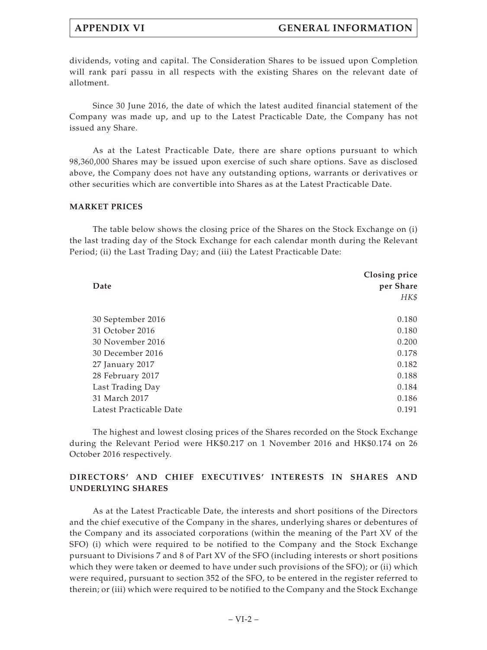dividends, voting and capital. The Consideration Shares to be issued upon Completion will rank pari passu in all respects with the existing Shares on the relevant date of allotment.

Since 30 June 2016, the date of which the latest audited financial statement of the Company was made up, and up to the Latest Practicable Date, the Company has not issued any Share.

As at the Latest Practicable Date, there are share options pursuant to which 98,360,000 Shares may be issued upon exercise of such share options. Save as disclosed above, the Company does not have any outstanding options, warrants or derivatives or other securities which are convertible into Shares as at the Latest Practicable Date.

## **MARKET PRICES**

The table below shows the closing price of the Shares on the Stock Exchange on (i) the last trading day of the Stock Exchange for each calendar month during the Relevant Period; (ii) the Last Trading Day; and (iii) the Latest Practicable Date:

| Date                    | Closing price<br>per Share |  |  |
|-------------------------|----------------------------|--|--|
|                         | HK\$                       |  |  |
| 30 September 2016       | 0.180                      |  |  |
| 31 October 2016         | 0.180                      |  |  |
| 30 November 2016        | 0.200                      |  |  |
| 30 December 2016        | 0.178                      |  |  |
| 27 January 2017         | 0.182                      |  |  |
| 28 February 2017        | 0.188                      |  |  |
| Last Trading Day        | 0.184                      |  |  |
| 31 March 2017           | 0.186                      |  |  |
| Latest Practicable Date | 0.191                      |  |  |

The highest and lowest closing prices of the Shares recorded on the Stock Exchange during the Relevant Period were HK\$0.217 on 1 November 2016 and HK\$0.174 on 26 October 2016 respectively.

# **DIRECTORS' AND CHIEF EXECUTIVES' INTERESTS IN SHARES AND UNDERLYING SHARES**

As at the Latest Practicable Date, the interests and short positions of the Directors and the chief executive of the Company in the shares, underlying shares or debentures of the Company and its associated corporations (within the meaning of the Part XV of the SFO) (i) which were required to be notified to the Company and the Stock Exchange pursuant to Divisions 7 and 8 of Part XV of the SFO (including interests or short positions which they were taken or deemed to have under such provisions of the SFO); or (ii) which were required, pursuant to section 352 of the SFO, to be entered in the register referred to therein; or (iii) which were required to be notified to the Company and the Stock Exchange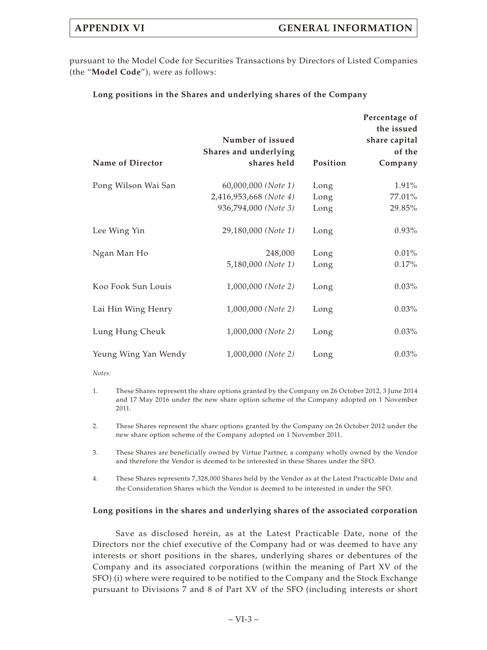pursuant to the Model Code for Securities Transactions by Directors of Listed Companies (the "**Model Code**"), were as follows:

# **Long positions in the Shares and underlying shares of the Company**

|                         | Number of issued<br>Shares and underlying |          | Percentage of<br>the issued<br>share capital<br>of the |
|-------------------------|-------------------------------------------|----------|--------------------------------------------------------|
| <b>Name of Director</b> | shares held                               | Position | Company                                                |
| Pong Wilson Wai San     | 60,000,000 (Note 1)                       | Long     | 1.91%                                                  |
|                         | 2,416,953,668 (Note 4)                    | Long     | 77.01%                                                 |
|                         | 936,794,000 (Note 3)                      | Long     | 29.85%                                                 |
| Lee Wing Yin            | 29,180,000 (Note 1)                       | Long     | $0.93\%$                                               |
| Ngan Man Ho             | 248,000                                   | Long     | 0.01%                                                  |
|                         | 5,180,000 (Note 1)                        | Long     | 0.17%                                                  |
| Koo Fook Sun Louis      | 1,000,000 (Note 2)                        | Long     | $0.03\%$                                               |
| Lai Hin Wing Henry      | 1,000,000 (Note 2)                        | Long     | $0.03\%$                                               |
| Lung Hung Cheuk         | 1,000,000 (Note 2)                        | Long     | $0.03\%$                                               |
| Yeung Wing Yan Wendy    | 1,000,000 (Note 2)                        | Long     | $0.03\%$                                               |

## *Notes:*

- 1. These Shares represent the share options granted by the Company on 26 October 2012, 3 June 2014 and 17 May 2016 under the new share option scheme of the Company adopted on 1 November 2011.
- 2. These Shares represent the share options granted by the Company on 26 October 2012 under the new share option scheme of the Company adopted on 1 November 2011.
- 3. These Shares are beneficially owned by Virtue Partner, a company wholly owned by the Vendor and therefore the Vendor is deemed to be interested in these Shares under the SFO.
- 4. These Shares represents 7,328,000 Shares held by the Vendor as at the Latest Practicable Date and the Consideration Shares which the Vendor is deemed to be interested in under the SFO.

# **Long positions in the shares and underlying shares of the associated corporation**

Save as disclosed herein, as at the Latest Practicable Date, none of the Directors nor the chief executive of the Company had or was deemed to have any interests or short positions in the shares, underlying shares or debentures of the Company and its associated corporations (within the meaning of Part XV of the SFO) (i) where were required to be notified to the Company and the Stock Exchange pursuant to Divisions 7 and 8 of Part XV of the SFO (including interests or short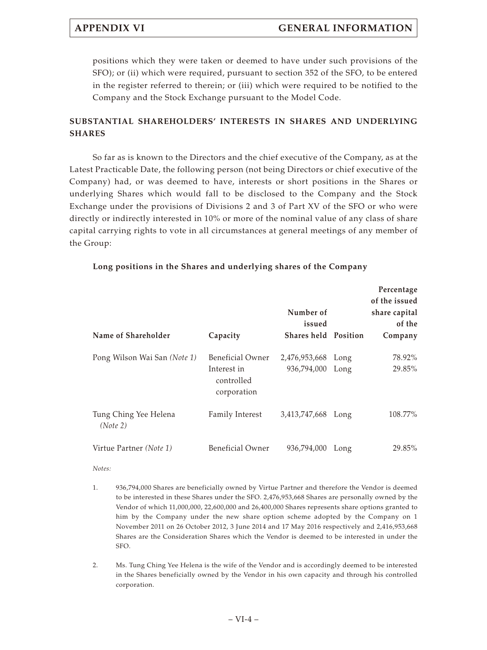positions which they were taken or deemed to have under such provisions of the SFO); or (ii) which were required, pursuant to section 352 of the SFO, to be entered in the register referred to therein; or (iii) which were required to be notified to the Company and the Stock Exchange pursuant to the Model Code.

# **SUBSTANTIAL SHAREHOLDERS' INTERESTS IN SHARES AND UNDERLYING SHARES**

So far as is known to the Directors and the chief executive of the Company, as at the Latest Practicable Date, the following person (not being Directors or chief executive of the Company) had, or was deemed to have, interests or short positions in the Shares or underlying Shares which would fall to be disclosed to the Company and the Stock Exchange under the provisions of Divisions 2 and 3 of Part XV of the SFO or who were directly or indirectly interested in 10% or more of the nominal value of any class of share capital carrying rights to vote in all circumstances at general meetings of any member of the Group:

| Name of Shareholder               | Capacity                                                     | Number of<br>issued<br><b>Shares held Position</b> |              | Percentage<br>of the issued<br>share capital<br>of the<br>Company |
|-----------------------------------|--------------------------------------------------------------|----------------------------------------------------|--------------|-------------------------------------------------------------------|
| Pong Wilson Wai San (Note 1)      | Beneficial Owner<br>Interest in<br>controlled<br>corporation | 2,476,953,668<br>936,794,000                       | Long<br>Long | 78.92%<br>29.85%                                                  |
| Tung Ching Yee Helena<br>(Note 2) | Family Interest                                              | 3,413,747,668 Long                                 |              | 108.77%                                                           |
| Virtue Partner (Note 1)           | <b>Beneficial Owner</b>                                      | 936,794,000                                        | Long         | 29.85%                                                            |

# **Long positions in the Shares and underlying shares of the Company**

## *Notes:*

- 1. 936,794,000 Shares are beneficially owned by Virtue Partner and therefore the Vendor is deemed to be interested in these Shares under the SFO. 2,476,953,668 Shares are personally owned by the Vendor of which 11,000,000, 22,600,000 and 26,400,000 Shares represents share options granted to him by the Company under the new share option scheme adopted by the Company on 1 November 2011 on 26 October 2012, 3 June 2014 and 17 May 2016 respectively and 2,416,953,668 Shares are the Consideration Shares which the Vendor is deemed to be interested in under the SFO.
- 2. Ms. Tung Ching Yee Helena is the wife of the Vendor and is accordingly deemed to be interested in the Shares beneficially owned by the Vendor in his own capacity and through his controlled corporation.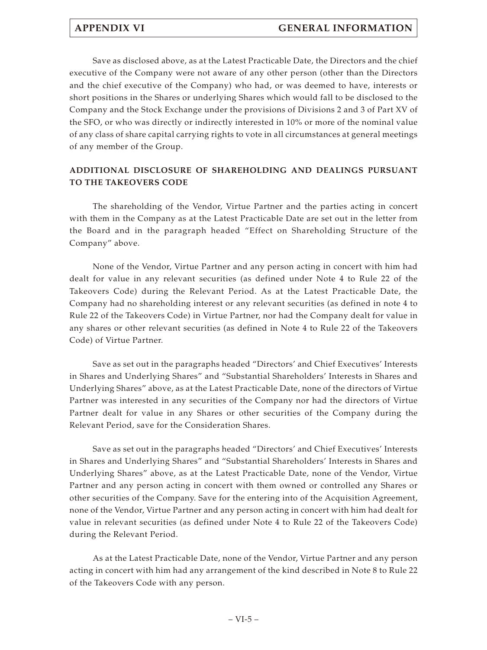Save as disclosed above, as at the Latest Practicable Date, the Directors and the chief executive of the Company were not aware of any other person (other than the Directors and the chief executive of the Company) who had, or was deemed to have, interests or short positions in the Shares or underlying Shares which would fall to be disclosed to the Company and the Stock Exchange under the provisions of Divisions 2 and 3 of Part XV of the SFO, or who was directly or indirectly interested in 10% or more of the nominal value of any class of share capital carrying rights to vote in all circumstances at general meetings of any member of the Group.

# **ADDITIONAL DISCLOSURE OF SHAREHOLDING AND DEALINGS PURSUANT TO THE TAKEOVERS CODE**

The shareholding of the Vendor, Virtue Partner and the parties acting in concert with them in the Company as at the Latest Practicable Date are set out in the letter from the Board and in the paragraph headed "Effect on Shareholding Structure of the Company" above.

None of the Vendor, Virtue Partner and any person acting in concert with him had dealt for value in any relevant securities (as defined under Note 4 to Rule 22 of the Takeovers Code) during the Relevant Period. As at the Latest Practicable Date, the Company had no shareholding interest or any relevant securities (as defined in note 4 to Rule 22 of the Takeovers Code) in Virtue Partner, nor had the Company dealt for value in any shares or other relevant securities (as defined in Note 4 to Rule 22 of the Takeovers Code) of Virtue Partner.

Save as set out in the paragraphs headed "Directors' and Chief Executives' Interests in Shares and Underlying Shares" and "Substantial Shareholders' Interests in Shares and Underlying Shares" above, as at the Latest Practicable Date, none of the directors of Virtue Partner was interested in any securities of the Company nor had the directors of Virtue Partner dealt for value in any Shares or other securities of the Company during the Relevant Period, save for the Consideration Shares.

Save as set out in the paragraphs headed "Directors' and Chief Executives' Interests in Shares and Underlying Shares" and "Substantial Shareholders' Interests in Shares and Underlying Shares" above, as at the Latest Practicable Date, none of the Vendor, Virtue Partner and any person acting in concert with them owned or controlled any Shares or other securities of the Company. Save for the entering into of the Acquisition Agreement, none of the Vendor, Virtue Partner and any person acting in concert with him had dealt for value in relevant securities (as defined under Note 4 to Rule 22 of the Takeovers Code) during the Relevant Period.

As at the Latest Practicable Date, none of the Vendor, Virtue Partner and any person acting in concert with him had any arrangement of the kind described in Note 8 to Rule 22 of the Takeovers Code with any person.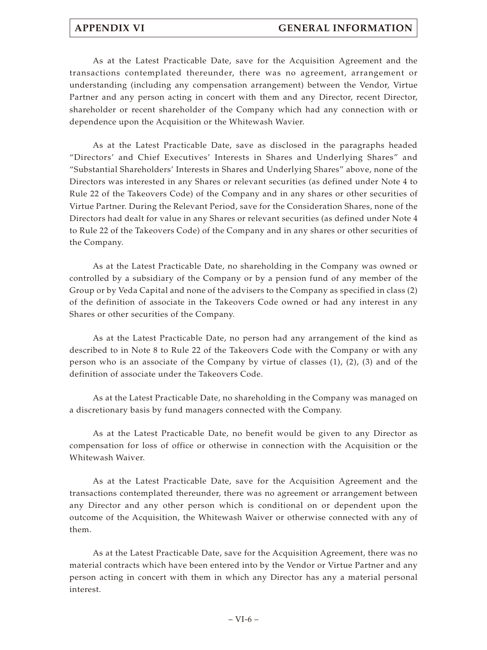As at the Latest Practicable Date, save for the Acquisition Agreement and the transactions contemplated thereunder, there was no agreement, arrangement or understanding (including any compensation arrangement) between the Vendor, Virtue Partner and any person acting in concert with them and any Director, recent Director, shareholder or recent shareholder of the Company which had any connection with or dependence upon the Acquisition or the Whitewash Wavier.

As at the Latest Practicable Date, save as disclosed in the paragraphs headed "Directors' and Chief Executives' Interests in Shares and Underlying Shares" and "Substantial Shareholders' Interests in Shares and Underlying Shares" above, none of the Directors was interested in any Shares or relevant securities (as defined under Note 4 to Rule 22 of the Takeovers Code) of the Company and in any shares or other securities of Virtue Partner. During the Relevant Period, save for the Consideration Shares, none of the Directors had dealt for value in any Shares or relevant securities (as defined under Note 4 to Rule 22 of the Takeovers Code) of the Company and in any shares or other securities of the Company.

As at the Latest Practicable Date, no shareholding in the Company was owned or controlled by a subsidiary of the Company or by a pension fund of any member of the Group or by Veda Capital and none of the advisers to the Company as specified in class (2) of the definition of associate in the Takeovers Code owned or had any interest in any Shares or other securities of the Company.

As at the Latest Practicable Date, no person had any arrangement of the kind as described to in Note 8 to Rule 22 of the Takeovers Code with the Company or with any person who is an associate of the Company by virtue of classes  $(1)$ ,  $(2)$ ,  $(3)$  and of the definition of associate under the Takeovers Code.

As at the Latest Practicable Date, no shareholding in the Company was managed on a discretionary basis by fund managers connected with the Company.

As at the Latest Practicable Date, no benefit would be given to any Director as compensation for loss of office or otherwise in connection with the Acquisition or the Whitewash Waiver.

As at the Latest Practicable Date, save for the Acquisition Agreement and the transactions contemplated thereunder, there was no agreement or arrangement between any Director and any other person which is conditional on or dependent upon the outcome of the Acquisition, the Whitewash Waiver or otherwise connected with any of them.

As at the Latest Practicable Date, save for the Acquisition Agreement, there was no material contracts which have been entered into by the Vendor or Virtue Partner and any person acting in concert with them in which any Director has any a material personal interest.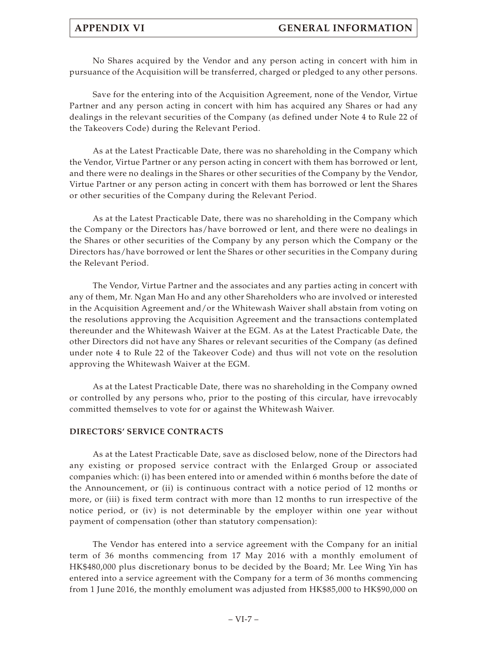No Shares acquired by the Vendor and any person acting in concert with him in pursuance of the Acquisition will be transferred, charged or pledged to any other persons.

Save for the entering into of the Acquisition Agreement, none of the Vendor, Virtue Partner and any person acting in concert with him has acquired any Shares or had any dealings in the relevant securities of the Company (as defined under Note 4 to Rule 22 of the Takeovers Code) during the Relevant Period.

As at the Latest Practicable Date, there was no shareholding in the Company which the Vendor, Virtue Partner or any person acting in concert with them has borrowed or lent, and there were no dealings in the Shares or other securities of the Company by the Vendor, Virtue Partner or any person acting in concert with them has borrowed or lent the Shares or other securities of the Company during the Relevant Period.

As at the Latest Practicable Date, there was no shareholding in the Company which the Company or the Directors has/have borrowed or lent, and there were no dealings in the Shares or other securities of the Company by any person which the Company or the Directors has/have borrowed or lent the Shares or other securities in the Company during the Relevant Period.

The Vendor, Virtue Partner and the associates and any parties acting in concert with any of them, Mr. Ngan Man Ho and any other Shareholders who are involved or interested in the Acquisition Agreement and/or the Whitewash Waiver shall abstain from voting on the resolutions approving the Acquisition Agreement and the transactions contemplated thereunder and the Whitewash Waiver at the EGM. As at the Latest Practicable Date, the other Directors did not have any Shares or relevant securities of the Company (as defined under note 4 to Rule 22 of the Takeover Code) and thus will not vote on the resolution approving the Whitewash Waiver at the EGM.

As at the Latest Practicable Date, there was no shareholding in the Company owned or controlled by any persons who, prior to the posting of this circular, have irrevocably committed themselves to vote for or against the Whitewash Waiver.

# **DIRECTORS' SERVICE CONTRACTS**

As at the Latest Practicable Date, save as disclosed below, none of the Directors had any existing or proposed service contract with the Enlarged Group or associated companies which: (i) has been entered into or amended within 6 months before the date of the Announcement, or (ii) is continuous contract with a notice period of 12 months or more, or (iii) is fixed term contract with more than 12 months to run irrespective of the notice period, or (iv) is not determinable by the employer within one year without payment of compensation (other than statutory compensation):

The Vendor has entered into a service agreement with the Company for an initial term of 36 months commencing from 17 May 2016 with a monthly emolument of HK\$480,000 plus discretionary bonus to be decided by the Board; Mr. Lee Wing Yin has entered into a service agreement with the Company for a term of 36 months commencing from 1 June 2016, the monthly emolument was adjusted from HK\$85,000 to HK\$90,000 on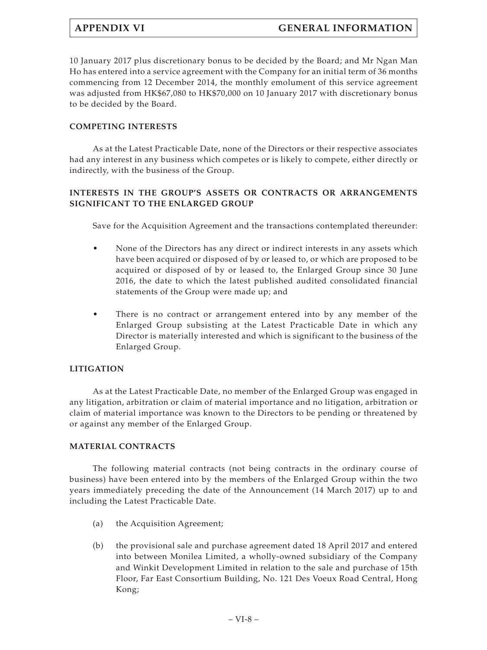10 January 2017 plus discretionary bonus to be decided by the Board; and Mr Ngan Man Ho has entered into a service agreement with the Company for an initial term of 36 months commencing from 12 December 2014, the monthly emolument of this service agreement was adjusted from HK\$67,080 to HK\$70,000 on 10 January 2017 with discretionary bonus to be decided by the Board.

# **COMPETING INTERESTS**

As at the Latest Practicable Date, none of the Directors or their respective associates had any interest in any business which competes or is likely to compete, either directly or indirectly, with the business of the Group.

# **INTERESTS IN THE GROUP'S ASSETS OR CONTRACTS OR ARRANGEMENTS SIGNIFICANT TO THE ENLARGED GROUP**

Save for the Acquisition Agreement and the transactions contemplated thereunder:

- None of the Directors has any direct or indirect interests in any assets which have been acquired or disposed of by or leased to, or which are proposed to be acquired or disposed of by or leased to, the Enlarged Group since 30 June 2016, the date to which the latest published audited consolidated financial statements of the Group were made up; and
- There is no contract or arrangement entered into by any member of the Enlarged Group subsisting at the Latest Practicable Date in which any Director is materially interested and which is significant to the business of the Enlarged Group.

# **LITIGATION**

As at the Latest Practicable Date, no member of the Enlarged Group was engaged in any litigation, arbitration or claim of material importance and no litigation, arbitration or claim of material importance was known to the Directors to be pending or threatened by or against any member of the Enlarged Group.

# **MATERIAL CONTRACTS**

The following material contracts (not being contracts in the ordinary course of business) have been entered into by the members of the Enlarged Group within the two years immediately preceding the date of the Announcement (14 March 2017) up to and including the Latest Practicable Date.

- (a) the Acquisition Agreement;
- (b) the provisional sale and purchase agreement dated 18 April 2017 and entered into between Monilea Limited, a wholly-owned subsidiary of the Company and Winkit Development Limited in relation to the sale and purchase of 15th Floor, Far East Consortium Building, No. 121 Des Voeux Road Central, Hong Kong;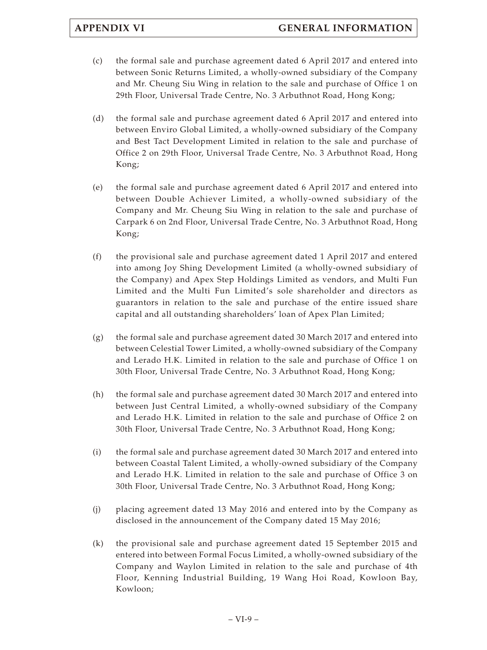- (c) the formal sale and purchase agreement dated 6 April 2017 and entered into between Sonic Returns Limited, a wholly-owned subsidiary of the Company and Mr. Cheung Siu Wing in relation to the sale and purchase of Office 1 on 29th Floor, Universal Trade Centre, No. 3 Arbuthnot Road, Hong Kong;
- (d) the formal sale and purchase agreement dated 6 April 2017 and entered into between Enviro Global Limited, a wholly-owned subsidiary of the Company and Best Tact Development Limited in relation to the sale and purchase of Office 2 on 29th Floor, Universal Trade Centre, No. 3 Arbuthnot Road, Hong Kong;
- (e) the formal sale and purchase agreement dated 6 April 2017 and entered into between Double Achiever Limited, a wholly-owned subsidiary of the Company and Mr. Cheung Siu Wing in relation to the sale and purchase of Carpark 6 on 2nd Floor, Universal Trade Centre, No. 3 Arbuthnot Road, Hong Kong;
- (f) the provisional sale and purchase agreement dated 1 April 2017 and entered into among Joy Shing Development Limited (a wholly-owned subsidiary of the Company) and Apex Step Holdings Limited as vendors, and Multi Fun Limited and the Multi Fun Limited's sole shareholder and directors as guarantors in relation to the sale and purchase of the entire issued share capital and all outstanding shareholders' loan of Apex Plan Limited;
- $(g)$  the formal sale and purchase agreement dated 30 March 2017 and entered into between Celestial Tower Limited, a wholly-owned subsidiary of the Company and Lerado H.K. Limited in relation to the sale and purchase of Office 1 on 30th Floor, Universal Trade Centre, No. 3 Arbuthnot Road, Hong Kong;
- (h) the formal sale and purchase agreement dated 30 March 2017 and entered into between Just Central Limited, a wholly-owned subsidiary of the Company and Lerado H.K. Limited in relation to the sale and purchase of Office 2 on 30th Floor, Universal Trade Centre, No. 3 Arbuthnot Road, Hong Kong;
- (i) the formal sale and purchase agreement dated 30 March 2017 and entered into between Coastal Talent Limited, a wholly-owned subsidiary of the Company and Lerado H.K. Limited in relation to the sale and purchase of Office 3 on 30th Floor, Universal Trade Centre, No. 3 Arbuthnot Road, Hong Kong;
- (j) placing agreement dated 13 May 2016 and entered into by the Company as disclosed in the announcement of the Company dated 15 May 2016;
- (k) the provisional sale and purchase agreement dated 15 September 2015 and entered into between Formal Focus Limited, a wholly-owned subsidiary of the Company and Waylon Limited in relation to the sale and purchase of 4th Floor, Kenning Industrial Building, 19 Wang Hoi Road, Kowloon Bay, Kowloon;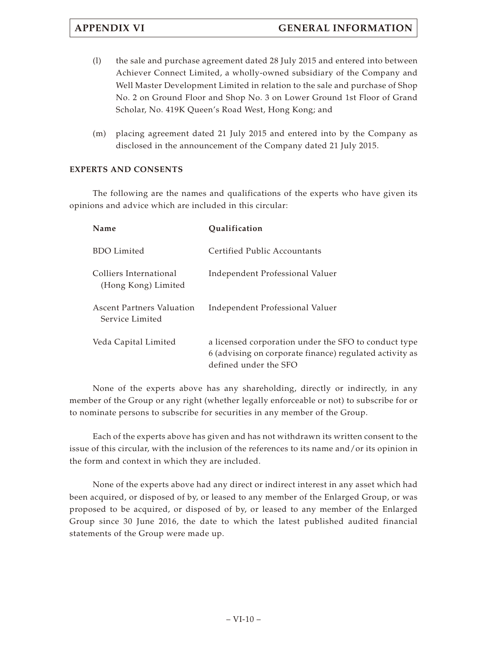- (l) the sale and purchase agreement dated 28 July 2015 and entered into between Achiever Connect Limited, a wholly-owned subsidiary of the Company and Well Master Development Limited in relation to the sale and purchase of Shop No. 2 on Ground Floor and Shop No. 3 on Lower Ground 1st Floor of Grand Scholar, No. 419K Queen's Road West, Hong Kong; and
- (m) placing agreement dated 21 July 2015 and entered into by the Company as disclosed in the announcement of the Company dated 21 July 2015.

# **EXPERTS AND CONSENTS**

The following are the names and qualifications of the experts who have given its opinions and advice which are included in this circular:

| Name                                                | Qualification                                                                                                                            |
|-----------------------------------------------------|------------------------------------------------------------------------------------------------------------------------------------------|
| <b>BDO</b> Limited                                  | Certified Public Accountants                                                                                                             |
| Colliers International<br>(Hong Kong) Limited       | Independent Professional Valuer                                                                                                          |
| <b>Ascent Partners Valuation</b><br>Service Limited | Independent Professional Valuer                                                                                                          |
| Veda Capital Limited                                | a licensed corporation under the SFO to conduct type<br>6 (advising on corporate finance) regulated activity as<br>defined under the SFO |

None of the experts above has any shareholding, directly or indirectly, in any member of the Group or any right (whether legally enforceable or not) to subscribe for or to nominate persons to subscribe for securities in any member of the Group.

Each of the experts above has given and has not withdrawn its written consent to the issue of this circular, with the inclusion of the references to its name and/or its opinion in the form and context in which they are included.

None of the experts above had any direct or indirect interest in any asset which had been acquired, or disposed of by, or leased to any member of the Enlarged Group, or was proposed to be acquired, or disposed of by, or leased to any member of the Enlarged Group since 30 June 2016, the date to which the latest published audited financial statements of the Group were made up.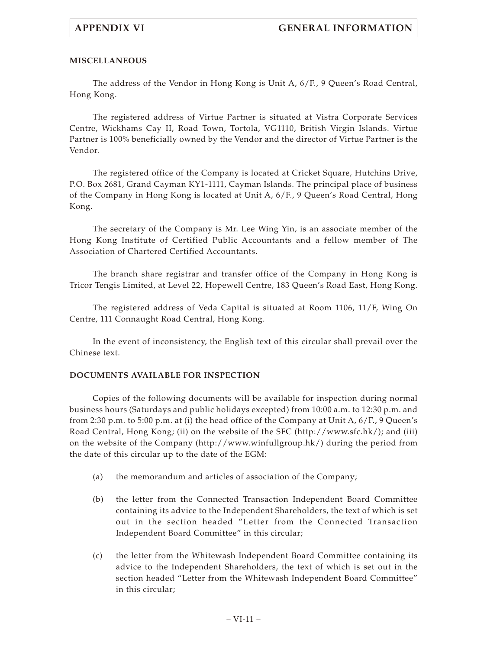# **MISCELLANEOUS**

The address of the Vendor in Hong Kong is Unit A, 6/F., 9 Queen's Road Central, Hong Kong.

The registered address of Virtue Partner is situated at Vistra Corporate Services Centre, Wickhams Cay II, Road Town, Tortola, VG1110, British Virgin Islands. Virtue Partner is 100% beneficially owned by the Vendor and the director of Virtue Partner is the Vendor.

The registered office of the Company is located at Cricket Square, Hutchins Drive, P.O. Box 2681, Grand Cayman KY1-1111, Cayman Islands. The principal place of business of the Company in Hong Kong is located at Unit A, 6/F., 9 Queen's Road Central, Hong Kong.

The secretary of the Company is Mr. Lee Wing Yin, is an associate member of the Hong Kong Institute of Certified Public Accountants and a fellow member of The Association of Chartered Certified Accountants.

The branch share registrar and transfer office of the Company in Hong Kong is Tricor Tengis Limited, at Level 22, Hopewell Centre, 183 Queen's Road East, Hong Kong.

The registered address of Veda Capital is situated at Room 1106, 11/F, Wing On Centre, 111 Connaught Road Central, Hong Kong.

In the event of inconsistency, the English text of this circular shall prevail over the Chinese text.

# **DOCUMENTS AVAILABLE FOR INSPECTION**

Copies of the following documents will be available for inspection during normal business hours (Saturdays and public holidays excepted) from 10:00 a.m. to 12:30 p.m. and from 2:30 p.m. to 5:00 p.m. at (i) the head office of the Company at Unit A, 6/F., 9 Queen's Road Central, Hong Kong; (ii) on the website of the SFC (<http://www.sfc.hk/>); and (iii) on the website of the Company ([http://www.winfullgroup.hk/\)](http://www.winfullgroup.hk/) during the period from the date of this circular up to the date of the EGM:

- (a) the memorandum and articles of association of the Company;
- (b) the letter from the Connected Transaction Independent Board Committee containing its advice to the Independent Shareholders, the text of which is set out in the section headed "Letter from the Connected Transaction Independent Board Committee" in this circular;
- (c) the letter from the Whitewash Independent Board Committee containing its advice to the Independent Shareholders, the text of which is set out in the section headed "Letter from the Whitewash Independent Board Committee" in this circular;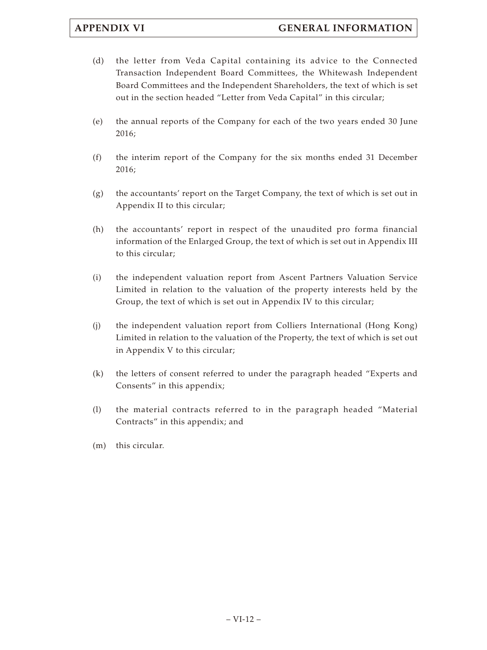- (d) the letter from Veda Capital containing its advice to the Connected Transaction Independent Board Committees, the Whitewash Independent Board Committees and the Independent Shareholders, the text of which is set out in the section headed "Letter from Veda Capital" in this circular;
- (e) the annual reports of the Company for each of the two years ended 30 June 2016;
- (f) the interim report of the Company for the six months ended 31 December 2016;
- (g) the accountants' report on the Target Company, the text of which is set out in Appendix II to this circular;
- (h) the accountants' report in respect of the unaudited pro forma financial information of the Enlarged Group, the text of which is set out in Appendix III to this circular;
- (i) the independent valuation report from Ascent Partners Valuation Service Limited in relation to the valuation of the property interests held by the Group, the text of which is set out in Appendix IV to this circular;
- (j) the independent valuation report from Colliers International (Hong Kong) Limited in relation to the valuation of the Property, the text of which is set out in Appendix V to this circular;
- (k) the letters of consent referred to under the paragraph headed "Experts and Consents" in this appendix;
- (l) the material contracts referred to in the paragraph headed "Material Contracts" in this appendix; and
- (m) this circular.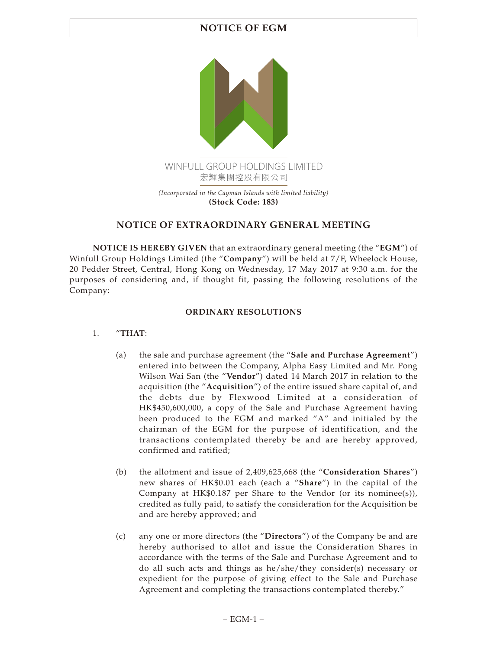# **NOTICE OF EGM**



# **NOTICE OF EXTRAORDINARY GENERAL MEETING**

**NOTICE IS HEREBY GIVEN** that an extraordinary general meeting (the "**EGM**") of Winfull Group Holdings Limited (the "**Company**") will be held at 7/F, Wheelock House, 20 Pedder Street, Central, Hong Kong on Wednesday, 17 May 2017 at 9:30 a.m. for the purposes of considering and, if thought fit, passing the following resolutions of the Company:

# **ORDINARY RESOLUTIONS**

# 1. "**THAT**:

- (a) the sale and purchase agreement (the "**Sale and Purchase Agreement**") entered into between the Company, Alpha Easy Limited and Mr. Pong Wilson Wai San (the "**Vendor**") dated 14 March 2017 in relation to the acquisition (the "**Acquisition**") of the entire issued share capital of, and the debts due by Flexwood Limited at a consideration of HK\$450,600,000, a copy of the Sale and Purchase Agreement having been produced to the EGM and marked "A" and initialed by the chairman of the EGM for the purpose of identification, and the transactions contemplated thereby be and are hereby approved, confirmed and ratified;
- (b) the allotment and issue of 2,409,625,668 (the "**Consideration Shares**") new shares of HK\$0.01 each (each a "**Share**") in the capital of the Company at HK\$0.187 per Share to the Vendor (or its nominee(s)), credited as fully paid, to satisfy the consideration for the Acquisition be and are hereby approved; and
- (c) any one or more directors (the "**Directors**") of the Company be and are hereby authorised to allot and issue the Consideration Shares in accordance with the terms of the Sale and Purchase Agreement and to do all such acts and things as he/she/they consider(s) necessary or expedient for the purpose of giving effect to the Sale and Purchase Agreement and completing the transactions contemplated thereby."